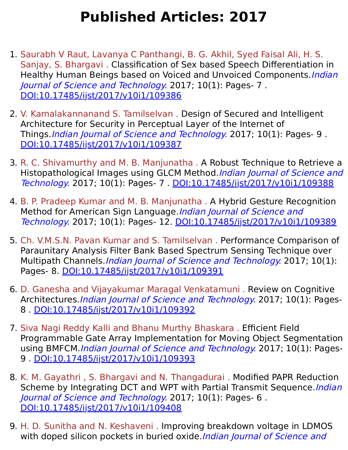## **Published Articles: 2017**

- 1. Saurabh V Raut, Lavanya C Panthangi, B. G. Akhil, Syed Faisal Ali, H. S. Sanjay, S. Bhargavi . Classification of Sex based Speech Differentiation in Healthy Human Beings based on Voiced and Unvoiced Components. *Indian* Journal of Science and Technology. 2017; 10(1): Pages- 7 . [DOI:10.17485/ijst/2017/v10i1/109386](https://indjst.org/articles/classification-of-sex-based-speech-differentiation-in-healthy-human-beings-based-on-voiced-and-unvoiced-components)
- 2. V. Kamalakannanand S. Tamilselvan . Design of Secured and Intelligent Architecture for Security in Perceptual Layer of the Internet of Things. *Indian Journal of Science and Technology*. 2017; 10(1): Pages-9. [DOI:10.17485/ijst/2017/v10i1/109387](https://indjst.org/articles/design-of-secured-and-intelligent-architecture-for-security-in-perceptual-layer-of-the-internet-of-things)
- 3. R. C. Shivamurthy and M. B. Manjunatha . A Robust Technique to Retrieve a Histopathological Images using GLCM Method. *Indian Journal of Science and* Technology. 2017; 10(1): Pages- 7 . [DOI:10.17485/ijst/2017/v10i1/109388](https://indjst.org/articles/a-robust-technique-to-retrieve-a-histopathological-images-using-glcm-method)
- 4. B. P. Pradeep Kumar and M. B. Manjunatha . A Hybrid Gesture Recognition Method for American Sign Language. *Indian Journal of Science and* Technology. 2017; 10(1): Pages- 12. [DOI:10.17485/ijst/2017/v10i1/109389](https://indjst.org/articles/a-hybrid-gesture-recognition-method-for-american-sign-language)
- 5. Ch. V.M.S.N. Pavan Kumar and S. Tamilselvan . Performance Comparison of Paraunitary Analysis Filter Bank Based Spectrum Sensing Technique over Multipath Channels. Indian Journal of Science and Technology. 2017; 10(1): Pages- 8. [DOI:10.17485/ijst/2017/v10i1/109391](https://indjst.org/articles/performance-comparison-of-paraunitary-analysis-filter-bank-based-spectrum-sensing-technique-over-multipath-channels)
- 6. D. Ganesha and Vijayakumar Maragal Venkatamuni . Review on Cognitive Architectures.*Indian Journal of Science and Technology*. 2017; 10(1): Pages-8 . [DOI:10.17485/ijst/2017/v10i1/109392](https://indjst.org/articles/review-on-cognitive-architectures)
- 7. Siva Nagi Reddy Kalli and Bhanu Murthy Bhaskara . Efficient Field Programmable Gate Array Implementation for Moving Object Segmentation using BMFCM.Indian Journal of Science and Technology. 2017; 10(1): Pages-9 . [DOI:10.17485/ijst/2017/v10i1/109393](https://indjst.org/articles/efficient-field-programmable-gate-array-implementation-for-moving-object-segmentation-using-bmfcm)
- 8. K. M. Gayathri , S. Bhargavi and N. Thangadurai . Modified PAPR Reduction Scheme by Integrating DCT and WPT with Partial Transmit Sequence.*Indian* Journal of Science and Technology. 2017; 10(1): Pages- 6 . [DOI:10.17485/ijst/2017/v10i1/109408](https://indjst.org/articles/modified-papr-reduction-scheme-by-integrating-dct-and-wpt-with-partial-transmit-sequence)
- 9. H. D. Sunitha and N. Keshaveni . Improving breakdown voltage in LDMOS with doped silicon pockets in buried oxide.*Indian Journal of Science and*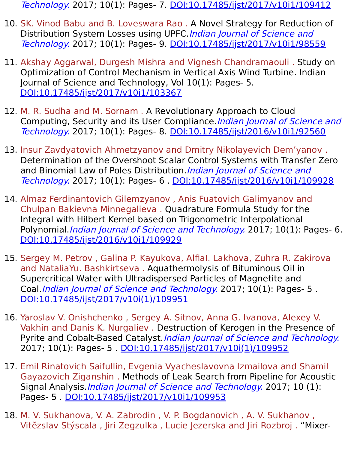Technology. 2017; 10(1): Pages- 7. [DOI:10.17485/ijst/2017/v10i1/109412](https://indjst.org/articles/improving-breakdown-voltage-in-ldmos-with-doped-silicon-pockets-in-buried-oxide)

- 10. SK. Vinod Babu and B. Loveswara Rao . A Novel Strategy for Reduction of Distribution System Losses using UPFC. Indian Journal of Science and Technology. 2017; 10(1): Pages- 9. [DOI:10.17485/ijst/2017/v10i1/98559](https://indjst.org/articles/a-novel-strategy-for-reduction-of-distribution-system-losses-using-upfc)
- 11. Akshay Aggarwal, Durgesh Mishra and Vignesh Chandramaouli . Study on Optimization of Control Mechanism in Vertical Axis Wind Turbine. Indian Journal of Science and Technology, Vol 10(1): Pages- 5. [DOI:10.17485/ijst/2017/v10i1/103367](https://indjst.org/articles/study-on-optimization-of-control-mechanism-in-vertical-axis-wind-turbine)
- 12. M. R. Sudha and M. Sornam . A Revolutionary Approach to Cloud Computing, Security and its User Compliance. Indian Journal of Science and Technology. 2017; 10(1): Pages- 8. [DOI:10.17485/ijst/2016/v10i1/92560](https://indjst.org/articles/a-revolutionary-approach-to-cloud-computing-security-and-its-user-compliance)
- 13. Insur Zavdyatovich Ahmetzyanov and Dmitry Nikolayevich Dem'yanov . Determination of the Overshoot Scalar Control Systems with Transfer Zero and Binomial Law of Poles Distribution. Indian Journal of Science and Technology. 2017; 10(1): Pages- 6 . [DOI:10.17485/ijst/2016/v10i1/109928](https://indjst.org/articles/determination-of-the-overshoot-scalar-control-systems-with-transfer-zero-and-binomial-law-of-poles-distribution)
- 14. Almaz Ferdinantovich Gilemzyanov , Anis Fuatovich Galimyanov and Chulpan Bakievna Minnegalieva . Quadrature Formula Study for the Integral with Hilbert Kernel based on Trigonometric Interpolational Polynomial. Indian Journal of Science and Technology. 2017; 10(1): Pages- 6. [DOI:10.17485/ijst/2016/v10i1/109929](https://indjst.org/articles/quadrature-formula-study-for-the-integral-with-hilbert-kernel-based-on-trigonometric-interpolational-polynomial)
- 15. Sergey M. Petrov , Galina P. Kayukova, AlfiaI. Lakhova, Zuhra R. Zakirova and NataliaYu. Bashkirtseva . Aquathermolysis of Bituminous Oil in Supercritical Water with Ultradispersed Particles of Magnetite and Coal.Indian Journal of Science and Technology. 2017; 10(1): Pages- 5 . [DOI:10.17485/ijst/2017/v10i\(1\)/109951](https://indjst.org/articles/aquathermolysis-of-bituminous-oil-in-supercritical-water-with-ultradispersed-particles-of-magnetite-and-coal)
- 16. Yaroslav V. Onishchenko , Sergey A. Sitnov, Anna G. Ivanova, Alexey V. Vakhin and Danis K. Nurgaliev . Destruction of Kerogen in the Presence of Pyrite and Cobalt-Based Catalyst. Indian Journal of Science and Technology. 2017; 10(1): Pages- 5 . [DOI:10.17485/ijst/2017/v10i\(1\)/109952](https://indjst.org/articles/destruction-of-kerogen-in-the-presence-of-pyrite-and-cobalt-based-catalyst)
- 17. Emil Rinatovich Saifullin, Evgenia Vyacheslavovna Izmailova and Shamil Gayazovich Ziganshin . Methods of Leak Search from Pipeline for Acoustic Signal Analysis.*Indian Journal of Science and Technology*. 2017; 10 (1): Pages- 5 . [DOI:10.17485/ijst/2017/v10i1/109953](https://indjst.org/articles/methods-of-leak-search-from-pipeline-for-acoustic-signal-analysis)
- 18. M. V. Sukhanova, V. A. Zabrodin , V. P. Bogdanovich , A. V. Sukhanov , Vitĕzslav Stýscala , Jiri Zegzulka , Lucie Jezerska and Jiri Rozbroj . "Mixer-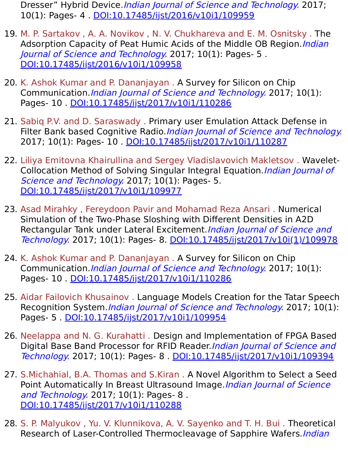Dresser" Hybrid Device. Indian Journal of Science and Technology. 2017; 10(1): Pages- 4 . [DOI:10.17485/ijst/2016/v10i1/109959](https://indjst.org/articles/mixer-dresser-hybrid-device)

- 19. M. P. Sartakov , A. A. Novikov , N. V. Chukhareva and E. M. Osnitsky . The Adsorption Capacity of Peat Humic Acids of the Middle OB Region. Indian Journal of Science and Technology. 2017; 10(1): Pages- 5 . [DOI:10.17485/ijst/2016/v10i1/109958](https://indjst.org/articles/the-adsorption-capacity-of-peat-humic-acids-of-the-middle-ob-region)
- 20. K. Ashok Kumar and P. Dananjayan . A Survey for Silicon on Chip Communication.Indian Journal of Science and Technology. 2017; 10(1): Pages- 10 . [DOI:10.17485/ijst/2017/v10i1/110286](https://indjst.org/articles/a-survey-for-silicon-on-chip-communication)
- 21. Sabiq P.V. and D. Saraswady . Primary user Emulation Attack Defense in Filter Bank based Cognitive Radio. Indian Journal of Science and Technology. 2017; 10(1): Pages- 10 . [DOI:10.17485/ijst/2017/v10i1/110287](https://indjst.org/articles/primary-user-emulation-attack-defense-in-filter-bank-based-cognitive-radio)
- 22. Liliya Emitovna Khairullina and Sergey Vladislavovich Makletsov . Wavelet-Collocation Method of Solving Singular Integral Equation. Indian Journal of Science and Technology. 2017; 10(1): Pages- 5. [DOI:10.17485/ijst/2017/v10i1/109977](https://indjst.org/articles/wavelet-collocation-method-of-solving-singular-integral-equation)
- 23. Asad Mirahky , Fereydoon Pavir and Mohamad Reza Ansari . Numerical Simulation of the Two-Phase Sloshing with Different Densities in A2D Rectangular Tank under Lateral Excitement. Indian Journal of Science and Technology. 2017; 10(1): Pages- 8. [DOI:10.17485/ijst/2017/v10i\(1\)/109978](https://indjst.org/articles/numerical-simulation-of-the-two-phase-sloshing-with-different-densities-in-a2d-rectangular-tank-under-lateral-excitement)
- 24. K. Ashok Kumar and P. Dananjayan . A Survey for Silicon on Chip Communication.Indian Journal of Science and Technology. 2017; 10(1): Pages- 10 . [DOI:10.17485/ijst/2017/v10i1/110286](https://indjst.org/articles/a-survey-for-silicon-on-chip-communication)
- 25. Aidar Failovich Khusainov . Language Models Creation for the Tatar Speech Recognition System.*Indian Journal of Science and Technology*. 2017; 10(1): Pages- 5 . [DOI:10.17485/ijst/2017/v10i1/109954](https://indjst.org/articles/language-models-creation-for-the-tatar-speech-recognition-system)
- 26. Neelappa and N. G. Kurahatti . Design and Implementation of FPGA Based Digital Base Band Processor for RFID Reader. Indian Journal of Science and Technology. 2017; 10(1): Pages- 8 . [DOI:10.17485/ijst/2017/v10i1/109394](https://indjst.org/articles/design-and-implementation-of-fpga-based-digital-base-band-processor-for-rfid-reader)
- 27. S.Michahial, B.A. Thomas and S.Kiran . A Novel Algorithm to Select a Seed Point Automatically In Breast Ultrasound Image. Indian Journal of Science and Technology. 2017; 10(1): Pages- 8. [DOI:10.17485/ijst/2017/v10i1/110288](https://indjst.org/articles/a-novel-algorithm-to-select-a-seed-point-automatically-in-breast-ultrasound-image)
- 28. S. P. Malyukov , Yu. V. Klunnikova, A. V. Sayenko and T. H. Bui . Theoretical Research of Laser-Controlled Thermocleavage of Sapphire Wafers.*Indian*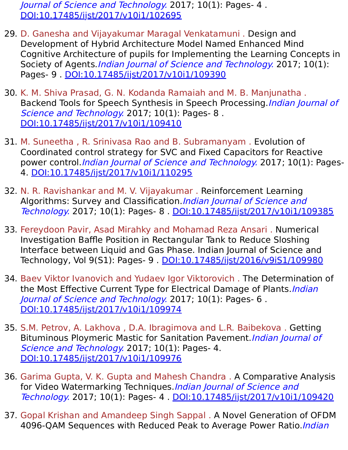Journal of Science and Technology. 2017; 10(1): Pages- 4 . [DOI:10.17485/ijst/2017/v10i1/102695](https://indjst.org/articles/theoretical-research-of-laser-controlled-thermocleavage-of-sapphire-wafers)

- 29. D. Ganesha and Vijayakumar Maragal Venkatamuni . Design and Development of Hybrid Architecture Model Named Enhanced Mind Cognitive Architecture of pupils for Implementing the Learning Concepts in Society of Agents. Indian Journal of Science and Technology. 2017; 10(1): Pages- 9 . [DOI:10.17485/ijst/2017/v10i1/109390](https://indjst.org/articles/design-and-development-of-hybrid-architecture-model-named-enhanced-mind-cognitive-architecture-of-pupils-for-implementing-the-learning-concepts-in-society-of-agents)
- 30. K. M. Shiva Prasad, G. N. Kodanda Ramaiah and M. B. Manjunatha . Backend Tools for Speech Synthesis in Speech Processing. Indian Journal of Science and Technology. 2017; 10(1): Pages- 8. [DOI:10.17485/ijst/2017/v10i1/109410](https://indjst.org/articles/backend-tools-for-speech-synthesis-in-speech-processing)
- 31. M. Suneetha , R. Srinivasa Rao and B. Subramanyam . Evolution of Coordinated control strategy for SVC and Fixed Capacitors for Reactive power control.*Indian Journal of Science and Technology*. 2017; 10(1): Pages-4. [DOI:10.17485/ijst/2017/v10i1/110295](https://indjst.org/articles/evolution-of-coordinated-control-strategy-for-svc-and-fixed-capacitors-for-reactive-power-control)
- 32. N. R. Ravishankar and M. V. Vijayakumar . Reinforcement Learning Algorithms: Survey and Classification. Indian Journal of Science and Technology. 2017; 10(1): Pages- 8 . [DOI:10.17485/ijst/2017/v10i1/109385](https://indjst.org/articles/reinforcement-learning-algorithms-survey-and-classification)
- 33. Fereydoon Pavir, Asad Mirahky and Mohamad Reza Ansari . Numerical Investigation Baffle Position in Rectangular Tank to Reduce Sloshing Interface between Liquid and Gas Phase. Indian Journal of Science and Technology, Vol 9(S1): Pages- 9 . [DOI:10.17485/ijst/2016/v9iS1/109980](https://indjst.org/articles/numerical-investigation-baffle-position-in-rectangular-tank-to-reduce-sloshing-interface-between-liquid-and-gas-phase)
- 34. Baev Viktor Ivanovich and Yudaev Igor Viktorovich . The Determination of the Most Effective Current Type for Electrical Damage of Plants. Indian Journal of Science and Technology. 2017; 10(1): Pages- 6. [DOI:10.17485/ijst/2017/v10i1/109974](https://indjst.org/articles/the-determination-of-the-most-effective-current-type-for-electrical-damage-of-plants)
- 35. S.M. Petrov, A. Lakhova , D.A. Ibragimova and L.R. Baibekova . Getting Bituminous Ploymeric Mastic for Sanitation Pavement. Indian Journal of Science and Technology. 2017; 10(1): Pages- 4. [DOI:10.17485/ijst/2017/v10i1/109976](https://indjst.org/articles/getting-bituminous-ploymeric-mastic-for-sanitation-pavement)
- 36. Garima Gupta, V. K. Gupta and Mahesh Chandra . A Comparative Analysis for Video Watermarking Techniques. Indian Journal of Science and Technology. 2017; 10(1): Pages- 4 . [DOI:10.17485/ijst/2017/v10i1/109420](https://indjst.org/articles/a-comparative-analysis-for-video-watermarking-techniques)
- 37. Gopal Krishan and Amandeep Singh Sappal . A Novel Generation of OFDM 4096-QAM Sequences with Reduced Peak to Average Power Ratio. Indian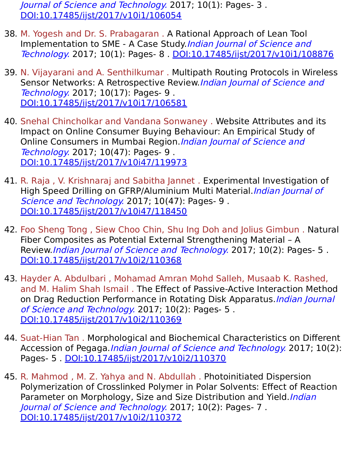Journal of Science and Technology. 2017; 10(1): Pages- 3. [DOI:10.17485/ijst/2017/v10i1/106054](https://indjst.org/articles/a-novel-generation-of-ofdm-4096-qam-sequences-with-reduced-peak-to-average-power-ratio)

- 38. M. Yogesh and Dr. S. Prabagaran . A Rational Approach of Lean Tool Implementation to SME - A Case Study. Indian Journal of Science and Technology. 2017; 10(1): Pages- 8 . [DOI:10.17485/ijst/2017/v10i1/108876](https://indjst.org/articles/a-rational-approach-of-lean-tool-implementation-to-sme-a-case-study)
- 39. N. Vijayarani and A. Senthilkumar . Multipath Routing Protocols in Wireless Sensor Networks: A Retrospective Review. Indian Journal of Science and Technology. 2017; 10(17): Pages- 9 . [DOI:10.17485/ijst/2017/v10i17/106581](https://indjst.org/articles/multipath-routing-protocols-in-wireless-sensor-networks-a-retrospective-review)
- 40. Snehal Chincholkar and Vandana Sonwaney . Website Attributes and its Impact on Online Consumer Buying Behaviour: An Empirical Study of Online Consumers in Mumbai Region. Indian Journal of Science and Technology. 2017; 10(47): Pages- 9 . [DOI:10.17485/ijst/2017/v10i47/119973](https://indjst.org/articles/website-attributes-and-its-impact-on-online-consumer-buying-behaviour-an-empirical-study-of-online-consumers-in-mumbai-region)
- 41. R. Raja , V. Krishnaraj and Sabitha Jannet . Experimental Investigation of High Speed Drilling on GFRP/Aluminium Multi Material. Indian Journal of Science and Technology. 2017; 10(47): Pages- 9. [DOI:10.17485/ijst/2017/v10i47/118450](https://indjst.org/articles/experimental-investigation-of-high-speed-drilling-on-gfrpaluminium-multi-material)
- 42. Foo Sheng Tong , Siew Choo Chin, Shu Ing Doh and Jolius Gimbun . Natural Fiber Composites as Potential External Strengthening Material – A Review.*Indian Journal of Science and Technology*. 2017; 10(2): Pages- 5. [DOI:10.17485/ijst/2017/v10i2/110368](https://indjst.org/articles/natural-fiber-composites-as-potential-external-strengthening-material-a-review)
- 43. Hayder A. Abdulbari , Mohamad Amran Mohd Salleh, Musaab K. Rashed, and M. Halim Shah Ismail . The Effect of Passive-Active Interaction Method on Drag Reduction Performance in Rotating Disk Apparatus. Indian Journal of Science and Technology. 2017; 10(2): Pages- 5 . [DOI:10.17485/ijst/2017/v10i2/110369](https://indjst.org/articles/the-effect-of-passive-active-interaction-method-on-drag-reduction-performance-in-rotating-disk-apparatus)
- 44. Suat-Hian Tan . Morphological and Biochemical Characteristics on Different Accession of Pegaga. Indian Journal of Science and Technology. 2017; 10(2): Pages- 5 . [DOI:10.17485/ijst/2017/v10i2/110370](https://indjst.org/articles/morphological-and-biochemical-characteristics-on-different-accession-of-pegaga)
- 45. R. Mahmod , M. Z. Yahya and N. Abdullah . Photoinitiated Dispersion Polymerization of Crosslinked Polymer in Polar Solvents: Effect of Reaction Parameter on Morphology, Size and Size Distribution and Yield. Indian Journal of Science and Technology. 2017; 10(2): Pages- 7 . [DOI:10.17485/ijst/2017/v10i2/110372](https://indjst.org/articles/photoinitiated-dispersion-polymerization-of-crosslinked-polymer-in-polar-solvents-effect-of-reaction-parameter-on-morphology-size-and-size-distribution-and-yield)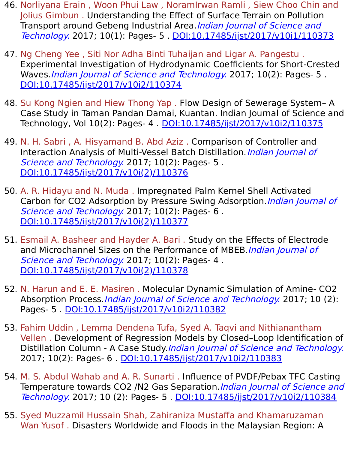- 46. Norliyana Erain , Woon Phui Law , NoramIrwan Ramli , Siew Choo Chin and Jolius Gimbun . Understanding the Effect of Surface Terrain on Pollution Transport around Gebeng Industrial Area.*Indian Journal of Science and* Technology. 2017; 10(1): Pages- 5 . [DOI:10.17485/ijst/2017/v10i1/110373](https://indjst.org/articles/understanding-the-effect-of-surface-terrain-on-pollution-transport-around-gebeng-industrial-area)
- 47. Ng Cheng Yee , Siti Nor Adha Binti Tuhaijan and Ligar A. Pangestu . Experimental Investigation of Hydrodynamic Coefficients for Short-Crested Waves. *Indian Journal of Science and Technology*. 2017; 10(2): Pages- 5. [DOI:10.17485/ijst/2017/v10i2/110374](https://indjst.org/articles/experimental-investigation-of-hydrodynamic-coefficients-for-short-crested-waves)
- 48. Su Kong Ngien and Hiew Thong Yap . Flow Design of Sewerage System– A Case Study in Taman Pandan Damai, Kuantan. Indian Journal of Science and Technology, Vol 10(2): Pages- 4 . [DOI:10.17485/ijst/2017/v10i2/110375](https://indjst.org/articles/flow-design-of-sewerage-system-a-case-study-in-taman-pandan-damai-kuantan)
- 49. N. H. Sabri , A. Hisyamand B. Abd Aziz . Comparison of Controller and Interaction Analysis of Multi-Vessel Batch Distillation. Indian Journal of Science and Technology. 2017; 10(2): Pages- 5. [DOI:10.17485/ijst/2017/v10i\(2\)/110376](https://indjst.org/articles/comparison-of-controller-and-interaction-analysis-of-multi-vessel-batch-distillation)
- 50. A. R. Hidayu and N. Muda . Impregnated Palm Kernel Shell Activated Carbon for CO2 Adsorption by Pressure Swing Adsorption. Indian Journal of Science and Technology. 2017; 10(2): Pages- 6. [DOI:10.17485/ijst/2017/v10i\(2\)/110377](https://indjst.org/articles/impregnated-palm-kernel-shell-activated-carbon-for-co2-adsorption-by-pressure-swing-adsorption)
- 51. Esmail A. Basheer and Hayder A. Bari . Study on the Effects of Electrode and Microchannel Sizes on the Performance of MBEB. Indian Journal of Science and Technology. 2017; 10(2): Pages- 4. [DOI:10.17485/ijst/2017/v10i\(2\)/110378](https://indjst.org/articles/study-on-the-effects-of-electrode-and-microchannel-sizes-on-the-performance-of-mbeb)
- 52. N. Harun and E. E. Masiren . Molecular Dynamic Simulation of Amine- CO2 Absorption Process. *Indian Journal of Science and Technology*. 2017; 10 (2): Pages- 5 . [DOI:10.17485/ijst/2017/v10i2/110382](https://indjst.org/articles/molecular-dynamic-simulation-of-amine-co2-absorption-process)
- 53. Fahim Uddin , Lemma Dendena Tufa, Syed A. Taqvi and Nithianantham Vellen . Development of Regression Models by Closed–Loop Identification of Distillation Column - A Case Study. Indian Journal of Science and Technology. 2017; 10(2): Pages- 6 . [DOI:10.17485/ijst/2017/v10i2/110383](https://indjst.org/articles/development-of-regression-models-by-closedloop-identification-of-distillation-column-a-case-study)
- 54. M. S. Abdul Wahab and A. R. Sunarti . Influence of PVDF/Pebax TFC Casting Temperature towards CO2 /N2 Gas Separation. *Indian Journal of Science and* Technology. 2017; 10 (2): Pages- 5 . [DOI:10.17485/ijst/2017/v10i2/110384](https://indjst.org/articles/influence-of-pvdfpebax-tfc-casting-temperature-towards-co2-n2-gas-separation)
- 55. Syed Muzzamil Hussain Shah, Zahiraniza Mustaffa and Khamaruzaman Wan Yusof . Disasters Worldwide and Floods in the Malaysian Region: A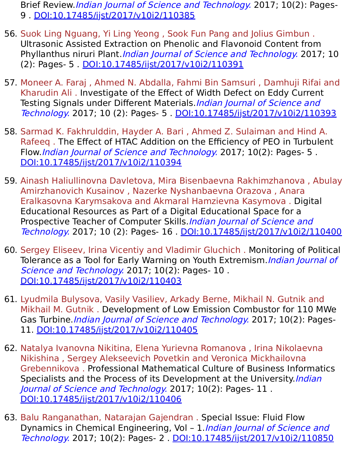Brief Review. Indian Journal of Science and Technology. 2017; 10(2): Pages-9 . [DOI:10.17485/ijst/2017/v10i2/110385](https://indjst.org/articles/disasters-worldwide-and-floods-in-the-malaysian-region-a-brief-review)

- 56. Suok Ling Nguang, Yi Ling Yeong , Sook Fun Pang and Jolius Gimbun . Ultrasonic Assisted Extraction on Phenolic and Flavonoid Content from Phyllanthus niruri Plant. *Indian Journal of Science and Technology*. 2017; 10 (2): Pages- 5 . [DOI:10.17485/ijst/2017/v10i2/110391](https://indjst.org/articles/ultrasonic-assisted-extraction-on-phenolic-and-flavonoid-content-from-phyllanthus-niruri-plant)
- 57. Moneer A. Faraj , Ahmed N. Abdalla, Fahmi Bin Samsuri , Damhuji Rifai and Kharudin Ali . Investigate of the Effect of Width Defect on Eddy Current Testing Signals under Different Materials. Indian Journal of Science and Technology. 2017; 10 (2): Pages- 5 . [DOI:10.17485/ijst/2017/v10i2/110393](https://indjst.org/articles/investigate-of-the-effect-of-width-defect-on-eddy-current-testing-signals-under-different-materials)
- 58. Sarmad K. Fakhrulddin, Hayder A. Bari , Ahmed Z. Sulaiman and Hind A. Rafeeq . The Effect of HTAC Addition on the Efficiency of PEO in Turbulent Flow. Indian Journal of Science and Technology. 2017; 10(2): Pages- 5. [DOI:10.17485/ijst/2017/v10i2/110394](https://indjst.org/articles/the-effect-of-htac-addition-on-the-efficiency-of-peo-in-turbulent-flow)
- 59. Ainash Haliullinovna Davletova, Mira Bisenbaevna Rakhimzhanova , Abulay Amirzhanovich Kusainov , Nazerke Nyshanbaevna Orazova , Anara Eralkasovna Karymsakova and Akmaral Hamzievna Kasymova . Digital Educational Resources as Part of a Digital Educational Space for a Prospective Teacher of Computer Skills. Indian Journal of Science and Technology. 2017; 10 (2): Pages- 16 . [DOI:10.17485/ijst/2017/v10i2/110400](https://indjst.org/articles/digital-educational-resources-as-part-of-a-digital-educational-space-for-a-prospective-teacher-of-computer-skills)
- 60. Sergey Eliseev, Irina Vicentiy and Vladimir Gluchich . Monitoring of Political Tolerance as a Tool for Early Warning on Youth Extremism. Indian Journal of Science and Technology. 2017; 10(2): Pages- 10. [DOI:10.17485/ijst/2017/v10i2/110403](https://indjst.org/articles/monitoring-of-political-tolerance-as-a-tool-for-early-warning-on-youth-extremism)
- 61. Lyudmila Bulysova, Vasily Vasiliev, Arkady Berne, Mikhail N. Gutnik and Mikhail M. Gutnik . Development of Low Emission Combustor for 110 MWe Gas Turbine. *Indian Journal of Science and Technology*. 2017; 10(2): Pages-11. [DOI:10.17485/ijst/2017/v10i2/110405](https://indjst.org/articles/development-of-low-emission-combustor-for-110-mwe-gas-turbine)
- 62. Natalya Ivanovna Nikitina, Elena Yurievna Romanova , Irina Nikolaevna Nikishina , Sergey Alekseevich Povetkin and Veronica Mickhailovna Grebennikova . Professional Mathematical Culture of Business Informatics Specialists and the Process of its Development at the University. Indian Journal of Science and Technology. 2017; 10(2): Pages- 11. [DOI:10.17485/ijst/2017/v10i2/110406](https://indjst.org/articles/professional-mathematical-culture-of-business-informatics-specialists-and-the-process-of-its-development-at-the-university)
- 63. Balu Ranganathan, Natarajan Gajendran . Special Issue: Fluid Flow Dynamics in Chemical Engineering, Vol - 1.*Indian Journal of Science and* Technology. 2017; 10(2): Pages- 2 . [DOI:10.17485/ijst/2017/v10i2/110850](https://indjst.org/articles/special-issue-fluid-flow-dynamics-in-chemical-engineering-vol-1)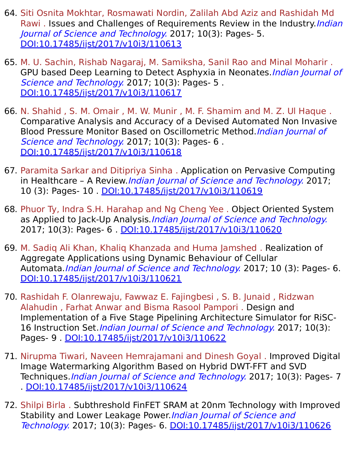- 64. Siti Osnita Mokhtar, Rosmawati Nordin, Zalilah Abd Aziz and Rashidah Md Rawi. Issues and Challenges of Requirements Review in the Industry.*Indian* Journal of Science and Technology. 2017; 10(3): Pages- 5. [DOI:10.17485/ijst/2017/v10i3/110613](https://indjst.org/articles/issues-and-challenges-of-requirements-review-in-the-industry)
- 65. M. U. Sachin, Rishab Nagaraj, M. Samiksha, Sanil Rao and Minal Moharir . GPU based Deep Learning to Detect Asphyxia in Neonates. *Indian Journal of* Science and Technology. 2017; 10(3): Pages- 5. [DOI:10.17485/ijst/2017/v10i3/110617](https://indjst.org/articles/gpu-based-deep-learning-to-detect-asphyxia-in-neonates)
- 66. N. Shahid , S. M. Omair , M. W. Munir , M. F. Shamim and M. Z. Ul Haque . Comparative Analysis and Accuracy of a Devised Automated Non Invasive Blood Pressure Monitor Based on Oscillometric Method. Indian Journal of Science and Technology. 2017; 10(3): Pages- 6. [DOI:10.17485/ijst/2017/v10i3/110618](https://indjst.org/articles/comparative-analysis-and-accuracy-of-a-devised-automated-non-invasive-blood-pressure-monitor-based-on-oscillometric-method)
- 67. Paramita Sarkar and Ditipriya Sinha . Application on Pervasive Computing in Healthcare - A Review. Indian Journal of Science and Technology. 2017; 10 (3): Pages- 10 . [DOI:10.17485/ijst/2017/v10i3/110619](https://indjst.org/articles/application-on-pervasive-computing-in-healthcare-a-review)
- 68. Phuor Ty, Indra S.H. Harahap and Ng Cheng Yee . Object Oriented System as Applied to Jack-Up Analysis.*Indian Journal of Science and Technology.* 2017; 10(3): Pages- 6 . [DOI:10.17485/ijst/2017/v10i3/110620](https://indjst.org/articles/object-oriented-system-as-applied-to-jack-up-analysis)
- 69. M. Sadiq Ali Khan, Khaliq Khanzada and Huma Jamshed . Realization of Aggregate Applications using Dynamic Behaviour of Cellular Automata.*Indian Journal of Science and Technology*. 2017; 10 (3): Pages- 6. [DOI:10.17485/ijst/2017/v10i3/110621](https://indjst.org/articles/realization-of-aggregate-applications-using-dynamic-behaviour-of-cellular-automata)
- 70. Rashidah F. Olanrewaju, Fawwaz E. Fajingbesi , S. B. Junaid , Ridzwan Alahudin , Farhat Anwar and Bisma Rasool Pampori . Design and Implementation of a Five Stage Pipelining Architecture Simulator for RiSC-16 Instruction Set. *Indian Journal of Science and Technology*. 2017; 10(3): Pages- 9 . [DOI:10.17485/ijst/2017/v10i3/110622](https://indjst.org/articles/design-and-implementation-of-a-five-stage-pipelining-architecture-simulator-for-risc-16-instruction-set)
- 71. Nirupma Tiwari, Naveen Hemrajamani and Dinesh Goyal . Improved Digital Image Watermarking Algorithm Based on Hybrid DWT-FFT and SVD Techniques. Indian Journal of Science and Technology. 2017; 10(3): Pages- 7 . [DOI:10.17485/ijst/2017/v10i3/110624](https://indjst.org/articles/improved-digital-image-watermarking-algorithm-based-on-hybrid-dwt-fft-and-svd-techniques)
- 72. Shilpi Birla . Subthreshold FinFET SRAM at 20nm Technology with Improved Stability and Lower Leakage Power. *Indian Journal of Science and* Technology. 2017; 10(3): Pages- 6. [DOI:10.17485/ijst/2017/v10i3/110626](https://indjst.org/articles/subthreshold-finfet-sram-at-20nm-technology-with-improved-stability-and-lower-leakage-power)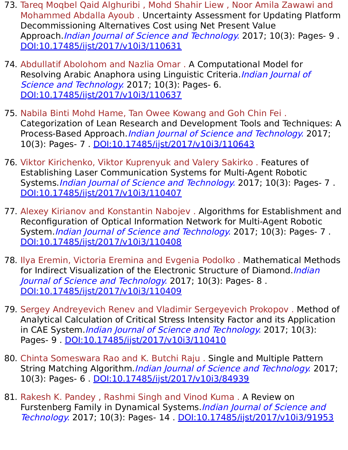- 73. Tareq Moqbel Qaid Alghuribi , Mohd Shahir Liew , Noor Amila Zawawi and Mohammed Abdalla Ayoub . Uncertainty Assessment for Updating Platform Decommissioning Alternatives Cost using Net Present Value Approach. Indian Journal of Science and Technology. 2017; 10(3): Pages- 9. [DOI:10.17485/ijst/2017/v10i3/110631](https://indjst.org/articles/-uncertainty-assessment-for-updating-platform-decommissioning-alternatives-cost-using-net-present-value-approach)
- 74. Abdullatif Abolohom and Nazlia Omar . A Computational Model for Resolving Arabic Anaphora using Linguistic Criteria. Indian Journal of Science and Technology. 2017; 10(3): Pages- 6. [DOI:10.17485/ijst/2017/v10i3/110637](https://indjst.org/articles/a-computational-model-for-resolving-arabic-anaphora-using-linguistic-criteria)
- 75. Nabila Binti Mohd Hame, Tan Owee Kowang and Goh Chin Fei . Categorization of Lean Research and Development Tools and Techniques: A Process-Based Approach. Indian Journal of Science and Technology. 2017; 10(3): Pages- 7 . [DOI:10.17485/ijst/2017/v10i3/110643](https://indjst.org/articles/categorization-of-lean-research-and-development-tools-and-techniques-a-process-based-approach)
- 76. Viktor Kirichenko, Viktor Kuprenyuk and Valery Sakirko . Features of Establishing Laser Communication Systems for Multi-Agent Robotic Systems. Indian Journal of Science and Technology. 2017; 10(3): Pages- 7. [DOI:10.17485/ijst/2017/v10i3/110407](https://indjst.org/articles/features-of-establishing-laser-communication-systems-for-multi-agent-robotic-systems)
- 77. Alexey Kirianov and Konstantin Nabojev . Algorithms for Establishment and Reconfiguration of Optical Information Network for Multi-Agent Robotic System. *Indian Journal of Science and Technology*. 2017; 10(3): Pages- 7. [DOI:10.17485/ijst/2017/v10i3/110408](https://indjst.org/articles/algorithms-for-establishment-and-reconfiguration-of-optical-information-network-for-multi-agent-robotic-system)
- 78. Ilya Eremin, Victoria Eremina and Evgenia Podolko . Mathematical Methods for Indirect Visualization of the Electronic Structure of Diamond. Indian Journal of Science and Technology. 2017; 10(3): Pages- 8. [DOI:10.17485/ijst/2017/v10i3/110409](https://indjst.org/articles/mathematical-methods-for-indirect-visualization-of-the-electronic-structure-of-diamond)
- 79. Sergey Andreyevich Renev and Vladimir Sergeyevich Prokopov . Method of Analytical Calculation of Critical Stress Intensity Factor and its Application in CAE System. Indian Journal of Science and Technology. 2017; 10(3): Pages- 9 . [DOI:10.17485/ijst/2017/v10i3/110410](https://indjst.org/articles/method-of-analytical-calculation-of-critical-stress-intensity-factor-and-its-application-in-cae-system)
- 80. Chinta Someswara Rao and K. Butchi Raju . Single and Multiple Pattern String Matching Algorithm.*Indian Journal of Science and Technology*. 2017; 10(3): Pages- 6 . [DOI:10.17485/ijst/2017/v10i3/84939](https://indjst.org/articles/single-and-multiple-pattern-string-matching-algorithm)
- 81. Rakesh K. Pandey , Rashmi Singh and Vinod Kuma . A Review on Furstenberg Family in Dynamical Systems. *Indian Journal of Science and* Technology. 2017; 10(3): Pages- 14 . [DOI:10.17485/ijst/2017/v10i3/91953](https://indjst.org/articles/a-review-on-furstenberg-family-in-dynamical-systems)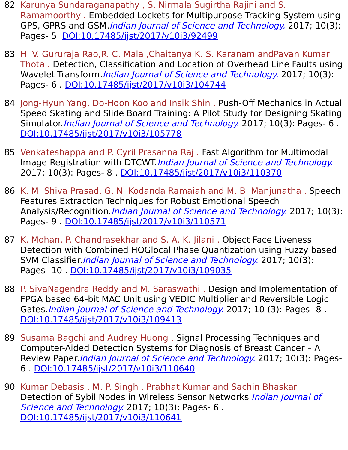- 82. Karunya Sundaraganapathy , S. Nirmala Sugirtha Rajini and S. Ramamoorthy . Embedded Lockets for Multipurpose Tracking System using GPS, GPRS and GSM. Indian Journal of Science and Technology. 2017; 10(3): Pages- 5. [DOI:10.17485/ijst/2017/v10i3/92499](https://indjst.org/articles/embedded-lockets-for-multipurpose-tracking-system-using-gps-gprs-and-gsm)
- 83. H. V. Gururaja Rao,R. C. Mala ,Chaitanya K. S. Karanam andPavan Kumar Thota . Detection, Classification and Location of Overhead Line Faults using Wavelet Transform. Indian Journal of Science and Technology. 2017; 10(3): Pages- 6 . [DOI:10.17485/ijst/2017/v10i3/104744](https://indjst.org/articles/detection-classification-and-location-of-overhead-line-faults-using-wavelet-transform)
- 84. Jong-Hyun Yang, Do-Hoon Koo and Insik Shin . Push-Off Mechanics in Actual Speed Skating and Slide Board Training: A Pilot Study for Designing Skating Simulator. Indian Journal of Science and Technology. 2017; 10(3): Pages- 6. [DOI:10.17485/ijst/2017/v10i3/105778](https://indjst.org/articles/push-off-mechanics-in-actual-speed-skating-and-slide-board-training-a-pilot-study-for-designing-skating-simulator)
- 85. Venkateshappa and P. Cyril Prasanna Raj . Fast Algorithm for Multimodal Image Registration with DTCWT.Indian Journal of Science and Technology. 2017; 10(3): Pages- 8 . [DOI:10.17485/ijst/2017/v10i3/110370](https://indjst.org/articles/fast-algorithm-for-multimodal-image-registration-with-dtcwt)
- 86. K. M. Shiva Prasad, G. N. Kodanda Ramaiah and M. B. Manjunatha . Speech Features Extraction Techniques for Robust Emotional Speech Analysis/Recognition. *Indian Journal of Science and Technology*. 2017; 10(3): Pages- 9 . [DOI:10.17485/ijst/2017/v10i3/110571](https://indjst.org/articles/speech-features-extraction-techniques-for-robust-emotional-speech-analysisrecognition)
- 87. K. Mohan, P. Chandrasekhar and S. A. K. Jilani . Object Face Liveness Detection with Combined HOGlocal Phase Quantization using Fuzzy based SVM Classifier. Indian Journal of Science and Technology. 2017; 10(3): Pages- 10 . [DOI:10.17485/ijst/2017/v10i3/109035](https://indjst.org/articles/object-face-liveness-detection-with-combined-hoglocal-phase-quantization-using-fuzzy-based-svm-classifier)
- 88. P. SivaNagendra Reddy and M. Saraswathi . Design and Implementation of FPGA based 64-bit MAC Unit using VEDIC Multiplier and Reversible Logic Gates. *Indian Journal of Science and Technology*. 2017; 10 (3): Pages- 8. [DOI:10.17485/ijst/2017/v10i3/109413](https://indjst.org/articles/design-and-implementation-of-fpga-based-64-bit-mac-unit-using-vedic-multiplier-and-reversible-logic-gates)
- 89. Susama Bagchi and Audrey Huong . Signal Processing Techniques and Computer-Aided Detection Systems for Diagnosis of Breast Cancer – A Review Paper. Indian Journal of Science and Technology. 2017; 10(3): Pages-6 . [DOI:10.17485/ijst/2017/v10i3/110640](https://indjst.org/articles/signal-processing-techniques-and-computer-aided-detection-systems-for-diagnosis-of-breast-cancer-a-review-paper)
- 90. Kumar Debasis , M. P. Singh , Prabhat Kumar and Sachin Bhaskar . Detection of Sybil Nodes in Wireless Sensor Networks. Indian Journal of Science and Technology. 2017; 10(3): Pages- 6. [DOI:10.17485/ijst/2017/v10i3/110641](https://indjst.org/articles/detection-of-sybil-nodes-in-wireless-sensor-networks)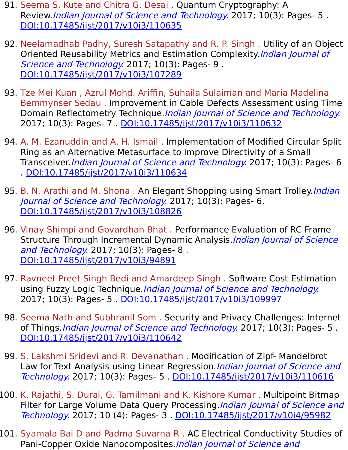- 91. Seema S. Kute and Chitra G. Desai . Quantum Cryptography: A Review.*Indian Journal of Science and Technology*. 2017; 10(3): Pages- 5. [DOI:10.17485/ijst/2017/v10i3/110635](https://indjst.org/articles/quantum-cryptography-a-review)
- 92. Neelamadhab Padhy, Suresh Satapathy and R. P. Singh . Utility of an Object Oriented Reusability Metrics and Estimation Complexity Indian Journal of Science and Technology. 2017; 10(3): Pages- 9. [DOI:10.17485/ijst/2017/v10i3/107289](https://indjst.org/articles/utility-of-an-object-oriented-reusability-metrics-and-estimation-complexity)
- 93. Tze Mei Kuan , Azrul Mohd. Ariffin, Suhaila Sulaiman and Maria Madelina Bemmynser Sedau . Improvement in Cable Defects Assessment using Time Domain Reflectometry Technique.*Indian Journal of Science and Technology.* 2017; 10(3): Pages- 7 . [DOI:10.17485/ijst/2017/v10i3/110632](https://indjst.org/articles/improvement-in-cable-defects-assessment-using-time-domain-reflectometry-technique)
- 94. A. M. Ezanuddin and A. H. Ismail . Implementation of Modified Circular Split Ring as an Alternative Metasurface to Improve Directivity of a Small Transceiver. *Indian Journal of Science and Technology*. 2017; 10(3): Pages- 6 . [DOI:10.17485/ijst/2017/v10i3/110634](https://indjst.org/articles/implementation-of-modified-circular-split-ring-as-an-alternative-metasurface-to-improve-directivity-of-a-small-transceiver)
- 95. B. N. Arathi and M. Shona. An Elegant Shopping using Smart Trolley. *Indian* Journal of Science and Technology. 2017; 10(3): Pages- 6. [DOI:10.17485/ijst/2017/v10i3/108826](https://indjst.org/articles/an-elegant-shopping-using-smart-trolley)
- 96. Vinay Shimpi and Govardhan Bhat . Performance Evaluation of RC Frame Structure Through Incremental Dynamic Analysis. Indian Journal of Science and Technology. 2017; 10(3): Pages- 8 . [DOI:10.17485/ijst/2017/v10i3/94891](https://indjst.org/articles/performance-evaluation-of-rc-frame-structure-through-incremental-dynamic-analysis)
- 97. Ravneet Preet Singh Bedi and Amardeep Singh . Software Cost Estimation using Fuzzy Logic Technique. Indian Journal of Science and Technology. 2017; 10(3): Pages- 5 . [DOI:10.17485/ijst/2017/v10i3/109997](https://indjst.org/articles/software-cost-estimation-using-fuzzy-logic-technique)
- 98. Seema Nath and Subhranil Som . Security and Privacy Challenges: Internet of Things.*Indian Journal of Science and Technology*. 2017; 10(3): Pages- 5. [DOI:10.17485/ijst/2017/v10i3/110642](https://indjst.org/articles/security-and-privacy-challenges-internet-of-things)
- 99. S. Lakshmi Sridevi and R. Devanathan . Modification of Zipf- Mandelbrot Law for Text Analysis using Linear Regression. Indian Journal of Science and Technology. 2017; 10(3): Pages- 5 . [DOI:10.17485/ijst/2017/v10i3/110616](https://indjst.org/articles/modification-of-zipf-mandelbrot-law-for-text-analysis-using-linear-regression)
- 100. K. Rajathi, S. Durai, G. Tamilmani and K. Kishore Kumar . Multipoint Bitmap Filter for Large Volume Data Query Processing. Indian Journal of Science and Technology. 2017; 10 (4): Pages- 3 . [DOI:10.17485/ijst/2017/v10i4/95982](https://indjst.org/articles/multipoint-bitmap-filter-for-large-volume-data-query-processing)
- 101. Syamala Bai D and Padma Suvarna R . AC Electrical Conductivity Studies of Pani-Copper Oxide Nanocomposites. Indian Journal of Science and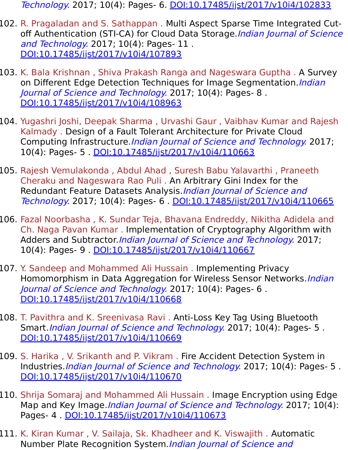Technology. 2017; 10(4): Pages- 6. [DOI:10.17485/ijst/2017/v10i4/102833](https://indjst.org/articles/ac-electrical-conductivity-studies-of-pani-copper-oxide-nanocomposites)

- 102. R. Pragaladan and S. Sathappan . Multi Aspect Sparse Time Integrated Cutoff Authentication (STI-CA) for Cloud Data Storage. Indian Journal of Science and Technology. 2017; 10(4): Pages- 11. [DOI:10.17485/ijst/2017/v10i4/107893](https://indjst.org/articles/multi-aspect-sparse-time-integrated-cut-off-authentication-sti-ca-for-cloud-data-storage)
- 103. K. Bala Krishnan , Shiva Prakash Ranga and Nageswara Guptha . A Survey on Different Edge Detection Techniques for Image Segmentation. Indian Journal of Science and Technology. 2017; 10(4): Pages- 8 . [DOI:10.17485/ijst/2017/v10i4/108963](https://indjst.org/articles/a-survey-on-different-edge-detection-techniques-for-image-segmentation)
- 104. Yugashri Joshi, Deepak Sharma , Urvashi Gaur , Vaibhav Kumar and Rajesh Kalmady . Design of a Fault Tolerant Architecture for Private Cloud Computing Infrastructure. Indian Journal of Science and Technology. 2017; 10(4): Pages- 5 . [DOI:10.17485/ijst/2017/v10i4/110663](https://indjst.org/articles/design-of-a-fault-tolerant-architecture-for-private-cloud-computing-infrastructure)
- 105. Rajesh Vemulakonda , Abdul Ahad , Suresh Babu Yalavarthi , Praneeth Cheraku and Nageswara Rao Puli . An Arbitrary Gini Index for the Redundant Feature Datasets Analysis.*Indian Journal of Science and* Technology. 2017; 10(4): Pages- 6 . [DOI:10.17485/ijst/2017/v10i4/110665](https://indjst.org/articles/an-arbitrary-gini-index-for-the-redundant-feature-datasets-analysis)
- 106. Fazal Noorbasha , K. Sundar Teja, Bhavana Endreddy, Nikitha Adidela and Ch. Naga Pavan Kumar . Implementation of Cryptography Algorithm with Adders and Subtractor *Indian Journal of Science and Technology*. 2017; 10(4): Pages- 9 . [DOI:10.17485/ijst/2017/v10i4/110667](https://indjst.org/articles/implementation-of-cryptography-algorithm-with-adders-and-subtractor)
- 107. Y. Sandeep and Mohammed Ali Hussain . Implementing Privacy Homomorphism in Data Aggregation for Wireless Sensor Networks. *Indian* Journal of Science and Technology. 2017; 10(4): Pages- 6 . [DOI:10.17485/ijst/2017/v10i4/110668](https://indjst.org/articles/implementing-privacy-homomorphism-in-data-aggregation-for-wireless-sensor-networks)
- 108. T. Pavithra and K. Sreenivasa Ravi . Anti-Loss Key Tag Using Bluetooth Smart. *Indian Journal of Science and Technology*. 2017; 10(4): Pages- 5. [DOI:10.17485/ijst/2017/v10i4/110669](https://indjst.org/articles/anti-loss-key-tag-using-bluetooth-smart)
- 109. S. Harika , V. Srikanth and P. Vikram . Fire Accident Detection System in Industries. *Indian Journal of Science and Technology*. 2017; 10(4): Pages- 5. [DOI:10.17485/ijst/2017/v10i4/110670](https://indjst.org/articles/fire-accident-detection-system-in-industries)
- 110. Shrija Somaraj and Mohammed Ali Hussain . Image Encryption using Edge Map and Key Image.*Indian Journal of Science and Technology*. 2017; 10(4): Pages- 4 . [DOI:10.17485/ijst/2017/v10i4/110673](https://indjst.org/articles/image-encryption-using-edge-map-and-key-image)
- 111. K. Kiran Kumar , V. Sailaja, Sk. Khadheer and K. Viswajith . Automatic Number Plate Recognition System.Indian Journal of Science and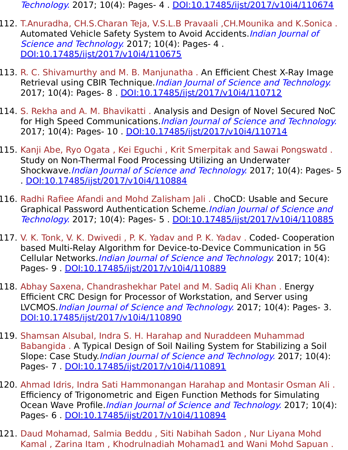Technology. 2017; 10(4): Pages- 4 . [DOI:10.17485/ijst/2017/v10i4/110674](https://indjst.org/articles/automatic-number-plate-recognition-system)

- 112. T.Anuradha, CH.S.Charan Teja, V.S.L.B Pravaali ,CH.Mounika and K.Sonica . Automated Vehicle Safety System to Avoid Accidents. *Indian Journal of* Science and Technology. 2017; 10(4): Pages- 4. [DOI:10.17485/ijst/2017/v10i4/110675](https://indjst.org/articles/automated-vehicle-safety-system-to-avoid-accidents)
- 113. R. C. Shivamurthy and M. B. Manjunatha . An Efficient Chest X-Ray Image Retrieval using CBIR Technique.*Indian Journal of Science and Technology.* 2017; 10(4): Pages- 8 . [DOI:10.17485/ijst/2017/v10i4/110712](https://indjst.org/articles/an-efficient-chest-x-ray-image-retrieval-using-cbir-technique)
- 114. S. Rekha and A. M. Bhavikatti . Analysis and Design of Novel Secured NoC for High Speed Communications. Indian Journal of Science and Technology. 2017; 10(4): Pages- 10 . [DOI:10.17485/ijst/2017/v10i4/110714](https://indjst.org/articles/analysis-and-design-of-novel-secured-noc-for-high-speed-communications)
- 115. Kanji Abe, Ryo Ogata , Kei Eguchi , Krit Smerpitak and Sawai Pongswatd . Study on Non-Thermal Food Processing Utilizing an Underwater Shockwave.*Indian Journal of Science and Technology*. 2017; 10(4): Pages- 5 . [DOI:10.17485/ijst/2017/v10i4/110884](https://indjst.org/articles/study-on-non-thermal-food-processing-utilizing-an-underwater-shockwave)
- 116. Radhi Rafiee Afandi and Mohd Zalisham Jali . ChoCD: Usable and Secure Graphical Password Authentication Scheme.Indian Journal of Science and Technology. 2017; 10(4): Pages- 5 . [DOI:10.17485/ijst/2017/v10i4/110885](https://indjst.org/articles/chocd-usable-and-secure-graphical-password-authentication-scheme)
- 117. V. K. Tonk, V. K. Dwivedi , P. K. Yadav and P. K. Yadav . Coded- Cooperation based Multi-Relay Algorithm for Device-to-Device Communication in 5G Cellular Networks.Indian Journal of Science and Technology. 2017; 10(4): Pages- 9 . [DOI:10.17485/ijst/2017/v10i4/110889](https://indjst.org/articles/coded-cooperation-based-multi-relay-algorithm-for-device-to-device-communication-in-5g-cellular-networks)
- 118. Abhay Saxena, Chandrashekhar Patel and M. Sadiq Ali Khan . Energy Efficient CRC Design for Processor of Workstation, and Server using LVCMOS.Indian Journal of Science and Technology. 2017; 10(4): Pages- 3. [DOI:10.17485/ijst/2017/v10i4/110890](https://indjst.org/articles/energy-efficient-crc-design-for-processor-of-workstation-and-server-using-lvcmos)
- 119. Shamsan Alsubal, Indra S. H. Harahap and Nuraddeen Muhammad Babangida . A Typical Design of Soil Nailing System for Stabilizing a Soil Slope: Case Study *Indian Journal of Science and Technology*. 2017; 10(4): Pages- 7 . [DOI:10.17485/ijst/2017/v10i4/110891](https://indjst.org/articles/a-typical-design-of-soil-nailing-system-for-stabilizing-a-soil-slope-case-study)
- 120. Ahmad Idris, Indra Sati Hammonangan Harahap and Montasir Osman Ali . Efficiency of Trigonometric and Eigen Function Methods for Simulating Ocean Wave Profile.*Indian Journal of Science and Technology*. 2017; 10(4): Pages- 6 . [DOI:10.17485/ijst/2017/v10i4/110894](https://indjst.org/articles/efficiency-of-trigonometric-and-eigen-function-methods-for-simulating-ocean-wave-profile)
- 121. Daud Mohamad, Salmia Beddu , Siti Nabihah Sadon , Nur Liyana Mohd Kamal , Zarina Itam , Khodrulnadiah Mohamad1 and Wani Mohd Sapuan .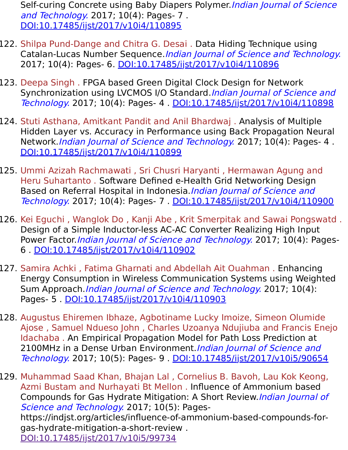Self-curing Concrete using Baby Diapers Polymer. Indian Journal of Science and Technology. 2017; 10(4): Pages- 7 . [DOI:10.17485/ijst/2017/v10i4/110895](https://indjst.org/articles/self-curing-concrete-using-baby-diapers-polymer)

- 122. Shilpa Pund-Dange and Chitra G. Desai . Data Hiding Technique using Catalan-Lucas Number Sequence.Indian Journal of Science and Technology. 2017; 10(4): Pages- 6. [DOI:10.17485/ijst/2017/v10i4/110896](https://indjst.org/articles/data-hiding-technique-using-catalan-lucas-number-sequence)
- 123. Deepa Singh . FPGA based Green Digital Clock Design for Network Synchronization using LVCMOS I/O Standard. Indian Journal of Science and Technology. 2017; 10(4): Pages- 4 . [DOI:10.17485/ijst/2017/v10i4/110898](https://indjst.org/articles/fpga-based-green-digital-clock-design-for-network-synchronization-using-lvcmos-io-standard)
- 124. Stuti Asthana, Amitkant Pandit and Anil Bhardwaj . Analysis of Multiple Hidden Layer vs. Accuracy in Performance using Back Propagation Neural Network. Indian Journal of Science and Technology. 2017; 10(4): Pages- 4. [DOI:10.17485/ijst/2017/v10i4/110899](https://indjst.org/articles/analysis-of-multiple-hidden-layer-vs-accuracy-in-performance-using-back-propagation-neural-network)
- 125. Ummi Azizah Rachmawati , Sri Chusri Haryanti , Hermawan Agung and Heru Suhartanto . Software Defined e-Health Grid Networking Design Based on Referral Hospital in Indonesia. *Indian Journal of Science and* Technology. 2017; 10(4): Pages- 7 . [DOI:10.17485/ijst/2017/v10i4/110900](https://indjst.org/articles/software-defined-e-health-grid-networking-design-based-on-referral-hospital-in-indonesia)
- 126. Kei Eguchi , Wanglok Do , Kanji Abe , Krit Smerpitak and Sawai Pongswatd . Design of a Simple Inductor-less AC-AC Converter Realizing High Input Power Factor *Indian Journal of Science and Technology*. 2017; 10(4): Pages-6 . [DOI:10.17485/ijst/2017/v10i4/110902](https://indjst.org/articles/design-of-a-simple-inductor-less-ac-ac-converter-realizing-high-input-power-factor)
- 127. Samira Achki , Fatima Gharnati and Abdellah Ait Ouahman . Enhancing Energy Consumption in Wireless Communication Systems using Weighted Sum Approach. Indian Journal of Science and Technology. 2017; 10(4): Pages- 5 . [DOI:10.17485/ijst/2017/v10i4/110903](https://indjst.org/articles/enhancing-energy-consumption-in-wireless-communication-systems-using-weighted-sum-approach)
- 128. Augustus Ehiremen Ibhaze, Agbotiname Lucky Imoize, Simeon Olumide Ajose , Samuel Ndueso John , Charles Uzoanya Ndujiuba and Francis Enejo Idachaba . An Empirical Propagation Model for Path Loss Prediction at 2100MHz in a Dense Urban Environment. Indian Journal of Science and Technology. 2017; 10(5): Pages- 9 . [DOI:10.17485/ijst/2017/v10i5/90654](https://indjst.org/articles/an-empirical-propagation-model-for-path-loss-prediction-at-2100mhz-in-a-dense-urban-environment)

129. Muhammad Saad Khan, Bhajan Lal , Cornelius B. Bavoh, Lau Kok Keong, Azmi Bustam and Nurhayati Bt Mellon . Influence of Ammonium based Compounds for Gas Hydrate Mitigation: A Short Review.Indian Journal of Science and Technology. 2017; 10(5): Pageshttps://indjst.org/articles/influence-of-ammonium-based-compounds-forgas-hydrate-mitigation-a-short-review . DOI:10.17485/ijst/2017/v10i5/99734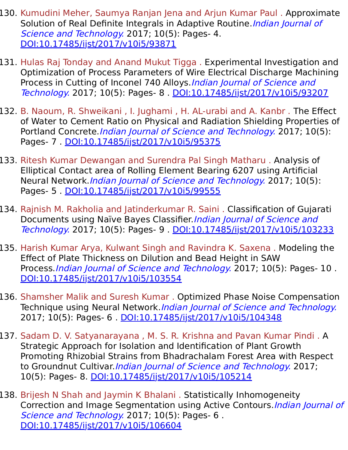- 130. Kumudini Meher, Saumya Ranjan Jena and Arjun Kumar Paul . Approximate Solution of Real Definite Integrals in Adaptive Routine. Indian Journal of Science and Technology. 2017; 10(5): Pages- 4. [DOI:10.17485/ijst/2017/v10i5/93871](https://indjst.org/articles/approximate-solution-of-real-definite-integrals-in-adaptive-routine)
- 131. Hulas Raj Tonday and Anand Mukut Tigga . Experimental Investigation and Optimization of Process Parameters of Wire Electrical Discharge Machining Process in Cutting of Inconel 740 Alloys. Indian Journal of Science and Technology. 2017; 10(5): Pages- 8 . [DOI:10.17485/ijst/2017/v10i5/93207](https://indjst.org/articles/experimental-investigation-and-optimization-of-process-parameters-of-wire-electrical-discharge-machining-process-in-cutting-of-inconel-740-alloys)
- 132. B. Naoum, R. Shweikani , I. Jughami , H. AL-urabi and A. Kanbr . The Effect of Water to Cement Ratio on Physical and Radiation Shielding Properties of Portland Concrete.*Indian Journal of Science and Technology*. 2017; 10(5): Pages- 7 . [DOI:10.17485/ijst/2017/v10i5/95375](https://indjst.org/articles/the-effect-of-water-to-cement-ratio-on-physical-and-radiation-shielding-properties-of-portland-concrete)
- 133. Ritesh Kumar Dewangan and Surendra Pal Singh Matharu . Analysis of Elliptical Contact area of Rolling Element Bearing 6207 using Artificial Neural Network.Indian Journal of Science and Technology. 2017; 10(5): Pages- 5 . [DOI:10.17485/ijst/2017/v10i5/99555](https://indjst.org/articles/analysis-of-elliptical-contact-area-of-rolling-element-bearing-6207-using-artificial-neural-network)
- 134. Rajnish M. Rakholia and Jatinderkumar R. Saini . Classification of Gujarati Documents using Naïve Bayes Classifier. Indian Journal of Science and Technology. 2017; 10(5): Pages- 9 . [DOI:10.17485/ijst/2017/v10i5/103233](https://indjst.org/articles/classification-of-gujarati-documents-using-nave-bayes-classifier)
- 135. Harish Kumar Arya, Kulwant Singh and Ravindra K. Saxena . Modeling the Effect of Plate Thickness on Dilution and Bead Height in SAW Process. *Indian Journal of Science and Technology*. 2017; 10(5): Pages- 10. [DOI:10.17485/ijst/2017/v10i5/103554](https://indjst.org/articles/modeling-the-effect-of-plate-thickness-on-dilution-and-bead-height-in-saw-process)
- 136. Shamsher Malik and Suresh Kumar . Optimized Phase Noise Compensation Technique using Neural Network.*Indian Journal of Science and Technology.* 2017; 10(5): Pages- 6 . [DOI:10.17485/ijst/2017/v10i5/104348](https://indjst.org/articles/optimized-phase-noise-compensation-technique-using-neural-network)
- 137. Sadam D. V. Satyanarayana , M. S. R. Krishna and Pavan Kumar Pindi . A Strategic Approach for Isolation and Identification of Plant Growth Promoting Rhizobial Strains from Bhadrachalam Forest Area with Respect to Groundnut Cultivar. Indian Journal of Science and Technology. 2017; 10(5): Pages- 8. [DOI:10.17485/ijst/2017/v10i5/105214](https://indjst.org/articles/a-strategic-approach-for-isolation-and-identification-of-plant-growth-promoting-rhizobial-strains-from-bhadrachalam-forest-area-with-respect-to-groundnut-cultivar)
- 138. Brijesh N Shah and Jaymin K Bhalani . Statistically Inhomogeneity Correction and Image Segmentation using Active Contours. *Indian Journal of* Science and Technology. 2017; 10(5): Pages- 6. [DOI:10.17485/ijst/2017/v10i5/106604](https://indjst.org/articles/statistically-inhomogeneity-correction-and-image-segmentation-using-active-contours)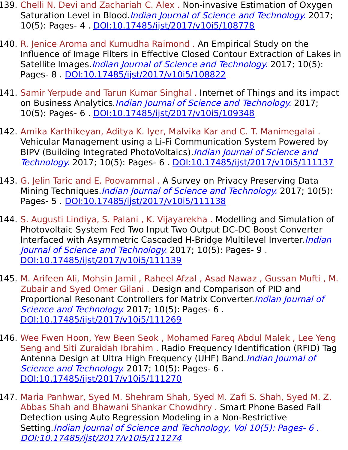- 139. Chelli N. Devi and Zachariah C. Alex . Non-invasive Estimation of Oxygen Saturation Level in Blood.*Indian Journal of Science and Technology*. 2017; 10(5): Pages- 4 . [DOI:10.17485/ijst/2017/v10i5/108778](https://indjst.org/articles/non-invasive-estimation-of-oxygen-saturation-level-in-blood)
- 140. R. Jenice Aroma and Kumudha Raimond . An Empirical Study on the Influence of Image Filters in Effective Closed Contour Extraction of Lakes in Satellite Images. Indian Journal of Science and Technology. 2017; 10(5): Pages- 8 . [DOI:10.17485/ijst/2017/v10i5/108822](https://indjst.org/articles/an-empirical-study-on-the-influence-of-image-filters-in-effective-closed-contour-extraction-of-lakes-in-satellite-images)
- 141. Samir Yerpude and Tarun Kumar Singhal . Internet of Things and its impact on Business Analytics.*Indian Journal of Science and Technology*. 2017; 10(5): Pages- 6 . [DOI:10.17485/ijst/2017/v10i5/109348](https://indjst.org/articles/internet-of-things-and-its-impact-on-business-analytics)
- 142. Arnika Karthikeyan, Aditya K. Iyer, Malvika Kar and C. T. Manimegalai . Vehicular Management using a Li-Fi Communication System Powered by BIPV (Building Integrated PhotoVoltaics). Indian Journal of Science and Technology. 2017; 10(5): Pages- 6 . [DOI:10.17485/ijst/2017/v10i5/111137](https://indjst.org/articles/vehicular-management-using-a-li-fi-communication-system-powered-by-bipv-building-integrated-photovoltaics)
- 143. G. Jelin Taric and E. Poovammal . A Survey on Privacy Preserving Data Mining Techniques.*Indian Journal of Science and Technology*. 2017; 10(5): Pages- 5 . [DOI:10.17485/ijst/2017/v10i5/111138](https://indjst.org/articles/a-survey-on-privacy-preserving-data-mining-techniques)
- 144. S. Augusti Lindiya, S. Palani , K. Vijayarekha . Modelling and Simulation of Photovoltaic System Fed Two Input Two Output DC-DC Boost Converter Interfaced with Asymmetric Cascaded H-Bridge Multilevel Inverter. *Indian* Journal of Science and Technology. 2017; 10(5): Pages- 9 . [DOI:10.17485/ijst/2017/v10i5/111139](https://indjst.org/articles/modelling-and-simulation-of-photovoltaic-system-fed-two-input-two-output-dc-dc-boost-converter-interfaced-with-asymmetric-cascaded-h-bridge-multilevel-inverter)
- 145. M. Arifeen Ali, Mohsin Jamil , Raheel Afzal , Asad Nawaz , Gussan Mufti , M. Zubair and Syed Omer Gilani . Design and Comparison of PID and Proportional Resonant Controllers for Matrix Converter. Indian Journal of Science and Technology. 2017; 10(5): Pages- 6. [DOI:10.17485/ijst/2017/v10i5/111269](https://indjst.org/articles/design-and-comparison-of-pid-and-proportional-resonant-controllers-for-matrix-converter)
- 146. Wee Fwen Hoon, Yew Been Seok , Mohamed Fareq Abdul Malek , Lee Yeng Seng and Siti Zuraidah Ibrahim . Radio Frequency Identification (RFID) Tag Antenna Design at Ultra High Frequency (UHF) Band. Indian Journal of Science and Technology. 2017; 10(5): Pages- 6. [DOI:10.17485/ijst/2017/v10i5/111270](https://indjst.org/articles/radio-frequency-identification-rfid-tag-antenna-design-at-ultra-high-frequency-uhf-band)
- 147. Maria Panhwar, Syed M. Shehram Shah, Syed M. Zafi S. Shah, Syed M. Z. Abbas Shah and Bhawani Shankar Chowdhry . Smart Phone Based Fall Detection using Auto Regression Modeling in a Non-Restrictive Setting.Indian Journal of Science and Technology, Vol 10(5): Pages- 6. [DOI:10.17485/ijst/2017/v10i5/111274](https://indjst.org/articles/smart-phone-based-fall-detection-using-auto-regression-modeling-in-a-non-restrictive-setting)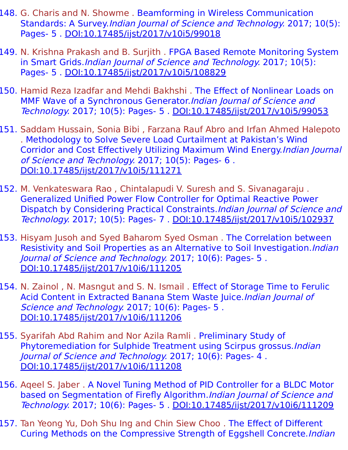- 148. G. Charis and N. Showme . Beamforming in Wireless Communication Standards: A Survey.Indian Journal of Science and Technology. 2017; 10(5): Pages- 5 . [DOI:10.17485/ijst/2017/v10i5/99018](https://indjst.org/articles/beamforming-in-wireless-communication-standards-a-survey)
- 149. N. Krishna Prakash and B. Surjith . FPGA Based Remote Monitoring System in Smart Grids.*Indian Journal of Science and Technology*. 2017; 10(5): Pages- 5 . [DOI:10.17485/ijst/2017/v10i5/108829](https://indjst.org/articles/fpga-based-remote-monitoring-system-in-smart-grids)
- 150. Hamid Reza Izadfar and Mehdi Bakhshi . The Effect of Nonlinear Loads on MMF Wave of a Synchronous Generator. Indian Journal of Science and Technology. 2017; 10(5): Pages- 5 . [DOI:10.17485/ijst/2017/v10i5/99053](https://indjst.org/articles/the-effect-of-nonlinear-loads-on-mmf-wave-of-a-synchronous-generator)
- 151. Saddam Hussain, Sonia Bibi , Farzana Rauf Abro and Irfan Ahmed Halepoto . Methodology to Solve Severe Load Curtailment at Pakistan's Wind Corridor and Cost Effectively Utilizing Maximum Wind Energy.Indian Journal of Science and Technology. 2017; 10(5): Pages- 6 . [DOI:10.17485/ijst/2017/v10i5/111271](https://indjst.org/articles/methodology-to-solve-severe-load-curtailment-at-pakistans-wind-corridor-and-cost-effectively-utilizing-maximum-wind-energy)
- 152. M. Venkateswara Rao , Chintalapudi V. Suresh and S. Sivanagaraju . Generalized Unified Power Flow Controller for Optimal Reactive Power Dispatch by Considering Practical Constraints.Indian Journal of Science and Technology. 2017; 10(5): Pages- 7 . [DOI:10.17485/ijst/2017/v10i5/102937](https://indjst.org/articles/generalized-unified-power-flow-controller-for-optimal-reactive-power-dispatch-by-considering-practical-constraints)
- 153. Hisyam Jusoh and Syed Baharom Syed Osman. The Correlation between Resistivity and Soil Properties as an Alternative to Soil Investigation. Indian Journal of Science and Technology. 2017; 10(6): Pages- 5. [DOI:10.17485/ijst/2017/v10i6/111205](https://indjst.org/articles/the-correlation-between-resistivity-and-soil-properties-as-an-alternative-to-soil-investigation)
- 154. N. Zainol , N. Masngut and S. N. Ismail . Effect of Storage Time to Ferulic Acid Content in Extracted Banana Stem Waste Juice.Indian Journal of Science and Technology. 2017; 10(6): Pages- 5. [DOI:10.17485/ijst/2017/v10i6/111206](https://indjst.org/articles/effect-of-storage-time-to-ferulic-acid-content-in-extracted-banana-stem-waste-juice)
- 155. Syarifah Abd Rahim and Nor Azila Ramli . Preliminary Study of Phytoremediation for Sulphide Treatment using Scirpus grossus.Indian Journal of Science and Technology. 2017; 10(6): Pages- 4 . [DOI:10.17485/ijst/2017/v10i6/111208](https://indjst.org/articles/preliminary-study-of-phytoremediation-for-sulphide-treatment-using-scirpus-grossus)
- 156. Aqeel S. Jaber . A Novel Tuning Method of PID Controller for a BLDC Motor based on Segmentation of Firefly Algorithm.Indian Journal of Science and Technology. 2017; 10(6): Pages- 5 . [DOI:10.17485/ijst/2017/v10i6/111209](https://indjst.org/articles/a-novel-tuning-method-of-pid-controller-for-a-bldc-motor-based-on-segmentation-of-firefly-algorithm)
- 157. Tan Yeong Yu, Doh Shu Ing and Chin Siew Choo . The Effect of Different Curing Methods on the Compressive Strength of Eggshell Concrete.Indian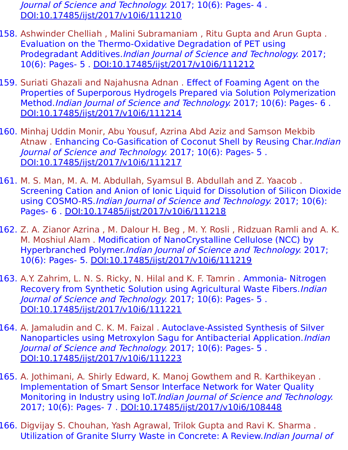Journal of Science and Technology. 2017; 10(6): Pages- 4 . [DOI:10.17485/ijst/2017/v10i6/111210](https://indjst.org/articles/the-effect-of-different-curing-methods-on-the-compressive-strength-of-eggshell-concrete)

- 158. Ashwinder Chelliah , Malini Subramaniam , Ritu Gupta and Arun Gupta . Evaluation on the Thermo-Oxidative Degradation of PET using Prodegradant Additives.Indian Journal of Science and Technology. 2017; 10(6): Pages- 5 . [DOI:10.17485/ijst/2017/v10i6/111212](https://indjst.org/articles/evaluation-on-the-thermo-oxidative-degradation-of-pet-using-prodegradant-additives)
- 159. Suriati Ghazali and Najahusna Adnan . Effect of Foaming Agent on the Properties of Superporous Hydrogels Prepared via Solution Polymerization Method.Indian Journal of Science and Technology. 2017; 10(6): Pages- 6 . [DOI:10.17485/ijst/2017/v10i6/111214](https://indjst.org/articles/effect-of-foaming-agent-on-the-properties-of-superporous-hydrogels-prepared-via-solution-polymerization-method)
- 160. Minhaj Uddin Monir, Abu Yousuf, Azrina Abd Aziz and Samson Mekbib Atnaw . Enhancing Co-Gasification of Coconut Shell by Reusing Char. Indian Journal of Science and Technology. 2017; 10(6): Pages- 5 . [DOI:10.17485/ijst/2017/v10i6/111217](https://indjst.org/articles/enhancing-co-gasification-of-coconut-shell-by-reusing-char)
- 161. M. S. Man, M. A. M. Abdullah, Syamsul B. Abdullah and Z. Yaacob . Screening Cation and Anion of Ionic Liquid for Dissolution of Silicon Dioxide using COSMO-RS.Indian Journal of Science and Technology. 2017; 10(6): Pages- 6 . [DOI:10.17485/ijst/2017/v10i6/111218](https://indjst.org/articles/screening-cation-and-anion-of-ionic-liquid-for-dissolution-of-silicon-dioxide-using-cosmo-rs)
- 162. Z. A. Zianor Azrina , M. Dalour H. Beg , M. Y. Rosli , Ridzuan Ramli and A. K. M. Moshiul Alam . Modification of NanoCrystalline Cellulose (NCC) by Hyperbranched Polymer.Indian Journal of Science and Technology. 2017; 10(6): Pages- 5. [DOI:10.17485/ijst/2017/v10i6/111219](https://indjst.org/articles/modification-of-nanocrystalline-cellulose-ncc-by-hyperbranched-polymer)
- 163. A.Y. Zahrim, L. N. S. Ricky, N. Hilal and K. F. Tamrin . Ammonia- Nitrogen Recovery from Synthetic Solution using Agricultural Waste Fibers. Indian Journal of Science and Technology. 2017; 10(6): Pages- 5 . [DOI:10.17485/ijst/2017/v10i6/111221](https://indjst.org/articles/ammonia-nitrogen-recovery-from-synthetic-solution-using-agricultural-waste-fibers)
- 164. A. Jamaludin and C. K. M. Faizal . Autoclave-Assisted Synthesis of Silver Nanoparticles using Metroxylon Sagu for Antibacterial Application. Indian Journal of Science and Technology. 2017; 10(6): Pages- 5 . [DOI:10.17485/ijst/2017/v10i6/111223](https://indjst.org/articles/autoclave-assisted-synthesis-of-silver-nanoparticles-using-metroxylon-sagu-for-antibacterial-application)
- 165. A. Jothimani, A. Shirly Edward, K. Manoj Gowthem and R. Karthikeyan . Implementation of Smart Sensor Interface Network for Water Quality Monitoring in Industry using IoT.Indian Journal of Science and Technology. 2017; 10(6): Pages- 7 . [DOI:10.17485/ijst/2017/v10i6/108448](https://indjst.org/articles/implementation-of-smart-sensor-interface-network-for-water-quality-monitoring-in-industry-using-iot)
- 166. Digvijay S. Chouhan, Yash Agrawal, Trilok Gupta and Ravi K. Sharma . Utilization of Granite Slurry Waste in Concrete: A Review.Indian Journal of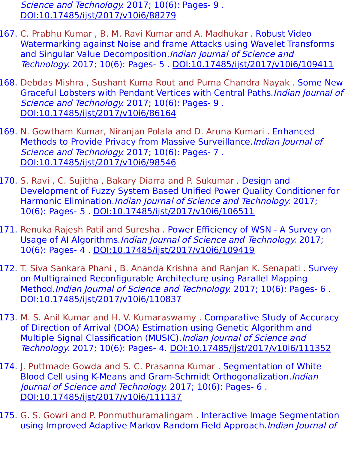Science and Technology. 2017; 10(6): Pages- 9. [DOI:10.17485/ijst/2017/v10i6/88279](https://indjst.org/articles/utilization-of-granite-slurry-waste-in-concrete-a-review)

- 167. C. Prabhu Kumar , B. M. Ravi Kumar and A. Madhukar . Robust Video Watermarking against Noise and frame Attacks using Wavelet Transforms and Singular Value Decomposition. Indian Journal of Science and Technology. 2017; 10(6): Pages- 5 . [DOI:10.17485/ijst/2017/v10i6/109411](https://indjst.org/articles/robust-video-watermarking-against-noise-and-frame-attacks-using-wavelet-transforms-and-singular-value-decomposition)
- 168. Debdas Mishra , Sushant Kuma Rout and Purna Chandra Nayak . Some New Graceful Lobsters with Pendant Vertices with Central Paths.Indian Journal of Science and Technology. 2017; 10(6): Pages- 9 . [DOI:10.17485/ijst/2017/v10i6/86164](https://indjst.org/articles/some-new-graceful-lobsters-with-pendant-vertices-with-central-paths)
- 169. N. Gowtham Kumar, Niranjan Polala and D. Aruna Kumari . Enhanced Methods to Provide Privacy from Massive Surveillance.Indian Journal of Science and Technology. 2017; 10(6): Pages- 7. [DOI:10.17485/ijst/2017/v10i6/98546](https://indjst.org/articles/enhanced-methods-to-provide-privacy-from-massive-surveillance)
- 170. S. Ravi , C. Sujitha , Bakary Diarra and P. Sukumar . Design and Development of Fuzzy System Based Unified Power Quality Conditioner for Harmonic Elimination.Indian Journal of Science and Technology. 2017; 10(6): Pages- 5 . [DOI:10.17485/ijst/2017/v10i6/106511](https://indjst.org/articles/design-and-development-of-fuzzy-system-based-unified-power-quality-conditioner-for-harmonic-elimination)
- 171. Renuka Rajesh Patil and Suresha . Power Efficiency of WSN A Survey on Usage of AI Algorithms.Indian Journal of Science and Technology. 2017; 10(6): Pages- 4 . [DOI:10.17485/ijst/2017/v10i6/109419](https://indjst.org/articles/power-efficiency-of-wsn-a-survey-on-usage-of-ai-algorithms)
- 172. T. Siva Sankara Phani , B. Ananda Krishna and Ranjan K. Senapati . Survey on Multigrained Reconfigurable Architecture using Parallel Mapping Method.Indian Journal of Science and Technology. 2017; 10(6): Pages- 6 . [DOI:10.17485/ijst/2017/v10i6/110837](https://indjst.org/articles/survey-on-multigrained-reconfigurable-architecture-using-parallel-mapping-method)
- 173. M. S. Anil Kumar and H. V. Kumaraswamy . Comparative Study of Accuracy of Direction of Arrival (DOA) Estimation using Genetic Algorithm and Multiple Signal Classification (MUSIC). Indian Journal of Science and Technology. 2017; 10(6): Pages- 4. [DOI:10.17485/ijst/2017/v10i6/111352](https://indjst.org/articles/comparative-study-of-accuracy-of-direction-of-arrival-doa-estimation-using-genetic-algorithm-and-multiple-signal-classification-music)
- 174. J. Puttmade Gowda and S. C. Prasanna Kumar . Segmentation of White Blood Cell using K-Means and Gram-Schmidt Orthogonalization. Indian Journal of Science and Technology. 2017; 10(6): Pages- 6 . [DOI:10.17485/ijst/2017/v10i6/111137](https://indjst.org/articles/segmentation-of-white-blood-cell-using-k-means-and-gram-schmidt-orthogonalization)
- 175. G. S. Gowri and P. Ponmuthuramalingam. Interactive Image Segmentation using Improved Adaptive Markov Random Field Approach.Indian Journal of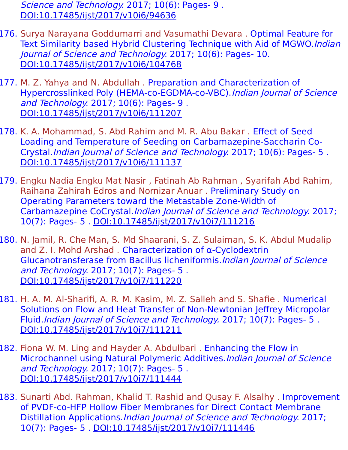Science and Technology. 2017; 10(6): Pages- 9 . [DOI:10.17485/ijst/2017/v10i6/94636](https://indjst.org/articles/interactive-image-segmentation-using-improved-adaptive-markov-random-field-approach)

- 176. Surya Narayana Goddumarri and Vasumathi Devara . Optimal Feature for Text Similarity based Hybrid Clustering Technique with Aid of MGWO.Indian Journal of Science and Technology. 2017; 10(6): Pages- 10. [DOI:10.17485/ijst/2017/v10i6/104768](https://indjst.org/articles/optimal-feature-for-text-similarity-based-hybrid-clustering-technique-with-aid-of-mgwo)
- 177. M. Z. Yahya and N. Abdullah . Preparation and Characterization of Hypercrosslinked Poly (HEMA-co-EGDMA-co-VBC). Indian Journal of Science and Technology. 2017; 10(6): Pages- 9 . [DOI:10.17485/ijst/2017/v10i6/111207](https://indjst.org/articles/preparation-and-characterization-of-hypercrosslinked-poly-hema-co-egdma-co-vbc)
- 178. K. A. Mohammad, S. Abd Rahim and M. R. Abu Bakar . Effect of Seed Loading and Temperature of Seeding on Carbamazepine-Saccharin Co-Crystal.Indian Journal of Science and Technology. 2017; 10(6): Pages- 5 . [DOI:10.17485/ijst/2017/v10i6/111137](https://indjst.org/articles/effect-of-seed-loading-and-temperature-of-seeding-on-carbamazepine-saccharin-co-crystal)
- 179. Engku Nadia Engku Mat Nasir , Fatinah Ab Rahman , Syarifah Abd Rahim, Raihana Zahirah Edros and Nornizar Anuar . Preliminary Study on Operating Parameters toward the Metastable Zone-Width of Carbamazepine CoCrystal.Indian Journal of Science and Technology. 2017; 10(7): Pages- 5 . [DOI:10.17485/ijst/2017/v10i7/111216](https://indjst.org/articles/preliminary-study-on-operating-parameters-toward-the-metastable-zone-width-of-carbamazepine-cocrystal)
- 180. N. Jamil, R. Che Man, S. Md Shaarani, S. Z. Sulaiman, S. K. Abdul Mudalip and Z. I. Mohd Arshad . Characterization of α-Cyclodextrin Glucanotransferase from Bacillus licheniformis.Indian Journal of Science and Technology. 2017; 10(7): Pages- 5 . [DOI:10.17485/ijst/2017/v10i7/111220](https://indjst.org/articles/characterization-of-cyclodextrin-glucanotransferase-from-bacillus-licheniformis)
- 181. H. A. M. Al-Sharifi, A. R. M. Kasim, M. Z. Salleh and S. Shafie . Numerical Solutions on Flow and Heat Transfer of Non-Newtonian Jeffrey Micropolar Fluid.Indian Journal of Science and Technology. 2017; 10(7): Pages- 5 . [DOI:10.17485/ijst/2017/v10i7/111211](https://indjst.org/articles/numerical-solutions-on-flow-and-heat-transfer-of-non-newtonian-jeffrey-micropolar-fluid)
- 182. Fiona W. M. Ling and Hayder A. Abdulbari . Enhancing the Flow in Microchannel using Natural Polymeric Additives.Indian Journal of Science and Technology. 2017; 10(7): Pages- 5 . [DOI:10.17485/ijst/2017/v10i7/111444](https://indjst.org/articles/enhancing-the-flow-in-microchannel-using-natural-polymeric-additives)
- 183. Sunarti Abd. Rahman, Khalid T. Rashid and Qusay F. Alsalhy . Improvement of PVDF-co-HFP Hollow Fiber Membranes for Direct Contact Membrane Distillation Applications.Indian Journal of Science and Technology. 2017; 10(7): Pages- 5 . [DOI:10.17485/ijst/2017/v10i7/111446](https://indjst.org/articles/improvement-of-pvdf-co-hfp-hollow-fiber-membranes-for-direct-contact-membrane-distillation-applications)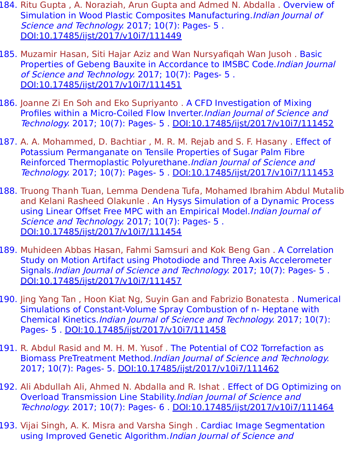- 184. Ritu Gupta, A. Noraziah, Arun Gupta and Admed N. Abdalla. Overview of Simulation in Wood Plastic Composites Manufacturing.*Indian Journal of* Science and Technology. 2017; 10(7): Pages- 5. [DOI:10.17485/ijst/2017/v10i7/111449](https://indjst.org/articles/overview-of-simulation-in-wood-plastic-composites-manufacturing)
- 185. Muzamir Hasan, Siti Hajar Aziz and Wan Nursyafiqah Wan Jusoh . Basic Properties of Gebeng Bauxite in Accordance to IMSBC Code.Indian Journal of Science and Technology. 2017; 10(7): Pages- 5 . [DOI:10.17485/ijst/2017/v10i7/111451](https://indjst.org/articles/basic-properties-of-gebeng-bauxite-in-accordance-to-imsbc-code)
- 186. Joanne Zi En Soh and Eko Supriyanto . A CFD Investigation of Mixing Profiles within a Micro-Coiled Flow Inverter. Indian Journal of Science and Technology. 2017; 10(7): Pages- 5 . [DOI:10.17485/ijst/2017/v10i7/111452](https://indjst.org/articles/a-cfd-investigation-of-mixing-profiles-within-a-micro-coiled-flow-inverter)
- 187. A. A. Mohammed, D. Bachtiar , M. R. M. Rejab and S. F. Hasany . Effect of Potassium Permanganate on Tensile Properties of Sugar Palm Fibre Reinforced Thermoplastic Polyurethane.Indian Journal of Science and Technology. 2017; 10(7): Pages- 5 . [DOI:10.17485/ijst/2017/v10i7/111453](https://indjst.org/articles/effect-of-potassium-permanganate-on-tensile-properties-of-sugar-palm-fibre-reinforced-thermoplastic-polyurethane)
- 188. Truong Thanh Tuan, Lemma Dendena Tufa, Mohamed Ibrahim Abdul Mutalib and Kelani Rasheed Olakunle . An Hysys Simulation of a Dynamic Process using Linear Offset Free MPC with an Empirical Model. Indian Journal of Science and Technology. 2017; 10(7): Pages- 5. [DOI:10.17485/ijst/2017/v10i7/111454](https://indjst.org/articles/an-hysys-simulation-of-a-dynamic-process-using-linear-offset-free-mpc-with-an-empirical-model)
- 189. Muhideen Abbas Hasan, Fahmi Samsuri and Kok Beng Gan . A Correlation Study on Motion Artifact using Photodiode and Three Axis Accelerometer Signals.Indian Journal of Science and Technology. 2017; 10(7): Pages- 5 . [DOI:10.17485/ijst/2017/v10i7/111457](https://indjst.org/articles/a-correlation-study-on-motion-artifact-using-photodiode-and-three-axis-accelerometer-signals)
- 190. Jing Yang Tan , Hoon Kiat Ng, Suyin Gan and Fabrizio Bonatesta . Numerical Simulations of Constant-Volume Spray Combustion of n- Heptane with Chemical Kinetics.Indian Journal of Science and Technology. 2017; 10(7): Pages- 5 . [DOI:10.17485/ijst/2017/v10i7/111458](https://indjst.org/articles/numerical-simulations-of-constant-volume-spray-combustion-of-n-heptane-with-chemical-kinetics)
- 191. R. Abdul Rasid and M. H. M. Yusof . The Potential of CO2 Torrefaction as Biomass PreTreatment Method.Indian Journal of Science and Technology. 2017; 10(7): Pages- 5. [DOI:10.17485/ijst/2017/v10i7/111462](https://indjst.org/articles/the-potential-of-co2-torrefaction-as-biomass-pretreatment-method)
- 192. Ali Abdullah Ali, Ahmed N. Abdalla and R. Ishat . Effect of DG Optimizing on Overload Transmission Line Stability.Indian Journal of Science and Technology. 2017; 10(7): Pages- 6 . [DOI:10.17485/ijst/2017/v10i7/111464](https://indjst.org/articles/effect-of-dg-optimizing-on-overload-transmission-line-stability)
- 193. Vijai Singh, A. K. Misra and Varsha Singh . Cardiac Image Segmentation using Improved Genetic Algorithm.Indian Journal of Science and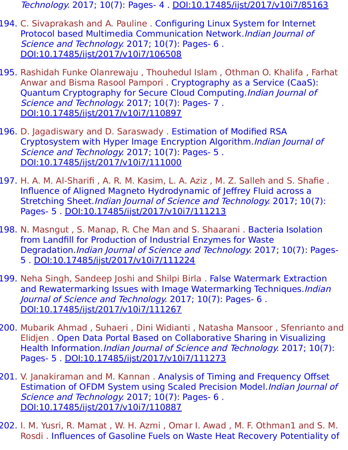Technology. 2017; 10(7): Pages- 4 . [DOI:10.17485/ijst/2017/v10i7/85163](https://indjst.org/articles/cardiac-image-segmentation-using-improved-genetic-algorithm)

- 194. C. Sivaprakash and A. Pauline . Configuring Linux System for Internet Protocol based Multimedia Communication Network.Indian Journal of Science and Technology. 2017; 10(7): Pages- 6. [DOI:10.17485/ijst/2017/v10i7/106508](https://indjst.org/articles/configuring-linux-system-for-internet-protocol-based-multimedia-communication-network)
- 195. Rashidah Funke Olanrewaju , Thouhedul Islam , Othman O. Khalifa , Farhat Anwar and Bisma Rasool Pampori . Cryptography as a Service (CaaS): Quantum Cryptography for Secure Cloud Computing.Indian Journal of Science and Technology. 2017; 10(7): Pages- 7. [DOI:10.17485/ijst/2017/v10i7/110897](https://indjst.org/articles/cryptography-as-a-service-caas-quantum-cryptography-for-secure-cloud-computing)
- 196. D. Jagadiswary and D. Saraswady . Estimation of Modified RSA Cryptosystem with Hyper Image Encryption Algorithm.Indian Journal of Science and Technology. 2017; 10(7): Pages- 5. [DOI:10.17485/ijst/2017/v10i7/111000](https://indjst.org/articles/estimation-of-modified-rsa-cryptosystem-with-hyper-image-encryption-algorithm)
- 197. H. A. M. Al-Sharifi , A. R. M. Kasim, L. A. Aziz , M. Z. Salleh and S. Shafie . Influence of Aligned Magneto Hydrodynamic of Jeffrey Fluid across a Stretching Sheet.Indian Journal of Science and Technology. 2017; 10(7): Pages- 5 . [DOI:10.17485/ijst/2017/v10i7/111213](https://indjst.org/articles/influence-of-aligned-magneto-hydrodynamic-of-jeffrey-fluid-across-a-stretching-sheet)
- 198. N. Masngut , S. Manap, R. Che Man and S. Shaarani . Bacteria Isolation from Landfill for Production of Industrial Enzymes for Waste Degradation.Indian Journal of Science and Technology. 2017; 10(7): Pages-5 . [DOI:10.17485/ijst/2017/v10i7/111224](https://indjst.org/articles/bacteria-isolation-from-landfill-for-production-of-industrial-enzymes-for-waste-degradation)
- 199. Neha Singh, Sandeep Joshi and Shilpi Birla . False Watermark Extraction and Rewatermarking Issues with Image Watermarking Techniques. Indian Journal of Science and Technology. 2017; 10(7): Pages- 6 . [DOI:10.17485/ijst/2017/v10i7/111267](https://indjst.org/articles/false-watermark-extraction-and-rewatermarking-issues-with-image-watermarking-techniques)
- 200. Mubarik Ahmad , Suhaeri , Dini Widianti , Natasha Mansoor , Sfenrianto and Elidjen . Open Data Portal Based on Collaborative Sharing in Visualizing Health Information.Indian Journal of Science and Technology. 2017; 10(7): Pages- 5 . [DOI:10.17485/ijst/2017/v10i7/111273](https://indjst.org/articles/open-data-portal-based-on-collaborative-sharing-in-visualizing-health-information)
- 201. V. Janakiraman and M. Kannan . Analysis of Timing and Frequency Offset Estimation of OFDM System using Scaled Precision Model.Indian Journal of Science and Technology. 2017; 10(7): Pages- 6. [DOI:10.17485/ijst/2017/v10i7/110887](https://indjst.org/articles/analysis-of-timing-and-frequency-offset-estimation-of-ofdm-system-using-scaled-precision-model)
- 202. I. M. Yusri, R. Mamat , W. H. Azmi , Omar I. Awad , M. F. Othman1 and S. M. Rosdi . Influences of Gasoline Fuels on Waste Heat Recovery Potentiality of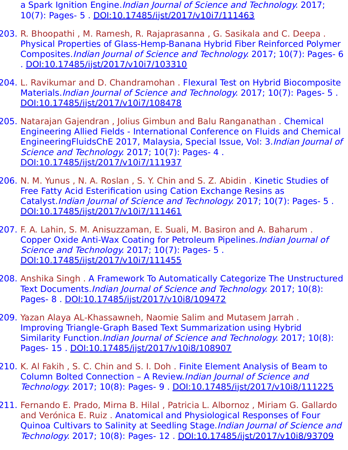- a Spark Ignition Engine. Indian Journal of Science and Technology. 2017; 10(7): Pages- 5 . [DOI:10.17485/ijst/2017/v10i7/111463](https://indjst.org/articles/influences-of-gasoline-fuels-on-waste-heat-recovery-potentiality-of-a-spark-ignition-engine)
- 203. R. Bhoopathi , M. Ramesh, R. Rajaprasanna , G. Sasikala and C. Deepa . Physical Properties of Glass-Hemp-Banana Hybrid Fiber Reinforced Polymer Composites.Indian Journal of Science and Technology. 2017; 10(7): Pages- 6 . [DOI:10.17485/ijst/2017/v10i7/103310](https://indjst.org/articles/physical-properties-of-glass-hemp-banana-hybrid-fiber-reinforced-polymer-composites)
- 204. L. Ravikumar and D. Chandramohan . Flexural Test on Hybrid Biocomposite Materials.*Indian Journal of Science and Technology.* 2017; 10(7): Pages- 5. [DOI:10.17485/ijst/2017/v10i7/108478](https://indjst.org/articles/flexural-test-on-hybrid-biocomposite-materials)
- 205. Natarajan Gajendran , Jolius Gimbun and Balu Ranganathan . Chemical Engineering Allied Fields - International Conference on Fluids and Chemical EngineeringFluidsChE 2017, Malaysia, Special Issue, Vol: 3.Indian Journal of Science and Technology. 2017; 10(7): Pages- 4. [DOI:10.17485/ijst/2017/v10i7/111937](https://indjst.org/articles/chemical-engineering-allied-fields-international-conference-on-fluids-and-chemical-engineeringfluidsche-2017-malaysia-special-issue-vol-3)
- 206. N. M. Yunus , N. A. Roslan , S. Y. Chin and S. Z. Abidin . Kinetic Studies of Free Fatty Acid Esterification using Cation Exchange Resins as Catalyst.Indian Journal of Science and Technology. 2017; 10(7): Pages- 5 . [DOI:10.17485/ijst/2017/v10i7/111461](https://indjst.org/articles/kinetic-studies-of-free-fatty-acid-esterification-using-cation-exchange-resins-as-catalyst)
- 207. F. A. Lahin, S. M. Anisuzzaman, E. Suali, M. Basiron and A. Baharum . Copper Oxide Anti-Wax Coating for Petroleum Pipelines.Indian Journal of Science and Technology. 2017; 10(7): Pages- 5. [DOI:10.17485/ijst/2017/v10i7/111455](https://indjst.org/articles/copper-oxide-anti-wax-coating-for-petroleum-pipelines)
- 208. Anshika Singh . A Framework To Automatically Categorize The Unstructured Text Documents.Indian Journal of Science and Technology. 2017; 10(8): Pages- 8 . [DOI:10.17485/ijst/2017/v10i8/109472](https://indjst.org/articles/a-framework-to-automatically-categorize-the-unstructured-text-documents)
- 209. Yazan Alaya AL-Khassawneh, Naomie Salim and Mutasem Jarrah . Improving Triangle-Graph Based Text Summarization using Hybrid Similarity Function.*Indian Journal of Science and Technology*. 2017; 10(8): Pages- 15 . [DOI:10.17485/ijst/2017/v10i8/108907](https://indjst.org/articles/improving-triangle-graph-based-text-summarization-using-hybrid-similarity-function)
- 210. K. Al Fakih , S. C. Chin and S. I. Doh . Finite Element Analysis of Beam to Column Bolted Connection – A Review.Indian Journal of Science and Technology. 2017; 10(8): Pages- 9 . [DOI:10.17485/ijst/2017/v10i8/111225](https://indjst.org/articles/finite-element-analysis-of-beam-to-column-bolted-connection-a-review)
- 211. Fernando E. Prado, Mirna B. Hilal , Patricia L. Albornoz , Miriam G. Gallardo and Verónica E. Ruiz . Anatomical and Physiological Responses of Four Quinoa Cultivars to Salinity at Seedling Stage. Indian Journal of Science and Technology. 2017; 10(8): Pages- 12 . [DOI:10.17485/ijst/2017/v10i8/93709](https://indjst.org/articles/anatomical-and-physiological-responses-of-four-quinoa-cultivars-to-salinity-at-seedling-stage)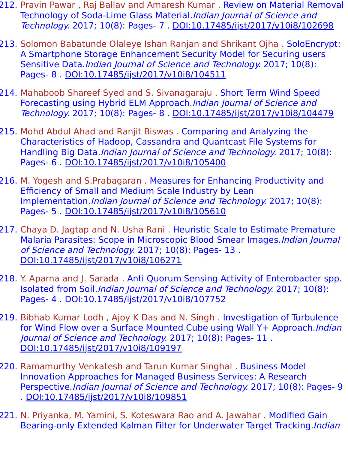- 212. Pravin Pawar , Raj Ballav and Amaresh Kumar . Review on Material Removal Technology of Soda-Lime Glass Material.*Indian Journal of Science and* Technology. 2017; 10(8): Pages- 7 . [DOI:10.17485/ijst/2017/v10i8/102698](https://indjst.org/articles/review-on-material-removal-technology-of-soda-lime-glass-material)
- 213. Solomon Babatunde Olaleye Ishan Ranjan and Shrikant Ojha . SoloEncrypt: A Smartphone Storage Enhancement Security Model for Securing users Sensitive Data.Indian Journal of Science and Technology. 2017; 10(8): Pages- 8 . [DOI:10.17485/ijst/2017/v10i8/104511](https://indjst.org/articles/soloencrypt-a-smartphone-storage-enhancement-security-model-for-securing-users-sensitive-data)
- 214. Mahaboob Shareef Syed and S. Sivanagaraju . Short Term Wind Speed Forecasting using Hybrid ELM Approach.Indian Journal of Science and Technology. 2017; 10(8): Pages- 8 . [DOI:10.17485/ijst/2017/v10i8/104479](https://indjst.org/articles/short-term-wind-speed-forecasting-using-hybrid-elm-approach)
- 215. Mohd Abdul Ahad and Ranjit Biswas . Comparing and Analyzing the Characteristics of Hadoop, Cassandra and Quantcast File Systems for Handling Big Data.Indian Journal of Science and Technology. 2017; 10(8): Pages- 6 . [DOI:10.17485/ijst/2017/v10i8/105400](https://indjst.org/articles/comparing-and-analyzing-the-characteristics-of-hadoop-cassandra-and-quantcast-file-systems-for-handling-big-data)
- 216. M. Yogesh and S.Prabagaran . Measures for Enhancing Productivity and Efficiency of Small and Medium Scale Industry by Lean Implementation.Indian Journal of Science and Technology. 2017; 10(8): Pages- 5 . [DOI:10.17485/ijst/2017/v10i8/105610](https://indjst.org/articles/measures-for-enhancing-productivity-and-efficiency-of-small-and-medium-scale-industry-by-lean-implementation)
- 217. Chaya D. Jagtap and N. Usha Rani . Heuristic Scale to Estimate Premature Malaria Parasites: Scope in Microscopic Blood Smear Images.Indian Journal of Science and Technology. 2017; 10(8): Pages- 13 . [DOI:10.17485/ijst/2017/v10i8/106271](https://indjst.org/articles/heuristic-scale-to-estimate-premature-malaria-parasites-scope-in-microscopic-blood-smear-images)
- 218. Y. Aparna and J. Sarada . Anti Quorum Sensing Activity of Enterobacter spp. Isolated from Soil.Indian Journal of Science and Technology. 2017; 10(8): Pages- 4 . [DOI:10.17485/ijst/2017/v10i8/107752](https://indjst.org/articles/anti-quorum-sensing-activity-of-enterobacter-spp-isolated-from-soil)
- 219. Bibhab Kumar Lodh , Ajoy K Das and N. Singh . Investigation of Turbulence for Wind Flow over a Surface Mounted Cube using Wall Y+ Approach.*Indian* Journal of Science and Technology. 2017; 10(8): Pages- 11 . [DOI:10.17485/ijst/2017/v10i8/109197](https://indjst.org/articles/investigation-of-turbulence-for-wind-flow-over-a-surface-mounted-cube-using-wall-y-approach)
- 220. Ramamurthy Venkatesh and Tarun Kumar Singhal . Business Model Innovation Approaches for Managed Business Services: A Research Perspective.Indian Journal of Science and Technology. 2017; 10(8): Pages- 9 . [DOI:10.17485/ijst/2017/v10i8/109851](https://indjst.org/articles/business-model-innovation-approaches-for-managed-business-services-a-research-perspective)
- 221. N. Priyanka, M. Yamini, S. Koteswara Rao and A. Jawahar . Modified Gain Bearing-only Extended Kalman Filter for Underwater Target Tracking.Indian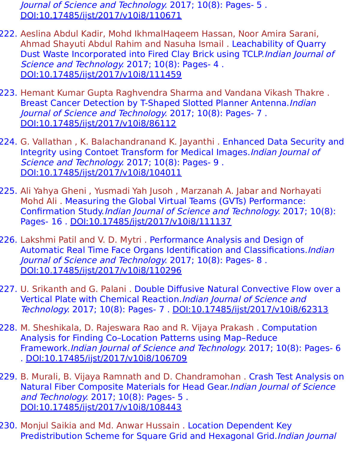Journal of Science and Technology. 2017; 10(8): Pages- 5 . [DOI:10.17485/ijst/2017/v10i8/110671](https://indjst.org/articles/modified-gain-bearing-only-extended-kalman-filter-for-underwater-target-tracking)

- 222. Aeslina Abdul Kadir, Mohd IkhmalHaqeem Hassan, Noor Amira Sarani, Ahmad Shayuti Abdul Rahim and Nasuha Ismail . Leachability of Quarry Dust Waste Incorporated into Fired Clay Brick using TCLP.Indian Journal of Science and Technology. 2017; 10(8): Pages- 4 . [DOI:10.17485/ijst/2017/v10i8/111459](https://indjst.org/articles/leachability-of-quarry-dust-waste-incorporated-into-fired-clay-brick-using-tclp)
- 223. Hemant Kumar Gupta Raghvendra Sharma and Vandana Vikash Thakre . Breast Cancer Detection by T-Shaped Slotted Planner Antenna.Indian Journal of Science and Technology. 2017; 10(8): Pages- 7 . [DOI:10.17485/ijst/2017/v10i8/86112](https://indjst.org/articles/breast-cancer-detection-by-t-shaped-slotted-planner-antenna)
- 224. G. Vallathan , K. Balachandranand K. Jayanthi . Enhanced Data Security and Integrity using Contoet Transform for Medical Images.Indian Journal of Science and Technology. 2017; 10(8): Pages- 9 . [DOI:10.17485/ijst/2017/v10i8/104011](https://indjst.org/articles/enhanced-data-security-and-integrity-using-contourlet-transform-for-medical-images)
- 225. Ali Yahya Gheni , Yusmadi Yah Jusoh , Marzanah A. Jabar and Norhayati Mohd Ali . Measuring the Global Virtual Teams (GVTs) Performance: Confirmation Study.Indian Journal of Science and Technology. 2017; 10(8): Pages- 16 . [DOI:10.17485/ijst/2017/v10i8/111137](https://indjst.org/articles/measuring-the-global-virtual-teams-gvts-performance-confirmation-study)
- 226. Lakshmi Patil and V. D. Mytri . Performance Analysis and Design of Automatic Real Time Face Organs Identification and Classifications.Indian Journal of Science and Technology. 2017; 10(8): Pages- 8 . [DOI:10.17485/ijst/2017/v10i8/110296](https://indjst.org/articles/performance-analysis-and-design-of-automatic-real-time-face-organs-identification-and-classifications)
- 227. U. Srikanth and G. Palani . Double Diffusive Natural Convective Flow over a Vertical Plate with Chemical Reaction.Indian Journal of Science and Technology. 2017; 10(8): Pages- 7 . [DOI:10.17485/ijst/2017/v10i8/62313](https://indjst.org/articles/double-diffusive-natural-convective-flow-over-a-vertical-plate-with-chemical-reaction)
- 228. M. Sheshikala, D. Rajeswara Rao and R. Vijaya Prakash . Computation Analysis for Finding Co–Location Patterns using Map–Reduce Framework.Indian Journal of Science and Technology. 2017; 10(8): Pages- 6 . [DOI:10.17485/ijst/2017/v10i8/106709](https://indjst.org/articles/computation-analysis-for-finding-colocation-patterns-using-mapreduce-framework)
- 229. B. Murali, B. Vijaya Ramnath and D. Chandramohan . Crash Test Analysis on Natural Fiber Composite Materials for Head Gear.Indian Journal of Science and Technology. 2017; 10(8): Pages- 5 . [DOI:10.17485/ijst/2017/v10i8/108443](https://indjst.org/articles/crash-test-analysis-on-natural-fiber-composite-materials-for-head-gear)
- 230. Monjul Saikia and Md. Anwar Hussain . Location Dependent Key Predistribution Scheme for Square Grid and Hexagonal Grid.Indian Journal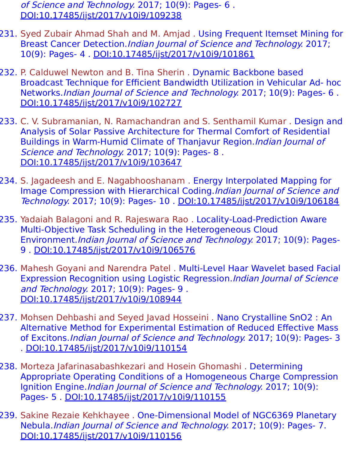of Science and Technology. 2017; 10(9): Pages- 6. [DOI:10.17485/ijst/2017/v10i9/109238](https://indjst.org/articles/location-dependent-key-predistribution-scheme-for-square-grid-and-hexagonal-grid)

- 231. Syed Zubair Ahmad Shah and M. Amjad . Using Frequent Itemset Mining for Breast Cancer Detection.Indian Journal of Science and Technology. 2017; 10(9): Pages- 4 . [DOI:10.17485/ijst/2017/v10i9/101861](https://indjst.org/articles/using-frequent-itemset-mining-for-breast-cancer-detection)
- 232. P. Calduwel Newton and B. Tina Sherin . Dynamic Backbone based Broadcast Technique for Efficient Bandwidth Utilization in Vehicular Ad- hoc Networks.Indian Journal of Science and Technology. 2017; 10(9): Pages- 6 . [DOI:10.17485/ijst/2017/v10i9/102727](https://indjst.org/articles/dynamic-backbone-based-broadcast-technique-for-efficient-bandwidth-utilization-in-vehicular-ad-hoc-networks)
- 233. C. V. Subramanian, N. Ramachandran and S. Senthamil Kumar . Design and Analysis of Solar Passive Architecture for Thermal Comfort of Residential Buildings in Warm-Humid Climate of Thanjavur Region.Indian Journal of Science and Technology. 2017; 10(9): Pages- 8. [DOI:10.17485/ijst/2017/v10i9/103647](https://indjst.org/articles/design-and-analysis-of-solar-passive-architecture-for-thermal-comfort-of-residential-buildings-in-warm-humid-climate-of-thanjavur-region)
- 234. S. Jagadeesh and E. Nagabhooshanam . Energy Interpolated Mapping for Image Compression with Hierarchical Coding.Indian Journal of Science and Technology. 2017; 10(9): Pages- 10 . [DOI:10.17485/ijst/2017/v10i9/106184](https://indjst.org/articles/energy-interpolated-mapping-for-image-compression-with-hierarchical-coding)
- 235. Yadaiah Balagoni and R. Rajeswara Rao . Locality-Load-Prediction Aware Multi-Objective Task Scheduling in the Heterogeneous Cloud Environment.Indian Journal of Science and Technology. 2017; 10(9): Pages-9 . [DOI:10.17485/ijst/2017/v10i9/106576](https://indjst.org/articles/locality-load-prediction-aware-multi-objective-task-scheduling-in-the-heterogeneous-cloud-environment)
- 236. Mahesh Goyani and Narendra Patel . Multi-Level Haar Wavelet based Facial Expression Recognition using Logistic Regression.Indian Journal of Science and Technology. 2017; 10(9): Pages- 9 . [DOI:10.17485/ijst/2017/v10i9/108944](https://indjst.org/articles/multi-level-haar-wavelet-based-facial-expression-recognition-using-logistic-regression)
- 237. Mohsen Dehbashi and Seyed Javad Hosseini . Nano Crystalline SnO2 : An Alternative Method for Experimental Estimation of Reduced Effective Mass of Excitons.Indian Journal of Science and Technology. 2017; 10(9): Pages- 3 . [DOI:10.17485/ijst/2017/v10i9/110154](https://indjst.org/articles/nano-crystalline-sno2-an-alternative-method-for-experimental-estimation-of-reduced-effective-mass-of-excitons)
- 238. Morteza Jafarinasabashkezari and Hosein Ghomashi . Determining Appropriate Operating Conditions of a Homogeneous Charge Compression Ignition Engine.Indian Journal of Science and Technology. 2017; 10(9): Pages- 5 . [DOI:10.17485/ijst/2017/v10i9/110155](https://indjst.org/articles/determining-appropriate-operating-conditions-of-a-homogeneous-charge-compression-ignition-engine)
- 239. Sakine Rezaie Kehkhayee . One-Dimensional Model of NGC6369 Planetary Nebula.Indian Journal of Science and Technology. 2017; 10(9): Pages- 7. [DOI:10.17485/ijst/2017/v10i9/110156](https://indjst.org/articles/one-dimensional-model-of-ngc6369-planetary-nebula)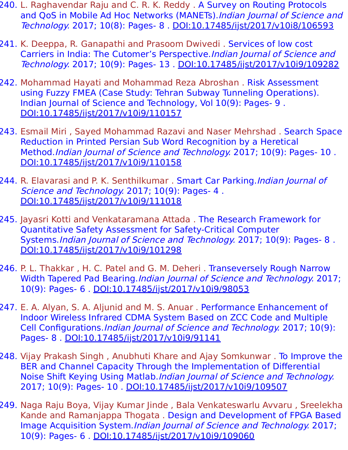- 240. L. Raghavendar Raju and C. R. K. Reddy . A Survey on Routing Protocols and QoS in Mobile Ad Hoc Networks (MANETs). Indian Journal of Science and Technology. 2017; 10(8): Pages- 8 . [DOI:10.17485/ijst/2017/v10i8/106593](https://indjst.org/articles/a-survey-on-routing-protocols-and-qos-in-mobile-ad-hoc-networks-manets)
- 241. K. Deeppa, R. Ganapathi and Prasoom Dwivedi . Services of low cost Carriers in India: The Cutomer's Perspective.Indian Journal of Science and Technology. 2017; 10(9): Pages- 13 . [DOI:10.17485/ijst/2017/v10i9/109282](https://indjst.org/articles/services-of-low-cost-carriers-in-india-the-cutomers-perspective)
- 242. Mohammad Hayati and Mohammad Reza Abroshan . Risk Assessment using Fuzzy FMEA (Case Study: Tehran Subway Tunneling Operations). Indian Journal of Science and Technology, Vol 10(9): Pages- 9 . [DOI:10.17485/ijst/2017/v10i9/110157](https://indjst.org/articles/risk-assessment-using-fuzzy-fmea-case-study-tehran-subway-tunneling-operations)
- 243. Esmail Miri , Sayed Mohammad Razavi and Naser Mehrshad . Search Space Reduction in Printed Persian Sub Word Recognition by a Heretical Method.Indian Journal of Science and Technology. 2017; 10(9): Pages- 10 . [DOI:10.17485/ijst/2017/v10i9/110158](https://indjst.org/articles/search-space-reduction-in-printed-persian-sub-word-recognition-by-a-heretical-method)
- 244. R. Elavarasi and P. K. Senthilkumar . Smart Car Parking. Indian Journal of Science and Technology. 2017; 10(9): Pages- 4 . [DOI:10.17485/ijst/2017/v10i9/111018](https://indjst.org/articles/smart-car-parking)
- 245. Jayasri Kotti and Venkataramana Attada . The Research Framework for Quantitative Safety Assessment for Safety-Critical Computer Systems.Indian Journal of Science and Technology. 2017; 10(9): Pages- 8 . [DOI:10.17485/ijst/2017/v10i9/101298](https://indjst.org/articles/the-research-framework-for-quantitative-safety-assessment-for-safety-critical-computer-systems)
- 246. P. L. Thakkar , H. C. Patel and G. M. Deheri . Transeversely Rough Narrow Width Tapered Pad Bearing.Indian Journal of Science and Technology. 2017; 10(9): Pages- 6 . [DOI:10.17485/ijst/2017/v10i9/98053](https://indjst.org/articles/transeversely-rough-narrow-width-tapered-pad-bearing)
- 247. E. A. Alyan, S. A. Aljunid and M. S. Anuar. Performance Enhancement of Indoor Wireless Infrared CDMA System Based on ZCC Code and Multiple Cell Configurations.Indian Journal of Science and Technology. 2017; 10(9): Pages- 8 . [DOI:10.17485/ijst/2017/v10i9/91141](https://indjst.org/articles/performance-enhancement-of-indoor-wireless-infrared-cdma-system-based-on-zcc-code-and-multiple-cell-configurations)
- 248. Vijay Prakash Singh , Anubhuti Khare and Ajay Somkunwar . To Improve the BER and Channel Capacity Through the Implementation of Differential Noise Shift Keying Using Matlab.Indian Journal of Science and Technology. 2017; 10(9): Pages- 10 . [DOI:10.17485/ijst/2017/v10i9/109507](https://indjst.org/articles/to-improve-the-ber-and-channel-capacity-through-the-implementation-of-differential-noise-shift-keying-using-matlab)
- 249. Naga Raju Boya, Vijay Kumar Jinde , Bala Venkateswarlu Avvaru , Sreelekha Kande and Ramanjappa Thogata . Design and Development of FPGA Based Image Acquisition System.Indian Journal of Science and Technology. 2017; 10(9): Pages- 6 . [DOI:10.17485/ijst/2017/v10i9/109060](https://indjst.org/articles/design-and-development-of-fpga-based-image-acquisition-system)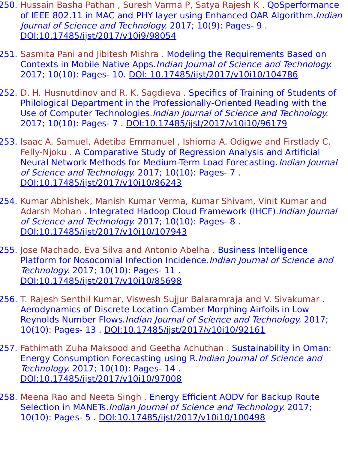- 250. Hussain Basha Pathan, Suresh Varma P, Satya Rajesh K. QoSperformance of IEEE 802.11 in MAC and PHY layer using Enhanced OAR Algorithm. Indian Journal of Science and Technology. 2017; 10(9): Pages- 9 . [DOI:10.17485/ijst/2017/v10i9/98054](https://indjst.org/articles/qosperformance-of-ieee-80211-in-mac-and-phy-layer-using-enhanced-oar-algorithm)
- 251. Sasmita Pani and Jibitesh Mishra . Modeling the Requirements Based on Contexts in Mobile Native Apps.Indian Journal of Science and Technology. 2017; 10(10): Pages- 10. [DOI: 10.17485/ijst/2017/v10i10/104786](https://indjst.org/articles/modeling-the-requirements-based-on-contexts-in-mobile-native-apps)
- 252. D. H. Husnutdinov and R. K. Sagdieva . Specifics of Training of Students of Philological Department in the Professionally-Oriented Reading with the Use of Computer Technologies.Indian Journal of Science and Technology. 2017; 10(10): Pages- 7 . [DOI:10.17485/ijst/2017/v10i10/96179](https://indjst.org/articles/specifics-of-training-of-students-of-philological-department-in-the-professionally-oriented-reading-with-the-use-of-computer-technologies)
- 253. Isaac A. Samuel, Adetiba Emmanuel , Ishioma A. Odigwe and Firstlady C. Felly-Njoku . A Comparative Study of Regression Analysis and Artificial Neural Network Methods for Medium-Term Load Forecasting. *Indian Journal* of Science and Technology. 2017; 10(10): Pages- 7 . [DOI:10.17485/ijst/2017/v10i10/86243](https://indjst.org/articles/a-comparative-study-of-regression-analysis-and-artificial-neural-network-methods-for-medium-term-load-forecasting)
- 254. Kumar Abhishek, Manish Kumar Verma, Kumar Shivam, Vinit Kumar and Adarsh Mohan . Integrated Hadoop Cloud Framework (IHCF). Indian Journal of Science and Technology. 2017; 10(10): Pages- 8 . [DOI:10.17485/ijst/2017/v10i10/107943](https://indjst.org/articles/integrated-hadoop-cloud-framework-ihcf)
- 255. Jose Machado, Eva Silva and Antonio Abelha . Business Intelligence Platform for Nosocomial Infection Incidence.Indian Journal of Science and Technology. 2017; 10(10): Pages- 11 . [DOI:10.17485/ijst/2017/v10i10/85698](https://indjst.org/articles/business-intelligence-platform-for-nosocomial-infection-incidence)
- 256. T. Rajesh Senthil Kumar, Viswesh Sujjur Balaramraja and V. Sivakumar . Aerodynamics of Discrete Location Camber Morphing Airfoils in Low Reynolds Number Flows.Indian Journal of Science and Technology. 2017; 10(10): Pages- 13 . [DOI:10.17485/ijst/2017/v10i10/92161](https://indjst.org/articles/aerodynamics-of-discrete-location-camber-morphing-airfoils-in-low-reynolds-number-flows)
- 257. Fathimath Zuha Maksood and Geetha Achuthan . Sustainability in Oman: Energy Consumption Forecasting using R.Indian Journal of Science and Technology. 2017; 10(10): Pages- 14 . [DOI:10.17485/ijst/2017/v10i10/97008](https://indjst.org/articles/sustainability-in-oman-energy-consumption-forecasting-using-r)
- 258. Meena Rao and Neeta Singh . Energy Efficient AODV for Backup Route Selection in MANETs.*Indian Journal of Science and Technology.* 2017; 10(10): Pages- 5 . [DOI:10.17485/ijst/2017/v10i10/100498](https://indjst.org/articles/energy-efficient-aodv-for-backup-route-selection-in-manets)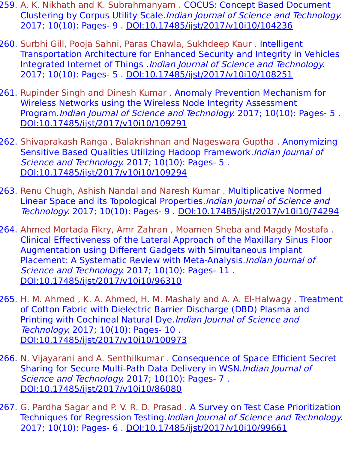- 259. A. K. Nikhath and K. Subrahmanyam . COCUS: Concept Based Document Clustering by Corpus Utility Scale.Indian Journal of Science and Technology. 2017; 10(10): Pages- 9 . [DOI:10.17485/ijst/2017/v10i10/104236](https://indjst.org/articles/cocus-concept-based-document-clustering-by-corpus-utility-scale)
- 260. Surbhi Gill, Pooja Sahni, Paras Chawla, Sukhdeep Kaur . Intelligent Transportation Architecture for Enhanced Security and Integrity in Vehicles Integrated Internet of Things .Indian Journal of Science and Technology. 2017; 10(10): Pages- 5 . [DOI:10.17485/ijst/2017/v10i10/108251](https://indjst.org/articles/intelligent-transportation-architecture-for-enhanced-security-and-integrity-in-vehicles-integrated-internet-of-things)
- 261. Rupinder Singh and Dinesh Kumar . Anomaly Prevention Mechanism for Wireless Networks using the Wireless Node Integrity Assessment Program.Indian Journal of Science and Technology. 2017; 10(10): Pages- 5 . [DOI:10.17485/ijst/2017/v10i10/109291](https://indjst.org/articles/anomaly-prevention-mechanism-for-wireless-networks-using-the-wireless-node-integrity-assessment-program)
- 262. Shivaprakash Ranga , Balakrishnan and Nageswara Guptha . Anonymizing Sensitive Based Qualities Utilizing Hadoop Framework.Indian Journal of Science and Technology. 2017; 10(10): Pages- 5. [DOI:10.17485/ijst/2017/v10i10/109294](https://indjst.org/articles/anonymizing-sensitive-based-qualities-utilizing-hadoop-framework)
- 263. Renu Chugh, Ashish Nandal and Naresh Kumar . Multiplicative Normed Linear Space and its Topological Properties.Indian Journal of Science and Technology. 2017; 10(10): Pages- 9 . [DOI:10.17485/ijst/2017/v10i10/74294](https://indjst.org/articles/multiplicative-normed-linear-space-and-its-topological-properties)
- 264. Ahmed Mortada Fikry, Amr Zahran , Moamen Sheba and Magdy Mostafa . Clinical Effectiveness of the Lateral Approach of the Maxillary Sinus Floor Augmentation using Different Gadgets with Simultaneous Implant Placement: A Systematic Review with Meta-Analysis.Indian Journal of Science and Technology. 2017; 10(10): Pages- 11. [DOI:10.17485/ijst/2017/v10i10/96310](https://indjst.org/articles/clinical-effectiveness-of-the-lateral-approach-of-the-maxillary-sinus-floor-augmentation-using-different-gadgets-with-simultaneous-implant-placement-a-systematic-review-with-meta-analysis)
- 265. H. M. Ahmed , K. A. Ahmed, H. M. Mashaly and A. A. El-Halwagy . Treatment of Cotton Fabric with Dielectric Barrier Discharge (DBD) Plasma and Printing with Cochineal Natural Dye.Indian Journal of Science and Technology. 2017; 10(10): Pages- 10 . [DOI:10.17485/ijst/2017/v10i10/100973](https://indjst.org/articles/treatment-of-cotton-fabric-with-dielectric-barrier-discharge-dbd-plasma-and-printing-with-cochineal-natural-dye)
- 266. N. Vijayarani and A. Senthilkumar . Consequence of Space Efficient Secret Sharing for Secure Multi-Path Data Delivery in WSN.Indian Journal of Science and Technology. 2017; 10(10): Pages- 7. [DOI:10.17485/ijst/2017/v10i10/86080](https://indjst.org/articles/consequence-of-space-efficient-secret-sharing-for-secure-multi-path-data-delivery-in-wsn)
- 267. G. Pardha Sagar and P. V. R. D. Prasad . A Survey on Test Case Prioritization Techniques for Regression Testing.Indian Journal of Science and Technology. 2017; 10(10): Pages- 6 . [DOI:10.17485/ijst/2017/v10i10/99661](https://indjst.org/articles/a-survey-on-test-case-prioritization-techniques-for-regression-testing)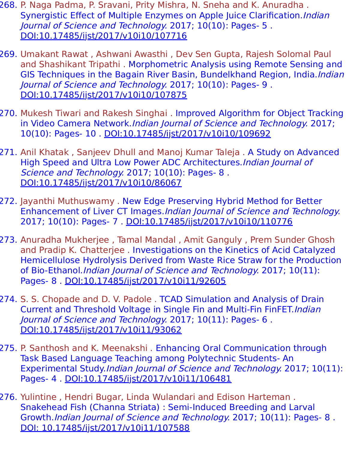- 268. P. Naga Padma, P. Sravani, Prity Mishra, N. Sneha and K. Anuradha . Synergistic Effect of Multiple Enzymes on Apple Juice Clarification. *Indian* Journal of Science and Technology. 2017; 10(10): Pages- 5 . [DOI:10.17485/ijst/2017/v10i10/107716](https://indjst.org/articles/synergistic-effect-of-multiple-enzymes-on-apple-juice-clarification)
- 269. Umakant Rawat , Ashwani Awasthi , Dev Sen Gupta, Rajesh Solomal Paul and Shashikant Tripathi . Morphometric Analysis using Remote Sensing and GIS Techniques in the Bagain River Basin, Bundelkhand Region, India.*Indian* Journal of Science and Technology. 2017; 10(10): Pages- 9 . [DOI:10.17485/ijst/2017/v10i10/107875](https://indjst.org/articles/morphometric-analysis-using-remote-sensing-and-gis-techniques-in-the-bagain-river-basin-bundelkhand-region-india)
- 270. Mukesh Tiwari and Rakesh Singhai . Improved Algorithm for Object Tracking in Video Camera Network. Indian Journal of Science and Technology. 2017; 10(10): Pages- 10 . [DOI:10.17485/ijst/2017/v10i10/109692](https://indjst.org/articles/improved-algorithm-for-object-tracking-in-video-camera-network)
- 271. Anil Khatak , Sanjeev Dhull and Manoj Kumar Taleja . A Study on Advanced High Speed and Ultra Low Power ADC Architectures.Indian Journal of Science and Technology. 2017; 10(10): Pages- 8. [DOI:10.17485/ijst/2017/v10i10/86067](https://indjst.org/articles/a-study-on-advanced-high-speed-and-ultra-low-power-adc-architectures)
- 272. Jayanthi Muthuswamy . New Edge Preserving Hybrid Method for Better Enhancement of Liver CT Images.Indian Journal of Science and Technology. 2017; 10(10): Pages- 7 . [DOI:10.17485/ijst/2017/v10i10/110776](https://indjst.org/articles/new-edge-preserving-hybrid-method-for-better-enhancement-of-liver-ct-images)
- 273. Anuradha Mukherjee , Tamal Mandal , Amit Ganguly , Prem Sunder Ghosh and Pradip K. Chatterjee . Investigations on the Kinetics of Acid Catalyzed Hemicellulose Hydrolysis Derived from Waste Rice Straw for the Production of Bio-Ethanol. Indian Journal of Science and Technology. 2017; 10(11): Pages- 8 . [DOI:10.17485/ijst/2017/v10i11/92605](https://indjst.org/articles/investigations-on-the-kinetics-of-acid-catalyzed-hemicellulose-hydrolysis-derived-from-waste-rice-straw-for-the-production-of-bio-ethanol)
- 274. S. S. Chopade and D. V. Padole . TCAD Simulation and Analysis of Drain Current and Threshold Voltage in Single Fin and Multi-Fin FinFET.Indian Journal of Science and Technology. 2017; 10(11): Pages- 6 . [DOI:10.17485/ijst/2017/v10i11/93062](https://indjst.org/articles/tcad-simulation-and-analysis-of-drain-current-and-threshold-voltage-in-single-fin-and-multi-fin-finfet)
- 275. P. Santhosh and K. Meenakshi . Enhancing Oral Communication through Task Based Language Teaching among Polytechnic Students- An Experimental Study.Indian Journal of Science and Technology. 2017; 10(11): Pages- 4 . [DOI:10.17485/ijst/2017/v10i11/106481](https://indjst.org/articles/enhancing-oral-communication-through-task-based-language-teaching-among-polytechnic-students-an-experimental-study)
- 276. Yulintine , Hendri Bugar, Linda Wulandari and Edison Harteman . Snakehead Fish (Channa Striata) : Semi-Induced Breeding and Larval Growth.Indian Journal of Science and Technology. 2017; 10(11): Pages- 8 . [DOI: 10.17485/ijst/2017/v10i11/107588](https://indjst.org/articles/snakehead-fish-channa-striata-semi-induced-breeding-and-larval-growth)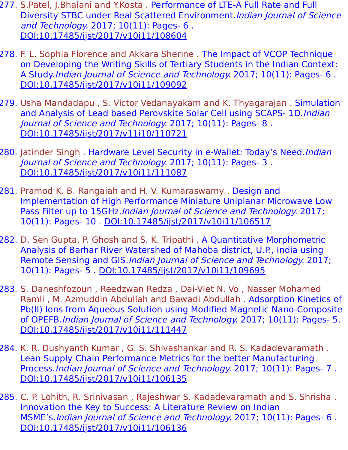- 277. S.Patel, J.Bhalani and Y.Kosta . Performance of LTE-A Full Rate and Full Diversity STBC under Real Scattered Environment.Indian Journal of Science and Technology. 2017; 10(11): Pages- 6 . [DOI:10.17485/ijst/2017/v10i11/108604](https://indjst.org/articles/performance-of-lte-a-full-rate-and-full-diversity-stbc-under-real-scattered-environment)
- 278. F. L. Sophia Florence and Akkara Sherine . The Impact of VCOP Technique on Developing the Writing Skills of Tertiary Students in the Indian Context: A Study.Indian Journal of Science and Technology. 2017; 10(11): Pages- 6 . [DOI:10.17485/ijst/2017/v10i11/109092](https://indjst.org/articles/the-impact-of-vcop-technique-on-developing-the-writing-skills-of-tertiary-students-in-the-indian-context-a-study)
- 279. Usha Mandadapu , S. Victor Vedanayakam and K. Thyagarajan . Simulation and Analysis of Lead based Perovskite Solar Cell using SCAPS- 1D.Indian Journal of Science and Technology. 2017; 10(11): Pages- 8 . [DOI:10.17485/ijst/2017/v11i10/110721](https://indjst.org/articles/simulation-and-analysis-of-lead-based-perovskite-solar-cell-using-scaps-1d)
- 280. Jatinder Singh. Hardware Level Security in e-Wallet: Today's Need.*Indian* Journal of Science and Technology. 2017; 10(11): Pages- 3 . [DOI:10.17485/ijst/2017/v10i11/111087](https://indjst.org/articles/hardware-level-security-in-e-wallet-todays-need)
- 281. Pramod K. B. Rangaiah and H. V. Kumaraswamy . Design and Implementation of High Performance Miniature Uniplanar Microwave Low Pass Filter up to 15GHz. Indian Journal of Science and Technology. 2017; 10(11): Pages- 10 . [DOI:10.17485/ijst/2017/v10i11/106517](https://indjst.org/articles/design-and-implementation-of-high-performance-miniature-uniplanar-microwave-low-pass-filter-up-to-15ghz)
- 282. D. Sen Gupta, P. Ghosh and S. K. Tripathi . A Quantitative Morphometric Analysis of Barhar River Watershed of Mahoba district, U.P., India using Remote Sensing and GIS.Indian Journal of Science and Technology. 2017; 10(11): Pages- 5 . [DOI:10.17485/ijst/2017/v10i11/109695](https://indjst.org/articles/a-quantitative-morphometric-analysis-of-barhar-river-watershed-of-mahoba-district-up-india-using-remote-sensing-and-gis)
- 283. S. Daneshfozoun , Reedzwan Redza , Dai-Viet N. Vo , Nasser Mohamed Ramli , M. Azmuddin Abdullah and Bawadi Abdullah . Adsorption Kinetics of Pb(II) Ions from Aqueous Solution using Modified Magnetic Nano-Composite of OPEFB.Indian Journal of Science and Technology. 2017; 10(11): Pages- 5. [DOI:10.17485/ijst/2017/v10i11/111447](https://indjst.org/articles/adsorption-kinetics-of-pbii-ions-from-aqueous-solution-using-modified-magnetic-nano-composite-of-opefb)
- 284. K. R. Dushyanth Kumar , G. S. Shivashankar and R. S. Kadadevaramath . Lean Supply Chain Performance Metrics for the better Manufacturing Process.Indian Journal of Science and Technology. 2017; 10(11): Pages- 7 . [DOI:10.17485/ijst/2017/v10i11/106135](https://indjst.org/articles/lean-supply-chain-performance-metrics-for-the-better-manufacturing-process)
- 285. C. P. Lohith, R. Srinivasan , Rajeshwar S. Kadadevaramath and S. Shrisha . Innovation the Key to Success: A Literature Review on Indian MSME's.Indian Journal of Science and Technology. 2017; 10(11): Pages- 6 . [DOI:10.17485/ijst/2017/v10i11/106136](https://indjst.org/articles/innovation-the-key-to-success-a-literature-review-on-indian-msmes)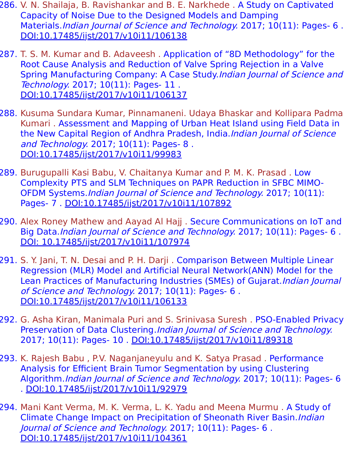- 286. V. N. Shailaja, B. Ravishankar and B. E. Narkhede . A Study on Captivated Capacity of Noise Due to the Designed Models and Damping Materials.*Indian Journal of Science and Technology.* 2017; 10(11): Pages- 6. [DOI:10.17485/ijst/2017/v10i11/106138](https://indjst.org/articles/a-study-on-captivated-capacity-of-noise-due-to-the-designed-models-and-damping-materials)
- 287. T. S. M. Kumar and B. Adaveesh . Application of "8D Methodology" for the Root Cause Analysis and Reduction of Valve Spring Rejection in a Valve Spring Manufacturing Company: A Case Study.Indian Journal of Science and Technology. 2017; 10(11): Pages- 11 . [DOI:10.17485/ijst/2017/v10i11/106137](https://indjst.org/articles/application-of-8d-methodology-for-the-root-cause-analysis-and-reduction-of-valve-spring-rejection-in-a-valve-spring-manufacturing-company-a-case-study)
- 288. Kusuma Sundara Kumar, Pinnamaneni. Udaya Bhaskar and Kollipara Padma Kumari . Assessment and Mapping of Urban Heat Island using Field Data in the New Capital Region of Andhra Pradesh, India.Indian Journal of Science and Technology. 2017; 10(11): Pages- 8. [DOI:10.17485/ijst/2017/v10i11/99983](https://indjst.org/articles/assessment-and-mapping-of-urban-heat-island-using-field-data-in-the-new-capital-region-of-andhra-pradesh-india)
- 289. Burugupalli Kasi Babu, V. Chaitanya Kumar and P. M. K. Prasad . Low Complexity PTS and SLM Techniques on PAPR Reduction in SFBC MIMO-OFDM Systems.Indian Journal of Science and Technology. 2017; 10(11): Pages- 7 . [DOI:10.17485/ijst/2017/v10i11/107892](https://indjst.org/articles/low-complexity-pts-and-slm-techniques-on-papr-reduction-in-sfbc-mimo-ofdm-systems)
- 290. Alex Roney Mathew and Aayad Al Hajj . Secure Communications on IoT and Big Data.Indian Journal of Science and Technology. 2017; 10(11): Pages- 6 . [DOI: 10.17485/ijst/2017/v10i11/107974](https://indjst.org/articles/secure-communications-on-iot-and-big-data)
- 291. S. Y. Jani, T. N. Desai and P. H. Darji . Comparison Between Multiple Linear Regression (MLR) Model and Artificial Neural Network(ANN) Model for the Lean Practices of Manufacturing Industries (SMEs) of Gujarat. Indian Journal of Science and Technology. 2017; 10(11): Pages- 6 . [DOI:10.17485/ijst/2017/v10i11/106133](https://indjst.org/articles/comparison-between-multiple-linear-regression-mlr-model-and-artificial-neural-networkann-model-for-the-lean-practices-of-manufacturing-industries-smes-of-gujarat)
- 292. G. Asha Kiran, Manimala Puri and S. Srinivasa Suresh . PSO-Enabled Privacy Preservation of Data Clustering.Indian Journal of Science and Technology. 2017; 10(11): Pages- 10 . [DOI:10.17485/ijst/2017/v10i11/89318](https://indjst.org/articles/pso-enabled-privacy-preservation-of-data-clustering)
- 293. K. Rajesh Babu , P.V. Naganjaneyulu and K. Satya Prasad . Performance Analysis for Efficient Brain Tumor Segmentation by using Clustering Algorithm.Indian Journal of Science and Technology. 2017; 10(11): Pages- 6 . [DOI:10.17485/ijst/2017/v10i11/92979](https://indjst.org/articles/performance-analysis-for-efficient-brain-tumor-segmentation-by-using-clustering-algorithm)
- 294. Mani Kant Verma, M. K. Verma, L. K. Yadu and Meena Murmu . A Study of Climate Change Impact on Precipitation of Sheonath River Basin. Indian Journal of Science and Technology. 2017; 10(11): Pages- 6 . [DOI:10.17485/ijst/2017/v10i11/104361](https://indjst.org/articles/a-study-of-climate-change-impact-on-precipitation-of-sheonath-river-basin)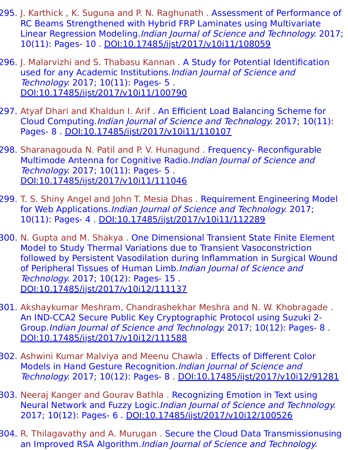- 295. J. Karthick , K. Suguna and P. N. Raghunath . Assessment of Performance of RC Beams Strengthened with Hybrid FRP Laminates using Multivariate Linear Regression Modeling.Indian Journal of Science and Technology. 2017; 10(11): Pages- 10 . [DOI:10.17485/ijst/2017/v10i11/108059](https://indjst.org/articles/assessment-of-performance-of-rc-beams-strengthened-with-hybrid-frp-laminates-using-multivariate-linear-regression-modeling)
- 296. J. Malarvizhi and S. Thabasu Kannan . A Study for Potential Identification used for any Academic Institutions. Indian Journal of Science and Technology. 2017; 10(11): Pages- 5 . [DOI:10.17485/ijst/2017/v10i11/100790](https://indjst.org/articles/a-study-for-potential-identification-used-for-any-academic-institutions)
- 297. Atyaf Dhari and Khaldun I. Arif . An Efficient Load Balancing Scheme for Cloud Computing.Indian Journal of Science and Technology. 2017; 10(11): Pages- 8 . [DOI:10.17485/ijst/2017/v10i11/110107](https://indjst.org/articles/an-efficient-load-balancing-scheme-for-cloud-computing)
- 298. Sharanagouda N. Patil and P. V. Hunagund . Frequency- Reconfigurable Multimode Antenna for Cognitive Radio.Indian Journal of Science and Technology. 2017; 10(11): Pages- 5 . [DOI:10.17485/ijst/2017/v10i11/111046](https://indjst.org/articles/frequency-reconfigurable-multimode-antenna-for-cognitive-radio)
- 299. T. S. Shiny Angel and John T. Mesia Dhas . Requirement Engineering Model for Web Applications.*Indian Journal of Science and Technology.* 2017; 10(11): Pages- 4 . [DOI:10.17485/ijst/2017/v10i11/112289](https://indjst.org/articles/requirement-engineering-model-for-web-applications)
- 300. N. Gupta and M. Shakya . One Dimensional Transient State Finite Element Model to Study Thermal Variations due to Transient Vasoconstriction followed by Persistent Vasodilation during Inflammation in Surgical Wound of Peripheral Tissues of Human Limb.Indian Journal of Science and Technology. 2017; 10(12): Pages- 15 . [DOI:10.17485/ijst/2017/v10i12/111137](https://indjst.org/articles/one-dimensional-transient-state-finite-element-model-to-study-thermal-variations-due-to-transient-vasoconstriction-followed-by-persistent-vasodilation-during-inflammation-in-surgical-wound-of-peripheral-tissues-of-human-limb)
- 301. Akshaykumar Meshram, Chandrashekhar Meshra and N. W. Khobragade . An IND-CCA2 Secure Public Key Cryptographic Protocol using Suzuki 2- Group.Indian Journal of Science and Technology. 2017; 10(12): Pages- 8 . [DOI:10.17485/ijst/2017/v10i12/111588](https://indjst.org/articles/an-ind-cca2-secure-public-key-cryptographic-protocol-using-suzuki-2-group)
- 302. Ashwini Kumar Malviya and Meenu Chawla . Effects of Different Color Models in Hand Gesture Recognition. Indian Journal of Science and Technology. 2017; 10(12): Pages- 8 . [DOI:10.17485/ijst/2017/v10i12/91281](https://indjst.org/articles/effects-of-different-color-models-in-hand-gesture-recognition)
- 303. Neeraj Kanger and Gourav Bathla . Recognizing Emotion in Text using Neural Network and Fuzzy Logic.Indian Journal of Science and Technology. 2017; 10(12): Pages- 6 . [DOI:10.17485/ijst/2017/v10i12/100526](https://indjst.org/articles/recognizing-emotion-in-text-using-neural-network-and-fuzzy-logic)
- 304. R. Thilagavathy and A. Murugan . Secure the Cloud Data Transmissionusing an Improved RSA Algorithm.Indian Journal of Science and Technology.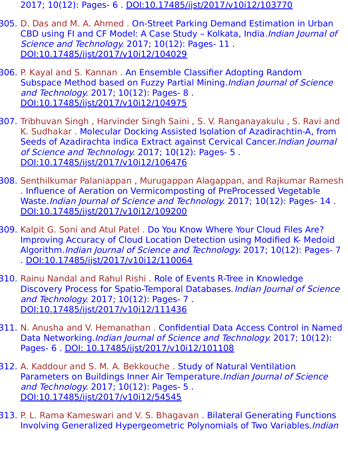- 2017; 10(12): Pages- 6 . [DOI:10.17485/ijst/2017/v10i12/103770](https://indjst.org/articles/secure-the-cloud-data-transmissionusing-an-improved-rsa-algorithm)
- 305. D. Das and M. A. Ahmed . On-Street Parking Demand Estimation in Urban CBD using FI and CF Model: A Case Study - Kolkata, India. Indian Journal of Science and Technology. 2017; 10(12): Pages- 11. [DOI:10.17485/ijst/2017/v10i12/104029](https://indjst.org/articles/on-street-parking-demand-estimation-in-urban-cbd-using-fi-and-cf-model-a-case-study-kolkata-india)
- 306. P. Kayal and S. Kannan . An Ensemble Classifier Adopting Random Subspace Method based on Fuzzy Partial Mining.Indian Journal of Science and Technology. 2017; 10(12): Pages- 8 . [DOI:10.17485/ijst/2017/v10i12/104975](https://indjst.org/articles/an-ensemble-classifier-adopting-random-subspace-method-based-on-fuzzy-partial-mining)
- 307. Tribhuvan Singh , Harvinder Singh Saini , S. V. Ranganayakulu , S. Ravi and K. Sudhakar . Molecular Docking Assisted Isolation of Azadirachtin-A, from Seeds of Azadirachta indica Extract against Cervical Cancer.Indian Journal of Science and Technology. 2017; 10(12): Pages- 5 . [DOI:10.17485/ijst/2017/v10i12/106476](https://indjst.org/articles/molecular-docking-assisted-isolation-of-azadirachtin-a-from-seeds-of-azadirachta-indica-extract-against-cervical-cancer)
- 308. Senthilkumar Palaniappan , Murugappan Alagappan, and Rajkumar Ramesh . Influence of Aeration on Vermicomposting of PreProcessed Vegetable Waste.Indian Journal of Science and Technology. 2017; 10(12): Pages- 14. [DOI:10.17485/ijst/2017/v10i12/109200](https://indjst.org/articles/influence-of-aeration-on-vermicomposting-of-preprocessed-vegetable-waste)
- 309. Kalpit G. Soni and Atul Patel . Do You Know Where Your Cloud Files Are? Improving Accuracy of Cloud Location Detection using Modified K- Medoid Algorithm.Indian Journal of Science and Technology. 2017; 10(12): Pages- 7 . [DOI:10.17485/ijst/2017/v10i12/110064](https://indjst.org/articles/do-you-know-where-your-cloud-files-are-improving-accuracy-of-cloud-location-detection-using-modified-k-medoid-algorithm)
- 310. Rainu Nandal and Rahul Rishi. Role of Events R-Tree in Knowledge Discovery Process for Spatio-Temporal Databases. Indian Journal of Science and Technology. 2017; 10(12): Pages- 7 . [DOI:10.17485/ijst/2017/v10i12/111436](https://indjst.org/articles/role-of-events-r-tree-in-knowledge-discovery-process-for-spatio-temporal-databases)
- 311. N. Anusha and V. Hemanathan . Confidential Data Access Control in Named Data Networking.Indian Journal of Science and Technology. 2017; 10(12): Pages- 6 . [DOI: 10.17485/ijst/2017/v10i12/101108](https://indjst.org/articles/confidential-data-access-control-in-named-data-networking)
- 312. A. Kaddour and S. M. A. Bekkouche . Study of Natural Ventilation Parameters on Buildings Inner Air Temperature. Indian Journal of Science and Technology. 2017; 10(12): Pages- 5 . [DOI:10.17485/ijst/2017/v10i12/54545](https://indjst.org/articles/study-of-natural-ventilation-parameters-on-buildings-inner-air-temperature)
- 313. P. L. Rama Kameswari and V. S. Bhagavan . Bilateral Generating Functions Involving Generalized Hypergeometric Polynomials of Two Variables.Indian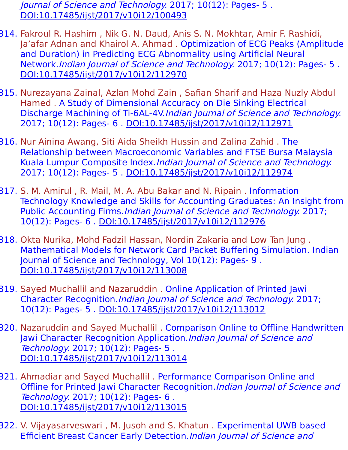Journal of Science and Technology. 2017; 10(12): Pages- 5 . [DOI:10.17485/ijst/2017/v10i12/100493](https://indjst.org/articles/bilateral-generating-functions-involving-generalized-hypergeometric-polynomials-of-two-variables)

- 314. Fakroul R. Hashim , Nik G. N. Daud, Anis S. N. Mokhtar, Amir F. Rashidi, Ja'afar Adnan and Khairol A. Ahmad . Optimization of ECG Peaks (Amplitude and Duration) in Predicting ECG Abnormality using Artificial Neural Network.Indian Journal of Science and Technology. 2017; 10(12): Pages- 5 . [DOI:10.17485/ijst/2017/v10i12/112970](https://indjst.org/articles/optimization-of-ecg-peaks-amplitude-and-duration-in-predicting-ecg-abnormality-using-artificial-neural-network)
- 315. Nurezayana Zainal, Azlan Mohd Zain , Safian Sharif and Haza Nuzly Abdul Hamed . A Study of Dimensional Accuracy on Die Sinking Electrical Discharge Machining of Ti-6AL-4V.Indian Journal of Science and Technology. 2017; 10(12): Pages- 6 . [DOI:10.17485/ijst/2017/v10i12/112971](https://indjst.org/articles/a-study-of-dimensional-accuracy-on-die-sinking-electrical-discharge-machining-of-ti-6al-4v)
- 316. Nur Ainina Awang, Siti Aida Sheikh Hussin and Zalina Zahid . The Relationship between Macroeconomic Variables and FTSE Bursa Malaysia Kuala Lumpur Composite Index.Indian Journal of Science and Technology. 2017; 10(12): Pages- 5 . [DOI:10.17485/ijst/2017/v10i12/112974](https://indjst.org/articles/the-relationship-between-macroeconomic-variables-and-ftse-bursa-malaysia-kuala-lumpur-composite-index)
- 317. S. M. Amirul , R. Mail, M. A. Abu Bakar and N. Ripain . Information Technology Knowledge and Skills for Accounting Graduates: An Insight from Public Accounting Firms.Indian Journal of Science and Technology. 2017; 10(12): Pages- 6 . [DOI:10.17485/ijst/2017/v10i12/112976](https://indjst.org/articles/information-technology-knowledge-and-skills-for-accounting-graduates-an-insight-from-public-accounting-firms)
- 318. Okta Nurika, Mohd Fadzil Hassan, Nordin Zakaria and Low Tan Jung . Mathematical Models for Network Card Packet Buffering Simulation. Indian Journal of Science and Technology, Vol 10(12): Pages- 9 . [DOI:10.17485/ijst/2017/v10i12/113008](https://indjst.org/articles/mathematical-models-for-network-card-packet-buffering-simulation)
- 319. Sayed Muchallil and Nazaruddin . Online Application of Printed Jawi Character Recognition.Indian Journal of Science and Technology. 2017; 10(12): Pages- 5 . [DOI:10.17485/ijst/2017/v10i12/113012](https://indjst.org/articles/online-application-of-printed-jawi-character-recognition)
- 320. Nazaruddin and Sayed Muchallil . Comparison Online to Offline Handwritten Jawi Character Recognition Application. Indian Journal of Science and Technology. 2017; 10(12): Pages- 5 . [DOI:10.17485/ijst/2017/v10i12/113014](https://indjst.org/articles/comparison-online-to-offline-handwritten-jawi-character-recognition-application)
- 321. Ahmadiar and Sayed Muchallil . Performance Comparison Online and Offline for Printed Jawi Character Recognition.Indian Journal of Science and Technology. 2017; 10(12): Pages- 6 . [DOI:10.17485/ijst/2017/v10i12/113015](https://indjst.org/articles/performance-comparison-online-and-offline-for-printed-jawi-character-recognition)
- 322. V. Vijayasarveswari , M. Jusoh and S. Khatun . Experimental UWB based Efficient Breast Cancer Early Detection.Indian Journal of Science and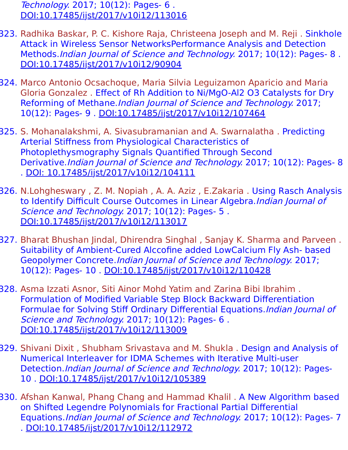Technology. 2017; 10(12): Pages- 6 . [DOI:10.17485/ijst/2017/v10i12/113016](https://indjst.org/articles/experimental-uwb-based-efficient-breast-cancer-early-detection)

- 323. Radhika Baskar, P. C. Kishore Raja, Christeena Joseph and M. Reji . Sinkhole Attack in Wireless Sensor NetworksPerformance Analysis and Detection Methods.Indian Journal of Science and Technology. 2017; 10(12): Pages- 8. [DOI:10.17485/ijst/2017/v10i12/90904](https://indjst.org/articles/sinkhole-attack-in-wireless-sensor-networksperformance-analysis-and-detection-methods)
- 324. Marco Antonio Ocsachoque, Maria Silvia Leguizamon Aparicio and Maria Gloria Gonzalez . Effect of Rh Addition to Ni/MgO-Al2 O3 Catalysts for Dry Reforming of Methane.Indian Journal of Science and Technology. 2017; 10(12): Pages- 9 . [DOI:10.17485/ijst/2017/v10i12/107464](https://indjst.org/articles/effect-of-rh-addition-to-nimgo-al2-o3-catalysts-for-dry-reforming-of-methane)
- 325. S. Mohanalakshmi, A. Sivasubramanian and A. Swarnalatha . Predicting Arterial Stiffness from Physiological Characteristics of Photoplethysmography Signals Quantified Through Second Derivative.Indian Journal of Science and Technology. 2017; 10(12): Pages- 8 . [DOI: 10.17485/ijst/2017/v10i12/104111](https://indjst.org/articles/predicting-arterial-stiffness-from-physiological-characteristics-of-photoplethysmography-signals-quantified-through-second-derivative)
- 326. N.Lohgheswary , Z. M. Nopiah , A. A. Aziz , E.Zakaria . Using Rasch Analysis to Identify Difficult Course Outcomes in Linear Algebra.Indian Journal of Science and Technology. 2017; 10(12): Pages- 5. [DOI:10.17485/ijst/2017/v10i12/113017](https://indjst.org/articles/using-rasch-analysis-to-identify-difficult-course-outcomes-in-linear-algebra)
- 327. Bharat Bhushan Jindal, Dhirendra Singhal , Sanjay K. Sharma and Parveen . Suitability of Ambient-Cured Alccofine added LowCalcium Fly Ash- based Geopolymer Concrete.Indian Journal of Science and Technology. 2017; 10(12): Pages- 10 . [DOI:10.17485/ijst/2017/v10i12/110428](https://indjst.org/articles/suitability-of-ambient-cured-alccofine-added-lowcalcium-fly-ash-based-geopolymer-concrete)
- 328. Asma Izzati Asnor, Siti Ainor Mohd Yatim and Zarina Bibi Ibrahim . Formulation of Modified Variable Step Block Backward Differentiation Formulae for Solving Stiff Ordinary Differential Equations.Indian Journal of Science and Technology. 2017; 10(12): Pages- 6. [DOI:10.17485/ijst/2017/v10i12/113009](https://indjst.org/articles/formulation-of-modified-variable-step-block-backward-differentiation-formulae-for-solving-stiff-ordinary-differential-equations)
- 329. Shivani Dixit , Shubham Srivastava and M. Shukla . Design and Analysis of Numerical Interleaver for IDMA Schemes with Iterative Multi-user Detection.Indian Journal of Science and Technology. 2017; 10(12): Pages-10 . [DOI:10.17485/ijst/2017/v10i12/105389](https://indjst.org/articles/design-and-analysis-of-numerical-interleaver-for-idma-schemes-with-iterative-multi-user-detection)
- 330. Afshan Kanwal, Phang Chang and Hammad Khalil . A New Algorithm based on Shifted Legendre Polynomials for Fractional Partial Differential Equations.Indian Journal of Science and Technology. 2017; 10(12): Pages- 7 . [DOI:10.17485/ijst/2017/v10i12/112972](https://indjst.org/articles/a-new-algorithm-based-on-shifted-legendre-polynomials-for-fractional-partial-differential-equations)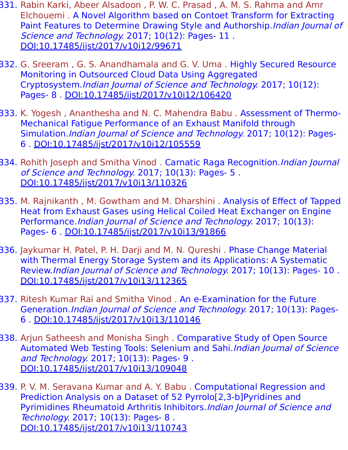- 331. Rabin Karki, Abeer Alsadoon , P. W. C. Prasad , A. M. S. Rahma and Amr Elchouemi . A Novel Algorithm based on Contoet Transform for Extracting Paint Features to Determine Drawing Style and Authorship. Indian Journal of Science and Technology. 2017; 10(12): Pages- 11. [DOI:10.17485/ijst/2017/v10i12/99671](https://indjst.org/articles/a-novel-algorithm-based-on-contourlet-transform-for-extracting-paint-features-to-determine-drawing-style-and-authorship)
- 332. G. Sreeram , G. S. Anandhamala and G. V. Uma . Highly Secured Resource Monitoring in Outsourced Cloud Data Using Aggregated Cryptosystem.Indian Journal of Science and Technology. 2017; 10(12): Pages- 8 . [DOI:10.17485/ijst/2017/v10i12/106420](https://indjst.org/articles/highly-secured-resource-monitoring-in-outsourced-cloud-data-using-aggregated-cryptosystem)
- 333. K. Yogesh, Ananthesha and N. C. Mahendra Babu. Assessment of Thermo-Mechanical Fatigue Performance of an Exhaust Manifold through Simulation.Indian Journal of Science and Technology. 2017; 10(12): Pages-6 . [DOI:10.17485/ijst/2017/v10i12/105559](https://indjst.org/articles/assessment-of-thermo-mechanical-fatigue-performance-of-an-exhaust-manifold-through-simulation)
- 334. Rohith Joseph and Smitha Vinod. Carnatic Raga Recognition. Indian Journal of Science and Technology. 2017; 10(13): Pages- 5 . [DOI:10.17485/ijst/2017/v10i13/110326](https://indjst.org/articles/carnatic-raga-recognition)
- 335. M. Rajnikanth , M. Gowtham and M. Dharshini . Analysis of Effect of Tapped Heat from Exhaust Gases using Helical Coiled Heat Exchanger on Engine Performance.Indian Journal of Science and Technology. 2017; 10(13): Pages- 6 . [DOI:10.17485/ijst/2017/v10i13/91866](https://indjst.org/articles/analysis-of-effect-of-tapped-heat-from-exhaust-gases-using-helical-coiled-heat-exchanger-on-engine-performance)
- 336. Jaykumar H. Patel, P. H. Darji and M. N. Qureshi . Phase Change Material with Thermal Energy Storage System and its Applications: A Systematic Review.Indian Journal of Science and Technology. 2017; 10(13): Pages- 10 . [DOI:10.17485/ijst/2017/v10i13/112365](https://indjst.org/articles/phase-change-material-with-thermal-energy-storage-system-and-its-applications-a-systematic-review)
- 337. Ritesh Kumar Rai and Smitha Vinod . An e-Examination for the Future Generation.Indian Journal of Science and Technology. 2017; 10(13): Pages-6 . [DOI:10.17485/ijst/2017/v10i13/110146](https://indjst.org/articles/an-e-examination-for-the-future-generation)
- 338. Arjun Satheesh and Monisha Singh . Comparative Study of Open Source Automated Web Testing Tools: Selenium and Sahi.Indian Journal of Science and Technology. 2017; 10(13): Pages- 9 . [DOI:10.17485/ijst/2017/v10i13/109048](https://indjst.org/articles/comparative-study-of-open-source-automated-web-testing-tools-selenium-and-sahi)
- 339. P. V. M. Seravana Kumar and A. Y. Babu . Computational Regression and Prediction Analysis on a Dataset of 52 Pyrrolo[2,3-b]Pyridines and Pyrimidines Rheumatoid Arthritis Inhibitors. Indian Journal of Science and Technology. 2017; 10(13): Pages- 8 . [DOI:10.17485/ijst/2017/v10i13/110743](https://indjst.org/articles/computational-regression-and-prediction-analysis-on-a-dataset-of-52-pyrrolo23-bpyridines-and-pyrimidines-rheumatoid-arthritis-inhibitors)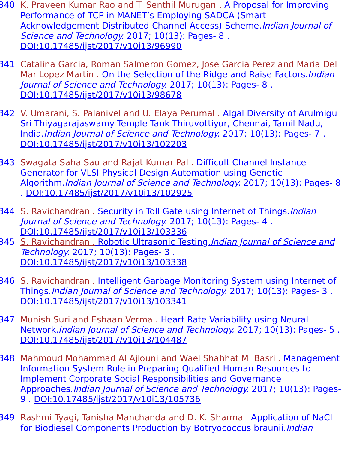- 340. K. Praveen Kumar Rao and T. Senthil Murugan . A Proposal for Improving Performance of TCP in MANET's Employing SADCA (Smart Acknowledgement Distributed Channel Access) Scheme.Indian Journal of Science and Technology. 2017; 10(13): Pages- 8. [DOI:10.17485/ijst/2017/v10i13/96990](https://indjst.org/articles/a-proposal-for-improving-performance-of-tcp-in-manets-employing-sadca-smart-acknowledgement-distributed-channel-access-scheme)
- 341. Catalina Garcia, Roman Salmeron Gomez, Jose Garcia Perez and Maria Del Mar Lopez Martin . On the Selection of the Ridge and Raise Factors. *Indian* Journal of Science and Technology. 2017; 10(13): Pages- 8 . [DOI:10.17485/ijst/2017/v10i13/98678](https://indjst.org/articles/on-the-selection-of-the-ridge-and-raise-factors)
- 342. V. Umarani, S. Palanivel and U. Elaya Perumal . Algal Diversity of Arulmigu Sri Thiyagarajaswamy Temple Tank Thiruvottiyur, Chennai, Tamil Nadu, India.Indian Journal of Science and Technology. 2017; 10(13): Pages- 7 . [DOI:10.17485/ijst/2017/v10i13/102203](https://indjst.org/articles/algal-diversity-of-arulmigu-sri-thiyagarajaswamy-temple-tank-thiruvottiyur-chennai-tamil-nadu-india)
- 343. Swagata Saha Sau and Rajat Kumar Pal . Difficult Channel Instance Generator for VLSI Physical Design Automation using Genetic Algorithm.Indian Journal of Science and Technology. 2017; 10(13): Pages- 8 . [DOI:10.17485/ijst/2017/v10i13/102925](https://indjst.org/articles/difficult-channel-instance-generator-for-vlsi-physical-design-automation-using-genetic-algorithm)
- 344. S. Ravichandran . Security in Toll Gate using Internet of Things. *Indian* Journal of Science and Technology. 2017; 10(13): Pages- 4 . [DOI:10.17485/ijst/2017/v10i13/103336](https://indjst.org/articles/security-in-toll-gate-using-internet-of-things)
- 345. S. Ravichandran . Robotic Ultrasonic Testing. [Indian Journal of Science and](https://indjst.org/articles/security-in-toll-gate-using-internet-of-things) Technology. 2017; 10(13): Pages- 3 . [DOI:10.17485/ijst/2017/v10i13/103338](https://indjst.org/articles/robotic-ultrasonic-testing)
- 346. S. Ravichandran . Intelligent Garbage Monitoring System using Internet of Things.Indian Journal of Science and Technology. 2017; 10(13): Pages- 3 . [DOI:10.17485/ijst/2017/v10i13/103341](https://indjst.org/articles/intelligent-garbage-monitoring-system-using-internet-of-things)
- 347. Munish Suri and Eshaan Verma . Heart Rate Variability using Neural Network.Indian Journal of Science and Technology. 2017; 10(13): Pages- 5 . [DOI:10.17485/ijst/2017/v10i13/104487](https://indjst.org/articles/heart-rate-variability-using-neural-network)
- 348. Mahmoud Mohammad Al Ajlouni and Wael Shahhat M. Basri . Management Information System Role in Preparing Qualified Human Resources to Implement Corporate Social Responsibilities and Governance Approaches.Indian Journal of Science and Technology. 2017; 10(13): Pages-9 . [DOI:10.17485/ijst/2017/v10i13/105736](https://indjst.org/articles/management-information-system-role-in-preparing-qualified-human-resources-to-implement-corporate-social-responsibilities-and-governance-approaches)
- 349. Rashmi Tyagi, Tanisha Manchanda and D. K. Sharma . Application of NaCl for Biodiesel Components Production by Botryococcus braunii. *Indian*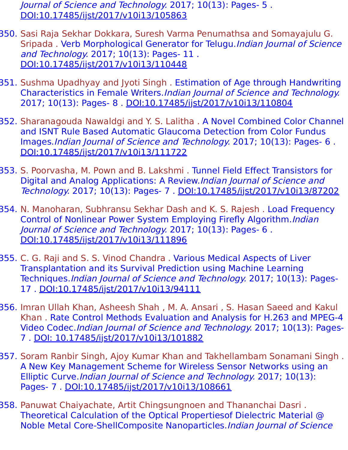Journal of Science and Technology. 2017; 10(13): Pages- 5 . [DOI:10.17485/ijst/2017/v10i13/105863](https://indjst.org/articles/application-of-nacl-for-biodiesel-components-production-by-botryococcus-braunii)

- 350. Sasi Raja Sekhar Dokkara, Suresh Varma Penumathsa and Somayajulu G. Sripada . Verb Morphological Generator for Telugu.Indian Journal of Science and Technology. 2017; 10(13): Pages- 11 . [DOI:10.17485/ijst/2017/v10i13/110448](https://indjst.org/articles/verb-morphological-generator-for-telugu)
- 351. Sushma Upadhyay and Jyoti Singh . Estimation of Age through Handwriting Characteristics in Female Writers.Indian Journal of Science and Technology. 2017; 10(13): Pages- 8 . [DOI:10.17485/ijst/2017/v10i13/110804](https://indjst.org/articles/estimation-of-age-through-handwriting-characteristics-in-female-writers)
- 352. Sharanagouda Nawaldgi and Y. S. Lalitha . A Novel Combined Color Channel and ISNT Rule Based Automatic Glaucoma Detection from Color Fundus Images.Indian Journal of Science and Technology. 2017; 10(13): Pages- 6 . [DOI:10.17485/ijst/2017/v10i13/111722](https://indjst.org/articles/a-novel-combined-color-channel-and-isnt-rule-based-automatic-glaucoma-detection-from-color-fundus-images)
- 353. S. Poorvasha, M. Pown and B. Lakshmi . Tunnel Field Effect Transistors for Digital and Analog Applications: A Review.Indian Journal of Science and Technology. 2017; 10(13): Pages- 7 . [DOI:10.17485/ijst/2017/v10i13/87202](https://indjst.org/articles/-tunnel-field-effect-transistors-for-digital-and-analog-applications-a-review)
- 354. N. Manoharan, Subhransu Sekhar Dash and K. S. Rajesh . Load Frequency Control of Nonlinear Power System Employing Firefly Algorithm.Indian Journal of Science and Technology. 2017; 10(13): Pages- 6 . [DOI:10.17485/ijst/2017/v10i13/111896](https://indjst.org/articles/load-frequency-control-of-nonlinear-power-system-employing-firefly-algorithm)
- 355. C. G. Raji and S. S. Vinod Chandra . Various Medical Aspects of Liver Transplantation and its Survival Prediction using Machine Learning Techniques.Indian Journal of Science and Technology. 2017; 10(13): Pages-17 . [DOI:10.17485/ijst/2017/v10i13/94111](https://indjst.org/articles/various-medical-aspects-of-liver-transplantation-and-its-survival-prediction-using-machine-learning-techniques)
- 356. Imran Ullah Khan, Asheesh Shah , M. A. Ansari , S. Hasan Saeed and Kakul Khan . Rate Control Methods Evaluation and Analysis for H.263 and MPEG-4 Video Codec.Indian Journal of Science and Technology. 2017; 10(13): Pages-7 . [DOI: 10.17485/ijst/2017/v10i13/101882](https://indjst.org/articles/rate-control-methods-evaluation-and-analysis-for-h263-and-mpeg-4-video-codec)
- 357. Soram Ranbir Singh, Ajoy Kumar Khan and Takhellambam Sonamani Singh . A New Key Management Scheme for Wireless Sensor Networks using an Elliptic Curve. Indian Journal of Science and Technology. 2017; 10(13): Pages- 7 . [DOI:10.17485/ijst/2017/v10i13/108661](https://indjst.org/articles/a-new-key-management-scheme-for-wireless-sensor-networks-using-an-elliptic-curve)
- 358. Panuwat Chaiyachate, Artit Chingsungnoen and Thananchai Dasri . Theoretical Calculation of the Optical Propertiesof Dielectric Material @ Noble Metal Core-ShellComposite Nanoparticles.Indian Journal of Science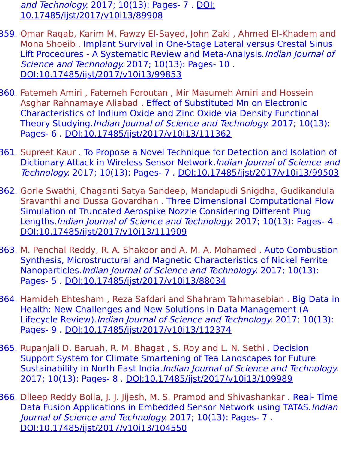and Technology. 2017; 10(13): Pages- 7. DOI: [10.17485/ijst/2017/v10i13/89908](https://indjst.org/articles/theoretical-calculation-of-the-optical-properties-of-dielectric-material-noble-metal-core-shell-composite-nanoparticles)

- 359. Omar Ragab, Karim M. Fawzy El-Sayed, John Zaki , Ahmed El-Khadem and Mona Shoeib . Implant Survival in One-Stage Lateral versus Crestal Sinus Lift Procedures - A Systematic Review and Meta-Analysis. Indian Journal of Science and Technology. 2017; 10(13): Pages- 10 . [DOI:10.17485/ijst/2017/v10i13/99853](https://indjst.org/articles/implant-survival-in-one-stage-lateral-versus-crestal-sinus-lift-procedures-a-systematic-review-and-meta-analysis)
- 360. Fatemeh Amiri , Fatemeh Foroutan , Mir Masumeh Amiri and Hossein Asghar Rahnamaye Aliabad . Effect of Substituted Mn on Electronic Characteristics of Indium Oxide and Zinc Oxide via Density Functional Theory Studying. Indian Journal of Science and Technology. 2017; 10(13): Pages- 6 . [DOI:10.17485/ijst/2017/v10i13/111362](https://indjst.org/articles/effect-of-substituted-mn-on-electronic-characteristics-of-indium-oxide-and-zinc-oxide-via-density-functional-theory-studying)
- 361. Supreet Kaur . To Propose a Novel Technique for Detection and Isolation of Dictionary Attack in Wireless Sensor Network.Indian Journal of Science and Technology. 2017; 10(13): Pages- 7 . [DOI:10.17485/ijst/2017/v10i13/99503](https://indjst.org/articles/to-propose-a-novel-technique-for-detection-and-isolation-of-dictionary-attack-in-wireless-sensor-network)
- 362. Gorle Swathi, Chaganti Satya Sandeep, Mandapudi Snigdha, Gudikandula Sravanthi and Dussa Govardhan . Three Dimensional Computational Flow Simulation of Truncated Aerospike Nozzle Considering Different Plug Lengths.*Indian Journal of Science and Technology*. 2017; 10(13): Pages- 4. [DOI:10.17485/ijst/2017/v10i13/111909](https://indjst.org/articles/three-dimensional-computational-flow-simulation-of-truncated-aerospike-nozzle-considering-different-plug-lengths)
- 363. M. Penchal Reddy, R. A. Shakoor and A. M. A. Mohamed . Auto Combustion Synthesis, Microstructural and Magnetic Characteristics of Nickel Ferrite Nanoparticles.Indian Journal of Science and Technology. 2017; 10(13): Pages- 5 . [DOI:10.17485/ijst/2017/v10i13/88034](https://indjst.org/articles/auto-combustion-synthesis-microstructural-and-magnetic-characteristics-of-nickel-ferrite-nanoparticles)
- 364. Hamideh Ehtesham , Reza Safdari and Shahram Tahmasebian . Big Data in Health: New Challenges and New Solutions in Data Management (A Lifecycle Review).Indian Journal of Science and Technology. 2017; 10(13): Pages- 9 . [DOI:10.17485/ijst/2017/v10i13/112374](https://indjst.org/articles/big-data-in-health-new-challenges-and-new-solutions-in-data-management-a-lifecycle-review)
- 365. Rupanjali D. Baruah, R. M. Bhagat , S. Roy and L. N. Sethi . Decision Support System for Climate Smartening of Tea Landscapes for Future Sustainability in North East India.Indian Journal of Science and Technology. 2017; 10(13): Pages- 8 . [DOI:10.17485/ijst/2017/v10i13/109989](https://indjst.org/articles/decision-support-system-for-climate-smartening-of-tea-landscapes-for-future-sustainability-in-north-east-india)
- 366. Dileep Reddy Bolla, J. J. Jijesh, M. S. Pramod and Shivashankar . Real- Time Data Fusion Applications in Embedded Sensor Network using TATAS.Indian Journal of Science and Technology. 2017; 10(13): Pages- 7 . [DOI:10.17485/ijst/2017/v10i13/104550](https://indjst.org/articles/real-time-data-fusion-applications-in-embedded-sensor-network-using-tatas)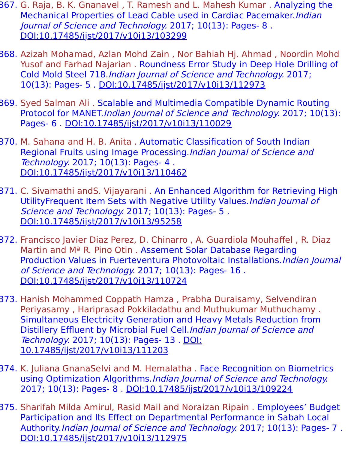- 367. G. Raja, B. K. Gnanavel , T. Ramesh and L. Mahesh Kumar . Analyzing the Mechanical Properties of Lead Cable used in Cardiac Pacemaker.Indian Journal of Science and Technology. 2017; 10(13): Pages- 8 . [DOI:10.17485/ijst/2017/v10i13/103299](https://indjst.org/articles/analyzing-the-mechanical-properties-of-lead-cable-used-in-cardiac-pacemaker)
- 368. Azizah Mohamad, Azlan Mohd Zain , Nor Bahiah Hj. Ahmad , Noordin Mohd Yusof and Farhad Najarian . Roundness Error Study in Deep Hole Drilling of Cold Mold Steel 718.Indian Journal of Science and Technology. 2017; 10(13): Pages- 5 . [DOI:10.17485/ijst/2017/v10i13/112973](https://indjst.org/articles/roundness-error-study-in-deep-hole-drilling-of-cold-mold-steel-718)
- 369. Syed Salman Ali . Scalable and Multimedia Compatible Dynamic Routing Protocol for MANET.Indian Journal of Science and Technology. 2017; 10(13): Pages- 6 . [DOI:10.17485/ijst/2017/v10i13/110029](https://indjst.org/articles/scalable-and-multimedia-compatible-dynamic-routing-protocol-for-manet)
- 370. M. Sahana and H. B. Anita . Automatic Classification of South Indian Regional Fruits using Image Processing.Indian Journal of Science and Technology. 2017; 10(13): Pages- 4 . [DOI:10.17485/ijst/2017/v10i13/110462](https://indjst.org/articles/automatic-classification-of-south-indian-regional-fruits-using-image-processing)
- 371. C. Sivamathi andS. Vijayarani . An Enhanced Algorithm for Retrieving High UtilityFrequent Item Sets with Negative Utility Values.Indian Journal of Science and Technology. 2017; 10(13): Pages- 5. [DOI:10.17485/ijst/2017/v10i13/95258](https://indjst.org/articles/an-enhanced-algorithm-for-retrieving-high-utilityfrequent-item-sets-with-negative-utility-values)
- 372. Francisco Javier Diaz Perez, D. Chinarro , A. Guardiola Mouhaffel , R. Diaz Martin and Mª R. Pino Otin . Assement Solar Database Regarding Production Values in Fuerteventura Photovoltaic Installations.Indian Journal of Science and Technology. 2017; 10(13): Pages- 16 . [DOI:10.17485/ijst/2017/v10i13/110724](https://indjst.org/articles/assement-solar-database-regarding-production-values-in-fuerteventura-photovoltaic-installations)
- 373. Hanish Mohammed Coppath Hamza , Prabha Duraisamy, Selvendiran Periyasamy , Hariprasad Pokkiladathu and Muthukumar Muthuchamy . Simultaneous Electricity Generation and Heavy Metals Reduction from Distillery Effluent by Microbial Fuel Cell.Indian Journal of Science and Technology. 2017; 10(13): Pages- 13 . DOI: [10.17485/ijst/2017/v10i13/111203](https://indjst.org/articles/simultaneous-electricity-generation-and-heavy-metals-reduction-from-distillery-effluent-by-microbial-fuel-cell)
- 374. K. Juliana GnanaSelvi and M. Hemalatha . Face Recognition on Biometrics using Optimization Algorithms.Indian Journal of Science and Technology. 2017; 10(13): Pages- 8 . [DOI:10.17485/ijst/2017/v10i13/109224](https://indjst.org/articles/face-recognition-on-biometrics-using-optimization-algorithms)
- 375. Sharifah Milda Amirul, Rasid Mail and Noraizan Ripain . Employees' Budget Participation and Its Effect on Departmental Performance in Sabah Local Authority.Indian Journal of Science and Technology. 2017; 10(13): Pages- 7. [DOI:10.17485/ijst/2017/v10i13/112975](https://indjst.org/articles/employees-budget-participation-and-its-effect-on-departmental-performance-in-sabah-local-authority)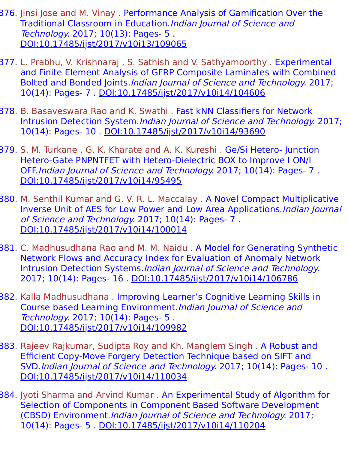- 376. Jinsi Jose and M. Vinay . Performance Analysis of Gamification Over the Traditional Classroom in Education.Indian Journal of Science and Technology. 2017; 10(13): Pages- 5 . [DOI:10.17485/ijst/2017/v10i13/109065](https://indjst.org/articles/performance-analysis-of-gamification-over-the-traditional-classroom-in-education)
- 377. L. Prabhu, V. Krishnaraj , S. Sathish and V. Sathyamoorthy . Experimental and Finite Element Analysis of GFRP Composite Laminates with Combined Bolted and Bonded Joints.Indian Journal of Science and Technology. 2017; 10(14): Pages- 7 . [DOI:10.17485/ijst/2017/v10i14/104606](https://indjst.org/articles/experimental-and-finite-element-analysis-of-gfrp-composite-laminates-with-combined-bolted-and-bonded-joints)
- 378. B. Basaveswara Rao and K. Swathi . Fast kNN Classifiers for Network Intrusion Detection System.Indian Journal of Science and Technology. 2017; 10(14): Pages- 10 . [DOI:10.17485/ijst/2017/v10i14/93690](https://indjst.org/articles/fast-knn-classifiers-for-network-intrusion-detection-system)
- 379. S. M. Turkane , G. K. Kharate and A. K. Kureshi . Ge/Si Hetero- Junction Hetero-Gate PNPNTFET with Hetero-Dielectric BOX to Improve I ON/I OFF.Indian Journal of Science and Technology. 2017; 10(14): Pages- 7 . [DOI:10.17485/ijst/2017/v10i14/95495](https://indjst.org/articles/gesi-hetero-junction-hetero-gate-pnpntfet-with-hetero-dielectric-box-to-improve-i-oni-off)
- 380. M. Senthil Kumar and G. V. R. L. Maccalay . A Novel Compact Multiplicative Inverse Unit of AES for Low Power and Low Area Applications.Indian Journal of Science and Technology. 2017; 10(14): Pages- 7 . [DOI:10.17485/ijst/2017/v10i14/100014](https://indjst.org/articles/a-novel-compact-multiplicative-inverse-unit-of-aes-for-low-power-and-low-area-applications)
- 381. C. Madhusudhana Rao and M. M. Naidu . A Model for Generating Synthetic Network Flows and Accuracy Index for Evaluation of Anomaly Network Intrusion Detection Systems.Indian Journal of Science and Technology. 2017; 10(14): Pages- 16 . [DOI:10.17485/ijst/2017/v10i14/106786](https://indjst.org/articles/a-model-for-generating-synthetic-network-flows-and-accuracy-index-for-evaluation-of-anomaly-network-intrusion-detection-systems)
- 382. Kalla Madhusudhana . Improving Learner's Cognitive Learning Skills in Course based Learning Environment.Indian Journal of Science and Technology. 2017; 10(14): Pages- 5 . [DOI:10.17485/ijst/2017/v10i14/109982](https://indjst.org/articles/improving-learners-cognitive-learning-skills-in-course-based-learning-environment)
- 383. Rajeev Rajkumar, Sudipta Roy and Kh. Manglem Singh . A Robust and Efficient Copy-Move Forgery Detection Technique based on SIFT and SVD.Indian Journal of Science and Technology. 2017; 10(14): Pages- 10 . [DOI:10.17485/ijst/2017/v10i14/110034](https://indjst.org/articles/a-robust-and-efficient-copy-move-forgery-detection-technique-based-on-sift-and-svd)
- 384. Jyoti Sharma and Arvind Kumar . An Experimental Study of Algorithm for Selection of Components in Component Based Software Development (CBSD) Environment.Indian Journal of Science and Technology. 2017; 10(14): Pages- 5 . [DOI:10.17485/ijst/2017/v10i14/110204](https://indjst.org/articles/an-experimental-study-of-algorithm-for-selection-of-components-in-component-based-software-development-cbsd-environment)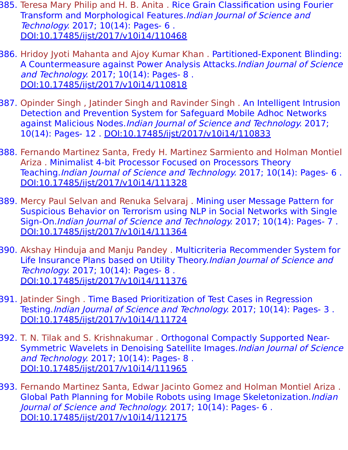- 385. Teresa Mary Philip and H. B. Anita . Rice Grain Classification using Fourier Transform and Morphological Features.Indian Journal of Science and Technology. 2017; 10(14): Pages- 6 . [DOI:10.17485/ijst/2017/v10i14/110468](https://indjst.org/articles/rice-grain-classification-using-fourier-transform-and-morphological-features)
- 386. Hridoy Jyoti Mahanta and Ajoy Kumar Khan . Partitioned-Exponent Blinding: A Countermeasure against Power Analysis Attacks.Indian Journal of Science and Technology. 2017; 10(14): Pages- 8. [DOI:10.17485/ijst/2017/v10i14/110818](https://indjst.org/articles/partitioned-exponent-blinding-a-countermeasure-against-power-analysis-attacks)
- 387. Opinder Singh , Jatinder Singh and Ravinder Singh . An Intelligent Intrusion Detection and Prevention System for Safeguard Mobile Adhoc Networks against Malicious Nodes. Indian Journal of Science and Technology. 2017; 10(14): Pages- 12 . [DOI:10.17485/ijst/2017/v10i14/110833](https://indjst.org/articles/an-intelligent-intrusion-detection-and-prevention-system-for-safeguard-mobile-adhoc-networks-against-malicious-nodes)
- 388. Fernando Martinez Santa, Fredy H. Martinez Sarmiento and Holman Montiel Ariza . Minimalist 4-bit Processor Focused on Processors Theory Teaching.Indian Journal of Science and Technology. 2017; 10(14): Pages- 6 . [DOI:10.17485/ijst/2017/v10i14/111328](https://indjst.org/articles/minimalist-4-bit-processor-focused-on-processors-theory-teaching)
- 389. Mercy Paul Selvan and Renuka Selvaraj . Mining user Message Pattern for Suspicious Behavior on Terrorism using NLP in Social Networks with Single Sign-On.Indian Journal of Science and Technology. 2017; 10(14): Pages- 7 . [DOI:10.17485/ijst/2017/v10i14/111364](https://indjst.org/articles/mining-user-message-pattern-for-suspicious-behavior-on-terrorism-using-nlp-in-social-networks-with-single-sign-on)
- 390. Akshay Hinduja and Manju Pandey . Multicriteria Recommender System for Life Insurance Plans based on Utility Theory. Indian Journal of Science and Technology. 2017; 10(14): Pages- 8 . [DOI:10.17485/ijst/2017/v10i14/111376](https://indjst.org/articles/multicriteria-recommender-system-for-life-insurance-plans-based-on-utility-theory)
- 391. Jatinder Singh . Time Based Prioritization of Test Cases in Regression Testing.Indian Journal of Science and Technology. 2017; 10(14): Pages- 3 . [DOI:10.17485/ijst/2017/v10i14/111724](https://indjst.org/articles/time-based-prioritization-of-test-cases-in-regression-testing)
- 392. T. N. Tilak and S. Krishnakumar . Orthogonal Compactly Supported Near-Symmetric Wavelets in Denoising Satellite Images. Indian Journal of Science and Technology. 2017; 10(14): Pages- 8 . [DOI:10.17485/ijst/2017/v10i14/111965](https://indjst.org/articles/orthogonal-compactly-supported-near-symmetric-wavelets-in-denoising-satellite-images)
- 393. Fernando Martinez Santa, Edwar Jacinto Gomez and Holman Montiel Ariza . Global Path Planning for Mobile Robots using Image Skeletonization. Indian Journal of Science and Technology. 2017; 10(14): Pages- 6 . [DOI:10.17485/ijst/2017/v10i14/112175](https://indjst.org/articles/global-path-planning-for-mobile-robots-using-image-skeletonization)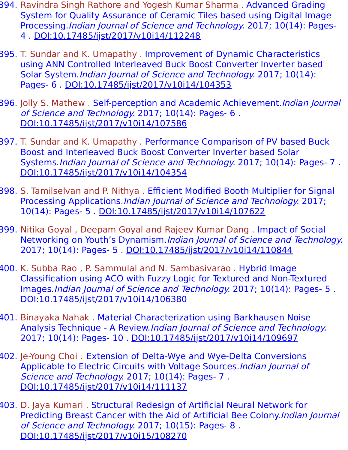- 394. Ravindra Singh Rathore and Yogesh Kumar Sharma . Advanced Grading System for Quality Assurance of Ceramic Tiles based using Digital Image Processing.Indian Journal of Science and Technology. 2017; 10(14): Pages-4 . [DOI:10.17485/ijst/2017/v10i14/112248](https://indjst.org/articles/advanced-grading-system-for-quality-assurance-of-ceramic-tiles-based-using-digital-image-processing)
- 395. T. Sundar and K. Umapathy . Improvement of Dynamic Characteristics using ANN Controlled Interleaved Buck Boost Converter Inverter based Solar System. Indian Journal of Science and Technology. 2017; 10(14): Pages- 6 . [DOI:10.17485/ijst/2017/v10i14/104353](https://indjst.org/articles/improvement-of-dynamic-characteristics-using-ann-controlled-interleaved-buck-boost-converter-inverter-based-solar-system)
- 396. Jolly S. Mathew . Self-perception and Academic Achievement. *Indian Journal* of Science and Technology. 2017; 10(14): Pages- 6 . [DOI:10.17485/ijst/2017/v10i14/107586](https://indjst.org/articles/self-perception-and-academic-achievement)
- 397. T. Sundar and K. Umapathy . Performance Comparison of PV based Buck Boost and Interleaved Buck Boost Converter Inverter based Solar Systems.Indian Journal of Science and Technology. 2017; 10(14): Pages- 7 . [DOI:10.17485/ijst/2017/v10i14/104354](https://indjst.org/articles/performance-comparison-of-pv-based-buck-boost-and-interleaved-buck-boost-converter-inverter-based-solar-systems)
- 398. S. Tamilselvan and P. Nithya . Efficient Modified Booth Multiplier for Signal Processing Applications.Indian Journal of Science and Technology. 2017; 10(14): Pages- 5 . [DOI:10.17485/ijst/2017/v10i14/107622](https://indjst.org/articles/efficient-modified-booth-multiplier-for-signal-processing-applications)
- 399. Nitika Goyal , Deepam Goyal and Rajeev Kumar Dang . Impact of Social Networking on Youth's Dynamism.Indian Journal of Science and Technology. 2017; 10(14): Pages- 5 . [DOI:10.17485/ijst/2017/v10i14/110844](https://indjst.org/articles/impact-of-social-networking-on-youths-dynamism)
- 400. K. Subba Rao , P. Sammulal and N. Sambasivarao . Hybrid Image Classification using ACO with Fuzzy Logic for Textured and Non-Textured Images.Indian Journal of Science and Technology. 2017; 10(14): Pages- 5 . [DOI:10.17485/ijst/2017/v10i14/106380](https://indjst.org/articles/hybrid-image-classification-using-aco-with-fuzzy-logic-for-textured-and-non-textured-images)
- 401. Binayaka Nahak . Material Characterization using Barkhausen Noise Analysis Technique - A Review.Indian Journal of Science and Technology. 2017; 10(14): Pages- 10 . [DOI:10.17485/ijst/2017/v10i14/109697](https://indjst.org/articles/material-characterization-using-barkhausen-noise-analysis-technique-a-review)
- 402. Je-Young Choi . Extension of Delta-Wye and Wye-Delta Conversions Applicable to Electric Circuits with Voltage Sources.Indian Journal of Science and Technology. 2017; 10(14): Pages- 7. [DOI:10.17485/ijst/2017/v10i14/111137](https://indjst.org/articles/extension-of-delta-wye-and-wye-delta-conversions-applicable-to-electric-circuits-with-voltage-sources)
- 403. D. Jaya Kumari . Structural Redesign of Artificial Neural Network for Predicting Breast Cancer with the Aid of Artificial Bee Colony.Indian Journal of Science and Technology. 2017; 10(15): Pages- 8 . [DOI:10.17485/ijst/2017/v10i15/108270](https://indjst.org/articles/structural-redesign-of-artificial-neural-network-for-predicting-breast-cancer-with-the-aid-of-artificial-bee-colony)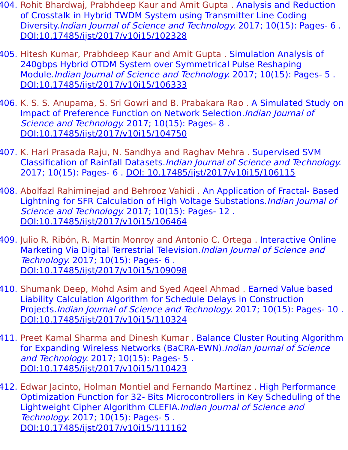- 404. Rohit Bhardwaj, Prabhdeep Kaur and Amit Gupta . Analysis and Reduction of Crosstalk in Hybrid TWDM System using Transmitter Line Coding Diversity.Indian Journal of Science and Technology. 2017; 10(15): Pages- 6 . [DOI:10.17485/ijst/2017/v10i15/102328](https://indjst.org/articles/analysis-and-reduction-of-crosstalk-in-hybrid-twdm-system-using-transmitter-line-coding-diversity)
- 405. Hitesh Kumar, Prabhdeep Kaur and Amit Gupta . Simulation Analysis of 240gbps Hybrid OTDM System over Symmetrical Pulse Reshaping Module.Indian Journal of Science and Technology. 2017; 10(15): Pages- 5 . [DOI:10.17485/ijst/2017/v10i15/106333](https://indjst.org/articles/simulation-analysis-of-240gbps-hybrid-otdm-system-over-symmetrical-pulse-reshaping-module)
- 406. K. S. S. Anupama, S. Sri Gowri and B. Prabakara Rao . A Simulated Study on Impact of Preference Function on Network Selection.Indian Journal of Science and Technology. 2017; 10(15): Pages- 8. [DOI:10.17485/ijst/2017/v10i15/104750](https://indjst.org/articles/a-simulated-study-on-impact-of-preference-function-on-network-selection)
- 407. K. Hari Prasada Raju, N. Sandhya and Raghav Mehra . Supervised SVM Classification of Rainfall Datasets.Indian Journal of Science and Technology. 2017; 10(15): Pages- 6 . [DOI: 10.17485/ijst/2017/v10i15/106115](https://indjst.org/articles/supervised-svm-classification-of-rainfall-datasets)
- 408. Abolfazl Rahiminejad and Behrooz Vahidi . An Application of Fractal- Based Lightning for SFR Calculation of High Voltage Substations.Indian Journal of Science and Technology. 2017; 10(15): Pages- 12. [DOI:10.17485/ijst/2017/v10i15/106464](https://indjst.org/articles/an-application-of-fractal-based-lightning-for-sfr-calculation-of-high-voltage-substations)
- 409. Julio R. Ribón, R. Martín Monroy and Antonio C. Ortega . Interactive Online Marketing Via Digital Terrestrial Television.Indian Journal of Science and Technology. 2017; 10(15): Pages- 6 . [DOI:10.17485/ijst/2017/v10i15/109098](https://indjst.org/articles/interactive-online-marketing-via-digital-terrestrial-television)
- 410. Shumank Deep, Mohd Asim and Syed Aqeel Ahmad . Earned Value based Liability Calculation Algorithm for Schedule Delays in Construction Projects.Indian Journal of Science and Technology. 2017; 10(15): Pages- 10 . [DOI:10.17485/ijst/2017/v10i15/110324](https://indjst.org/articles/earned-value-based-liability-calculation-algorithm-for-schedule-delays-in-construction-projects)
- 411. Preet Kamal Sharma and Dinesh Kumar . Balance Cluster Routing Algorithm for Expanding Wireless Networks (BaCRA-EWN). Indian Journal of Science and Technology. 2017; 10(15): Pages- 5 . [DOI:10.17485/ijst/2017/v10i15/110423](https://indjst.org/articles/balance-cluster-routing-algorithm-for-expanding-wireless-networks-bacra-ewn)
- 412. Edwar Jacinto, Holman Montiel and Fernando Martinez . High Performance Optimization Function for 32- Bits Microcontrollers in Key Scheduling of the Lightweight Cipher Algorithm CLEFIA.Indian Journal of Science and Technology. 2017; 10(15): Pages- 5 . [DOI:10.17485/ijst/2017/v10i15/111162](https://indjst.org/articles/high-performance-optimization-function-for-32-bits-microcontrollers-in-key-scheduling-of-the-lightweight-cipher-algorithm-clefia)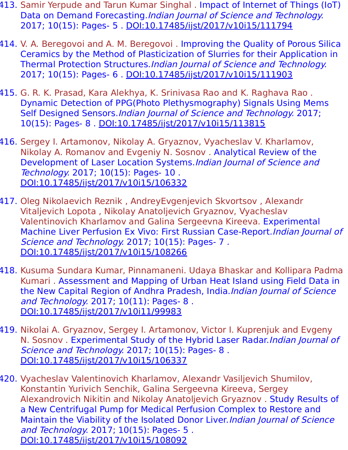- 413. Samir Yerpude and Tarun Kumar Singhal . Impact of Internet of Things (IoT) Data on Demand Forecasting.Indian Journal of Science and Technology. 2017; 10(15): Pages- 5 . [DOI:10.17485/ijst/2017/v10i15/111794](https://indjst.org/articles/impact-of-internet-of-things-iot-data-on-demand-forecasting)
- 414. V. A. Beregovoi and A. M. Beregovoi . Improving the Quality of Porous Silica Ceramics by the Method of Plasticization of Slurries for their Application in Thermal Protection Structures.Indian Journal of Science and Technology. 2017; 10(15): Pages- 6 . [DOI:10.17485/ijst/2017/v10i15/111903](https://indjst.org/articles/improving-the-quality-of-porous-silica-ceramics-by-the-method-of-plasticization-of-slurries-for-their-application-in-thermal-protection-structures)
- 415. G. R. K. Prasad, Kara Alekhya, K. Srinivasa Rao and K. Raghava Rao . Dynamic Detection of PPG(Photo Plethysmography) Signals Using Mems Self Designed Sensors. Indian Journal of Science and Technology. 2017; 10(15): Pages- 8 . [DOI:10.17485/ijst/2017/v10i15/113815](https://indjst.org/articles/dynamic-detection-of-ppgphoto-plethysmography-signals-using-mems-self-designed-sensors)
- 416. Sergey I. Artamonov, Nikolay A. Gryaznov, Vyacheslav V. Kharlamov, Nikolay A. Romanov and Evgeniy N. Sosnov . Analytical Review of the Development of Laser Location Systems.Indian Journal of Science and Technology. 2017; 10(15): Pages- 10 . [DOI:10.17485/ijst/2017/v10i15/106332](https://indjst.org/articles/analytical-review-of-the-development-of-laser-location-systems)
- 417. Oleg Nikolaevich Reznik , AndreyEvgenjevich Skvortsov , Alexandr Vitaljevich Lopota , Nikolay Anatoljevich Gryaznov, Vyacheslav Valentinovich Kharlamov and Galina Sergeevna Kireeva. Experimental Machine Liver Perfusion Ex Vivo: First Russian Case-Report. *Indian Journal of* Science and Technology. 2017; 10(15): Pages- 7. [DOI:10.17485/ijst/2017/v10i15/108266](https://indjst.org/articles/experimental-machine-liver-perfusion-ex-vivo-first-russian-case-report)
- 418. Kusuma Sundara Kumar, Pinnamaneni. Udaya Bhaskar and Kollipara Padma Kumari . Assessment and Mapping of Urban Heat Island using Field Data in the New Capital Region of Andhra Pradesh, India.Indian Journal of Science and Technology. 2017; 10(11): Pages- 8. [DOI:10.17485/ijst/2017/v10i11/99983](https://indjst.org/articles/assessment-and-mapping-of-urban-heat-island-using-field-data-in-the-new-capital-region-of-andhra-pradesh-india)
- 419. Nikolai A. Gryaznov, Sergey I. Artamonov, Victor I. Kuprenjuk and Evgeny N. Sosnov . Experimental Study of the Hybrid Laser Radar. Indian Journal of Science and Technology. 2017; 10(15): Pages- 8. [DOI:10.17485/ijst/2017/v10i15/106337](https://indjst.org/articles/experimental-study-of-the-hybrid-laser-radar)
- 420. Vyacheslav Valentinovich Kharlamov, Alexandr Vasiljevich Shumilov, Konstantin Yurivich Senchik, Galina Sergeevna Kireeva, Sergey Alexandrovich Nikitin and Nikolay Anatoljevich Gryaznov . Study Results of a New Centrifugal Pump for Medical Perfusion Complex to Restore and Maintain the Viability of the Isolated Donor Liver. Indian Journal of Science and Technology. 2017; 10(15): Pages- 5 . [DOI:10.17485/ijst/2017/v10i15/108092](https://indjst.org/articles/study-results-of-a-new-centrifugal-pump-for-medical-perfusion-complex-to-restore-and-maintain-the-viability-of-the-isolated-donor-liver)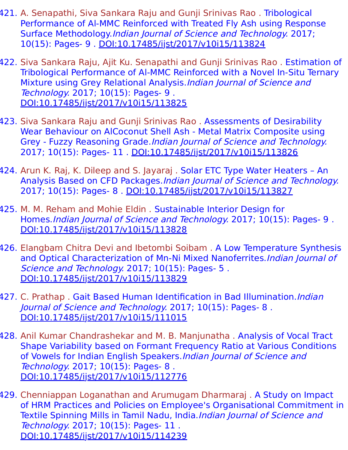- 421. A. Senapathi, Siva Sankara Raju and Gunji Srinivas Rao . Tribological Performance of Al-MMC Reinforced with Treated Fly Ash using Response Surface Methodology.Indian Journal of Science and Technology. 2017; 10(15): Pages- 9 . [DOI:10.17485/ijst/2017/v10i15/113824](https://indjst.org/articles/tribological-performance-of-al-mmc-reinforced-with-treated-fly-ash-using-response-surface-methodology)
- 422. Siva Sankara Raju, Ajit Ku. Senapathi and Gunji Srinivas Rao . Estimation of Tribological Performance of Al-MMC Reinforced with a Novel In-Situ Ternary Mixture using Grey Relational Analysis. Indian Journal of Science and Technology. 2017; 10(15): Pages- 9 . [DOI:10.17485/ijst/2017/v10i15/113825](https://indjst.org/articles/estimation-of-tribological-performance-of-al-mmc-reinforced-with-a-novel-in-situ-ternary-mixture-using-grey-relational-analysis)
- 423. Siva Sankara Raju and Gunji Srinivas Rao . Assessments of Desirability Wear Behaviour on AlCoconut Shell Ash - Metal Matrix Composite using Grey - Fuzzy Reasoning Grade.Indian Journal of Science and Technology. 2017; 10(15): Pages- 11 . [DOI:10.17485/ijst/2017/v10i15/113826](https://indjst.org/articles/assessments-of-desirability-wear-behaviour-on-alcoconut-shell-ash-metal-matrix-composite-using-grey-fuzzy-reasoning-grade)
- 424. Arun K. Raj, K. Dileep and S. Jayaraj . Solar ETC Type Water Heaters An Analysis Based on CFD Packages.Indian Journal of Science and Technology. 2017; 10(15): Pages- 8 . [DOI:10.17485/ijst/2017/v10i15/113827](https://indjst.org/articles/solar-etc-type-water-heaters-an-analysis-based-on-cfd-packages)
- 425. M. M. Reham and Mohie Eldin . Sustainable Interior Design for Homes.Indian Journal of Science and Technology. 2017; 10(15): Pages- 9 . [DOI:10.17485/ijst/2017/v10i15/113828](https://indjst.org/articles/sustainable-interior-design-for-homes)
- 426. Elangbam Chitra Devi and Ibetombi Soibam. A Low Temperature Synthesis and Optical Characterization of Mn-Ni Mixed Nanoferrites. Indian Journal of Science and Technology. 2017; 10(15): Pages- 5. [DOI:10.17485/ijst/2017/v10i15/113829](https://indjst.org/articles/a-low-temperature-synthesis-and-optical-characterization-of-mn-ni-mixed-nanoferrites)
- 427. C. Prathap . Gait Based Human Identification in Bad Illumination. *Indian* Journal of Science and Technology. 2017; 10(15): Pages- 8 . [DOI:10.17485/ijst/2017/v10i15/111015](https://indjst.org/articles/gait-based-human-identification-in-bad-illumination)
- 428. Anil Kumar Chandrashekar and M. B. Manjunatha . Analysis of Vocal Tract Shape Variability based on Formant Frequency Ratio at Various Conditions of Vowels for Indian English Speakers.Indian Journal of Science and Technology. 2017; 10(15): Pages- 8 . [DOI:10.17485/ijst/2017/v10i15/112776](https://indjst.org/articles/analysis-of-vocal-tract-shape-variability-based-on-formant-frequency-ratio-at-various-conditions-of-vowels-for-indian-english-speakers)
- 429. Chenniappan Loganathan and Arumugam Dharmaraj . A Study on Impact of HRM Practices and Policies on Employee's Organisational Commitment in Textile Spinning Mills in Tamil Nadu, India. Indian Journal of Science and Technology. 2017; 10(15): Pages- 11 . [DOI:10.17485/ijst/2017/v10i15/114239](https://indjst.org/articles/a-study-on-impact-of-hrm-practices-and-policies-on-employees-organisational-commitment-in-textile-spinning-mills-in-tamil-nadu-india)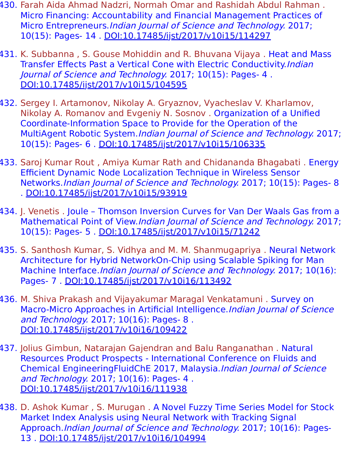- 430. Farah Aida Ahmad Nadzri, Normah Omar and Rashidah Abdul Rahman . Micro Financing: Accountability and Financial Management Practices of Micro Entrepreneurs.Indian Journal of Science and Technology. 2017; 10(15): Pages- 14 . [DOI:10.17485/ijst/2017/v10i15/114297](https://indjst.org/articles/micro-financing-accountability-and-financial-management-practices-of-micro-entrepreneurs)
- 431. K. Subbanna, S. Gouse Mohiddin and R. Bhuvana Vijaya. Heat and Mass Transfer Effects Past a Vertical Cone with Electric Conductivity.Indian Journal of Science and Technology. 2017; 10(15): Pages- 4 . [DOI:10.17485/ijst/2017/v10i15/104595](https://indjst.org/articles/heat-and-mass-transfer-effects-past-a-vertical-cone-with-electric-conductivity)
- 432. Sergey I. Artamonov, Nikolay A. Gryaznov, Vyacheslav V. Kharlamov, Nikolay A. Romanov and Evgeniy N. Sosnov . Organization of a Unified Coordinate-Information Space to Provide for the Operation of the MultiAgent Robotic System.Indian Journal of Science and Technology. 2017; 10(15): Pages- 6 . [DOI:10.17485/ijst/2017/v10i15/106335](https://indjst.org/articles/organization-of-a-unified-coordinate-information-space-to-provide-for-the-operation-of-the-multiagent-robotic-system)
- 433. Saroj Kumar Rout , Amiya Kumar Rath and Chidananda Bhagabati . Energy Efficient Dynamic Node Localization Technique in Wireless Sensor Networks.Indian Journal of Science and Technology. 2017; 10(15): Pages- 8 . [DOI:10.17485/ijst/2017/v10i15/93919](https://indjst.org/articles/energy-efficient-dynamic-node-localization-technique-in-wireless-sensor-networks)
- 434. J. Venetis . Joule Thomson Inversion Curves for Van Der Waals Gas from a Mathematical Point of View.Indian Journal of Science and Technology. 2017; 10(15): Pages- 5 . [DOI:10.17485/ijst/2017/v10i15/71242](https://indjst.org/articles/joule-thomson-inversion-curves-for-van-der-waals-gas-from-a-mathematical-point-of-view)
- 435. S. Santhosh Kumar, S. Vidhya and M. M. Shanmugapriya . Neural Network Architecture for Hybrid NetworkOn-Chip using Scalable Spiking for Man Machine Interface.Indian Journal of Science and Technology. 2017; 10(16): Pages- 7 . [DOI:10.17485/ijst/2017/v10i16/113492](https://indjst.org/articles/neural-network-architecture-for-hybrid-networkon-chip-using-scalable-spiking-for-man-machine-interface)
- 436. M. Shiva Prakash and Vijayakumar Maragal Venkatamuni . Survey on Macro-Micro Approaches in Artificial Intelligence.*Indian Journal of Science* and Technology. 2017; 10(16): Pages- 8 . [DOI:10.17485/ijst/2017/v10i16/109422](https://indjst.org/articles/survey-on-macro-micro-approaches-in-artificial-intelligence)
- 437. Jolius Gimbun, Natarajan Gajendran and Balu Ranganathan . Natural Resources Product Prospects - International Conference on Fluids and Chemical EngineeringFluidChE 2017, Malaysia.Indian Journal of Science and Technology. 2017; 10(16): Pages- 4 . [DOI:10.17485/ijst/2017/v10i16/111938](https://indjst.org/articles/natural-resources-product-prospects-international-conference-on-fluids-and-chemical-engineeringfluidche-2017-malaysia)
- 438. D. Ashok Kumar , S. Murugan . A Novel Fuzzy Time Series Model for Stock Market Index Analysis using Neural Network with Tracking Signal Approach.Indian Journal of Science and Technology. 2017; 10(16): Pages-13 . [DOI:10.17485/ijst/2017/v10i16/104994](https://indjst.org/articles/a-novel-fuzzy-time-series-model-for-stock-market-index-analysis-using-neural-network-with-tracking-signal-approach)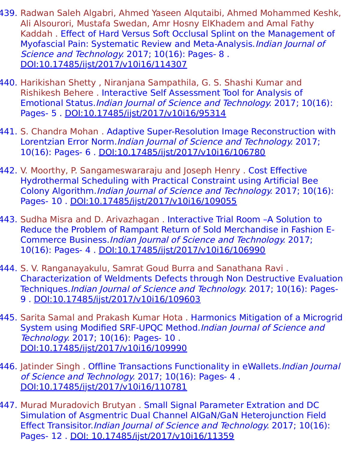- 439. Radwan Saleh Algabri, Ahmed Yaseen Alqutaibi, Ahmed Mohammed Keshk, Ali Alsourori, Mustafa Swedan, Amr Hosny ElKhadem and Amal Fathy Kaddah . Effect of Hard Versus Soft Occlusal Splint on the Management of Myofascial Pain: Systematic Review and Meta-Analysis.Indian Journal of Science and Technology. 2017; 10(16): Pages- 8. [DOI:10.17485/ijst/2017/v10i16/114307](https://indjst.org/articles/effect-of-hard-versus-soft-occlusal-splint-on-the-management-of-myofascial-pain-systematic-review-and-meta-analysis)
- 440. Harikishan Shetty , Niranjana Sampathila, G. S. Shashi Kumar and Rishikesh Behere . Interactive Self Assessment Tool for Analysis of Emotional Status.Indian Journal of Science and Technology. 2017; 10(16): Pages- 5 . [DOI:10.17485/ijst/2017/v10i16/95314](https://indjst.org/articles/interactive-self-assessment-tool-for-analysis-of-emotional-status)
- 441. S. Chandra Mohan . Adaptive Super-Resolution Image Reconstruction with Lorentzian Error Norm.Indian Journal of Science and Technology. 2017; 10(16): Pages- 6 . [DOI:10.17485/ijst/2017/v10i16/106780](https://indjst.org/articles/adaptive-super-resolution-image-reconstruction-with-lorentzian-error-norm)
- 442. V. Moorthy, P. Sangameswararaju and Joseph Henry . Cost Effective Hydrothermal Scheduling with Practical Constraint using Artificial Bee Colony Algorithm.Indian Journal of Science and Technology. 2017; 10(16): Pages- 10 . [DOI:10.17485/ijst/2017/v10i16/109055](https://indjst.org/articles/cost-effective-hydrothermal-scheduling-with-practical-constraint-using-artificial-bee-colony-algorithm)
- 443. Sudha Misra and D. Arivazhagan . Interactive Trial Room –A Solution to Reduce the Problem of Rampant Return of Sold Merchandise in Fashion E-Commerce Business.Indian Journal of Science and Technology. 2017; 10(16): Pages- 4 . [DOI:10.17485/ijst/2017/v10i16/106990](https://indjst.org/articles/interactive-trial-room-a-solution-to-reduce-the-problem-of-rampant-return-of-sold-merchandise-in-fashion-e-commerce-business)
- 444. S. V. Ranganayakulu, Samrat Goud Burra and Sanathana Ravi . Characterization of Weldments Defects through Non Destructive Evaluation Techniques.Indian Journal of Science and Technology. 2017; 10(16): Pages-9 . [DOI:10.17485/ijst/2017/v10i16/109603](https://indjst.org/articles/characterization-of-weldments-defects-through-non-destructive-evaluation-techniques)
- 445. Sarita Samal and Prakash Kumar Hota . Harmonics Mitigation of a Microgrid System using Modified SRF-UPQC Method.Indian Journal of Science and Technology. 2017; 10(16): Pages- 10 . [DOI:10.17485/ijst/2017/v10i16/109990](https://indjst.org/articles/harmonics-mitigation-of-a-microgrid-system-using-modified-srf-upqc-method)
- 446. Jatinder Singh. Offline Transactions Functionality in eWallets. *Indian Journal* of Science and Technology. 2017; 10(16): Pages- 4 . [DOI:10.17485/ijst/2017/v10i16/110781](https://indjst.org/articles/offline-transactions-functionality-in-ewallets)
- 447. Murad Muradovich Brutyan . Small Signal Parameter Extration and DC Simulation of Asgmentric Dual Channel AIGaN/GaN Heterojunction Field Effect Transisitor.Indian Journal of Science and Technology. 2017; 10(16): Pages- 12 . [DOI: 10.17485/ijst/2017/v10i16/11359](https://indjst.org/articles/small-signal-parameter-extraction-and-dc-simulation-of-asymmetric-dual-channel-algangan-heterojunction-field-effect-transistor)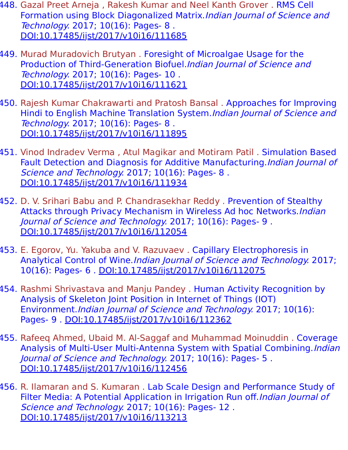- 448. Gazal Preet Arneja, Rakesh Kumar and Neel Kanth Grover. RMS Cell Formation using Block Diagonalized Matrix.Indian Journal of Science and Technology. 2017; 10(16): Pages- 8 . [DOI:10.17485/ijst/2017/v10i16/111685](https://indjst.org/articles/rms-cell-formation-using-block-diagonalized-matrix)
- 449. Murad Muradovich Brutyan . Foresight of Microalgae Usage for the Production of Third-Generation Biofuel.Indian Journal of Science and Technology. 2017; 10(16): Pages- 10 . [DOI:10.17485/ijst/2017/v10i16/111621](https://indjst.org/articles/foresight-of-microalgae-usage-for-the-production-of-third-generation-biofuel)
- 450. Rajesh Kumar Chakrawarti and Pratosh Bansal . Approaches for Improving Hindi to English Machine Translation System.Indian Journal of Science and Technology. 2017; 10(16): Pages- 8 . [DOI:10.17485/ijst/2017/v10i16/111895](https://indjst.org/articles/approaches-for-improving-hindi-to-english-machine-translation-system)
- 451. Vinod Indradev Verma , Atul Magikar and Motiram Patil . Simulation Based Fault Detection and Diagnosis for Additive Manufacturing.Indian Journal of Science and Technology. 2017; 10(16): Pages- 8. [DOI:10.17485/ijst/2017/v10i16/111934](https://indjst.org/articles/simulation-based-fault-detection-and-diagnosis-for-additive-manufacturing)
- 452. D. V. Srihari Babu and P. Chandrasekhar Reddy . Prevention of Stealthy Attacks through Privacy Mechanism in Wireless Ad hoc Networks. Indian Journal of Science and Technology. 2017; 10(16): Pages- 9 . [DOI:10.17485/ijst/2017/v10i16/112054](https://indjst.org/articles/prevention-of-stealthy-attacks-through-privacy-mechanism-in-wireless-ad-hoc-networks)
- 453. E. Egorov, Yu. Yakuba and V. Razuvaev . Capillary Electrophoresis in Analytical Control of Wine.Indian Journal of Science and Technology. 2017; 10(16): Pages- 6 . [DOI:10.17485/ijst/2017/v10i16/112075](https://indjst.org/articles/capillary-electrophoresis-in-analytical-control-of-wine)
- 454. Rashmi Shrivastava and Manju Pandey . Human Activity Recognition by Analysis of Skeleton Joint Position in Internet of Things (IOT) Environment.Indian Journal of Science and Technology. 2017; 10(16): Pages- 9 . [DOI:10.17485/ijst/2017/v10i16/112362](https://indjst.org/articles/human-activity-recognition-by-analysis-of-skeleton-joint-position-in-internet-of-things-iot-environment)
- 455. Rafeeq Ahmed, Ubaid M. Al-Saggaf and Muhammad Moinuddin . Coverage Analysis of Multi-User Multi-Antenna System with Spatial Combining. Indian Journal of Science and Technology. 2017; 10(16): Pages- 5 . [DOI:10.17485/ijst/2017/v10i16/112456](https://indjst.org/articles/coverage-analysis-of-multi-user-multi-antenna-system-with-spatial-combining)
- 456. R. Ilamaran and S. Kumaran . Lab Scale Design and Performance Study of Filter Media: A Potential Application in Irrigation Run off. Indian Journal of Science and Technology. 2017; 10(16): Pages- 12. [DOI:10.17485/ijst/2017/v10i16/113213](https://indjst.org/articles/lab-scale-design-and-performance-study-of-filter-media-a-potential-application-in-irrigation-run-off)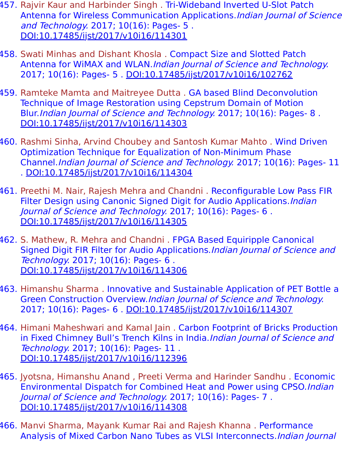- 457. Rajvir Kaur and Harbinder Singh. Tri-Wideband Inverted U-Slot Patch Antenna for Wireless Communication Applications.Indian Journal of Science and Technology. 2017; 10(16): Pages- 5 . [DOI:10.17485/ijst/2017/v10i16/114301](https://indjst.org/articles/tri-wideband-inverted-u-slot-patch-antenna-for-wireless-communication-applications)
- 458. Swati Minhas and Dishant Khosla . Compact Size and Slotted Patch Antenna for WiMAX and WLAN.Indian Journal of Science and Technology. 2017; 10(16): Pages- 5 . [DOI:10.17485/ijst/2017/v10i16/102762](https://indjst.org/articles/compact-size-and-slotted-patch-antenna-for-wimax-and-wlan)
- 459. Ramteke Mamta and Maitreyee Dutta . GA based Blind Deconvolution Technique of Image Restoration using Cepstrum Domain of Motion Blur.Indian Journal of Science and Technology. 2017; 10(16): Pages- 8 . [DOI:10.17485/ijst/2017/v10i16/114303](https://indjst.org/articles/ga-based-blind-deconvolution-technique-of-image-restoration-using-cepstrum-domain-of-motion-blur)
- 460. Rashmi Sinha, Arvind Choubey and Santosh Kumar Mahto . Wind Driven Optimization Technique for Equalization of Non-Minimum Phase Channel.Indian Journal of Science and Technology. 2017; 10(16): Pages- 11 . [DOI:10.17485/ijst/2017/v10i16/114304](https://indjst.org/articles/wind-driven-optimization-technique-for-equalization-of-non-minimum-phase-channel)
- 461. Preethi M. Nair, Rajesh Mehra and Chandni . Reconfigurable Low Pass FIR Filter Design using Canonic Signed Digit for Audio Applications. Indian Journal of Science and Technology. 2017; 10(16): Pages- 6. [DOI:10.17485/ijst/2017/v10i16/114305](https://indjst.org/articles/reconfigurable-low-pass-fir-filter-design-using-canonic-signed-digit-for-audio-applications)
- 462. S. Mathew, R. Mehra and Chandni . FPGA Based Equiripple Canonical Signed Digit FIR Filter for Audio Applications.Indian Journal of Science and Technology. 2017; 10(16): Pages- 6 . [DOI:10.17485/ijst/2017/v10i16/114306](https://indjst.org/articles/fpga-based-equiripple-canonical-signed-digit-fir-filter-for-audio-applications)
- 463. Himanshu Sharma . Innovative and Sustainable Application of PET Bottle a Green Construction Overview.Indian Journal of Science and Technology. 2017; 10(16): Pages- 6 . [DOI:10.17485/ijst/2017/v10i16/114307](https://indjst.org/articles/innovative-and-sustainable-application-of-pet-bottle-a-green-construction-overview)
- 464. Himani Maheshwari and Kamal Jain . Carbon Footprint of Bricks Production in Fixed Chimney Bull's Trench Kilns in India. Indian Journal of Science and Technology. 2017; 10(16): Pages- 11 . [DOI:10.17485/ijst/2017/v10i16/112396](https://indjst.org/articles/carbon-footprint-of-bricks-production-in-fixed-chimney-bulls-trench-kilns-in-india)
- 465. Jyotsna, Himanshu Anand , Preeti Verma and Harinder Sandhu . Economic Environmental Dispatch for Combined Heat and Power using CPSO.Indian Journal of Science and Technology. 2017; 10(16): Pages- 7 . [DOI:10.17485/ijst/2017/v10i16/114308](https://indjst.org/articles/economic-environmental-dispatch-for-combined-heat-and-power-using-cpso)
- 466. Manvi Sharma, Mayank Kumar Rai and Rajesh Khanna . Performance Analysis of Mixed Carbon Nano Tubes as VLSI Interconnects.Indian Journal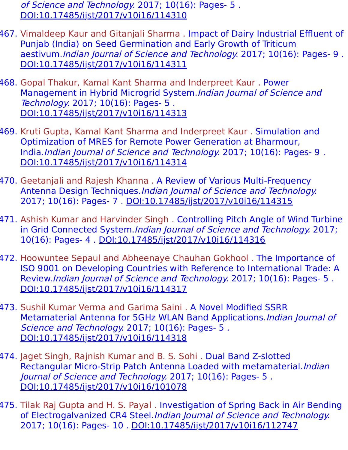of Science and Technology. 2017; 10(16): Pages- 5 . [DOI:10.17485/ijst/2017/v10i16/114310](https://indjst.org/articles/performance-analysis-of-mixed-carbon-nano-tubes-as-vlsi-interconnects)

- 467. Vimaldeep Kaur and Gitanjali Sharma . Impact of Dairy Industrial Effluent of Punjab (India) on Seed Germination and Early Growth of Triticum aestivum. Indian Journal of Science and Technology. 2017; 10(16): Pages- 9. [DOI:10.17485/ijst/2017/v10i16/114311](https://indjst.org/articles/impact-of-dairy-industrial-effluent-of-punjab-india-on-seed-germination-and-early-growth-of-triticum-aestivum)
- 468. Gopal Thakur, Kamal Kant Sharma and Inderpreet Kaur . Power Management in Hybrid Microgrid System.Indian Journal of Science and Technology. 2017; 10(16): Pages- 5 . [DOI:10.17485/ijst/2017/v10i16/114313](https://indjst.org/articles/power-management-in-hybrid-microgrid-system)
- 469. Kruti Gupta, Kamal Kant Sharma and Inderpreet Kaur . Simulation and Optimization of MRES for Remote Power Generation at Bharmour, India.Indian Journal of Science and Technology. 2017; 10(16): Pages- 9 . [DOI:10.17485/ijst/2017/v10i16/114314](https://indjst.org/articles/simulation-and-optimization-of-mres-for-remote-power-generation-at-bharmour-india)
- 470. Geetanjali and Rajesh Khanna . A Review of Various Multi-Frequency Antenna Design Techniques.Indian Journal of Science and Technology. 2017; 10(16): Pages- 7 . [DOI:10.17485/ijst/2017/v10i16/114315](https://indjst.org/articles/a-review-of-various-multi-frequency-antenna-design-techniques)
- 471. Ashish Kumar and Harvinder Singh . Controlling Pitch Angle of Wind Turbine in Grid Connected System. Indian Journal of Science and Technology. 2017; 10(16): Pages- 4 . [DOI:10.17485/ijst/2017/v10i16/114316](https://indjst.org/articles/controlling-pitch-angle-of-wind-turbine-in-grid-connected-system)
- 472. Hoowuntee Sepaul and Abheenaye Chauhan Gokhool . The Importance of ISO 9001 on Developing Countries with Reference to International Trade: A Review.Indian Journal of Science and Technology. 2017; 10(16): Pages- 5 . [DOI:10.17485/ijst/2017/v10i16/114317](https://indjst.org/articles/the-importance-of-iso-9001-on-developing-countries-with-reference-to-international-trade-a-review)
- 473. Sushil Kumar Verma and Garima Saini . A Novel Modified SSRR Metamaterial Antenna for 5GHz WLAN Band Applications.Indian Journal of Science and Technology. 2017; 10(16): Pages- 5. [DOI:10.17485/ijst/2017/v10i16/114318](https://indjst.org/articles/a-novel-modified-ssrr-metamaterial-antenna-for-5ghz-wlan-band-applications)
- 474. Jaget Singh, Rajnish Kumar and B. S. Sohi . Dual Band Z-slotted Rectangular Micro-Strip Patch Antenna Loaded with metamaterial.Indian Journal of Science and Technology. 2017; 10(16): Pages- 5 . [DOI:10.17485/ijst/2017/v10i16/101078](https://indjst.org/articles/dual-band-z-slotted-rectangular-micro-strip-patch-antenna-loaded-with-metamaterial)
- 475. Tilak Raj Gupta and H. S. Payal . Investigation of Spring Back in Air Bending of Electrogalvanized CR4 Steel.Indian Journal of Science and Technology. 2017; 10(16): Pages- 10 . [DOI:10.17485/ijst/2017/v10i16/112747](https://indjst.org/articles/investigation-of-spring-back-in-air-bending-of-electrogalvanized-cr4-steel)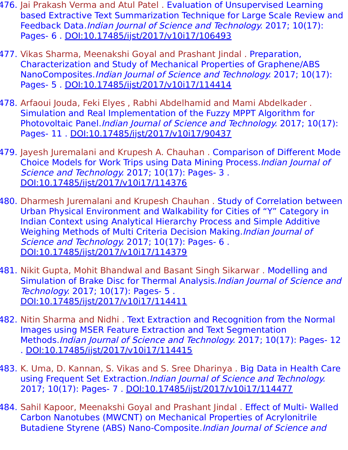- 476. Jai Prakash Verma and Atul Patel . Evaluation of Unsupervised Learning based Extractive Text Summarization Technique for Large Scale Review and Feedback Data.Indian Journal of Science and Technology. 2017; 10(17): Pages- 6 . [DOI:10.17485/ijst/2017/v10i17/106493](https://indjst.org/articles/evaluation-of-unsupervised-learning-based-extractive-text-summarization-technique-for-large-scale-review-and-feedback-data)
- 477. Vikas Sharma, Meenakshi Goyal and Prashant Jindal . Preparation, Characterization and Study of Mechanical Properties of Graphene/ABS NanoComposites.Indian Journal of Science and Technology. 2017; 10(17): Pages- 5 . [DOI:10.17485/ijst/2017/v10i17/114414](https://indjst.org/articles/preparation-characterization-and-study-of-mechanical-properties-of-grapheneabs-nanocomposites)
- 478. Arfaoui Jouda, Feki Elyes , Rabhi Abdelhamid and Mami Abdelkader . Simulation and Real Implementation of the Fuzzy MPPT Algorithm for Photovoltaic Panel.Indian Journal of Science and Technology. 2017; 10(17): Pages- 11 . [DOI:10.17485/ijst/2017/v10i17/90437](https://indjst.org/articles/simulation-and-real-implementation-of-the-fuzzy-mppt-algorithm-for-photovoltaic-panel)
- 479. Jayesh Juremalani and Krupesh A. Chauhan . Comparison of Different Mode Choice Models for Work Trips using Data Mining Process.Indian Journal of Science and Technology. 2017; 10(17): Pages- 3. [DOI:10.17485/ijst/2017/v10i17/114376](https://indjst.org/articles/comparison-of-different-mode-choice-models-for-work-trips-using-data-mining-process)
- 480. Dharmesh Juremalani and Krupesh Chauhan . Study of Correlation between Urban Physical Environment and Walkability for Cities of "Y" Category in Indian Context using Analytical Hierarchy Process and Simple Additive Weighing Methods of Multi Criteria Decision Making.*Indian Journal of* Science and Technology. 2017; 10(17): Pages- 6. [DOI:10.17485/ijst/2017/v10i17/114379](https://indjst.org/articles/study-of-correlation-between-urban-physical-environment-and-walkability-for-cities-of-y-category-in-indian-context-using-analytical-hierarchy-process-and-simple-additive-weighing-methods-of-multi-criteria-decision-making)
- 481. Nikit Gupta, Mohit Bhandwal and Basant Singh Sikarwar . Modelling and Simulation of Brake Disc for Thermal Analysis.Indian Journal of Science and Technology. 2017; 10(17): Pages- 5 . [DOI:10.17485/ijst/2017/v10i17/114411](https://indjst.org/articles/modelling-and-simulation-of-brake-disc-for-thermal-analysis)
- 482. Nitin Sharma and Nidhi . Text Extraction and Recognition from the Normal Images using MSER Feature Extraction and Text Segmentation Methods.Indian Journal of Science and Technology. 2017; 10(17): Pages- 12 . [DOI:10.17485/ijst/2017/v10i17/114415](https://indjst.org/articles/text-extraction-and-recognition-from-the-normal-images-using-mser-feature-extraction-and-text-segmentation-methods)
- 483. K. Uma, D. Kannan, S. Vikas and S. Sree Dharinya . Big Data in Health Care using Frequent Set Extraction.Indian Journal of Science and Technology. 2017; 10(17): Pages- 7 . [DOI:10.17485/ijst/2017/v10i17/114477](https://indjst.org/articles/big-data-in-health-care-using-frequent-set-extraction)
- 484. Sahil Kapoor, Meenakshi Goyal and Prashant Jindal . Effect of Multi- Walled Carbon Nanotubes (MWCNT) on Mechanical Properties of Acrylonitrile Butadiene Styrene (ABS) Nano-Composite.Indian Journal of Science and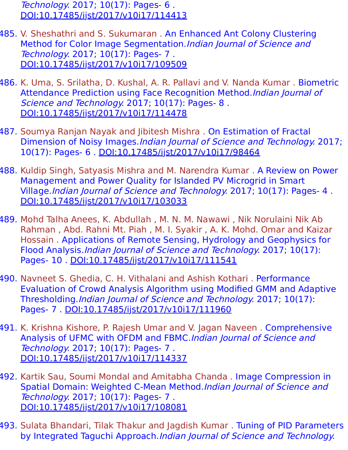Technology. 2017; 10(17): Pages- 6 . [DOI:10.17485/ijst/2017/v10i17/114413](https://indjst.org/articles/effect-of-multi-walled-carbon-nanotubes-mwcnt-on-mechanical-properties-of-acrylonitrile-butadiene-styrene-abs-nano-composite)

- 485. V. Sheshathri and S. Sukumaran . An Enhanced Ant Colony Clustering Method for Color Image Segmentation.Indian Journal of Science and Technology. 2017; 10(17): Pages- 7 . [DOI:10.17485/ijst/2017/v10i17/109509](https://indjst.org/articles/an-enhanced-ant-colony-clustering-method-for-color-image-segmentation)
- 486. K. Uma, S. Srilatha, D. Kushal, A. R. Pallavi and V. Nanda Kumar . Biometric Attendance Prediction using Face Recognition Method.Indian Journal of Science and Technology. 2017; 10(17): Pages- 8. [DOI:10.17485/ijst/2017/v10i17/114478](https://indjst.org/articles/biometric-attendance-prediction-using-face-recognition-method)
- 487. Soumya Ranjan Nayak and Jibitesh Mishra . On Estimation of Fractal Dimension of Noisy Images.Indian Journal of Science and Technology. 2017; 10(17): Pages- 6 . [DOI:10.17485/ijst/2017/v10i17/98464](https://indjst.org/articles/on-estimation-of-fractal-dimension-of-noisy-images)
- 488. Kuldip Singh, Satyasis Mishra and M. Narendra Kumar . A Review on Power Management and Power Quality for Islanded PV Microgrid in Smart Village.Indian Journal of Science and Technology. 2017; 10(17): Pages- 4 . [DOI:10.17485/ijst/2017/v10i17/103033](https://indjst.org/articles/a-review-on-power-management-and-power-quality-for-islanded-pv-microgrid-in-smart-village)
- 489. Mohd Talha Anees, K. Abdullah , M. N. M. Nawawi , Nik Norulaini Nik Ab Rahman , Abd. Rahni Mt. Piah , M. I. Syakir , A. K. Mohd. Omar and Kaizar Hossain . Applications of Remote Sensing, Hydrology and Geophysics for Flood Analysis.Indian Journal of Science and Technology. 2017; 10(17): Pages- 10 . [DOI:10.17485/ijst/2017/v10i17/111541](https://indjst.org/articles/applications-of-remote-sensing-hydrology-and-geophysics-for-flood-analysis)
- 490. Navneet S. Ghedia, C. H. Vithalani and Ashish Kothari . Performance Evaluation of Crowd Analysis Algorithm using Modified GMM and Adaptive Thresholding.Indian Journal of Science and Technology. 2017; 10(17): Pages- 7 . [DOI:10.17485/ijst/2017/v10i17/111960](https://indjst.org/articles/performance-evaluation-of-crowd-analysis-algorithm-using-modified-gmm-and-adaptive-thresholding)
- 491. K. Krishna Kishore, P. Rajesh Umar and V. Jagan Naveen . Comprehensive Analysis of UFMC with OFDM and FBMC.Indian Journal of Science and Technology. 2017; 10(17): Pages- 7 . [DOI:10.17485/ijst/2017/v10i17/114337](https://indjst.org/articles/comprehensive-analysis-of-ufmc-with-ofdm-and-fbmc)
- 492. Kartik Sau, Soumi Mondal and Amitabha Chanda . Image Compression in Spatial Domain: Weighted C-Mean Method.Indian Journal of Science and Technology. 2017; 10(17): Pages- 7 . [DOI:10.17485/ijst/2017/v10i17/108081](https://indjst.org/articles/image-compression-in-spatial-domain-weighted-c-mean-method)
- 493. Sulata Bhandari, Tilak Thakur and Jagdish Kumar . Tuning of PID Parameters by Integrated Taguchi Approach.Indian Journal of Science and Technology.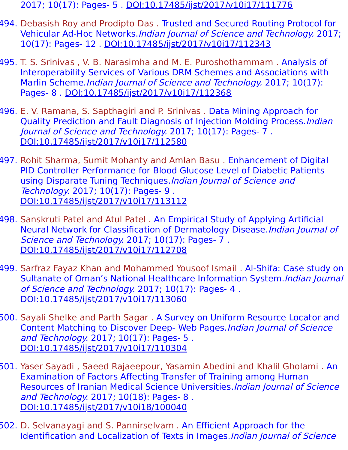- 2017; 10(17): Pages- 5 . [DOI:10.17485/ijst/2017/v10i17/111776](https://indjst.org/articles/tuning-of-pid-parameters-by-integrated-taguchi-approach)
- 494. Debasish Roy and Prodipto Das . Trusted and Secured Routing Protocol for Vehicular Ad-Hoc Networks.Indian Journal of Science and Technology. 2017; 10(17): Pages- 12 . [DOI:10.17485/ijst/2017/v10i17/112343](https://indjst.org/articles/trusted-and-secured-routing-protocol-for-vehicular-ad-hoc-networks)
- 495. T. S. Srinivas , V. B. Narasimha and M. E. Puroshothammam . Analysis of Interoperability Services of Various DRM Schemes and Associations with Marlin Scheme.Indian Journal of Science and Technology. 2017; 10(17): Pages- 8 . [DOI:10.17485/ijst/2017/v10i17/112368](https://indjst.org/articles/analysis-of-interoperability-services-of-various-drm-schemes-and-associations-with-marlin-scheme)
- 496. E. V. Ramana, S. Sapthagiri and P. Srinivas . Data Mining Approach for Quality Prediction and Fault Diagnosis of Injection Molding Process.Indian Journal of Science and Technology. 2017; 10(17): Pages- 7 . [DOI:10.17485/ijst/2017/v10i17/112580](https://indjst.org/articles/data-mining-approach-for-quality-prediction-and-fault-diagnosis-of-injection-molding-process)
- 497. Rohit Sharma, Sumit Mohanty and Amlan Basu . Enhancement of Digital PID Controller Performance for Blood Glucose Level of Diabetic Patients using Disparate Tuning Techniques.Indian Journal of Science and Technology. 2017; 10(17): Pages- 9 . [DOI:10.17485/ijst/2017/v10i17/113112](https://indjst.org/articles/enhancement-of-digital-pid-controller-performance-for-blood-glucose-level-of-diabetic-patients-using-disparate-tuning-techniques)
- 498. Sanskruti Patel and Atul Patel . An Empirical Study of Applying Artificial Neural Network for Classification of Dermatology Disease.Indian Journal of Science and Technology. 2017; 10(17): Pages- 7. [DOI:10.17485/ijst/2017/v10i17/112708](https://indjst.org/articles/an-empirical-study-of-applying-artificial-neural-network-for-classification-of-dermatology-disease)
- 499. Sarfraz Fayaz Khan and Mohammed Yousoof Ismail . Al-Shifa: Case study on Sultanate of Oman's National Healthcare Information System.Indian Journal of Science and Technology. 2017; 10(17): Pages- 4. [DOI:10.17485/ijst/2017/v10i17/113060](https://indjst.org/articles/al-shifa-case-study-on-sultanate-of-omans-national-healthcare-information-system)
- 500. Sayali Shelke and Parth Sagar . A Survey on Uniform Resource Locator and Content Matching to Discover Deep- Web Pages.Indian Journal of Science and Technology. 2017; 10(17): Pages- 5 . [DOI:10.17485/ijst/2017/v10i17/110304](https://indjst.org/articles/a-survey-on-uniform-resource-locator-and-content-matching-to-discover-deep-web-pages)
- 501. Yaser Sayadi , Saeed Rajaeepour, Yasamin Abedini and Khalil Gholami . An Examination of Factors Affecting Transfer of Training among Human Resources of Iranian Medical Science Universities.Indian Journal of Science and Technology. 2017; 10(18): Pages- 8 . [DOI:10.17485/ijst/2017/v10i18/100040](https://indjst.org/articles/an-examination-of-factors-affecting-transfer-of-training-among-human-resources-of-iranian-medical-science-universities)
- 502. D. Selvanayagi and S. Pannirselvam . An Efficient Approach for the Identification and Localization of Texts in Images.Indian Journal of Science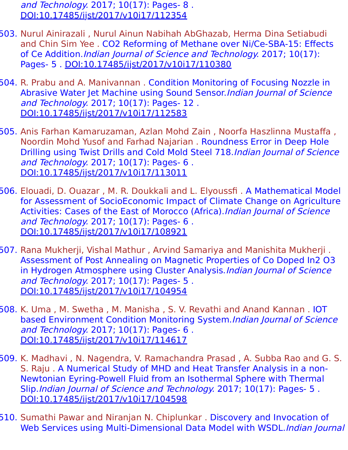and Technology. 2017; 10(17): Pages- 8 . [DOI:10.17485/ijst/2017/v10i17/112354](https://indjst.org/articles/an-efficient-approach-for-the-identification-and-localization-of-texts-in-images)

- 503. Nurul Ainirazali , Nurul Ainun Nabihah AbGhazab, Herma Dina Setiabudi and Chin Sim Yee . CO2 Reforming of Methane over Ni/Ce-SBA-15: Effects of Ce Addition.Indian Journal of Science and Technology. 2017; 10(17): Pages- 5 . [DOI:10.17485/ijst/2017/v10i17/110380](https://indjst.org/articles/co2-reforming-of-methane-over-nice-sba-15-effects-of-ce-addition)
- 504. R. Prabu and A. Manivannan . Condition Monitoring of Focusing Nozzle in Abrasive Water Jet Machine using Sound Sensor. Indian Journal of Science and Technology. 2017; 10(17): Pages- 12 . [DOI:10.17485/ijst/2017/v10i17/112583](https://indjst.org/articles/condition-monitoring-of-focusing-nozzle-in-abrasive-water-jet-machine-using-sound-sensor)
- 505. Anis Farhan Kamaruzaman, Azlan Mohd Zain , Noorfa Haszlinna Mustaffa , Noordin Mohd Yusof and Farhad Najarian . Roundness Error in Deep Hole Drilling using Twist Drills and Cold Mold Steel 718.Indian Journal of Science and Technology. 2017; 10(17): Pages- 6 . [DOI:10.17485/ijst/2017/v10i17/113011](https://indjst.org/articles/roundness-error-in-deep-hole-drilling-using-twist-drills-and-cold-mold-steel-718)
- 506. Elouadi, D. Ouazar , M. R. Doukkali and L. Elyoussfi . A Mathematical Model for Assessment of SocioEconomic Impact of Climate Change on Agriculture Activities: Cases of the East of Morocco (Africa). Indian Journal of Science and Technology. 2017; 10(17): Pages- 6 . [DOI:10.17485/ijst/2017/v10i17/108921](https://indjst.org/articles/a-mathematical-model-for-assessment-of-socioeconomic-impact-of-climate-change-on-agriculture-activities-cases-of-the-east-of-morocco-africa)
- 507. Rana Mukherji, Vishal Mathur , Arvind Samariya and Manishita Mukherji . Assessment of Post Annealing on Magnetic Properties of Co Doped In2 O3 in Hydrogen Atmosphere using Cluster Analysis. Indian Journal of Science and Technology. 2017; 10(17): Pages- 5 . [DOI:10.17485/ijst/2017/v10i17/104954](https://indjst.org/articles/assessment-of-post-annealing-on-magnetic-properties-of-co-doped-in2-o3-in-hydrogen-atmosphere-using-cluster-analysis)
- 508. K. Uma , M. Swetha , M. Manisha , S. V. Revathi and Anand Kannan . IOT based Environment Condition Monitoring System.Indian Journal of Science and Technology. 2017; 10(17): Pages- 6 . [DOI:10.17485/ijst/2017/v10i17/114617](https://indjst.org/articles/iot-based-environment-condition-monitoring-system)
- 509. K. Madhavi , N. Nagendra, V. Ramachandra Prasad , A. Subba Rao and G. S. S. Raju . A Numerical Study of MHD and Heat Transfer Analysis in a non-Newtonian Eyring-Powell Fluid from an Isothermal Sphere with Thermal Slip.Indian Journal of Science and Technology. 2017; 10(17): Pages- 5. [DOI:10.17485/ijst/2017/v10i17/104598](https://indjst.org/articles/a-numerical-study-of-mhd-and-heat-transfer-analysis-in-a-non-newtonian-eyring-powell-fluid-from-an-isothermal-sphere-with-thermal-slip)
- 510. Sumathi Pawar and Niranjan N. Chiplunkar . Discovery and Invocation of Web Services using Multi-Dimensional Data Model with WSDL. Indian Journal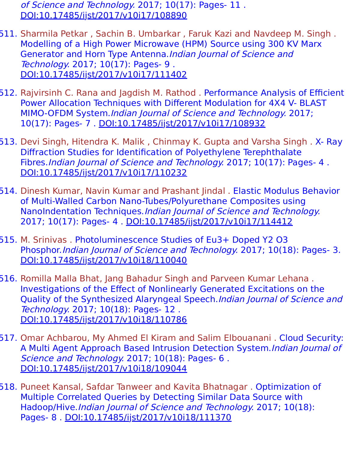of Science and Technology. 2017; 10(17): Pages- 11 . [DOI:10.17485/ijst/2017/v10i17/108890](https://indjst.org/articles/discovery-and-invocation-of-web-services-using-multi-dimensional-data-model-with-wsdl)

- 511. Sharmila Petkar , Sachin B. Umbarkar , Faruk Kazi and Navdeep M. Singh . Modelling of a High Power Microwave (HPM) Source using 300 KV Marx Generator and Horn Type Antenna.Indian Journal of Science and Technology. 2017; 10(17): Pages- 9 . [DOI:10.17485/ijst/2017/v10i17/111402](https://indjst.org/articles/modelling-of-a-high-power-microwave-hpm-source-using-300-kv-marx-generator-and-horn-type-antenna)
- 512. Rajvirsinh C. Rana and Jagdish M. Rathod . Performance Analysis of Efficient Power Allocation Techniques with Different Modulation for 4X4 V- BLAST MIMO-OFDM System.Indian Journal of Science and Technology. 2017; 10(17): Pages- 7 . [DOI:10.17485/ijst/2017/v10i17/108932](https://indjst.org/articles/performance-analysis-of-efficient-power-allocation-techniques-with-different-modulation-for-4x4-v-blast-mimo-ofdm-system)
- 513. Devi Singh, Hitendra K. Malik , Chinmay K. Gupta and Varsha Singh . X- Ray Diffraction Studies for Identification of Polyethylene Terephthalate Fibres.Indian Journal of Science and Technology. 2017; 10(17): Pages- 4 . [DOI:10.17485/ijst/2017/v10i17/110232](https://indjst.org/articles/x-ray-diffraction-studies-for-identification-of-polyethylene-terephthalate-fibres)
- 514. Dinesh Kumar, Navin Kumar and Prashant Jindal . Elastic Modulus Behavior of Multi-Walled Carbon Nano-Tubes/Polyurethane Composites using NanoIndentation Techniques.Indian Journal of Science and Technology. 2017; 10(17): Pages- 4 . [DOI:10.17485/ijst/2017/v10i17/114412](https://indjst.org/articles/elastic-modulus-behavior-of-multi-walled-carbon-nano-tubespolyurethane-composites-using-nanoindentation-techniques)
- 515. M. Srinivas . Photoluminescence Studies of Eu3+ Doped Y2 O3 Phosphor.Indian Journal of Science and Technology. 2017; 10(18): Pages- 3. [DOI:10.17485/ijst/2017/v10i18/110040](https://indjst.org/articles/photoluminescence-studies-of-eu3-doped-y2-o3-phosphor)
- 516. Romilla Malla Bhat, Jang Bahadur Singh and Parveen Kumar Lehana . Investigations of the Effect of Nonlinearly Generated Excitations on the Quality of the Synthesized Alaryngeal Speech.Indian Journal of Science and Technology. 2017; 10(18): Pages- 12 . [DOI:10.17485/ijst/2017/v10i18/110786](https://indjst.org/articles/investigations-of-the-effect-of-nonlinearly-generated-excitations-on-the-quality-of-the-synthesized-alaryngeal-speech)
- 517. Omar Achbarou, My Ahmed El Kiram and Salim Elbouanani . Cloud Security: A Multi Agent Approach Based Intrusion Detection System.Indian Journal of Science and Technology. 2017; 10(18): Pages- 6. [DOI:10.17485/ijst/2017/v10i18/109044](https://indjst.org/articles/cloud-security-a-multi-agent-approach-based-intrusion-detection-system)
- 518. Puneet Kansal, Safdar Tanweer and Kavita Bhatnagar . Optimization of Multiple Correlated Queries by Detecting Similar Data Source with Hadoop/Hive.Indian Journal of Science and Technology. 2017; 10(18): Pages- 8 . [DOI:10.17485/ijst/2017/v10i18/111370](https://indjst.org/articles/optimization-of-multiple-correlated-queries-by-detecting-similar-data-source-with-hadoophive)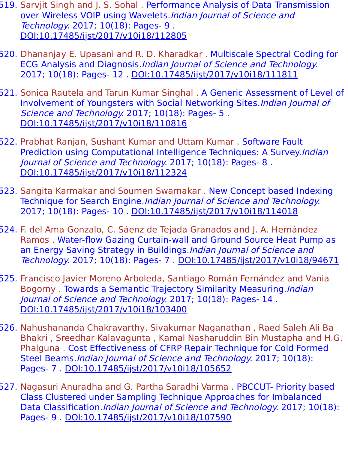- 519. Sarvjit Singh and J. S. Sohal . Performance Analysis of Data Transmission over Wireless VOIP using Wavelets.*Indian Journal of Science and* Technology. 2017; 10(18): Pages- 9 . [DOI:10.17485/ijst/2017/v10i18/112805](https://indjst.org/articles/performance-analysis-of-data-transmission-over-wireless-voip-using-wavelets)
- 520. Dhananjay E. Upasani and R. D. Kharadkar . Multiscale Spectral Coding for ECG Analysis and Diagnosis.Indian Journal of Science and Technology. 2017; 10(18): Pages- 12 . [DOI:10.17485/ijst/2017/v10i18/111811](https://indjst.org/articles/multiscale-spectral-coding-for-ecg-analysis-and-diagnosis)
- 521. Sonica Rautela and Tarun Kumar Singhal . A Generic Assessment of Level of Involvement of Youngsters with Social Networking Sites.Indian Journal of Science and Technology. 2017; 10(18): Pages- 5. [DOI:10.17485/ijst/2017/v10i18/110816](https://indjst.org/articles/a-generic-assessment-of-level-of-involvement-of-youngsters-with-social-networking-sites)
- 522. Prabhat Ranjan, Sushant Kumar and Uttam Kumar . Software Fault Prediction using Computational Intelligence Techniques: A Survey.Indian Journal of Science and Technology. 2017; 10(18): Pages- 8 . [DOI:10.17485/ijst/2017/v10i18/112324](https://indjst.org/articles/software-fault-prediction-using-computational-intelligence-techniques-a-survey)
- 523. Sangita Karmakar and Soumen Swarnakar . New Concept based Indexing Technique for Search Engine.Indian Journal of Science and Technology. 2017; 10(18): Pages- 10 . [DOI:10.17485/ijst/2017/v10i18/114018](https://indjst.org/articles/new-concept-based-indexing-technique-for-search-engine)
- 524. F. del Ama Gonzalo, C. Sáenz de Tejada Granados and J. A. Hernández Ramos . Water-flow Gazing Curtain-wall and Ground Source Heat Pump as an Energy Saving Strategy in Buildings. Indian Journal of Science and Technology. 2017; 10(18): Pages- 7 . [DOI:10.17485/ijst/2017/v10i18/94671](https://indjst.org/articles/water-flow-gazing-curtain-wall-and-ground-source-heat-pump-as-an-energy-saving-strategy-in-buildings)
- 525. Francisco Javier Moreno Arboleda, Santiago Román Fernández and Vania Bogorny . Towards a Semantic Trajectory Similarity Measuring. Indian Journal of Science and Technology. 2017; 10(18): Pages- 14 . [DOI:10.17485/ijst/2017/v10i18/103400](https://indjst.org/articles/towards-a-semantic-trajectory-similarity-measuring)
- 526. Nahushananda Chakravarthy, Sivakumar Naganathan , Raed Saleh Ali Ba Bhakri , Sreedhar Kalavagunta , Kamal Nasharuddin Bin Mustapha and H.G. Phalguna . Cost Effectiveness of CFRP Repair Technique for Cold Formed Steel Beams.Indian Journal of Science and Technology. 2017; 10(18): Pages- 7 . [DOI:10.17485/ijst/2017/v10i18/105652](https://indjst.org/articles/cost-effectiveness-of-cfrp-repair-technique-for-cold-formed-steel-beams)
- 527. Nagasuri Anuradha and G. Partha Saradhi Varma . PBCCUT- Priority based Class Clustered under Sampling Technique Approaches for Imbalanced Data Classification. Indian Journal of Science and Technology. 2017; 10(18): Pages- 9 . [DOI:10.17485/ijst/2017/v10i18/107590](https://indjst.org/articles/pbccut-priority-based-class-clustered-under-sampling-technique-approaches-for-imbalanced-data-classification)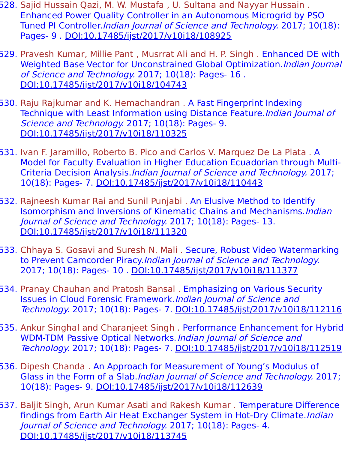- 528. Sajid Hussain Qazi, M. W. Mustafa , U. Sultana and Nayyar Hussain . Enhanced Power Quality Controller in an Autonomous Microgrid by PSO Tuned PI Controller.Indian Journal of Science and Technology. 2017; 10(18): Pages- 9 . [DOI:10.17485/ijst/2017/v10i18/108925](https://indjst.org/articles/enhanced-power-quality-controller-in-an-autonomous-microgrid-by-pso-tuned-pi-controller)
- 529. Pravesh Kumar, Millie Pant , Musrrat Ali and H. P. Singh . Enhanced DE with Weighted Base Vector for Unconstrained Global Optimization. Indian Journal of Science and Technology. 2017; 10(18): Pages- 16 . [DOI:10.17485/ijst/2017/v10i18/104743](https://indjst.org/articles/enhanced-de-with-weighted-base-vector-for-unconstrained-global-optimization)
- 530. Raju Rajkumar and K. Hemachandran . A Fast Fingerprint Indexing Technique with Least Information using Distance Feature. Indian Journal of Science and Technology. 2017; 10(18): Pages- 9. [DOI:10.17485/ijst/2017/v10i18/110325](https://indjst.org/articles/a-fast-fingerprint-indexing-technique-with-least-information-using-distance-feature)
- 531. Ivan F. Jaramillo, Roberto B. Pico and Carlos V. Marquez De La Plata . A Model for Faculty Evaluation in Higher Education Ecuadorian through Multi-Criteria Decision Analysis.Indian Journal of Science and Technology. 2017; 10(18): Pages- 7. [DOI:10.17485/ijst/2017/v10i18/110443](https://indjst.org/articles/a-model-for-faculty-evaluation-in-higher-education-ecuadorian-through-multi-criteria-decision-analysis)
- 532. Rajneesh Kumar Rai and Sunil Punjabi . An Elusive Method to Identify Isomorphism and Inversions of Kinematic Chains and Mechanisms. Indian Journal of Science and Technology. 2017; 10(18): Pages- 13. [DOI:10.17485/ijst/2017/v10i18/111320](https://indjst.org/articles/an-elusive-method-to-identify-isomorphism-and-inversions-of-kinematic-chains-and-mechanisms)
- 533. Chhaya S. Gosavi and Suresh N. Mali . Secure, Robust Video Watermarking to Prevent Camcorder Piracy.Indian Journal of Science and Technology. 2017; 10(18): Pages- 10 . [DOI:10.17485/ijst/2017/v10i18/111377](https://indjst.org/articles/secure-robust-video-watermarking-to-prevent-camcorder-piracy)
- 534. Pranay Chauhan and Pratosh Bansal . Emphasizing on Various Security Issues in Cloud Forensic Framework.Indian Journal of Science and Technology. 2017; 10(18): Pages- 7. [DOI:10.17485/ijst/2017/v10i18/112116](https://indjst.org/articles/emphasizing-on-various-security-issues-in-cloud-forensic-framework)
- 535. Ankur Singhal and Charanjeet Singh . Performance Enhancement for Hybrid WDM-TDM Passive Optical Networks. Indian Journal of Science and Technology. 2017; 10(18): Pages- 7. [DOI:10.17485/ijst/2017/v10i18/112519](https://indjst.org/articles/performance-enhancement-for-hybrid-wdm-tdm-passive-optical-networks)
- 536. Dipesh Chanda . An Approach for Measurement of Young's Modulus of Glass in the Form of a Slab.Indian Journal of Science and Technology. 2017; 10(18): Pages- 9. [DOI:10.17485/ijst/2017/v10i18/112639](https://indjst.org/articles/an-approach-for-measurement-of-youngs-modulus-of-glass-in-the-form-of-a-slab)
- 537. Baljit Singh, Arun Kumar Asati and Rakesh Kumar . Temperature Difference findings from Earth Air Heat Exchanger System in Hot-Dry Climate.*Indian* Journal of Science and Technology. 2017; 10(18): Pages- 4. [DOI:10.17485/ijst/2017/v10i18/113745](https://indjst.org/articles/temperature-difference-findings-from-earth-air-heat-exchanger-system-in-hot-dry-climate)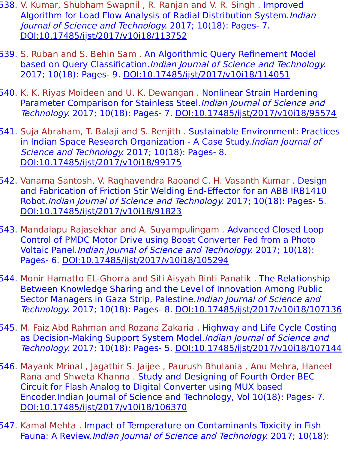- 538. V. Kumar, Shubham Swapnil, R. Ranjan and V. R. Singh. Improved Algorithm for Load Flow Analysis of Radial Distribution System.Indian Journal of Science and Technology. 2017; 10(18): Pages- 7. [DOI:10.17485/ijst/2017/v10i18/113752](https://indjst.org/articles/improved-algorithm-for-load-flow-analysis-of-radial-distribution-system)
- 539. S. Ruban and S. Behin Sam . An Algorithmic Query Refinement Model based on Query Classification.Indian Journal of Science and Technology. 2017; 10(18): Pages- 9. [DOI:10.17485/ijst/2017/v10i18/114051](https://indjst.org/articles/an-algorithmic-query-refinement-model-based-on-query-classification)
- 540. K. K. Riyas Moideen and U. K. Dewangan . Nonlinear Strain Hardening Parameter Comparison for Stainless Steel. Indian Journal of Science and Technology. 2017; 10(18): Pages- 7. [DOI:10.17485/ijst/2017/v10i18/95574](https://indjst.org/articles/nonlinear-strain-hardening-parameter-comparison-for-stainless-steel)
- 541. Suja Abraham, T. Balaji and S. Renjith . Sustainable Environment: Practices in Indian Space Research Organization - A Case Study. Indian Journal of Science and Technology. 2017; 10(18): Pages- 8. [DOI:10.17485/ijst/2017/v10i18/99175](https://indjst.org/articles/sustainable-environment-practices-in-indian-space-research-organization-a-case-study)
- 542. Vanama Santosh, V. Raghavendra Raoand C. H. Vasanth Kumar . Design and Fabrication of Friction Stir Welding End-Effector for an ABB IRB1410 Robot.Indian Journal of Science and Technology. 2017; 10(18): Pages- 5. [DOI:10.17485/ijst/2017/v10i18/91823](https://indjst.org/articles/design-and-fabrication-of-friction-stir-welding-end-effector-for-an-abb-irb1410-robot)
- 543. Mandalapu Rajasekhar and A. Suyampulingam . Advanced Closed Loop Control of PMDC Motor Drive using Boost Converter Fed from a Photo Voltaic Panel.Indian Journal of Science and Technology. 2017; 10(18): Pages- 6. [DOI:10.17485/ijst/2017/v10i18/105294](https://indjst.org/articles/advanced-closed-loop-control-of-pmdc-motor-drive-using-boost-converter-fed-from-a-photo-voltaic-panel)
- 544. Monir Hamatto EL-Ghorra and Siti Aisyah Binti Panatik . The Relationship Between Knowledge Sharing and the Level of Innovation Among Public Sector Managers in Gaza Strip, Palestine. Indian Journal of Science and Technology. 2017; 10(18): Pages- 8. [DOI:10.17485/ijst/2017/v10i18/107136](https://indjst.org/articles/the-relationship-between-knowledge-sharing-and-the-level-of-innovation-among-public-sector-managers-in-gaza-strip-palestine)
- 545. M. Faiz Abd Rahman and Rozana Zakaria . Highway and Life Cycle Costing as Decision-Making Support System Model. Indian Journal of Science and Technology. 2017; 10(18): Pages- 5. [DOI:10.17485/ijst/2017/v10i18/107144](https://indjst.org/articles/highway-and-life-cycle-costing-as-decision-making-support-system-model)
- 546. Mayank Mrinal , Jagatbir S. Jaijee , Paurush Bhulania , Anu Mehra, Haneet Rana and Shweta Khanna . Study and Designing of Fourth Order BEC Circuit for Flash Analog to Digital Converter using MUX based Encoder.Indian Journal of Science and Technology, Vol 10(18): Pages- 7. [DOI:10.17485/ijst/2017/v10i18/106370](https://indjst.org/articles/study-and-designing-of-fourth-order-bec-circuit-for-flash-analog-to-digital-converter-using-mux-based-encoder)
- 547. Kamal Mehta . Impact of Temperature on Contaminants Toxicity in Fish Fauna: A Review.Indian Journal of Science and Technology. 2017; 10(18):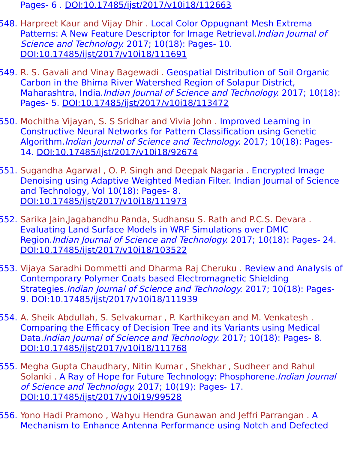Pages- 6 . [DOI:10.17485/ijst/2017/v10i18/112663](https://indjst.org/articles/impact-of-temperature-on-contaminants-toxicity-in-fish-fauna-a-review)

- 548. Harpreet Kaur and Vijay Dhir . Local Color Oppugnant Mesh Extrema Patterns: A New Feature Descriptor for Image Retrieval. Indian Journal of Science and Technology. 2017; 10(18): Pages- 10. [DOI:10.17485/ijst/2017/v10i18/111691](https://indjst.org/articles/local-color-oppugnant-mesh-extrema-patterns-a-new-feature-descriptor-for-image-retrieval)
- 549. R. S. Gavali and Vinay Bagewadi . Geospatial Distribution of Soil Organic Carbon in the Bhima River Watershed Region of Solapur District, Maharashtra, India.*Indian Journal of Science and Technology*. 2017; 10(18): Pages- 5. [DOI:10.17485/ijst/2017/v10i18/113472](https://indjst.org/articles/geospatial-distribution-of-soil-organic-carbon-in-the-bhima-river-watershed-region-of-solapur-district-maharashtra-india)
- 550. Mochitha Vijayan, S. S Sridhar and Vivia John . Improved Learning in Constructive Neural Networks for Pattern Classification using Genetic Algorithm.Indian Journal of Science and Technology. 2017; 10(18): Pages-14. [DOI:10.17485/ijst/2017/v10i18/92674](https://indjst.org/articles/improved-learning-in-constructive-neural-networks-for-pattern-classification-using-genetic-algorithm)
- 551. Sugandha Agarwal , O. P. Singh and Deepak Nagaria . Encrypted Image Denoising using Adaptive Weighted Median Filter. Indian Journal of Science and Technology, Vol 10(18): Pages- 8. [DOI:10.17485/ijst/2017/v10i18/111973](https://indjst.org/articles/encrypted-image-denoising-using-adaptive-weighted-median-filter)
- 552. Sarika Jain,Jagabandhu Panda, Sudhansu S. Rath and P.C.S. Devara . Evaluating Land Surface Models in WRF Simulations over DMIC Region.Indian Journal of Science and Technology. 2017; 10(18): Pages- 24. [DOI:10.17485/ijst/2017/v10i18/103522](https://indjst.org/articles/evaluating-land-surface-models-in-wrf-simulations-over-dmic-region)
- 553. Vijaya Saradhi Dommetti and Dharma Raj Cheruku . Review and Analysis of Contemporary Polymer Coats based Electromagnetic Shielding Strategies.Indian Journal of Science and Technology. 2017; 10(18): Pages-9. [DOI:10.17485/ijst/2017/v10i18/111939](https://indjst.org/articles/review-and-analysis-of-contemporary-polymer-coats-based-electromagnetic-shielding-strategies)
- 554. A. Sheik Abdullah, S. Selvakumar , P. Karthikeyan and M. Venkatesh . Comparing the Efficacy of Decision Tree and its Variants using Medical Data.Indian Journal of Science and Technology. 2017; 10(18): Pages- 8. [DOI:10.17485/ijst/2017/v10i18/111768](https://indjst.org/articles/comparing-the-efficacy-of-decision-tree-and-its-variants-using-medical-data)
- 555. Megha Gupta Chaudhary, Nitin Kumar , Shekhar , Sudheer and Rahul Solanki . A Ray of Hope for Future Technology: Phosphorene. Indian Journal of Science and Technology. 2017; 10(19): Pages- 17. [DOI:10.17485/ijst/2017/v10i19/99528](https://indjst.org/articles/a-ray-of-hope-for-future-technology-phosphorene)
- 556. Yono Hadi Pramono , Wahyu Hendra Gunawan and Jeffri Parrangan . A Mechanism to Enhance Antenna Performance using Notch and Defected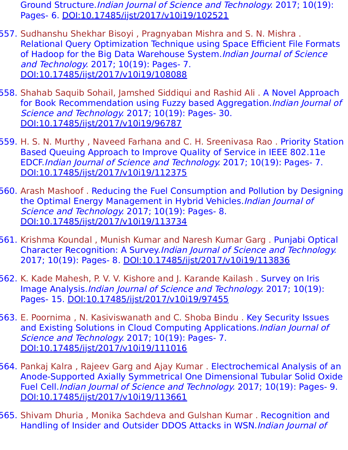Ground Structure.Indian Journal of Science and Technology. 2017; 10(19): Pages- 6. [DOI:10.17485/ijst/2017/v10i19/102521](https://indjst.org/articles/a-mechanism-to-enhance-antenna-performance-using-notch-and-defected-ground-structure)

- 557. Sudhanshu Shekhar Bisoyi , Pragnyaban Mishra and S. N. Mishra . Relational Query Optimization Technique using Space Efficient File Formats of Hadoop for the Big Data Warehouse System. Indian Journal of Science and Technology. 2017; 10(19): Pages- 7. [DOI:10.17485/ijst/2017/v10i19/108088](https://indjst.org/articles/relational-query-optimization-technique-using-space-efficient-file-formats-of-hadoop-for-the-big-data-warehouse-system)
- 558. Shahab Saquib Sohail, Jamshed Siddiqui and Rashid Ali . A Novel Approach for Book Recommendation using Fuzzy based Aggregation. Indian Journal of Science and Technology. 2017; 10(19): Pages- 30. [DOI:10.17485/ijst/2017/v10i19/96787](https://indjst.org/articles/a-novel-approach-for-book-recommendation-using-fuzzy-based-aggregation)
- 559. H. S. N. Murthy , Naveed Farhana and C. H. Sreenivasa Rao . Priority Station Based Queuing Approach to Improve Quality of Service in IEEE 802.11e EDCF.Indian Journal of Science and Technology. 2017; 10(19): Pages- 7. [DOI:10.17485/ijst/2017/v10i19/112375](https://indjst.org/articles/priority-station-based-queuing-approach-to-improve-quality-of-service-in-ieee-80211e-edcf)
- 560. Arash Mashoof . Reducing the Fuel Consumption and Pollution by Designing the Optimal Energy Management in Hybrid Vehicles.Indian Journal of Science and Technology. 2017; 10(19): Pages- 8. [DOI:10.17485/ijst/2017/v10i19/113734](https://indjst.org/articles/reducing-the-fuel-consumption-and-pollution-by-designing-the-optimal-energy-management-in-hybrid-vehicles)
- 561. Krishma Koundal , Munish Kumar and Naresh Kumar Garg . Punjabi Optical Character Recognition: A Survey.Indian Journal of Science and Technology. 2017; 10(19): Pages- 8. [DOI:10.17485/ijst/2017/v10i19/113836](https://indjst.org/articles/punjabi-optical-character-recognition-a-survey)
- 562. K. Kade Mahesh, P. V. V. Kishore and J. Karande Kailash . Survey on Iris Image Analysis.Indian Journal of Science and Technology. 2017; 10(19): Pages- 15. [DOI:10.17485/ijst/2017/v10i19/97455](https://indjst.org/articles/survey-on-iris-image-analysis)
- 563. E. Poornima, N. Kasiviswanath and C. Shoba Bindu. Key Security Issues and Existing Solutions in Cloud Computing Applications. *Indian Journal of* Science and Technology. 2017; 10(19): Pages- 7. [DOI:10.17485/ijst/2017/v10i19/111016](https://indjst.org/articles/key-security-issues-and-existing-solutions-in-cloud-computing-applications)
- 564. Pankaj Kalra , Rajeev Garg and Ajay Kumar . Electrochemical Analysis of an Anode-Supported Axially Symmetrical One Dimensional Tubular Solid Oxide Fuel Cell.Indian Journal of Science and Technology. 2017; 10(19): Pages- 9. [DOI:10.17485/ijst/2017/v10i19/113661](https://indjst.org/articles/electrochemical-analysis-of-an-anode-supported-axially-symmetrical-one-dimensional-tubular-solid-oxide-fuel-cell)
- 565. Shivam Dhuria , Monika Sachdeva and Gulshan Kumar . Recognition and Handling of Insider and Outsider DDOS Attacks in WSN.Indian Journal of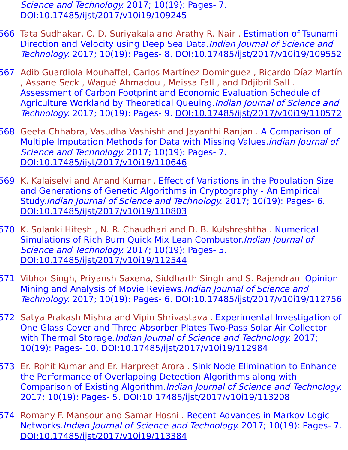Science and Technology. 2017; 10(19): Pages- 7. [DOI:10.17485/ijst/2017/v10i19/109245](https://indjst.org/articles/recognition-and-handling-of-insider-and-outsider-ddos-attacks-in-wsn)

- 566. Tata Sudhakar, C. D. Suriyakala and Arathy R. Nair . Estimation of Tsunami Direction and Velocity using Deep Sea Data.Indian Journal of Science and Technology. 2017; 10(19): Pages- 8. [DOI:10.17485/ijst/2017/v10i19/109552](https://indjst.org/articles/estimation-of-tsunami-direction-and-velocity-using-deep-sea-data)
- 567. Adib Guardiola Mouhaffel, Carlos Martínez Dominguez , Ricardo Díaz Martín , Assane Seck , Wagué Ahmadou , Meissa Fall , and Ddjibril Sall . Assessment of Carbon Footprint and Economic Evaluation Schedule of Agriculture Workland by Theoretical Queuing. Indian Journal of Science and Technology. 2017; 10(19): Pages- 9. [DOI:10.17485/ijst/2017/v10i19/110572](https://indjst.org/articles/assessment-of-carbon-footprint-and-economic-evaluation-schedule-of-agriculture-workland-by-theoretical-queuing)
- 568. Geeta Chhabra, Vasudha Vashisht and Jayanthi Ranjan . A Comparison of Multiple Imputation Methods for Data with Missing Values.Indian Journal of Science and Technology. 2017; 10(19): Pages- 7. [DOI:10.17485/ijst/2017/v10i19/110646](https://indjst.org/articles/a-comparison-of-multiple-imputation-methods-for-data-with-missing-values)
- 569. K. Kalaiselvi and Anand Kumar . Effect of Variations in the Population Size and Generations of Genetic Algorithms in Cryptography - An Empirical Study.Indian Journal of Science and Technology. 2017; 10(19): Pages- 6. [DOI:10.17485/ijst/2017/v10i19/110803](https://indjst.org/articles/effect-of-variations-in-the-population-size-and-generations-of-genetic-algorithms-in-cryptography-an-empirical-study)
- 570. K. Solanki Hitesh , N. R. Chaudhari and D. B. Kulshreshtha . Numerical Simulations of Rich Burn Quick Mix Lean Combustor.Indian Journal of Science and Technology. 2017; 10(19): Pages- 5. [DOI:10.17485/ijst/2017/v10i19/112544](https://indjst.org/articles/numerical-simulations-of-rich-burn-quick-mix-lean-combustor)
- 571. Vibhor Singh, Priyansh Saxena, Siddharth Singh and S. Rajendran. Opinion Mining and Analysis of Movie Reviews.Indian Journal of Science and Technology. 2017; 10(19): Pages- 6. [DOI:10.17485/ijst/2017/v10i19/112756](https://indjst.org/articles/opinion-mining-and-analysis-of-movie-reviews)
- 572. Satya Prakash Mishra and Vipin Shrivastava . Experimental Investigation of One Glass Cover and Three Absorber Plates Two-Pass Solar Air Collector with Thermal Storage.Indian Journal of Science and Technology. 2017; 10(19): Pages- 10. [DOI:10.17485/ijst/2017/v10i19/112984](https://indjst.org/articles/experimental-investigation-of-one-glass-cover-and-three-absorber-plates-two-pass-solar-air-collector-with-thermal-storage)
- 573. Er. Rohit Kumar and Er. Harpreet Arora . Sink Node Elimination to Enhance the Performance of Overlapping Detection Algorithms along with Comparison of Existing Algorithm.Indian Journal of Science and Technology. 2017; 10(19): Pages- 5. [DOI:10.17485/ijst/2017/v10i19/113208](https://indjst.org/articles/sink-node-elimination-to-enhance-the-performance-of-overlapping-detection-algorithms-along-with-comparison-of-existing-algorithm)
- 574. Romany F. Mansour and Samar Hosni . Recent Advances in Markov Logic Networks.Indian Journal of Science and Technology. 2017; 10(19): Pages- 7. [DOI:10.17485/ijst/2017/v10i19/113384](https://indjst.org/articles/recent-advances-in-markov-logic-networks)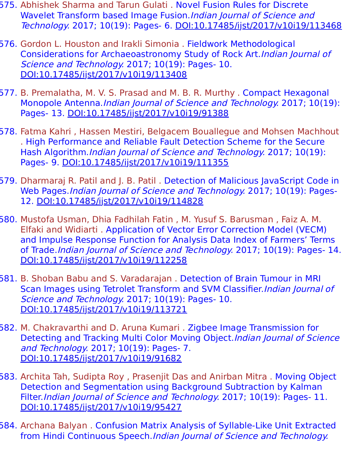- 575. Abhishek Sharma and Tarun Gulati . Novel Fusion Rules for Discrete Wavelet Transform based Image Fusion.Indian Journal of Science and Technology. 2017; 10(19): Pages- 6. [DOI:10.17485/ijst/2017/v10i19/113468](https://indjst.org/articles/novel-fusion-rules-for-discrete-wavelet-transform-based-image-fusion)
- 576. Gordon L. Houston and Irakli Simonia . Fieldwork Methodological Considerations for Archaeoastronomy Study of Rock Art.Indian Journal of Science and Technology. 2017; 10(19): Pages- 10. [DOI:10.17485/ijst/2017/v10i19/113408](https://indjst.org/articles/fieldwork-methodological-considerations-for-archaeoastronomy-study-of-rock-art)
- 577. B. Premalatha, M. V. S. Prasad and M. B. R. Murthy . Compact Hexagonal Monopole Antenna.Indian Journal of Science and Technology. 2017; 10(19): Pages- 13. [DOI:10.17485/ijst/2017/v10i19/91388](https://indjst.org/articles/compact-hexagonal-monopole-antenna)
- 578. Fatma Kahri , Hassen Mestiri, Belgacem Bouallegue and Mohsen Machhout . High Performance and Reliable Fault Detection Scheme for the Secure Hash Algorithm.Indian Journal of Science and Technology. 2017; 10(19): Pages- 9. [DOI:10.17485/ijst/2017/v10i19/111355](https://indjst.org/articles/high-performance-and-reliable-fault-detection-scheme-for-the-secure-hash-algorithm)
- 579. Dharmaraj R. Patil and J. B. Patil . Detection of Malicious JavaScript Code in Web Pages.Indian Journal of Science and Technology. 2017; 10(19): Pages-12. [DOI:10.17485/ijst/2017/v10i19/114828](https://indjst.org/articles/detection-of-malicious-javascript-code-in-web-pages)
- 580. Mustofa Usman, Dhia Fadhilah Fatin , M. Yusuf S. Barusman , Faiz A. M. Elfaki and Widiarti . Application of Vector Error Correction Model (VECM) and Impulse Response Function for Analysis Data Index of Farmers' Terms of Trade.Indian Journal of Science and Technology. 2017; 10(19): Pages- 14. [DOI:10.17485/ijst/2017/v10i19/112258](https://indjst.org/articles/application-of-vector-error-correction-model-vecm-and-impulse-response-function-for-analysis-data-index-of-farmers-terms-of-trade)
- 581. B. Shoban Babu and S. Varadarajan . Detection of Brain Tumour in MRI Scan Images using Tetrolet Transform and SVM Classifier. Indian Journal of Science and Technology. 2017; 10(19): Pages- 10. [DOI:10.17485/ijst/2017/v10i19/113721](https://indjst.org/articles/detection-of-brain-tumour-in-mri-scan-images-using-tetrolet-transform-and-svm-classifier)
- 582. M. Chakravarthi and D. Aruna Kumari . Zigbee Image Transmission for Detecting and Tracking Multi Color Moving Object. Indian Journal of Science and Technology. 2017; 10(19): Pages- 7. [DOI:10.17485/ijst/2017/v10i19/91682](https://indjst.org/articles/zigbee-image-transmission-for-detecting-and-tracking-multi-color-moving-object)
- 583. Archita Tah, Sudipta Roy , Prasenjit Das and Anirban Mitra . Moving Object Detection and Segmentation using Background Subtraction by Kalman Filter.Indian Journal of Science and Technology. 2017; 10(19): Pages- 11. [DOI:10.17485/ijst/2017/v10i19/95427](https://indjst.org/articles/moving-object-detection-and-segmentation-using-background-subtraction-by-kalman-filter)
- 584. Archana Balyan . Confusion Matrix Analysis of Syllable-Like Unit Extracted from Hindi Continuous Speech.Indian Journal of Science and Technology.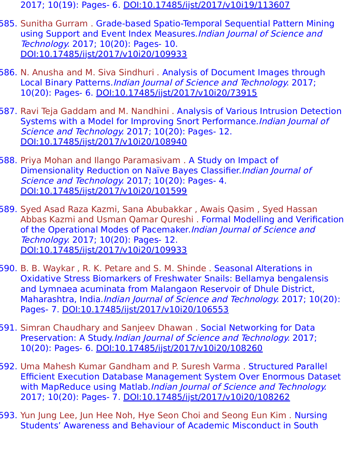- 2017; 10(19): Pages- 6. [DOI:10.17485/ijst/2017/v10i19/113607](https://indjst.org/articles/confusion-matrix-analysis-of-syllable-like-unit-extracted-from-hindi-continuous-speech)
- 585. Sunitha Gurram . Grade-based Spatio-Temporal Sequential Pattern Mining using Support and Event Index Measures.Indian Journal of Science and Technology. 2017; 10(20): Pages- 10. [DOI:10.17485/ijst/2017/v10i20/109933](https://indjst.org/articles/grade-based-spatio-temporal-sequential-pattern-mining-using-support-and-event-index-measures)
- 586. N. Anusha and M. Siva Sindhuri . Analysis of Document Images through Local Binary Patterns.Indian Journal of Science and Technology. 2017; 10(20): Pages- 6. [DOI:10.17485/ijst/2017/v10i20/73915](https://indjst.org/articles/analysis-of-document-images-through-local-binary-patterns)
- 587. Ravi Teja Gaddam and M. Nandhini . Analysis of Various Intrusion Detection Systems with a Model for Improving Snort Performance.Indian Journal of Science and Technology. 2017; 10(20): Pages- 12. [DOI:10.17485/ijst/2017/v10i20/108940](https://indjst.org/articles/analysis-of-various-intrusion-detection-systems-with-a-model-for-improving-snort-performance)
- 588. Priya Mohan and Ilango Paramasivam . A Study on Impact of Dimensionality Reduction on Naïve Bayes Classifier.Indian Journal of Science and Technology. 2017; 10(20): Pages- 4. [DOI:10.17485/ijst/2017/v10i20/101599](https://indjst.org/articles/a-study-on-impact-of-dimensionality-reduction-on-nave-bayes-classifier)
- 589. Syed Asad Raza Kazmi, Sana Abubakkar , Awais Qasim , Syed Hassan Abbas Kazmi and Usman Qamar Qureshi . Formal Modelling and Verification of the Operational Modes of Pacemaker. Indian Journal of Science and Technology. 2017; 10(20): Pages- 12. [DOI:10.17485/ijst/2017/v10i20/109933](https://indjst.org/articles/formal-modelling-and-verification-of-the-operational-modes-of-pacemaker)
- 590. B. B. Waykar, R. K. Petare and S. M. Shinde. Seasonal Alterations in Oxidative Stress Biomarkers of Freshwater Snails: Bellamya bengalensis and Lymnaea acuminata from Malangaon Reservoir of Dhule District, Maharashtra, India. Indian Journal of Science and Technology. 2017; 10(20): Pages- 7. [DOI:10.17485/ijst/2017/v10i20/106553](https://indjst.org/articles/seasonal-alterations-in-oxidative-stress-biomarkers-of-freshwater-snails-bellamya-bengalensis-and-lymnaea-acuminata-from-malangaon-reservoir-of-dhule-district-maharashtra-india)
- 591. Simran Chaudhary and Sanjeev Dhawan . Social Networking for Data Preservation: A Study.Indian Journal of Science and Technology. 2017; 10(20): Pages- 6. [DOI:10.17485/ijst/2017/v10i20/108260](https://indjst.org/articles/social-networking-for-data-preservation-a-study)
- 592. Uma Mahesh Kumar Gandham and P. Suresh Varma . Structured Parallel Efficient Execution Database Management System Over Enormous Dataset with MapReduce using Matlab.*Indian Journal of Science and Technology.* 2017; 10(20): Pages- 7. [DOI:10.17485/ijst/2017/v10i20/108262](https://indjst.org/articles/structured-parallel-efficient-execution-database-management-system-over-enormous-dataset-with-mapreduce-using-matlab)
- 593. Yun Jung Lee, Jun Hee Noh, Hye Seon Choi and Seong Eun Kim . Nursing Students' Awareness and Behaviour of Academic Misconduct in South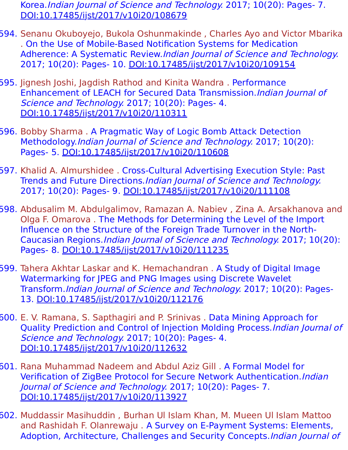Korea.Indian Journal of Science and Technology. 2017; 10(20): Pages- 7. [DOI:10.17485/ijst/2017/v10i20/108679](https://indjst.org/articles/nursing-students-awareness-and-behaviour-of-academic-misconduct-in-south-korea)

- 594. Senanu Okuboyejo, Bukola Oshunmakinde , Charles Ayo and Victor Mbarika . On the Use of Mobile-Based Notification Systems for Medication Adherence: A Systematic Review.Indian Journal of Science and Technology. 2017; 10(20): Pages- 10. [DOI:10.17485/ijst/2017/v10i20/109154](https://indjst.org/articles/on-the-use-of-mobile-based-notification-systems-for-medication-adherence-a-systematic-review)
- 595. Jignesh Joshi, Jagdish Rathod and Kinita Wandra . Performance Enhancement of LEACH for Secured Data Transmission.Indian Journal of Science and Technology. 2017; 10(20): Pages- 4. [DOI:10.17485/ijst/2017/v10i20/110311](https://indjst.org/articles/performance-enhancement-of-leach-for-secured-data-transmission)
- 596. Bobby Sharma . A Pragmatic Way of Logic Bomb Attack Detection Methodology.Indian Journal of Science and Technology. 2017; 10(20): Pages- 5. [DOI:10.17485/ijst/2017/v10i20/110608](https://indjst.org/articles/a-pragmatic-way-of-logic-bomb-attack-detection-methodology)
- 597. Khalid A. Almurshidee . Cross-Cultural Advertising Execution Style: Past Trends and Future Directions.Indian Journal of Science and Technology. 2017; 10(20): Pages- 9. [DOI:10.17485/ijst/2017/v10i20/111108](https://indjst.org/articles/cross-cultural-advertising-execution-style-past-trends-and-future-directions)
- 598. Abdusalim M. Abdulgalimov, Ramazan A. Nabiev , Zina A. Arsakhanova and Olga F. Omarova . The Methods for Determining the Level of the Import Influence on the Structure of the Foreign Trade Turnover in the North-Caucasian Regions.Indian Journal of Science and Technology. 2017; 10(20): Pages- 8. [DOI:10.17485/ijst/2017/v10i20/111235](https://indjst.org/articles/the-methods-for-determining-the-level-of-the-import-influence-on-the-structure-of-the-foreign-trade-turnover-in-the-north-caucasian-regions)
- 599. Tahera Akhtar Laskar and K. Hemachandran . A Study of Digital Image Watermarking for JPEG and PNG Images using Discrete Wavelet Transform.Indian Journal of Science and Technology. 2017; 10(20): Pages-13. [DOI:10.17485/ijst/2017/v10i20/112176](https://indjst.org/articles/a-study-of-digital-image-watermarking-for-jpeg-and-png-images-using-discrete-wavelet-transform)
- 600. E. V. Ramana, S. Sapthagiri and P. Srinivas . Data Mining Approach for Quality Prediction and Control of Injection Molding Process.Indian Journal of Science and Technology. 2017; 10(20): Pages- 4. [DOI:10.17485/ijst/2017/v10i20/112632](https://indjst.org/articles/data-mining-approach-for-quality-prediction-and-control-of-injection-molding-process)
- 601. Rana Muhammad Nadeem and Abdul Aziz Gill . A Formal Model for Verification of ZigBee Protocol for Secure Network Authentication.Indian Journal of Science and Technology. 2017; 10(20): Pages- 7. [DOI:10.17485/ijst/2017/v10i20/113927](https://indjst.org/articles/a-formal-model-for-verification-of-zigbee-protocol-for-secure-network-authentication)
- 602. Muddassir Masihuddin , Burhan Ul Islam Khan, M. Mueen Ul Islam Mattoo and Rashidah F. Olanrewaju . A Survey on E-Payment Systems: Elements, Adoption, Architecture, Challenges and Security Concepts. Indian Journal of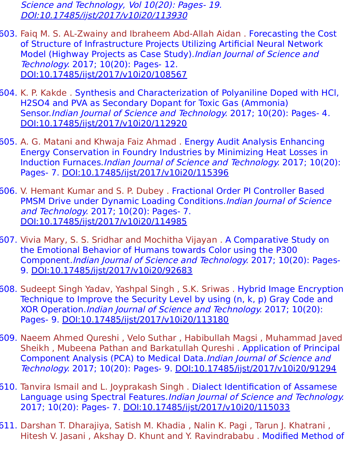Science and Technology, Vol 10(20): Pages- 19. [DOI:10.17485/ijst/2017/v10i20/113930](https://indjst.org/articles/a-survey-on-e-payment-systems-elements-adoption-architecture-challenges-and-security-concepts)

- 603. Faiq M. S. AL-Zwainy and Ibraheem Abd-Allah Aidan . Forecasting the Cost of Structure of Infrastructure Projects Utilizing Artificial Neural Network Model (Highway Projects as Case Study). Indian Journal of Science and Technology. 2017; 10(20): Pages- 12. [DOI:10.17485/ijst/2017/v10i20/108567](https://indjst.org/articles/forecasting-the-cost-of-structure-of-infrastructure-projects-utilizing-artificial-neural-network-model-highway-projects-as-case-study)
- 604. K. P. Kakde . Synthesis and Characterization of Polyaniline Doped with HCl, H2SO4 and PVA as Secondary Dopant for Toxic Gas (Ammonia) Sensor.Indian Journal of Science and Technology. 2017; 10(20): Pages- 4. [DOI:10.17485/ijst/2017/v10i20/112920](https://indjst.org/articles/synthesis-and-characterization-of-polyaniline-doped-with-hcl-h2so4-and-pva-as-secondary-dopant-for-toxic-gas-ammonia-sensor)
- 605. A. G. Matani and Khwaja Faiz Ahmad . Energy Audit Analysis Enhancing Energy Conservation in Foundry Industries by Minimizing Heat Losses in Induction Furnaces.Indian Journal of Science and Technology. 2017; 10(20): Pages- 7. [DOI:10.17485/ijst/2017/v10i20/115396](https://indjst.org/articles/energy-audit-analysis-enhancing-energy-conservation-in-foundry-industries-by-minimizing-heat-losses-in-induction-furnaces)
- 606. V. Hemant Kumar and S. P. Dubey . Fractional Order PI Controller Based PMSM Drive under Dynamic Loading Conditions. Indian Journal of Science and Technology. 2017; 10(20): Pages- 7. [DOI:10.17485/ijst/2017/v10i20/114985](https://indjst.org/articles/fractional-order-pi-controller-based-pmsm-drive-under-dynamic-loading-conditions)
- 607. Vivia Mary, S. S. Sridhar and Mochitha Vijayan . A Comparative Study on the Emotional Behavior of Humans towards Color using the P300 Component.Indian Journal of Science and Technology. 2017; 10(20): Pages-9. [DOI:10.17485/ijst/2017/v10i20/92683](https://indjst.org/articles/a-comparative-study-on-the-emotional-behavior-of-humans-towards-color-using-the-p300-component)
- 608. Sudeept Singh Yadav, Yashpal Singh , S.K. Sriwas . Hybrid Image Encryption Technique to Improve the Security Level by using (n, k, p) Gray Code and XOR Operation.Indian Journal of Science and Technology. 2017; 10(20): Pages- 9. [DOI:10.17485/ijst/2017/v10i20/113180](https://indjst.org/articles/hybrid-image-encryption-technique-to-improve-the-security-level-by-using-n-k-p-gray-code-and-xor-operation)
- 609. Naeem Ahmed Qureshi , Velo Suthar , Habibullah Magsi , Muhammad Javed Sheikh , Mubeena Pathan and Barkatullah Qureshi . Application of Principal Component Analysis (PCA) to Medical Data.Indian Journal of Science and Technology. 2017; 10(20): Pages- 9. [DOI:10.17485/ijst/2017/v10i20/91294](https://indjst.org/articles/application-of-principal-component-analysis-pca-to-medical-data)
- 610. Tanvira Ismail and L. Joyprakash Singh . Dialect Identification of Assamese Language using Spectral Features.Indian Journal of Science and Technology. 2017; 10(20): Pages- 7. [DOI:10.17485/ijst/2017/v10i20/115033](https://indjst.org/articles/dialect-identification-of-assamese-language-using-spectral-features)
- 611. Darshan T. Dharajiya, Satish M. Khadia , Nalin K. Pagi , Tarun J. Khatrani , Hitesh V. Jasani , Akshay D. Khunt and Y. Ravindrababu . Modified Method of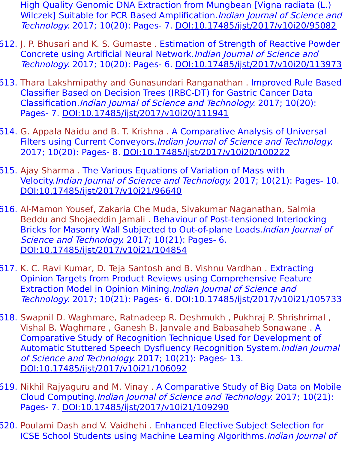High Quality Genomic DNA Extraction from Mungbean [Vigna radiata (L.) Wilczek] Suitable for PCR Based Amplification. Indian Journal of Science and Technology. 2017; 10(20): Pages- 7. [DOI:10.17485/ijst/2017/v10i20/95082](https://indjst.org/articles/modified-method-of-high-quality-genomic-dna-extraction-from-mungbean-vigna-radiata-l-wilczek-suitable-for-pcr-based-amplification)

- 612. J. P. Bhusari and K. S. Gumaste. Estimation of Strength of Reactive Powder Concrete using Artificial Neural Network.Indian Journal of Science and Technology. 2017; 10(20): Pages- 6. [DOI:10.17485/ijst/2017/v10i20/113973](https://indjst.org/articles/estimation-of-strength-of-reactive-powder-concrete-using-artificial-neural-network)
- 613. Thara Lakshmipathy and Gunasundari Ranganathan . Improved Rule Based Classifier Based on Decision Trees (IRBC-DT) for Gastric Cancer Data Classification.Indian Journal of Science and Technology. 2017; 10(20): Pages- 7. [DOI:10.17485/ijst/2017/v10i20/111941](https://indjst.org/articles/improved-rule-based-classifier-based-on-decision-trees-irbc-dt-for-gastric-cancer-data-classification)
- 614. G. Appala Naidu and B. T. Krishna . A Comparative Analysis of Universal Filters using Current Conveyors. Indian Journal of Science and Technology. 2017; 10(20): Pages- 8. [DOI:10.17485/ijst/2017/v10i20/100222](https://indjst.org/articles/a-comparative-analysis-of-universal-filters-using-current-conveyors)
- 615. Ajay Sharma . The Various Equations of Variation of Mass with Velocity.Indian Journal of Science and Technology. 2017; 10(21): Pages- 10. [DOI:10.17485/ijst/2017/v10i21/96640](https://indjst.org/articles/the-various-equations-of-variation-of-mass-with-velocity)
- 616. Al-Mamon Yousef, Zakaria Che Muda, Sivakumar Naganathan, Salmia Beddu and Shojaeddin Jamali . Behaviour of Post-tensioned Interlocking Bricks for Masonry Wall Subjected to Out-of-plane Loads.Indian Journal of Science and Technology. 2017; 10(21): Pages- 6. [DOI:10.17485/ijst/2017/v10i21/104854](https://indjst.org/articles/behaviour-of-post-tensioned-interlocking-bricks-for-masonry-wall-subjected-to-out-of-plane-loads)
- 617. K. C. Ravi Kumar, D. Teja Santosh and B. Vishnu Vardhan . Extracting Opinion Targets from Product Reviews using Comprehensive Feature Extraction Model in Opinion Mining.Indian Journal of Science and Technology. 2017; 10(21): Pages- 6. [DOI:10.17485/ijst/2017/v10i21/105733](https://indjst.org/articles/extracting-opinion-targets-from-product-reviews-using-comprehensive-feature-extraction-model-in-opinion-mining)
- 618. Swapnil D. Waghmare, Ratnadeep R. Deshmukh , Pukhraj P. Shrishrimal , Vishal B. Waghmare , Ganesh B. Janvale and Babasaheb Sonawane . A Comparative Study of Recognition Technique Used for Development of Automatic Stuttered Speech Dysfluency Recognition System.Indian Journal of Science and Technology. 2017; 10(21): Pages- 13. [DOI:10.17485/ijst/2017/v10i21/106092](https://indjst.org/articles/a-comparative-study-of-recognition-technique-used-for-development-of-automatic-stuttered-speech-dysfluency-recognition-system)
- 619. Nikhil Rajyaguru and M. Vinay . A Comparative Study of Big Data on Mobile Cloud Computing.Indian Journal of Science and Technology. 2017; 10(21): Pages- 7. [DOI:10.17485/ijst/2017/v10i21/109290](https://indjst.org/articles/a-comparative-study-of-big-data-on-mobile-cloud-computing)
- 620. Poulami Dash and V. Vaidhehi . Enhanced Elective Subject Selection for ICSE School Students using Machine Learning Algorithms.Indian Journal of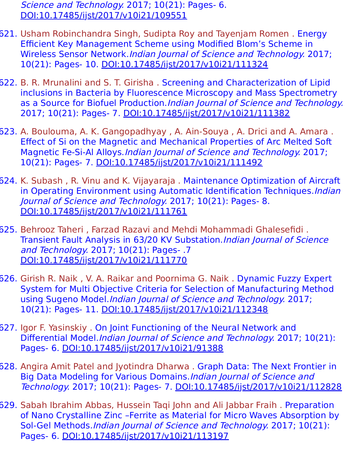Science and Technology. 2017; 10(21): Pages- 6. [DOI:10.17485/ijst/2017/v10i21/109551](https://indjst.org/articles/enhanced-elective-subject-selection-for-icse-school-students-using-machine-learning-algorithms)

- 621. Usham Robinchandra Singh, Sudipta Roy and Tayenjam Romen . Energy Efficient Key Management Scheme using Modified Blom's Scheme in Wireless Sensor Network.Indian Journal of Science and Technology. 2017; 10(21): Pages- 10. [DOI:10.17485/ijst/2017/v10i21/111324](https://indjst.org/articles/energy-efficient-key-management-scheme-using-modified-bloms-scheme-in-wireless-sensor-network)
- 622. B. R. Mrunalini and S. T. Girisha . Screening and Characterization of Lipid inclusions in Bacteria by Fluorescence Microscopy and Mass Spectrometry as a Source for Biofuel Production. Indian Journal of Science and Technology. 2017; 10(21): Pages- 7. [DOI:10.17485/ijst/2017/v10i21/111382](https://indjst.org/articles/screening-and-characterization-of-lipid-inclusions-in-bacteria-by-fluorescence-microscopy-and-mass-spectrometry-as-a-source-for-biofuel-production)
- 623. A. Boulouma, A. K. Gangopadhyay , A. Ain-Souya , A. Drici and A. Amara . Effect of Si on the Magnetic and Mechanical Properties of Arc Melted Soft Magnetic Fe-Si-Al Alloys.Indian Journal of Science and Technology. 2017; 10(21): Pages- 7. [DOI:10.17485/ijst/2017/v10i21/111492](https://indjst.org/articles/effect-of-si-on-the-magnetic-and-mechanical-properties-of-arc-melted-soft-magnetic-fe-si-al-alloys)
- 624. K. Subash , R. Vinu and K. Vijayaraja . Maintenance Optimization of Aircraft in Operating Environment using Automatic Identification Techniques. Indian Journal of Science and Technology. 2017; 10(21): Pages- 8. [DOI:10.17485/ijst/2017/v10i21/111761](https://indjst.org/articles/maintenance-optimization-of-aircraft-in-operating-environment-using-automatic-identification-techniques)
- 625. Behrooz Taheri , Farzad Razavi and Mehdi Mohammadi Ghalesefidi . Transient Fault Analysis in 63/20 KV Substation.Indian Journal of Science and Technology. 2017; 10(21): Pages- .7 [DOI:10.17485/ijst/2017/v10i21/111770](https://indjst.org/articles/transient-fault-analysis-in-6320-kv-substation)
- 626. Girish R. Naik , V. A. Raikar and Poornima G. Naik . Dynamic Fuzzy Expert System for Multi Objective Criteria for Selection of Manufacturing Method using Sugeno Model. Indian Journal of Science and Technology. 2017; 10(21): Pages- 11. [DOI:10.17485/ijst/2017/v10i21/112348](https://indjst.org/articles/dynamic-fuzzy-expert-system-for-multi-objective-criteria-for-selection-of-manufacturing-method-using-sugeno-model)
- 627. Igor F. Yasinskiy . On Joint Functioning of the Neural Network and Differential Model.Indian Journal of Science and Technology. 2017; 10(21): Pages- 6. [DOI:10.17485/ijst/2017/v10i21/91388](https://indjst.org/articles/on-joint-functioning-of-the-neural-network-and-differential-model)
- 628. Angira Amit Patel and Jyotindra Dharwa . Graph Data: The Next Frontier in Big Data Modeling for Various Domains.Indian Journal of Science and Technology. 2017; 10(21): Pages- 7. [DOI:10.17485/ijst/2017/v10i21/112828](https://indjst.org/articles/graph-data-the-next-frontier-in-big-data-modeling-for-various-domains)
- 629. Sabah Ibrahim Abbas, Hussein Taqi John and Ali Jabbar Fraih . Preparation of Nano Crystalline Zinc –Ferrite as Material for Micro Waves Absorption by Sol-Gel Methods.Indian Journal of Science and Technology. 2017; 10(21): Pages- 6. [DOI:10.17485/ijst/2017/v10i21/113197](https://indjst.org/articles/preparation-of-nano-crystalline-zinc-ferrite-as-material-for-micro-waves-absorption-by-sol-gel-methods)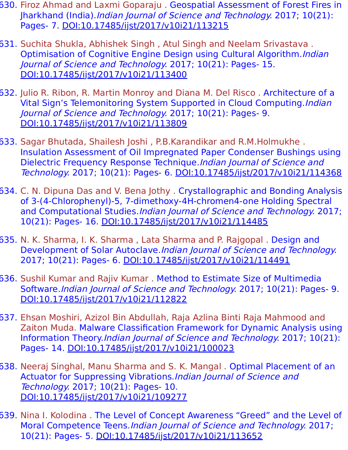- 630. Firoz Ahmad and Laxmi Goparaju . Geospatial Assessment of Forest Fires in Jharkhand (India).Indian Journal of Science and Technology. 2017; 10(21): Pages- 7. [DOI:10.17485/ijst/2017/v10i21/113215](https://indjst.org/articles/geospatial-assessment-of-forest-fires-in-jharkhand-india)
- 631. Suchita Shukla, Abhishek Singh , Atul Singh and Neelam Srivastava . Optimisation of Cognitive Engine Design using Cultural Algorithm. Indian Journal of Science and Technology. 2017; 10(21): Pages- 15. [DOI:10.17485/ijst/2017/v10i21/113400](https://indjst.org/articles/optimisation-of-cognitive-engine-design-using-cultural-algorithm)
- 632. Julio R. Ribon, R. Martin Monroy and Diana M. Del Risco . Architecture of a Vital Sign's Telemonitoring System Supported in Cloud Computing. Indian Journal of Science and Technology. 2017; 10(21): Pages- 9. [DOI:10.17485/ijst/2017/v10i21/113809](https://indjst.org/articles/architecture-of-a-vital-signs-telemonitoring-system-supported-in-cloud-computing)
- 633. Sagar Bhutada, Shailesh Joshi , P.B.Karandikar and R.M.Holmukhe . Insulation Assessment of Oil Impregnated Paper Condenser Bushings using Dielectric Frequency Response Technique.Indian Journal of Science and Technology. 2017; 10(21): Pages- 6. [DOI:10.17485/ijst/2017/v10i21/114368](https://indjst.org/articles/insulation-assessment-of-oil-impregnated-paper-condenser-bushings-using-dielectric-frequency-response-technique)
- 634. C. N. Dipuna Das and V. Bena Jothy . Crystallographic and Bonding Analysis of 3-(4-Chlorophenyl)-5, 7-dimethoxy-4H-chromen4-one Holding Spectral and Computational Studies. Indian Journal of Science and Technology. 2017; 10(21): Pages- 16. [DOI:10.17485/ijst/2017/v10i21/114485](https://indjst.org/articles/crystallographic-and-bonding-analysis-of-3-4-chlorophenyl-5-7-dimethoxy-4h-chromen4-one-holding-spectral-and-computational-studies)
- 635. N. K. Sharma, I. K. Sharma , Lata Sharma and P. Rajgopal . Design and Development of Solar Autoclave.Indian Journal of Science and Technology. 2017; 10(21): Pages- 6. [DOI:10.17485/ijst/2017/v10i21/114491](https://indjst.org/articles/design-and-development-of-solar-autoclave)
- 636. Sushil Kumar and Rajiv Kumar . Method to Estimate Size of Multimedia Software.Indian Journal of Science and Technology. 2017; 10(21): Pages- 9. [DOI:10.17485/ijst/2017/v10i21/112822](https://indjst.org/articles/method-to-estimate-size-of-multimedia-software)
- 637. Ehsan Moshiri, Azizol Bin Abdullah, Raja Azlina Binti Raja Mahmood and Zaiton Muda. Malware Classification Framework for Dynamic Analysis using Information Theory.Indian Journal of Science and Technology. 2017; 10(21): Pages- 14. [DOI:10.17485/ijst/2017/v10i21/100023](https://indjst.org/articles/malware-classification-framework-for-dynamic-analysis-using-information-theory)
- 638. Neeraj Singhal, Manu Sharma and S. K. Mangal . Optimal Placement of an Actuator for Suppressing Vibrations.Indian Journal of Science and Technology. 2017; 10(21): Pages- 10. [DOI:10.17485/ijst/2017/v10i21/109277](https://indjst.org/articles/optimal-placement-of-an-actuator-for-suppressing-vibrations)
- 639. Nina I. Kolodina . The Level of Concept Awareness "Greed" and the Level of Moral Competence Teens.Indian Journal of Science and Technology. 2017; 10(21): Pages- 5. [DOI:10.17485/ijst/2017/v10i21/113652](https://indjst.org/articles/the-level-of-concept-awareness-greed-and-the-level-of-moral-competence-teens)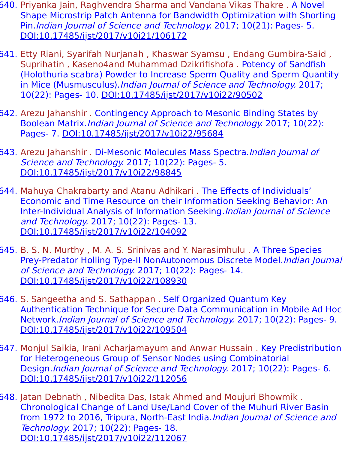- 640. Priyanka Jain, Raghvendra Sharma and Vandana Vikas Thakre . A Novel Shape Microstrip Patch Antenna for Bandwidth Optimization with Shorting Pin.Indian Journal of Science and Technology. 2017; 10(21): Pages- 5. [DOI:10.17485/ijst/2017/v10i21/106172](https://indjst.org/articles/a-novel-shape-microstrip-patch-antenna-for-bandwidth-optimization-with-shorting-pin)
- 641. Etty Riani, Syarifah Nurjanah , Khaswar Syamsu , Endang Gumbira-Said , Suprihatin , Kaseno4and Muhammad Dzikrifishofa . Potency of Sandfish (Holothuria scabra) Powder to Increase Sperm Quality and Sperm Quantity in Mice (Musmusculus).*Indian Journal of Science and Technology.* 2017; 10(22): Pages- 10. [DOI:10.17485/ijst/2017/v10i22/90502](https://indjst.org/articles/potency-of-sandfish-holothuria-scabra-powder-to-increase-sperm-quality-and-sperm-quantity-in-mice-musmusculus)
- 642. Arezu Jahanshir . Contingency Approach to Mesonic Binding States by Boolean Matrix.Indian Journal of Science and Technology. 2017; 10(22): Pages- 7. [DOI:10.17485/ijst/2017/v10i22/95684](https://indjst.org/articles/contingency-approach-to-mesonic-binding-states-by-boolean-matrix)
- 643. Arezu Jahanshir . Di-Mesonic Molecules Mass Spectra. Indian Journal of Science and Technology. 2017; 10(22): Pages- 5. [DOI:10.17485/ijst/2017/v10i22/98845](https://indjst.org/articles/di-mesonic-molecules-mass-spectra)
- 644. Mahuya Chakrabarty and Atanu Adhikari . The Effects of Individuals' Economic and Time Resource on their Information Seeking Behavior: An Inter-Individual Analysis of Information Seeking. Indian Journal of Science and Technology. 2017; 10(22): Pages- 13. [DOI:10.17485/ijst/2017/v10i22/104092](https://indjst.org/articles/the-effects-of-individuals-economic-and-time-resource-on-their-information-seeking-behavior-an-inter-individual-analysis-of-information-seeking)
- 645. B. S. N. Murthy , M. A. S. Srinivas and Y. Narasimhulu . A Three Species Prey-Predator Holling Type-II NonAutonomous Discrete Model.Indian Journal of Science and Technology. 2017; 10(22): Pages- 14. [DOI:10.17485/ijst/2017/v10i22/108930](https://indjst.org/articles/a-three-species-prey-predator-holling-type-ii-nonautonomous-discrete-model)
- 646. S. Sangeetha and S. Sathappan . Self Organized Quantum Key Authentication Technique for Secure Data Communication in Mobile Ad Hoc Network.Indian Journal of Science and Technology. 2017; 10(22): Pages- 9. [DOI:10.17485/ijst/2017/v10i22/109504](https://indjst.org/articles/self-organized-quantum-key-authentication-technique-for-secure-data-communication-in-mobile-ad-hoc-network)
- 647. Monjul Saikia, Irani Acharjamayum and Anwar Hussain . Key Predistribution for Heterogeneous Group of Sensor Nodes using Combinatorial Design.Indian Journal of Science and Technology. 2017; 10(22): Pages- 6. [DOI:10.17485/ijst/2017/v10i22/112056](https://indjst.org/articles/key-predistribution-for-heterogeneous-group-of-sensor-nodes-using-combinatorial-design)
- 648. Jatan Debnath , Nibedita Das, Istak Ahmed and Moujuri Bhowmik . Chronological Change of Land Use/Land Cover of the Muhuri River Basin from 1972 to 2016, Tripura, North-East India. Indian Journal of Science and Technology. 2017; 10(22): Pages- 18. [DOI:10.17485/ijst/2017/v10i22/112067](https://indjst.org/articles/chronological-change-of-land-useland-cover-of-the-muhuri-river-basin-from-1972-to-2016-tripura-north-east-india)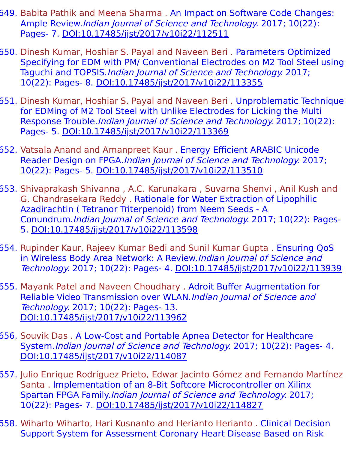- 649. Babita Pathik and Meena Sharma . An Impact on Software Code Changes: Ample Review.Indian Journal of Science and Technology. 2017; 10(22): Pages- 7. [DOI:10.17485/ijst/2017/v10i22/112511](https://indjst.org/articles/an-impact-on-software-code-changes-ample-review)
- 650. Dinesh Kumar, Hoshiar S. Payal and Naveen Beri . Parameters Optimized Specifying for EDM with PM/ Conventional Electrodes on M2 Tool Steel using Taguchi and TOPSIS. Indian Journal of Science and Technology. 2017; 10(22): Pages- 8. [DOI:10.17485/ijst/2017/v10i22/113355](https://indjst.org/articles/parameters-optimized-specifying-for-edm-with-pm-conventional-electrodes-on-m2-tool-steel-using-taguchi-and-topsis)
- 651. Dinesh Kumar, Hoshiar S. Payal and Naveen Beri . Unproblematic Technique for EDMing of M2 Tool Steel with Unlike Electrodes for Licking the Multi Response Trouble.Indian Journal of Science and Technology. 2017; 10(22): Pages- 5. [DOI:10.17485/ijst/2017/v10i22/113369](https://indjst.org/articles/unproblematic-technique-for-edming-of-m2-tool-steel-with-unlike-electrodes-for-licking-the-multi-response-trouble)
- 652. Vatsala Anand and Amanpreet Kaur . Energy Efficient ARABIC Unicode Reader Design on FPGA.Indian Journal of Science and Technology. 2017; 10(22): Pages- 5. [DOI:10.17485/ijst/2017/v10i22/113510](https://indjst.org/articles/energy-efficient-arabic-unicode-reader-design-on-fpga)
- 653. Shivaprakash Shivanna , A.C. Karunakara , Suvarna Shenvi , Anil Kush and G. Chandrasekara Reddy . Rationale for Water Extraction of Lipophilic Azadirachtin ( Tetranor Triterpenoid) from Neem Seeds - A Conundrum.Indian Journal of Science and Technology. 2017; 10(22): Pages-5. [DOI:10.17485/ijst/2017/v10i22/113598](https://indjst.org/articles/rationale-for-water-extraction-of-lipophilic-azadirachtin-tetranor-triterpenoid-from-neem-seeds-a-conundrum)
- 654. Rupinder Kaur, Rajeev Kumar Bedi and Sunil Kumar Gupta . Ensuring QoS in Wireless Body Area Network: A Review.Indian Journal of Science and Technology. 2017; 10(22): Pages- 4. [DOI:10.17485/ijst/2017/v10i22/113939](https://indjst.org/articles/ensuring-qos-in-wireless-body-area-network-a-review)
- 655. Mayank Patel and Naveen Choudhary . Adroit Buffer Augmentation for Reliable Video Transmission over WLAN.Indian Journal of Science and Technology. 2017; 10(22): Pages- 13. [DOI:10.17485/ijst/2017/v10i22/113962](https://indjst.org/articles/adroit-buffer-augmentation-for-reliable-video-transmission-over-wlan)
- 656. Souvik Das . A Low-Cost and Portable Apnea Detector for Healthcare System.Indian Journal of Science and Technology. 2017; 10(22): Pages- 4. [DOI:10.17485/ijst/2017/v10i22/114087](https://indjst.org/articles/a-low-cost-and-portable-apnea-detector-for-healthcare-system)
- 657. Julio Enrique Rodríguez Prieto, Edwar Jacinto Gómez and Fernando Martínez Santa . Implementation of an 8-Bit Softcore Microcontroller on Xilinx Spartan FPGA Family.Indian Journal of Science and Technology. 2017; 10(22): Pages- 7. [DOI:10.17485/ijst/2017/v10i22/114827](https://indjst.org/articles/implementation-of-an-8-bit-softcore-microcontroller-on-xilinx-spartan-fpga-family)
- 658. Wiharto Wiharto, Hari Kusnanto and Herianto Herianto . Clinical Decision Support System for Assessment Coronary Heart Disease Based on Risk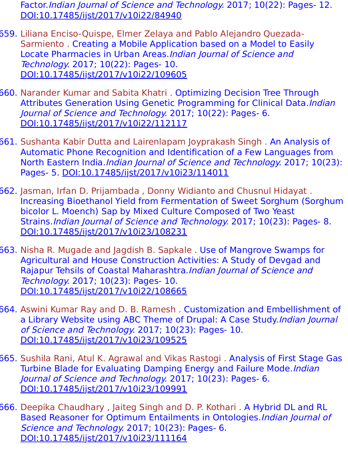Factor.Indian Journal of Science and Technology. 2017; 10(22): Pages- 12. [DOI:10.17485/ijst/2017/v10i22/84940](https://indjst.org/articles/clinical-decision-support-system-for-assessment-coronary-heart-disease-based-on-risk-factor)

- 659. Liliana Enciso-Quispe, Elmer Zelaya and Pablo Alejandro Quezada-Sarmiento . Creating a Mobile Application based on a Model to Easily Locate Pharmacies in Urban Areas.Indian Journal of Science and Technology. 2017; 10(22): Pages- 10. [DOI:10.17485/ijst/2017/v10i22/109605](https://indjst.org/articles/creating-a-mobile-application-based-on-a-model-to-easily-locate-pharmacies-in-urban-areas)
- 660. Narander Kumar and Sabita Khatri . Optimizing Decision Tree Through Attributes Generation Using Genetic Programming for Clinical Data.Indian Journal of Science and Technology. 2017; 10(22): Pages- 6. [DOI:10.17485/ijst/2017/v10i22/112117](https://indjst.org/articles/optimizing-decision-tree-through-attributes-generation-using-genetic-programming-for-clinical-data)
- 661. Sushanta Kabir Dutta and Lairenlapam Joyprakash Singh . An Analysis of Automatic Phone Recognition and Identification of a Few Languages from North Eastern India. Indian Journal of Science and Technology. 2017; 10(23): Pages- 5. [DOI:10.17485/ijst/2017/v10i23/114011](https://indjst.org/articles/an-analysis-of-automatic-phone-recognition-and-identification-of-a-few-languages-from-north-eastern-india)
- 662. Jasman, Irfan D. Prijambada , Donny Widianto and Chusnul Hidayat . Increasing Bioethanol Yield from Fermentation of Sweet Sorghum (Sorghum bicolor L. Moench) Sap by Mixed Culture Composed of Two Yeast Strains.Indian Journal of Science and Technology. 2017; 10(23): Pages- 8. [DOI:10.17485/ijst/2017/v10i23/108231](https://indjst.org/articles/increasing-bioethanol-yield-from-fermentation-of-sweet-sorghum-sorghum-bicolor-l-moench-sap-by-mixed-culture-composed-of-two-yeast-strains)
- 663. Nisha R. Mugade and Jagdish B. Sapkale . Use of Mangrove Swamps for Agricultural and House Construction Activities: A Study of Devgad and Rajapur Tehsils of Coastal Maharashtra.Indian Journal of Science and Technology. 2017; 10(23): Pages- 10. [DOI:10.17485/ijst/2017/v10i22/108665](https://indjst.org/articles/use-of-mangrove-swamps-for-agricultural-and-house-construction-activities-a-study-of-devgad-and-rajapur-tehsils-of-coastal-maharashtra)
- 664. Aswini Kumar Ray and D. B. Ramesh . Customization and Embellishment of a Library Website using ABC Theme of Drupal: A Case Study.Indian Journal of Science and Technology. 2017; 10(23): Pages- 10. [DOI:10.17485/ijst/2017/v10i23/109525](https://indjst.org/articles/customization-and-embellishment-of-a-library-website-using-abc-theme-of-drupal-a-case-study)
- 665. Sushila Rani, Atul K. Agrawal and Vikas Rastogi . Analysis of First Stage Gas Turbine Blade for Evaluating Damping Energy and Failure Mode.*Indian* Journal of Science and Technology. 2017; 10(23): Pages- 6. [DOI:10.17485/ijst/2017/v10i23/109991](https://indjst.org/articles/analysis-of-first-stage-gas-turbine-blade-for-evaluating-damping-energy-and-failure-mode)
- 666. Deepika Chaudhary , Jaiteg Singh and D. P. Kothari . A Hybrid DL and RL Based Reasoner for Optimum Entailments in Ontologies.Indian Journal of Science and Technology. 2017; 10(23): Pages- 6. [DOI:10.17485/ijst/2017/v10i23/111164](https://indjst.org/articles/a-hybrid-dl-and-rl-based-reasoner-for-optimum-entailments-in-ontologies)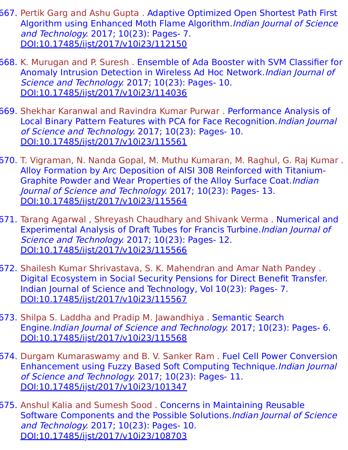- 667. Pertik Garg and Ashu Gupta . Adaptive Optimized Open Shortest Path First Algorithm using Enhanced Moth Flame Algorithm.Indian Journal of Science and Technology. 2017; 10(23): Pages- 7. [DOI:10.17485/ijst/2017/v10i23/112150](https://indjst.org/articles/adaptive-optimized-open-shortest-path-first-algorithm-using-enhanced-moth-flame-algorithm)
- 668. K. Murugan and P. Suresh . Ensemble of Ada Booster with SVM Classifier for Anomaly Intrusion Detection in Wireless Ad Hoc Network.Indian Journal of Science and Technology. 2017; 10(23): Pages- 10. [DOI:10.17485/ijst/2017/v10i23/114036](https://indjst.org/articles/ensemble-of-ada-booster-with-svm-classifier-for-anomaly-intrusion-detection-in-wireless-ad-hoc-network)
- 669. Shekhar Karanwal and Ravindra Kumar Purwar . Performance Analysis of Local Binary Pattern Features with PCA for Face Recognition.Indian Journal of Science and Technology. 2017; 10(23): Pages- 10. [DOI:10.17485/ijst/2017/v10i23/115561](https://indjst.org/articles/performance-analysis-of-local-binary-pattern-features-with-pca-for-face-recognition)
- 670. T. Vigraman, N. Nanda Gopal, M. Muthu Kumaran, M. Raghul, G. Raj Kumar . Alloy Formation by Arc Deposition of AISI 308 Reinforced with Titanium-Graphite Powder and Wear Properties of the Alloy Surface Coat. Indian Journal of Science and Technology. 2017; 10(23): Pages- 13. [DOI:10.17485/ijst/2017/v10i23/115564](https://indjst.org/articles/alloy-formation-by-arc-deposition-of-aisi-308-reinforced-with-titanium-graphite-powder-and-wear-properties-of-the-alloy-surface-coat)
- 671. Tarang Agarwal , Shreyash Chaudhary and Shivank Verma . Numerical and Experimental Analysis of Draft Tubes for Francis Turbine.Indian Journal of Science and Technology. 2017; 10(23): Pages- 12. [DOI:10.17485/ijst/2017/v10i23/115566](https://indjst.org/articles/numerical-and-experimental-analysis-of-draft-tubes-for-francis-turbine)
- 672. Shailesh Kumar Shrivastava, S. K. Mahendran and Amar Nath Pandey . Digital Ecosystem in Social Security Pensions for Direct Benefit Transfer. Indian Journal of Science and Technology, Vol 10(23): Pages- 7. [DOI:10.17485/ijst/2017/v10i23/115567](https://indjst.org/articles/digital-ecosystem-in-social-security-pensions-for-direct-benefit-transfer)
- 673. Shilpa S. Laddha and Pradip M. Jawandhiya . Semantic Search Engine.Indian Journal of Science and Technology. 2017; 10(23): Pages- 6. [DOI:10.17485/ijst/2017/v10i23/115568](https://indjst.org/articles/semantic-search-engine)
- 674. Durgam Kumaraswamy and B. V. Sanker Ram . Fuel Cell Power Conversion Enhancement using Fuzzy Based Soft Computing Technique.Indian Journal of Science and Technology. 2017; 10(23): Pages- 11. [DOI:10.17485/ijst/2017/v10i23/101347](https://indjst.org/articles/fuel-cell-power-conversion-enhancement-using-fuzzy-based-soft-computing-technique)
- 675. Anshul Kalia and Sumesh Sood . Concerns in Maintaining Reusable Software Components and the Possible Solutions.Indian Journal of Science and Technology. 2017; 10(23): Pages- 10. [DOI:10.17485/ijst/2017/v10i23/108703](https://indjst.org/articles/concerns-in-maintaining-reusable-software-components-and-the-possible-solutions)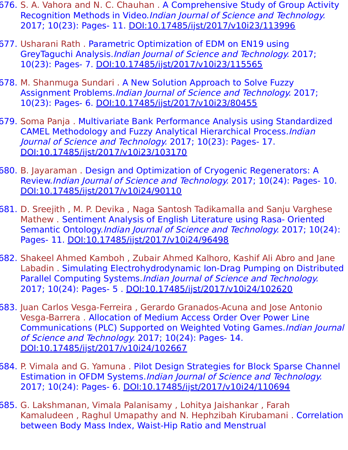- 676. S. A. Vahora and N. C. Chauhan . A Comprehensive Study of Group Activity Recognition Methods in Video.Indian Journal of Science and Technology. 2017; 10(23): Pages- 11. [DOI:10.17485/ijst/2017/v10i23/113996](https://indjst.org/articles/a-comprehensive-study-of-group-activity-recognition-methods-in-video)
- 677. Usharani Rath . Parametric Optimization of EDM on EN19 using GreyTaguchi Analysis.Indian Journal of Science and Technology. 2017; 10(23): Pages- 7. [DOI:10.17485/ijst/2017/v10i23/115565](https://indjst.org/articles/parametric-optimization-of-edm-on-en19-using-greytaguchi-analysis)
- 678. M. Shanmuga Sundari . A New Solution Approach to Solve Fuzzy Assignment Problems.Indian Journal of Science and Technology. 2017; 10(23): Pages- 6. [DOI:10.17485/ijst/2017/v10i23/80455](https://indjst.org/articles/a-new-solution-approach-to-solve-fuzzy-assignment-problems)
- 679. Soma Panja . Multivariate Bank Performance Analysis using Standardized CAMEL Methodology and Fuzzy Analytical Hierarchical Process.Indian Journal of Science and Technology. 2017; 10(23): Pages- 17. [DOI:10.17485/ijst/2017/v10i23/103170](https://indjst.org/articles/multivariate-bank-performance-analysis-using-standardized-camel-methodology-and-fuzzy-analytical-hierarchical-process)
- 680. B. Jayaraman . Design and Optimization of Cryogenic Regenerators: A Review.Indian Journal of Science and Technology. 2017; 10(24): Pages- 10. [DOI:10.17485/ijst/2017/v10i24/90110](https://indjst.org/articles/design-and-optimization-of-cryogenic-regenerators-a-review)
- 681. D. Sreejith , M. P. Devika , Naga Santosh Tadikamalla and Sanju Varghese Mathew . Sentiment Analysis of English Literature using Rasa- Oriented Semantic Ontology.Indian Journal of Science and Technology. 2017; 10(24): Pages- 11. [DOI:10.17485/ijst/2017/v10i24/96498](https://indjst.org/articles/sentiment-analysis-of-english-literature-using-rasa-oriented-semantic-ontology)
- 682. Shakeel Ahmed Kamboh , Zubair Ahmed Kalhoro, Kashif Ali Abro and Jane Labadin . Simulating Electrohydrodynamic Ion-Drag Pumping on Distributed Parallel Computing Systems.Indian Journal of Science and Technology. 2017; 10(24): Pages- 5 . [DOI:10.17485/ijst/2017/v10i24/102620](https://indjst.org/articles/simulating-electrohydrodynamic-ion-drag-pumping-on-distributed-parallel-computing-systems)
- 683. Juan Carlos Vesga-Ferreira , Gerardo Granados-Acuna and Jose Antonio Vesga-Barrera . Allocation of Medium Access Order Over Power Line Communications (PLC) Supported on Weighted Voting Games.Indian Journal of Science and Technology. 2017; 10(24): Pages- 14. [DOI:10.17485/ijst/2017/v10i24/102667](https://indjst.org/articles/allocation-of-medium-access-order-over-power-line-communications-plc-supported-on-weighted-voting-games)
- 684. P. Vimala and G. Yamuna . Pilot Design Strategies for Block Sparse Channel Estimation in OFDM Systems.Indian Journal of Science and Technology. 2017; 10(24): Pages- 6. [DOI:10.17485/ijst/2017/v10i24/110694](https://indjst.org/articles/pilot-design-strategies-for-block-sparse-channel-estimation-in-ofdm-systems)
- 685. G. Lakshmanan, Vimala Palanisamy , Lohitya Jaishankar , Farah Kamaludeen , Raghul Umapathy and N. Hephzibah Kirubamani . Correlation between Body Mass Index, Waist-Hip Ratio and Menstrual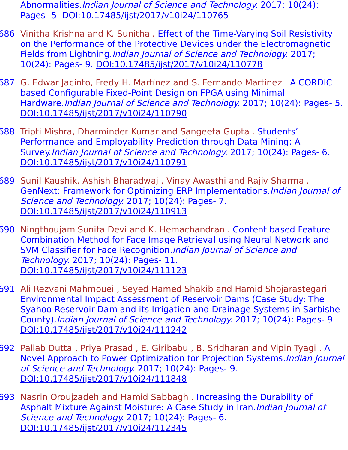Abnormalities.Indian Journal of Science and Technology. 2017; 10(24): Pages- 5. [DOI:10.17485/ijst/2017/v10i24/110765](https://indjst.org/articles/correlation-between-body-mass-index-waist-hip-ratio-and-menstrual-abnormalities)

- 686. Vinitha Krishna and K. Sunitha . Effect of the Time-Varying Soil Resistivity on the Performance of the Protective Devices under the Electromagnetic Fields from Lightning.*Indian Journal of Science and Technology.* 2017; 10(24): Pages- 9. [DOI:10.17485/ijst/2017/v10i24/110778](https://indjst.org/articles/effect-of-the-time-varying-soil-resistivity-on-the-performance-of-the-protective-devices-under-the-electromagnetic-fields-from-lightning)
- 687. G. Edwar Jacinto, Fredy H. Martínez and S. Fernando Martínez . A CORDIC based Configurable Fixed-Point Design on FPGA using Minimal Hardware. Indian Journal of Science and Technology. 2017; 10(24): Pages- 5. [DOI:10.17485/ijst/2017/v10i24/110790](https://indjst.org/articles/a-cordic-based-configurable-fixed-point-design-on-fpga-using-minimal-hardware)
- 688. Tripti Mishra, Dharminder Kumar and Sangeeta Gupta . Students' Performance and Employability Prediction through Data Mining: A Survey.Indian Journal of Science and Technology. 2017; 10(24): Pages- 6. [DOI:10.17485/ijst/2017/v10i24/110791](https://indjst.org/articles/students-performance-and-employability-prediction-through-data-mining-a-survey)
- 689. Sunil Kaushik, Ashish Bharadwaj , Vinay Awasthi and Rajiv Sharma . GenNext: Framework for Optimizing ERP Implementations.Indian Journal of Science and Technology. 2017; 10(24): Pages- 7. [DOI:10.17485/ijst/2017/v10i24/110913](https://indjst.org/articles/gennext-framework-for-optimizing-erp-implementations)
- 690. Ningthoujam Sunita Devi and K. Hemachandran . Content based Feature Combination Method for Face Image Retrieval using Neural Network and SVM Classifier for Face Recognition.Indian Journal of Science and Technology. 2017; 10(24): Pages- 11. [DOI:10.17485/ijst/2017/v10i24/111123](https://indjst.org/articles/content-based-feature-combination-method-for-face-image-retrieval-using-neural-network-and-svm-classifier-for-face-recognition)
- 691. Ali Rezvani Mahmouei , Seyed Hamed Shakib and Hamid Shojarastegari . Environmental Impact Assessment of Reservoir Dams (Case Study: The Syahoo Reservoir Dam and its Irrigation and Drainage Systems in Sarbishe County).Indian Journal of Science and Technology. 2017; 10(24): Pages- 9. [DOI:10.17485/ijst/2017/v10i24/111242](https://indjst.org/articles/environmental-impact-assessment-of-reservoir-dams-case-study-the-syahoo-reservoir-dam-and-its-irrigation-and-drainage-systems-in-sarbishe-county)
- 692. Pallab Dutta , Priya Prasad , E. Giribabu , B. Sridharan and Vipin Tyagi . A Novel Approach to Power Optimization for Projection Systems.Indian Journal of Science and Technology. 2017; 10(24): Pages- 9. [DOI:10.17485/ijst/2017/v10i24/111848](https://indjst.org/articles/a-novel-approach-to-power-optimization-for-projection-systems)
- 693. Nasrin Oroujzadeh and Hamid Sabbagh . Increasing the Durability of Asphalt Mixture Against Moisture: A Case Study in Iran.Indian Journal of Science and Technology. 2017; 10(24): Pages- 6. [DOI:10.17485/ijst/2017/v10i24/112345](https://indjst.org/articles/increasing-the-durability-of-asphalt-mixture-against-moisture-a-case-study-in-iran)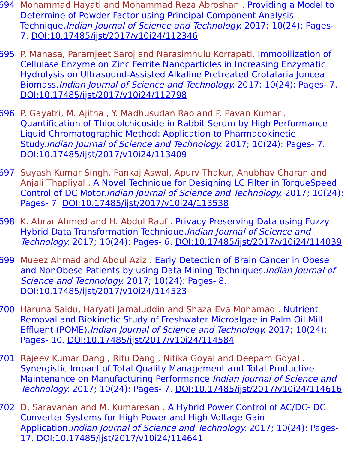- 694. Mohammad Hayati and Mohammad Reza Abroshan . Providing a Model to Determine of Powder Factor using Principal Component Analysis Technique.Indian Journal of Science and Technology. 2017; 10(24): Pages-7. [DOI:10.17485/ijst/2017/v10i24/112346](https://indjst.org/articles/providing-a-model-to-determine-of-powder-factor-using-principal-component-analysis-technique)
- 695. P. Manasa, Paramjeet Saroj and Narasimhulu Korrapati. Immobilization of Cellulase Enzyme on Zinc Ferrite Nanoparticles in Increasing Enzymatic Hydrolysis on Ultrasound-Assisted Alkaline Pretreated Crotalaria Juncea Biomass.Indian Journal of Science and Technology. 2017; 10(24): Pages- 7. [DOI:10.17485/ijst/2017/v10i24/112798](https://indjst.org/articles/immobilization-of-cellulase-enzyme-on-zinc-ferrite-nanoparticles-in-increasing-enzymatic-hydrolysis-on-ultrasound-assisted-alkaline-pretreated-crotalaria-juncea-biomass)
- 696. P. Gayatri, M. Ajitha , Y. Madhusudan Rao and P. Pavan Kumar . Quantification of Thiocolchicoside in Rabbit Serum by High Performance Liquid Chromatographic Method: Application to Pharmacokinetic Study.Indian Journal of Science and Technology. 2017; 10(24): Pages- 7. [DOI:10.17485/ijst/2017/v10i24/113409](https://indjst.org/articles/quantification-of-thiocolchicoside-in-rabbit-serum-by-high-performance-liquid-chromatographic-method-application-to-pharmacokinetic-study)
- 697. Suyash Kumar Singh, Pankaj Aswal, Apurv Thakur, Anubhav Charan and Anjali Thapliyal . A Novel Technique for Designing LC Filter in TorqueSpeed Control of DC Motor.Indian Journal of Science and Technology. 2017; 10(24): Pages- 7. [DOI:10.17485/ijst/2017/v10i24/113538](https://indjst.org/articles/a-novel-technique-for-designing-lc-filter-in-torquespeed-control-of-dc-motor)
- 698. K. Abrar Ahmed and H. Abdul Rauf . Privacy Preserving Data using Fuzzy Hybrid Data Transformation Technique.Indian Journal of Science and Technology. 2017; 10(24): Pages- 6. [DOI:10.17485/ijst/2017/v10i24/114039](https://indjst.org/articles/privacy-preserving-data-using-fuzzy-hybrid-data-transformation-technique)
- 699. Mueez Ahmad and Abdul Aziz . Early Detection of Brain Cancer in Obese and NonObese Patients by using Data Mining Techniques. Indian Journal of Science and Technology. 2017; 10(24): Pages- 8. [DOI:10.17485/ijst/2017/v10i24/114523](https://indjst.org/articles/early-detection-of-brain-cancer-in-obese-and-nonobese-patients-by-using-data-mining-techniques)
- 700. Haruna Saidu, Haryati Jamaluddin and Shaza Eva Mohamad . Nutrient Removal and Biokinetic Study of Freshwater Microalgae in Palm Oil Mill Effluent (POME).Indian Journal of Science and Technology. 2017; 10(24): Pages- 10. [DOI:10.17485/ijst/2017/v10i24/114584](https://indjst.org/articles/nutrient-removal-and-biokinetic-study-of-freshwater-microalgae-in-palm-oil-mill-effluent-pome)
- 701. Rajeev Kumar Dang , Ritu Dang , Nitika Goyal and Deepam Goyal . Synergistic Impact of Total Quality Management and Total Productive Maintenance on Manufacturing Performance.Indian Journal of Science and Technology. 2017; 10(24): Pages- 7. [DOI:10.17485/ijst/2017/v10i24/114616](https://indjst.org/articles/synergistic-impact-of-total-quality-management-and-total-productive-maintenance-on-manufacturing-performance)
- 702. D. Saravanan and M. Kumaresan . A Hybrid Power Control of AC/DC- DC Converter Systems for High Power and High Voltage Gain Application.Indian Journal of Science and Technology. 2017; 10(24): Pages-17. [DOI:10.17485/ijst/2017/v10i24/114641](https://indjst.org/articles/a-hybrid-power-control-of-acdc-dc-converter-systems-for-high-power-and-high-voltage-gain-application)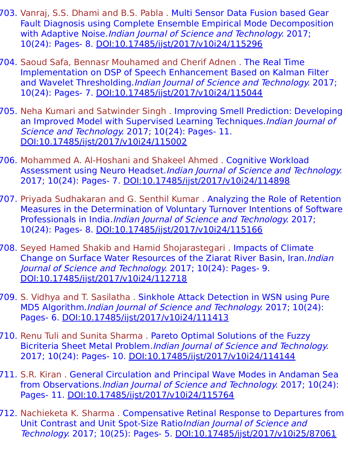- 703. Vanraj, S.S. Dhami and B.S. Pabla . Multi Sensor Data Fusion based Gear Fault Diagnosis using Complete Ensemble Empirical Mode Decomposition with Adaptive Noise. Indian Journal of Science and Technology. 2017; 10(24): Pages- 8. [DOI:10.17485/ijst/2017/v10i24/115296](https://indjst.org/articles/multi-sensor-data-fusion-based-gear-fault-diagnosis-using-complete-ensemble-empirical-mode-decomposition-with-adaptive-noise)
- 704. Saoud Safa, Bennasr Mouhamed and Cherif Adnen . The Real Time Implementation on DSP of Speech Enhancement Based on Kalman Filter and Wavelet Thresholding. Indian Journal of Science and Technology. 2017; 10(24): Pages- 7. [DOI:10.17485/ijst/2017/v10i24/115044](https://indjst.org/articles/the-real-time-implementation-on-dsp-of-speech-enhancement-based-on-kalman-filter-and-wavelet-thresholding)
- 705. Neha Kumari and Satwinder Singh . Improving Smell Prediction: Developing an Improved Model with Supervised Learning Techniques.*Indian Journal of* Science and Technology. 2017; 10(24): Pages- 11. [DOI:10.17485/ijst/2017/v10i24/115002](https://indjst.org/articles/improving-smell-prediction-developing-an-improved-model-with-supervised-learning-techniques)
- 706. Mohammed A. Al-Hoshani and Shakeel Ahmed . Cognitive Workload Assessment using Neuro Headset.Indian Journal of Science and Technology. 2017; 10(24): Pages- 7. [DOI:10.17485/ijst/2017/v10i24/114898](https://indjst.org/articles/cognitive-workload-assessment-using-neuro-headset)
- 707. Priyada Sudhakaran and G. Senthil Kumar . Analyzing the Role of Retention Measures in the Determination of Voluntary Turnover Intentions of Software Professionals in India.Indian Journal of Science and Technology. 2017; 10(24): Pages- 8. [DOI:10.17485/ijst/2017/v10i24/115166](https://indjst.org/articles/analyzing-the-role-of-retention-measures-in-the-determination-of-voluntary-turnover-intentions-of-software-professionals-in-india)
- 708. Seyed Hamed Shakib and Hamid Shojarastegari . Impacts of Climate Change on Surface Water Resources of the Ziarat River Basin, Iran.Indian Journal of Science and Technology. 2017; 10(24): Pages- 9. [DOI:10.17485/ijst/2017/v10i24/112718](https://indjst.org/articles/impacts-of-climate-change-on-surface-water-resources-of-the-ziarat-river-basin-iran)
- 709. S. Vidhya and T. Sasilatha . Sinkhole Attack Detection in WSN using Pure MD5 Algorithm.Indian Journal of Science and Technology. 2017; 10(24): Pages- 6. [DOI:10.17485/ijst/2017/v10i24/111413](https://indjst.org/articles/sinkhole-attack-detection-in-wsn-using-pure-md5-algorithm)
- 710. Renu Tuli and Sunita Sharma . Pareto Optimal Solutions of the Fuzzy Bicriteria Sheet Metal Problem.Indian Journal of Science and Technology. 2017; 10(24): Pages- 10. [DOI:10.17485/ijst/2017/v10i24/114144](https://indjst.org/articles/pareto-optimal-solutions-of-the-fuzzy-bicriteria-sheet-metal-problem)
- 711. S.R. Kiran . General Circulation and Principal Wave Modes in Andaman Sea from Observations.Indian Journal of Science and Technology. 2017; 10(24): Pages- 11. [DOI:10.17485/ijst/2017/v10i24/115764](https://indjst.org/articles/general-circulation-and-principal-wave-modes-in-andaman-sea-from-observations)
- 712. Nachieketa K. Sharma . Compensative Retinal Response to Departures from Unit Contrast and Unit Spot-Size RatioIndian Journal of Science and Technology. 2017; 10(25): Pages- 5. [DOI:10.17485/ijst/2017/v10i25/87061](https://indjst.org/articles/compensative-retinal-response-to-departures-from-unit-contrast-and-unit-spot-size-ratio)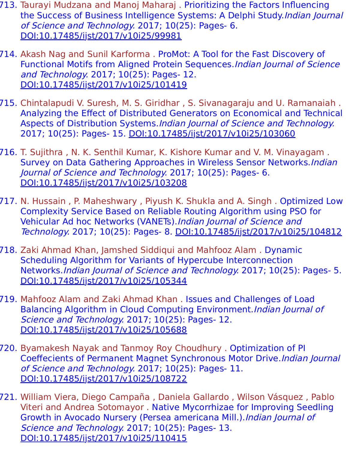- 713. Taurayi Mudzana and Manoj Maharaj . Prioritizing the Factors Influencing the Success of Business Intelligence Systems: A Delphi Study.Indian Journal of Science and Technology. 2017; 10(25): Pages- 6. [DOI:10.17485/ijst/2017/v10i25/99981](https://indjst.org/articles/prioritizing-the-factors-influencing-the-success-of-business-intelligence-systems-a-delphi-study)
- 714. Akash Nag and Sunil Karforma . ProMot: A Tool for the Fast Discovery of Functional Motifs from Aligned Protein Sequences.Indian Journal of Science and Technology. 2017; 10(25): Pages- 12. [DOI:10.17485/ijst/2017/v10i25/101419](https://indjst.org/articles/promot-a-tool-for-the-fast-discovery-of-functional-motifs-from-aligned-protein-sequences)
- 715. Chintalapudi V. Suresh, M. S. Giridhar , S. Sivanagaraju and U. Ramanaiah . Analyzing the Effect of Distributed Generators on Economical and Technical Aspects of Distribution Systems.Indian Journal of Science and Technology. 2017; 10(25): Pages- 15. [DOI:10.17485/ijst/2017/v10i25/103060](https://indjst.org/articles/analyzing-the-effect-of-distributed-generators-on-economical-and-technical-aspects-of-distribution-systems)
- 716. T. Sujithra , N. K. Senthil Kumar, K. Kishore Kumar and V. M. Vinayagam . Survey on Data Gathering Approaches in Wireless Sensor Networks.Indian Journal of Science and Technology. 2017; 10(25): Pages- 6. [DOI:10.17485/ijst/2017/v10i25/103208](https://indjst.org/articles/survey-on-data-gathering-approaches-in-wireless-sensor-networks)
- 717. N. Hussain , P. Maheshwary , Piyush K. Shukla and A. Singh . Optimized Low Complexity Service Based on Reliable Routing Algorithm using PSO for Vehicular Ad hoc Networks (VANETs).Indian Journal of Science and Technology. 2017; 10(25): Pages- 8. [DOI:10.17485/ijst/2017/v10i25/104812](https://indjst.org/articles/optimized-low-complexity-service-based-on-reliable-routing-algorithm-using-pso-for-vehicular-ad-hoc-networks-vanets)
- 718. Zaki Ahmad Khan, Jamshed Siddiqui and Mahfooz Alam . Dynamic Scheduling Algorithm for Variants of Hypercube Interconnection Networks.Indian Journal of Science and Technology. 2017; 10(25): Pages- 5. [DOI:10.17485/ijst/2017/v10i25/105344](https://indjst.org/articles/dynamic-scheduling-algorithm-for-variants-of-hypercube-interconnection-networks)
- 719. Mahfooz Alam and Zaki Ahmad Khan . Issues and Challenges of Load Balancing Algorithm in Cloud Computing Environment. *Indian Journal of* Science and Technology. 2017; 10(25): Pages- 12. [DOI:10.17485/ijst/2017/v10i25/105688](https://indjst.org/articles/issues-and-challenges-of-load-balancing-algorithm-in-cloud-computing-environment)
- 720. Byamakesh Nayak and Tanmoy Roy Choudhury . Optimization of PI Coeffecients of Permanent Magnet Synchronous Motor Drive.Indian Journal of Science and Technology. 2017; 10(25): Pages- 11. [DOI:10.17485/ijst/2017/v10i25/108722](https://indjst.org/articles/optimization-of-pi-coeffecients-of-permanent-magnet-synchronous-motor-drive)
- 721. William Viera, Diego Campaña , Daniela Gallardo , Wilson Vásquez , Pablo Viteri and Andrea Sotomayor . Native Mycorrhizae for Improving Seedling Growth in Avocado Nursery (Persea americana Mill.).Indian Journal of Science and Technology. 2017; 10(25): Pages- 13. [DOI:10.17485/ijst/2017/v10i25/110415](https://indjst.org/articles/native-mycorrhizae-for-improving-seedling-growth-in-avocado-nursery-persea-americana-mill)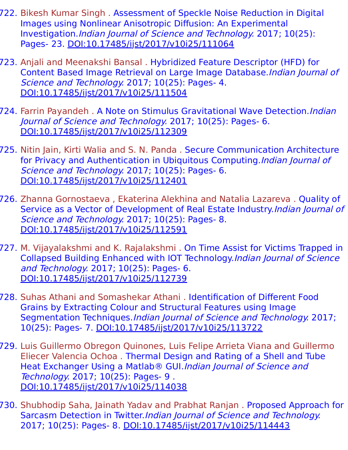- 722. Bikesh Kumar Singh . Assessment of Speckle Noise Reduction in Digital Images using Nonlinear Anisotropic Diffusion: An Experimental Investigation.Indian Journal of Science and Technology. 2017; 10(25): Pages- 23. [DOI:10.17485/ijst/2017/v10i25/111064](https://indjst.org/articles/assessment-of-speckle-noise-reduction-in-digital-images-using-nonlinear-anisotropic-diffusion-an-experimental-investigation)
- 723. Anjali and Meenakshi Bansal . Hybridized Feature Descriptor (HFD) for Content Based Image Retrieval on Large Image Database.Indian Journal of Science and Technology. 2017; 10(25): Pages- 4. [DOI:10.17485/ijst/2017/v10i25/111504](https://indjst.org/articles/hybridized-feature-descriptor-hfd-for-content-based-image-retrieval-on-large-image-database)
- 724. Farrin Payandeh . A Note on Stimulus Gravitational Wave Detection. Indian Journal of Science and Technology. 2017; 10(25): Pages- 6. [DOI:10.17485/ijst/2017/v10i25/112309](https://indjst.org/articles/a-note-on-stimulus-gravitational-wave-detection)
- 725. Nitin Jain, Kirti Walia and S. N. Panda . Secure Communication Architecture for Privacy and Authentication in Ubiquitous Computing.*Indian Journal of* Science and Technology. 2017; 10(25): Pages- 6. [DOI:10.17485/ijst/2017/v10i25/112401](https://indjst.org/articles/secure-communication-architecture-for-privacy-and-authentication-in-ubiquitous-computing)
- 726. Zhanna Gornostaeva , Ekaterina Alekhina and Natalia Lazareva . Quality of Service as a Vector of Development of Real Estate Industry.Indian Journal of Science and Technology. 2017; 10(25): Pages- 8. [DOI:10.17485/ijst/2017/v10i25/112591](https://indjst.org/articles/quality-of-service-as-a-vector-of-development-of-real-estate-industry)
- 727. M. Vijayalakshmi and K. Rajalakshmi . On Time Assist for Victims Trapped in Collapsed Building Enhanced with IOT Technology.Indian Journal of Science and Technology. 2017; 10(25): Pages- 6. [DOI:10.17485/ijst/2017/v10i25/112739](https://indjst.org/articles/on-time-assist-for-victims-trapped-in-collapsed-building-enhanced-with-iot-technology)
- 728. Suhas Athani and Somashekar Athani . Identification of Different Food Grains by Extracting Colour and Structural Features using Image Segmentation Techniques.*Indian Journal of Science and Technology.* 2017; 10(25): Pages- 7. [DOI:10.17485/ijst/2017/v10i25/113722](https://indjst.org/articles/identification-of-different-food-grains-by-extracting-colour-and-structural-features-using-image-segmentation-techniques)
- 729. Luis Guillermo Obregon Quinones, Luis Felipe Arrieta Viana and Guillermo Eliecer Valencia Ochoa . Thermal Design and Rating of a Shell and Tube Heat Exchanger Using a Matlab<sup>®</sup> GUI. Indian Journal of Science and Technology. 2017; 10(25): Pages- 9 . [DOI:10.17485/ijst/2017/v10i25/114038](https://indjst.org/articles/thermal-design-and-rating-of-a-shell-and-tube-heat-exchanger-using-a-matlab-gui)
- 730. Shubhodip Saha, Jainath Yadav and Prabhat Ranjan . Proposed Approach for Sarcasm Detection in Twitter.Indian Journal of Science and Technology. 2017; 10(25): Pages- 8. [DOI:10.17485/ijst/2017/v10i25/114443](https://indjst.org/articles/proposed-approach-for-sarcasm-detection-in-twitter)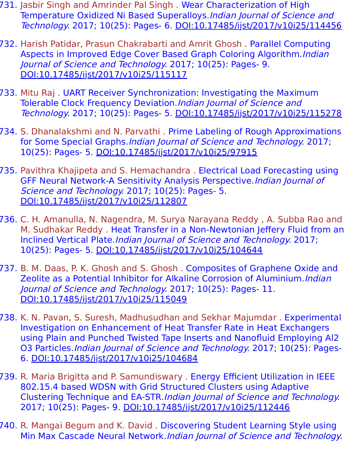- 731. Jasbir Singh and Amrinder Pal Singh . Wear Characterization of High Temperature Oxidized Ni Based Superalloys.Indian Journal of Science and Technology. 2017; 10(25): Pages- 6. [DOI:10.17485/ijst/2017/v10i25/114456](https://indjst.org/articles/wear-characterization-of-high-temperature-oxidized-ni-based-superalloys)
- 732. Harish Patidar, Prasun Chakrabarti and Amrit Ghosh . Parallel Computing Aspects in Improved Edge Cover Based Graph Coloring Algorithm. Indian Journal of Science and Technology. 2017; 10(25): Pages- 9. [DOI:10.17485/ijst/2017/v10i25/115117](https://indjst.org/articles/parallel-computing-aspects-in-improved-edge-cover-based-graph-coloring-algorithm)
- 733. Mitu Raj . UART Receiver Synchronization: Investigating the Maximum Tolerable Clock Frequency Deviation. Indian Journal of Science and Technology. 2017; 10(25): Pages- 5. [DOI:10.17485/ijst/2017/v10i25/115278](https://indjst.org/articles/uart-receiver-synchronization-investigating-the-maximum-tolerable-clock-frequency-deviation)
- 734. S. Dhanalakshmi and N. Parvathi . Prime Labeling of Rough Approximations for Some Special Graphs.Indian Journal of Science and Technology. 2017; 10(25): Pages- 5. [DOI:10.17485/ijst/2017/v10i25/97915](https://indjst.org/articles/prime-labeling-of-rough-approximations-for-some-special-graphs)
- 735. Pavithra Khajipeta and S. Hemachandra . Electrical Load Forecasting using GFF Neural Network-A Sensitivity Analysis Perspective.Indian Journal of Science and Technology. 2017; 10(25): Pages- 5. [DOI:10.17485/ijst/2017/v10i25/112807](https://indjst.org/articles/electrical-load-forecasting-using-gff-neural-network-a-sensitivity-analysis-perspective)
- 736. C. H. Amanulla, N. Nagendra, M. Surya Narayana Reddy , A. Subba Rao and M. Sudhakar Reddy . Heat Transfer in a Non-Newtonian Jeffery Fluid from an Inclined Vertical Plate.Indian Journal of Science and Technology. 2017; 10(25): Pages- 5. [DOI:10.17485/ijst/2017/v10i25/104644](https://indjst.org/articles/heat-transfer-in-a-non-newtonian-jeffery-fluid-from-an-inclined-vertical-plate)
- 737. B. M. Daas, P. K. Ghosh and S. Ghosh . Composites of Graphene Oxide and Zeolite as a Potential Inhibitor for Alkaline Corrosion of Aluminium.Indian Journal of Science and Technology. 2017; 10(25): Pages- 11. [DOI:10.17485/ijst/2017/v10i25/115049](https://indjst.org/articles/composites-of-graphene-oxide-and-zeolite-as-a-potential-inhibitor-for-alkaline-corrosion-of-aluminium)
- 738. K. N. Pavan, S. Suresh, Madhusudhan and Sekhar Majumdar . Experimental Investigation on Enhancement of Heat Transfer Rate in Heat Exchangers using Plain and Punched Twisted Tape Inserts and Nanofluid Employing Al2 O3 Particles.Indian Journal of Science and Technology. 2017; 10(25): Pages-6. [DOI:10.17485/ijst/2017/v10i25/104684](https://indjst.org/articles/experimental-investigation-on-enhancement-of-heat-transfer-rate-in-heat-exchangers-using-plain-and-punched-twisted-tape-inserts-and-nanofluid-employing-al2-o3-particles)
- 739. R. Maria Brigitta and P. Samundiswary . Energy Efficient Utilization in IEEE 802.15.4 based WDSN with Grid Structured Clusters using Adaptive Clustering Technique and EA-STR.Indian Journal of Science and Technology. 2017; 10(25): Pages- 9. [DOI:10.17485/ijst/2017/v10i25/112446](https://indjst.org/articles/energy-efficient-utilization-in-ieee-802154-based-wdsn-with-grid-structured-clusters-using-adaptive-clustering-technique-and-ea-str)
- 740. R. Mangai Begum and K. David . Discovering Student Learning Style using Min Max Cascade Neural Network.Indian Journal of Science and Technology.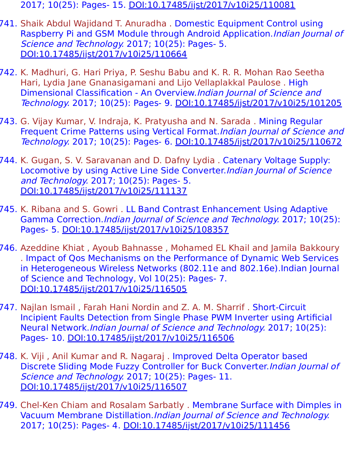- 2017; 10(25): Pages- 15. [DOI:10.17485/ijst/2017/v10i25/110081](https://indjst.org/articles/discovering-student-learning-style-using-min-max-cascade-neural-network)
- 741. Shaik Abdul Wajidand T. Anuradha . Domestic Equipment Control using Raspberry Pi and GSM Module through Android Application. Indian Journal of Science and Technology. 2017; 10(25): Pages- 5. [DOI:10.17485/ijst/2017/v10i25/110664](https://indjst.org/articles/domestic-equipment-control-using-raspberry-pi-and-gsm-module-through-android-application)
- 742. K. Madhuri, G. Hari Priya, P. Seshu Babu and K. R. R. Mohan Rao Seetha Hari, Lydia Jane Gnanasigamani and Lijo Vellaplakkal Paulose . High Dimensional Classification - An Overview.Indian Journal of Science and Technology. 2017; 10(25): Pages- 9. [DOI:10.17485/ijst/2017/v10i25/101205](https://indjst.org/articles/high-dimensional-classification-an-overview)
- 743. G. Vijay Kumar, V. Indraja, K. Pratyusha and N. Sarada . Mining Regular Frequent Crime Patterns using Vertical Format. Indian Journal of Science and Technology. 2017; 10(25): Pages- 6. [DOI:10.17485/ijst/2017/v10i25/110672](https://indjst.org/articles/mining-regular-frequent-crime-patterns-using-vertical-format)
- 744. K. Gugan, S. V. Saravanan and D. Dafny Lydia . Catenary Voltage Supply: Locomotive by using Active Line Side Converter.Indian Journal of Science and Technology. 2017; 10(25): Pages- 5. [DOI:10.17485/ijst/2017/v10i25/111137](https://indjst.org/articles/catenary-voltage-supply-locomotive-by-using-active-line-side-converter)
- 745. K. Ribana and S. Gowri . LL Band Contrast Enhancement Using Adaptive Gamma Correction.Indian Journal of Science and Technology. 2017; 10(25): Pages- 5. [DOI:10.17485/ijst/2017/v10i25/108357](https://indjst.org/articles/ll-band-contrast-enhancement-using-adaptive-gamma-correction)
- 746. Azeddine Khiat , Ayoub Bahnasse , Mohamed EL Khail and Jamila Bakkoury . Impact of Qos Mechanisms on the Performance of Dynamic Web Services in Heterogeneous Wireless Networks (802.11e and 802.16e).Indian Journal of Science and Technology, Vol 10(25): Pages- 7. [DOI:10.17485/ijst/2017/v10i25/116505](https://indjst.org/articles/impact-of-qos-mechanisms-on-the-performance-of-dynamic-web-services-in-heterogeneous-wireless-networks-80211e-and-80216e)
- 747. Najlan Ismail , Farah Hani Nordin and Z. A. M. Sharrif . Short-Circuit Incipient Faults Detection from Single Phase PWM Inverter using Artificial Neural Network.Indian Journal of Science and Technology. 2017; 10(25): Pages- 10. [DOI:10.17485/ijst/2017/v10i25/116506](https://indjst.org/articles/short-circuit-incipient-faults-detection-from-single-phase-pwm-inverter-using-artificial-neural-network)
- 748. K. Viji , Anil Kumar and R. Nagaraj . Improved Delta Operator based Discrete Sliding Mode Fuzzy Controller for Buck Converter.Indian Journal of Science and Technology. 2017; 10(25): Pages- 11. [DOI:10.17485/ijst/2017/v10i25/116507](https://indjst.org/articles/improved-delta-operator-based-discrete-sliding-mode-fuzzy-controller-for-buck-converter)
- 749. Chel-Ken Chiam and Rosalam Sarbatly . Membrane Surface with Dimples in Vacuum Membrane Distillation.Indian Journal of Science and Technology. 2017; 10(25): Pages- 4. [DOI:10.17485/ijst/2017/v10i25/111456](https://indjst.org/articles/membrane-surface-with-dimples-in-vacuum-membrane-distillation)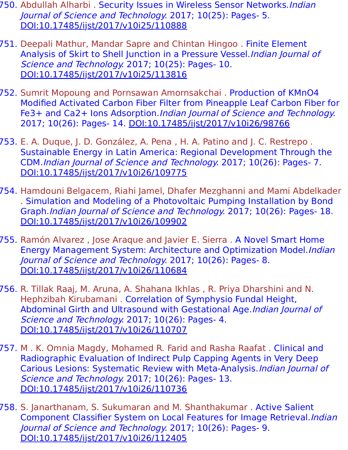- 750. Abdullah Alharbi . Security Issues in Wireless Sensor Networks. Indian Journal of Science and Technology. 2017; 10(25): Pages- 5. [DOI:10.17485/ijst/2017/v10i25/110888](https://indjst.org/articles/security-issues-in-wireless-sensor-networks)
- 751. Deepali Mathur, Mandar Sapre and Chintan Hingoo . Finite Element Analysis of Skirt to Shell Junction in a Pressure Vessel.Indian Journal of Science and Technology. 2017; 10(25): Pages- 10. [DOI:10.17485/ijst/2017/v10i25/113816](https://indjst.org/articles/finite-element-analysis-of-skirt-to-shell-junction-in-a-pressure-vessel)
- 752. Sumrit Mopoung and Pornsawan Amornsakchai . Production of KMnO4 Modified Activated Carbon Fiber Filter from Pineapple Leaf Carbon Fiber for Fe3+ and Ca2+ Ions Adsorption.*Indian Journal of Science and Technology.* 2017; 10(26): Pages- 14. [DOI:10.17485/ijst/2017/v10i26/98766](https://indjst.org/articles/production-of-kmno4-modified-activated-carbon-fiber-filter-from-pineapple-leaf-carbon-fiber-for-fe3-and-ca2-ions-adsorption)
- 753. E. A. Duque, J. D. González, A. Pena , H. A. Patino and J. C. Restrepo . Sustainable Energy in Latin America: Regional Development Through the CDM.Indian Journal of Science and Technology. 2017; 10(26): Pages- 7. [DOI:10.17485/ijst/2017/v10i26/109775](https://indjst.org/articles/sustainable-energy-in-latin-america-regional-development-through-the-cdm)
- 754. Hamdouni Belgacem, Riahi Jamel, Dhafer Mezghanni and Mami Abdelkader . Simulation and Modeling of a Photovoltaic Pumping Installation by Bond Graph.Indian Journal of Science and Technology. 2017; 10(26): Pages- 18. [DOI:10.17485/ijst/2017/v10i26/109902](https://indjst.org/articles/simulation-and-modeling-of-a-photovoltaic-pumping-installation-by-bond-graph)
- 755. Ramón Alvarez , Jose Araque and Javier E. Sierra . A Novel Smart Home Energy Management System: Architecture and Optimization Model.Indian Journal of Science and Technology. 2017; 10(26): Pages- 8. [DOI:10.17485/ijst/2017/v10i26/110684](https://indjst.org/articles/a-novel-smart-home-energy-management-system-architecture-and-optimization-model)
- 756. R. Tillak Raaj, M. Aruna, A. Shahana Ikhlas , R. Priya Dharshini and N. Hephzibah Kirubamani . Correlation of Symphysio Fundal Height, Abdominal Girth and Ultrasound with Gestational Age. Indian Journal of Science and Technology. 2017; 10(26): Pages- 4. [DOI:10.17485/ijst/2017/v10i26/110707](https://indjst.org/articles/correlation-of-symphysio-fundal-height-abdominal-girth-and-ultrasound-with-gestational-age)
- 757. M . K. Omnia Magdy, Mohamed R. Farid and Rasha Raafat . Clinical and Radiographic Evaluation of Indirect Pulp Capping Agents in Very Deep Carious Lesions: Systematic Review with Meta-Analysis.Indian Journal of Science and Technology. 2017; 10(26): Pages- 13. [DOI:10.17485/ijst/2017/v10i26/110736](https://indjst.org/articles/clinical-and-radiographic-evaluation-of-indirect-pulp-capping-agents-in-very-deep-carious-lesions-systematic-review-with-meta-analysis)
- 758. S. Janarthanam, S. Sukumaran and M. Shanthakumar . Active Salient Component Classifier System on Local Features for Image Retrieval.Indian Journal of Science and Technology. 2017; 10(26): Pages- 9. [DOI:10.17485/ijst/2017/v10i26/112405](https://indjst.org/articles/active-salient-component-classifier-system-on-local-features-for-image-retrieva)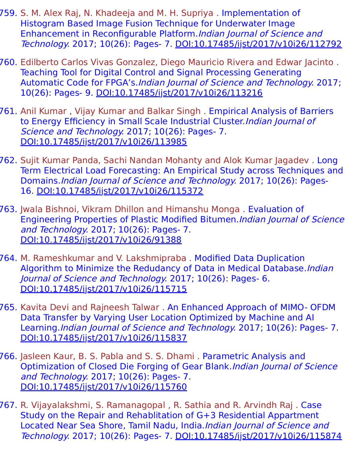- 759. S. M. Alex Raj, N. Khadeeja and M. H. Supriya . Implementation of Histogram Based Image Fusion Technique for Underwater Image Enhancement in Reconfigurable Platform.Indian Journal of Science and Technology. 2017; 10(26): Pages- 7. [DOI:10.17485/ijst/2017/v10i26/112792](https://indjst.org/articles/implementation-of-histogram-based-image-fusion-technique-for-underwater-image-enhancement-in-reconfigurable-platform)
- 760. Edilberto Carlos Vivas Gonzalez, Diego Mauricio Rivera and Edwar Jacinto . Teaching Tool for Digital Control and Signal Processing Generating Automatic Code for FPGA's.Indian Journal of Science and Technology. 2017; 10(26): Pages- 9. [DOI:10.17485/ijst/2017/v10i26/113216](https://indjst.org/articles/teaching-tool-for-digital-control-and-signal-processing-generating-automatic-code-for-fpgas)
- 761. Anil Kumar , Vijay Kumar and Balkar Singh . Empirical Analysis of Barriers to Energy Efficiency in Small Scale Industrial Cluster.Indian Journal of Science and Technology. 2017; 10(26): Pages- 7. [DOI:10.17485/ijst/2017/v10i26/113985](https://indjst.org/articles/empirical-analysis-of-barriers-to-energy-efficiency-in-small-scale-industrial-cluster)
- 762. Sujit Kumar Panda, Sachi Nandan Mohanty and Alok Kumar Jagadev . Long Term Electrical Load Forecasting: An Empirical Study across Techniques and Domains.Indian Journal of Science and Technology. 2017; 10(26): Pages-16. [DOI:10.17485/ijst/2017/v10i26/115372](https://indjst.org/articles/long-term-electrical-load-forecasting-an-empirical-study-across-techniques-and-domains)
- 763. Jwala Bishnoi, Vikram Dhillon and Himanshu Monga . Evaluation of Engineering Properties of Plastic Modified Bitumen.Indian Journal of Science and Technology. 2017; 10(26): Pages- 7. [DOI:10.17485/ijst/2017/v10i26/91388](https://indjst.org/articles/evaluation-of-engineering-properties-of-plastic-modified-bitumen)
- 764. M. Rameshkumar and V. Lakshmipraba . Modified Data Duplication Algorithm to Minimize the Redudancy of Data in Medical Database.Indian Journal of Science and Technology. 2017; 10(26): Pages- 6. [DOI:10.17485/ijst/2017/v10i26/115715](https://indjst.org/articles/modified-data-duplication-algorithm-to-minimize-the-redudancy-of-data-in-medical-database)
- 765. Kavita Devi and Rajneesh Talwar . An Enhanced Approach of MIMO- OFDM Data Transfer by Varying User Location Optimized by Machine and AI Learning.Indian Journal of Science and Technology. 2017; 10(26): Pages- 7. [DOI:10.17485/ijst/2017/v10i26/115837](https://indjst.org/articles/an-enhanced-approach-of-mimo-ofdm-data-transfer-by-varying-user-location-optimized-by-machine-and-ai-learning)
- 766. Jasleen Kaur, B. S. Pabla and S. S. Dhami . Parametric Analysis and Optimization of Closed Die Forging of Gear Blank.Indian Journal of Science and Technology. 2017; 10(26): Pages- 7. [DOI:10.17485/ijst/2017/v10i26/115760](https://indjst.org/articles/parametric-analysis-and-optimization-of-closed-die-forging-of-gear-blank)
- 767. R. Vijayalakshmi, S. Ramanagopal , R. Sathia and R. Arvindh Raj . Case Study on the Repair and Rehablitation of G+3 Residential Appartment Located Near Sea Shore, Tamil Nadu, India.Indian Journal of Science and Technology. 2017; 10(26): Pages- 7. [DOI:10.17485/ijst/2017/v10i26/115874](https://indjst.org/articles/case-study-on-the-repair-and-rehablitation-of-g3-residential-appartment-located-near-sea-shore-tamil-nadu-india)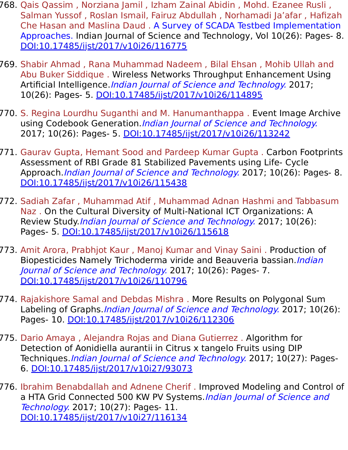- 768. Qais Qassim , Norziana Jamil , Izham Zainal Abidin , Mohd. Ezanee Rusli , Salman Yussof , Roslan Ismail, Fairuz Abdullah , Norhamadi Ja'afar , Hafizah Che Hasan and Maslina Daud . A Survey of SCADA Testbed Implementation Approaches. Indian Journal of Science and Technology, Vol 10(26): Pages- 8. [DOI:10.17485/ijst/2017/v10i26/116775](https://indjst.org/articles/a-survey-of-scada-testbed-implementation-approaches)
- 769. Shabir Ahmad , Rana Muhammad Nadeem , Bilal Ehsan , Mohib Ullah and Abu Buker Siddique . Wireless Networks Throughput Enhancement Using Artificial Intelligence.*Indian Journal of Science and Technology*. 2017; 10(26): Pages- 5. [DOI:10.17485/ijst/2017/v10i26/114895](https://indjst.org/articles/wireless-networks-throughput-enhancement-using-artificial-intelligence)
- 770. S. Regina Lourdhu Suganthi and M. Hanumanthappa . Event Image Archive using Codebook Generation. Indian Journal of Science and Technology. 2017; 10(26): Pages- 5. [DOI:10.17485/ijst/2017/v10i26/113242](https://indjst.org/articles/event-image-archive-using-codebook-generation)
- 771. Gaurav Gupta, Hemant Sood and Pardeep Kumar Gupta . Carbon Footprints Assessment of RBI Grade 81 Stabilized Pavements using Life- Cycle Approach.*Indian Journal of Science and Technology*. 2017; 10(26): Pages- 8. [DOI:10.17485/ijst/2017/v10i26/115438](https://indjst.org/articles/carbon-footprints-assessment-of-rbi-grade-81-stabilized-pavements-using-life-cycle-approach)
- 772. Sadiah Zafar , Muhammad Atif , Muhammad Adnan Hashmi and Tabbasum Naz . On the Cultural Diversity of Multi-National ICT Organizations: A Review Study *Indian Journal of Science and Technology*. 2017; 10(26): Pages- 5. [DOI:10.17485/ijst/2017/v10i26/115618](https://indjst.org/articles/on-the-cultural-diversity-of-multi-national-ict-organizations-a-review-study)
- 773. Amit Arora, Prabhjot Kaur , Manoj Kumar and Vinay Saini . Production of Biopesticides Namely Trichoderma viride and Beauveria bassian. *Indian* Journal of Science and Technology. 2017; 10(26): Pages- 7. [DOI:10.17485/ijst/2017/v10i26/110796](https://indjst.org/articles/production-of-biopesticides-namely-trichoderma-viride-and-beauveria-bassian)
- 774. Rajakishore Samal and Debdas Mishra . More Results on Polygonal Sum Labeling of Graphs. *Indian Journal of Science and Technology*. 2017; 10(26): Pages- 10. [DOI:10.17485/ijst/2017/v10i26/112306](https://indjst.org/articles/more-results-on-polygonal-sum-labeling-of-graphs)
- 775. Dario Amaya , Alejandra Rojas and Diana Gutierrez . Algorithm for Detection of Aonidiella aurantii in Citrus x tangelo Fruits using DIP Techniques. Indian Journal of Science and Technology. 2017; 10(27): Pages-6. [DOI:10.17485/ijst/2017/v10i27/93073](https://indjst.org/articles/algorithm-for-detection-of-aonidiella-aurantii-in-citrus-x-tangelo-fruits-using-dip-techniques)
- 776. Ibrahim Benabdallah and Adnene Cherif . Improved Modeling and Control of a HTA Grid Connected 500 KW PV Systems. Indian Journal of Science and Technology. 2017; 10(27): Pages- 11. [DOI:10.17485/ijst/2017/v10i27/116134](https://indjst.org/articles/improved-modeling-and-control-of-a-hta-grid-connected-500-kw-pv-systems)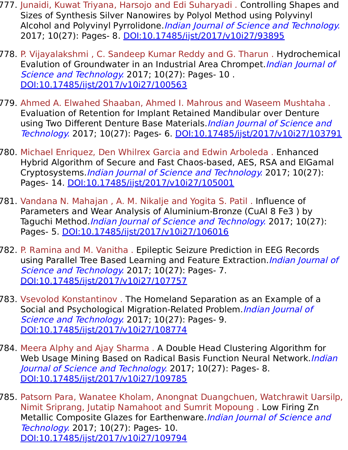- 777. Junaidi, Kuwat Triyana, Harsojo and Edi Suharyadi . Controlling Shapes and Sizes of Synthesis Silver Nanowires by Polyol Method using Polyvinyl Alcohol and Polyvinyl Pyrrolidone.Indian Journal of Science and Technology. 2017; 10(27): Pages- 8. [DOI:10.17485/ijst/2017/v10i27/93895](https://indjst.org/articles/controlling-shapes-and-sizes-of-synthesis-silver-nanowires-by-polyol-method-using-polyvinyl-alcohol-and-polyvinyl-pyrrolidone)
- 778. P. Vijayalakshmi , C. Sandeep Kumar Reddy and G. Tharun . Hydrochemical Evalution of Groundwater in an Industrial Area Chrompet. Indian Journal of Science and Technology. 2017; 10(27): Pages- 10. [DOI:10.17485/ijst/2017/v10i27/100563](https://indjst.org/articles/hydrochemical-evalution-of-groundwater-in-an-industrial-area-chrompet)
- 779. Ahmed A. Elwahed Shaaban, Ahmed I. Mahrous and Waseem Mushtaha . Evaluation of Retention for Implant Retained Mandibular over Denture using Two Different Denture Base Materials. Indian Journal of Science and Technology. 2017; 10(27): Pages- 6. [DOI:10.17485/ijst/2017/v10i27/103791](https://indjst.org/articles/evaluation-of-retention-for-implant-retained-mandibular-over-denture-using-two-different-denture-base-materials)
- 780. Michael Enriquez, Den Whilrex Garcia and Edwin Arboleda . Enhanced Hybrid Algorithm of Secure and Fast Chaos-based, AES, RSA and ElGamal Cryptosystems.Indian Journal of Science and Technology. 2017; 10(27): Pages- 14. [DOI:10.17485/ijst/2017/v10i27/105001](https://indjst.org/articles/enhanced-hybrid-algorithm-of-secure-and-fast-chaos-based-aes-rsa-and-elgamal-cryptosystems)
- 781. Vandana N. Mahajan , A. M. Nikalje and Yogita S. Patil . Influence of Parameters and Wear Analysis of Aluminium-Bronze (CuAl 8 Fe3 ) by Taguchi Method.*Indian Journal of Science and Technology*. 2017; 10(27): Pages- 5. [DOI:10.17485/ijst/2017/v10i27/106016](https://indjst.org/articles/influence-of-parameters-and-wear-analysis-of-aluminium-bronze-cual-8-fe3-by-taguchi-method)
- 782. P. Ramina and M. Vanitha . Epileptic Seizure Prediction in EEG Records using Parallel Tree Based Learning and Feature Extraction. Indian Journal of Science and Technology. 2017; 10(27): Pages- 7. [DOI:10.17485/ijst/2017/v10i27/107757](https://indjst.org/articles/epileptic-seizure-prediction-in-eeg-records-using-parallel-tree-based-learning-and-feature-extraction)
- 783. Vsevolod Konstantinov . The Homeland Separation as an Example of a Social and Psychological Migration-Related Problem. *Indian Journal of* Science and Technology. 2017; 10(27): Pages- 9. [DOI:10.17485/ijst/2017/v10i27/108774](https://indjst.org/articles/the-homeland-separation-as-an-example-of-a-social-and-psychological-migration-related-problem)
- 784. Meera Alphy and Ajay Sharma . A Double Head Clustering Algorithm for Web Usage Mining Based on Radical Basis Function Neural Network. Indian Journal of Science and Technology. 2017; 10(27): Pages- 8. [DOI:10.17485/ijst/2017/v10i27/109785](https://indjst.org/articles/a-double-head-clustering-algorithm-for-web-usage-mining-based-on-radical-basis-function-neural-network)
- 785. Patsorn Para, Wanatee Kholam, Anongnat Duangchuen, Watchrawit Uarsilp, Nimit Sriprang, Jutatip Namahoot and Sumrit Mopoung . Low Firing Zn Metallic Composite Glazes for Earthenware. Indian Journal of Science and Technology. 2017; 10(27): Pages- 10. [DOI:10.17485/ijst/2017/v10i27/109794](https://indjst.org/articles/low-firing-zn-metallic-composite-glazes-for-earthenware)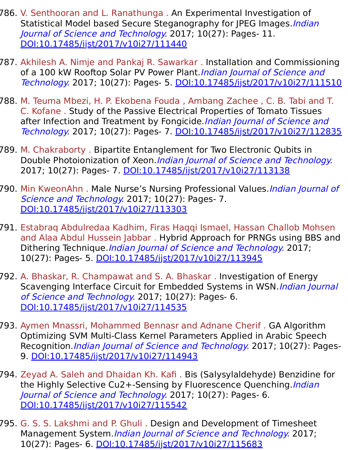- 786. V. Senthooran and L. Ranathunga . An Experimental Investigation of Statistical Model based Secure Steganography for JPEG Images. Indian Journal of Science and Technology. 2017; 10(27): Pages- 11. [DOI:10.17485/ijst/2017/v10i27/111440](https://indjst.org/articles/an-experimental-investigation-of-statistical-model-based-secure-steganography-for-jpeg-images)
- 787. Akhilesh A. Nimje and Pankaj R. Sawarkar . Installation and Commissioning of a 100 kW Rooftop Solar PV Power Plant. Indian Journal of Science and Technology. 2017; 10(27): Pages- 5. [DOI:10.17485/ijst/2017/v10i27/111510](https://indjst.org/articles/installation-and-commissioning-of-a-100-kw-rooftop-solar-pv-power-plant)
- 788. M. Teuma Mbezi, H. P. Ekobena Fouda , Ambang Zachee , C. B. Tabi and T. C. Kofane . Study of the Passive Electrical Properties of Tomato Tissues after Infection and Treatment by Fongicide.*Indian Journal of Science and* Technology. 2017; 10(27): Pages- 7. [DOI:10.17485/ijst/2017/v10i27/112835](https://indjst.org/articles/study-of-the-passive-electrical-properties-of-tomato-tissues-after-infection-and-treatment-by-fongicide)
- 789. M. Chakraborty . Bipartite Entanglement for Two Electronic Qubits in Double Photoionization of Xeon.*Indian Journal of Science and Technology*. 2017; 10(27): Pages- 7. [DOI:10.17485/ijst/2017/v10i27/113138](https://indjst.org/articles/bipartite-entanglement-for-two-electronic-qubits-in-double-photoionization-of-xeon)
- 790. Min KweonAhn. Male Nurse's Nursing Professional Values. *Indian Journal of* Science and Technology. 2017; 10(27): Pages- 7. [DOI:10.17485/ijst/2017/v10i27/113303](https://indjst.org/articles/male-nurses-nursing-professional-values)
- 791. Estabraq Abdulredaa Kadhim, Firas Haqqi Ismael, Hassan Challob Mohsen and Alaa Abdul Hussein Jabbar . Hybrid Approach for PRNGs using BBS and Dithering Technique.*Indian Journal of Science and Technology.* 2017; 10(27): Pages- 5. [DOI:10.17485/ijst/2017/v10i27/113945](https://indjst.org/articles/hybrid-approach-for-prngs-using-bbs-and-dithering-technique)
- 792. A. Bhaskar, R. Champawat and S. A. Bhaskar . Investigation of Energy Scavenging Interface Circuit for Embedded Systems in WSN.*Indian Journal* of Science and Technology. 2017; 10(27): Pages- 6. [DOI:10.17485/ijst/2017/v10i27/114535](https://indjst.org/articles/investigation-of-energy-scavenging-interface-circuit-for-embedded-systems-in-wsn)
- 793. Aymen Mnassri, Mohammed Bennasr and Adnane Cherif . GA Algorithm Optimizing SVM Multi-Class Kernel Parameters Applied in Arabic Speech Recognition. *Indian Journal of Science and Technology*. 2017; 10(27): Pages-9. [DOI:10.17485/ijst/2017/v10i27/114943](https://indjst.org/articles/ga-algorithm-optimizing-svm-multi-class-kernel-parameters-applied-in-arabic-speech-recognition)
- 794. Zeyad A. Saleh and Dhaidan Kh. Kafi . Bis (Salysylaldehyde) Benzidine for the Highly Selective Cu2+-Sensing by Fluorescence Quenching.*Indian* Journal of Science and Technology. 2017; 10(27): Pages- 6. [DOI:10.17485/ijst/2017/v10i27/115542](https://indjst.org/articles/bis-salysylaldehyde-benzidine-for-the-highly-selective-cu2-sensing-by-fluorescence-quenching)
- 795. G. S. S. Lakshmi and P. Ghuli . Design and Development of Timesheet Management System. Indian Journal of Science and Technology. 2017; 10(27): Pages- 6. [DOI:10.17485/ijst/2017/v10i27/115683](https://indjst.org/articles/design-and-development-of-timesheet-management-system)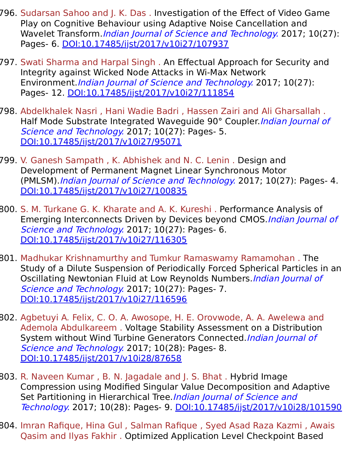- 796. Sudarsan Sahoo and J. K. Das . Investigation of the Effect of Video Game Play on Cognitive Behaviour using Adaptive Noise Cancellation and Wavelet Transform. *Indian Journal of Science and Technology*. 2017; 10(27): Pages- 6. [DOI:10.17485/ijst/2017/v10i27/107937](https://indjst.org/articles/investigation-of-the-effect-of-video-game-play-on-cognitive-behaviour-using-adaptive-noise-cancellation-and-wavelet-transform)
- 797. Swati Sharma and Harpal Singh . An Effectual Approach for Security and Integrity against Wicked Node Attacks in Wi-Max Network Environment. Indian Journal of Science and Technology. 2017; 10(27): Pages- 12. [DOI:10.17485/ijst/2017/v10i27/111854](https://indjst.org/articles/an-effectual-approach-for-security-and-integrity-against-wicked-node-attacks-in-wi-max-network-environment)
- 798. Abdelkhalek Nasri , Hani Wadie Badri , Hassen Zairi and Ali Gharsallah . Half Mode Substrate Integrated Waveguide 90° Coupler. Indian Journal of Science and Technology. 2017; 10(27): Pages- 5. [DOI:10.17485/ijst/2017/v10i27/95071](https://indjst.org/articles/half-mode-substrate-integrated-waveguide-90-coupler)
- 799. V. Ganesh Sampath , K. Abhishek and N. C. Lenin . Design and Development of Permanent Magnet Linear Synchronous Motor (PMLSM). Indian Journal of Science and Technology. 2017; 10(27): Pages- 4. [DOI:10.17485/ijst/2017/v10i27/100835](https://indjst.org/articles/design-and-development-of-permanent-magnet-linear-synchronous-motor-pmlsm)
- 800. S. M. Turkane G. K. Kharate and A. K. Kureshi . Performance Analysis of Emerging Interconnects Driven by Devices beyond CMOS. Indian Journal of Science and Technology. 2017; 10(27): Pages- 6. [DOI:10.17485/ijst/2017/v10i27/116305](https://indjst.org/articles/performance-analysis-of-emerging-interconnects-driven-by-devices-beyond-cmos)
- 801. Madhukar Krishnamurthy and Tumkur Ramaswamy Ramamohan . The Study of a Dilute Suspension of Periodically Forced Spherical Particles in an Oscillating Newtonian Fluid at Low Reynolds Numbers. *Indian Journal of* Science and Technology. 2017; 10(27): Pages- 7. [DOI:10.17485/ijst/2017/v10i27/116596](https://indjst.org/articles/the-study-of-a-dilute-suspension-of-periodically-forced-spherical-particles-in-an-oscillating-newtonian-fluid-at-low-reynolds-numbers)
- 802. Agbetuyi A. Felix, C. O. A. Awosope, H. E. Orovwode, A. A. Awelewa and Ademola Abdulkareem . Voltage Stability Assessment on a Distribution System without Wind Turbine Generators Connected.*Indian Journal of* Science and Technology. 2017; 10(28): Pages- 8. [DOI:10.17485/ijst/2017/v10i28/87658](https://indjst.org/articles/voltage-stability-assessment-on-a-distribution-system-without-wind-turbine-generators-connected)
- 803. R. Naveen Kumar , B. N. Jagadale and J. S. Bhat . Hybrid Image Compression using Modified Singular Value Decomposition and Adaptive Set Partitioning in Hierarchical Tree.*Indian Journal of Science and* Technology. 2017; 10(28): Pages- 9. [DOI:10.17485/ijst/2017/v10i28/101590](https://indjst.org/articles/hybrid-image-compression-using-modified-singular-value-decomposition-and-adaptive-set-partitioning-in-hierarchical-tree)
- 804. Imran Rafique, Hina Gul , Salman Rafique , Syed Asad Raza Kazmi , Awais Qasim and Ilyas Fakhir . Optimized Application Level Checkpoint Based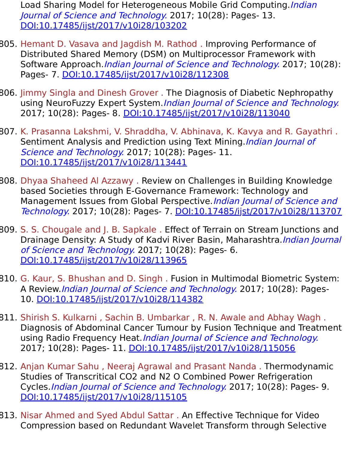Load Sharing Model for Heterogeneous Mobile Grid Computing. Indian Journal of Science and Technology. 2017; 10(28): Pages- 13. [DOI:10.17485/ijst/2017/v10i28/103202](https://indjst.org/articles/optimized-application-level-checkpoint-based-load-sharing-model-for-heterogeneous-mobile-grid-computing)

- 805. Hemant D. Vasava and Jagdish M. Rathod . Improving Performance of Distributed Shared Memory (DSM) on Multiprocessor Framework with Software Approach. Indian Journal of Science and Technology. 2017; 10(28): Pages- 7. [DOI:10.17485/ijst/2017/v10i28/112308](https://indjst.org/articles/improving-performance-of-distributed-shared-memory-dsm-on-multiprocessor-framework-with-software-approach)
- 806. Jimmy Singla and Dinesh Grover . The Diagnosis of Diabetic Nephropathy using NeuroFuzzy Expert System.*Indian Journal of Science and Technology.* 2017; 10(28): Pages- 8. [DOI:10.17485/ijst/2017/v10i28/113040](https://indjst.org/articles/the-diagnosis-of-diabetic-nephropathy-using-neurofuzzy-expert-system)
- 807. K. Prasanna Lakshmi, V. Shraddha, V. Abhinava, K. Kavya and R. Gayathri . Sentiment Analysis and Prediction using Text Mining. Indian Journal of Science and Technology. 2017; 10(28): Pages- 11. [DOI:10.17485/ijst/2017/v10i28/113441](https://indjst.org/articles/sentiment-analysis-and-prediction-using-text-mining)
- 808. Dhyaa Shaheed Al Azzawy . Review on Challenges in Building Knowledge based Societies through E-Governance Framework: Technology and Management Issues from Global Perspective. Indian Journal of Science and Technology. 2017; 10(28): Pages- 7. [DOI:10.17485/ijst/2017/v10i28/113707](https://indjst.org/articles/review-on-challenges-in-building-knowledge-based-societies-through-e-governance-framework-technology-and-management-issues-from-global-perspective)
- 809. S. S. Chougale and J. B. Sapkale . Effect of Terrain on Stream Junctions and Drainage Density: A Study of Kadvi River Basin, Maharashtra.*Indian Journal* of Science and Technology. 2017; 10(28): Pages- 6. [DOI:10.17485/ijst/2017/v10i28/113965](https://indjst.org/articles/effect-of-terrain-on-stream-junctions-and-drainage-density-a-study-of-kadvi-river-basin-maharashtra)
- 810. G. Kaur, S. Bhushan and D. Singh . Fusion in Multimodal Biometric System: A Review.Indian Journal of Science and Technology. 2017; 10(28): Pages-10. [DOI:10.17485/ijst/2017/v10i28/114382](https://indjst.org/articles/fusion-in-multimodal-biometric-system-a-review)
- 811. Shirish S. Kulkarni , Sachin B. Umbarkar , R. N. Awale and Abhay Wagh . Diagnosis of Abdominal Cancer Tumour by Fusion Technique and Treatment using Radio Frequency Heat. Indian Journal of Science and Technology. 2017; 10(28): Pages- 11. [DOI:10.17485/ijst/2017/v10i28/115056](https://indjst.org/articles/diagnosis-of-abdominal-cancer-tumour-by-fusion-technique-and-treatment-using-radio-frequency-heat)
- 812. Anjan Kumar Sahu , Neeraj Agrawal and Prasant Nanda . Thermodynamic Studies of Transcritical CO2 and N2 O Combined Power Refrigeration Cycles.Indian Journal of Science and Technology. 2017; 10(28): Pages- 9. [DOI:10.17485/ijst/2017/v10i28/115105](https://indjst.org/articles/thermodynamic-studies-of-transcritical-co2-and-n2-o-combined-power-refrigeration-cycles)
- 813. Nisar Ahmed and Syed Abdul Sattar . An Effective Technique for Video Compression based on Redundant Wavelet Transform through Selective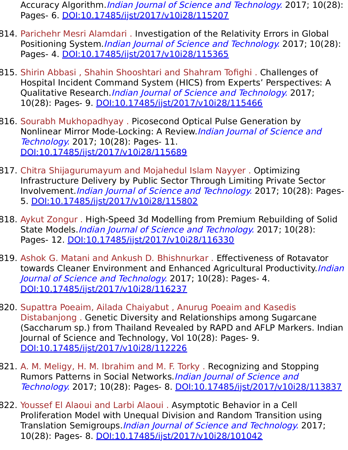Accuracy Algorithm. *Indian Journal of Science and Technology.* 2017; 10(28): Pages- 6. [DOI:10.17485/ijst/2017/v10i28/115207](https://indjst.org/articles/an-effective-technique-for-video-compression-based-on-redundant-wavelet-transform-through-selective-accuracy-algorithm)

- 814. Parichehr Mesri Alamdari . Investigation of the Relativity Errors in Global Positioning System. *Indian Journal of Science and Technology*. 2017; 10(28): Pages- 4. [DOI:10.17485/ijst/2017/v10i28/115365](https://indjst.org/articles/investigation-of-the-relativity-errors-in-global-positioning-system)
- 815. Shirin Abbasi , Shahin Shooshtari and Shahram Tofighi . Challenges of Hospital Incident Command System (HICS) from Experts' Perspectives: A Qualitative Research.*Indian Journal of Science and Technology*. 2017; 10(28): Pages- 9. [DOI:10.17485/ijst/2017/v10i28/115466](https://indjst.org/articles/challenges-of-hospital-incident-command-system-hics-from-experts-perspectives-a-qualitative-research)
- 816. Sourabh Mukhopadhyay . Picosecond Optical Pulse Generation by Nonlinear Mirror Mode-Locking: A Review.*Indian Journal of Science and* Technology. 2017; 10(28): Pages- 11. [DOI:10.17485/ijst/2017/v10i28/115689](https://indjst.org/articles/picosecond-optical-pulse-generation-by-nonlinear-mirror-mode-locking-a-review)
- 817. Chitra Shijagurumayum and Mojahedul Islam Nayyer . Optimizing Infrastructure Delivery by Public Sector Through Limiting Private Sector Involvement.Indian Journal of Science and Technology. 2017; 10(28): Pages-5. [DOI:10.17485/ijst/2017/v10i28/115802](https://indjst.org/articles/optimizing-infrastructure-delivery-by-public-sector-through-limiting-private-sector-involvement)
- 818. Aykut Zongur . High-Speed 3d Modelling from Premium Rebuilding of Solid State Models. Indian Journal of Science and Technology. 2017; 10(28): Pages- 12. [DOI:10.17485/ijst/2017/v10i28/116330](https://indjst.org/articles/high-speed-3d-modelling-from-premium-rebuilding-of-solid-state-models)
- 819. Ashok G. Matani and Ankush D. Bhishnurkar . Effectiveness of Rotavator towards Cleaner Environment and Enhanced Agricultural Productivity.*Indian* Journal of Science and Technology. 2017; 10(28): Pages- 4. [DOI:10.17485/ijst/2017/v10i28/116237](https://indjst.org/articles/effectiveness-of-rotavator-towards-cleaner-environment-and-enhanced-agricultural-productivity)
- 820. Supattra Poeaim, Ailada Chaiyabut , Anurug Poeaim and Kasedis Distabanjong . Genetic Diversity and Relationships among Sugarcane (Saccharum sp.) from Thailand Revealed by RAPD and AFLP Markers. Indian Journal of Science and Technology, Vol 10(28): Pages- 9. [DOI:10.17485/ijst/2017/v10i28/112226](https://indjst.org/articles/genetic-diversity-and-relationships-among-sugarcane-saccharum-sp-from-thailand-revealed-by-rapd-and-aflp-markers)
- 821. A. M. Meligy, H. M. Ibrahim and M. F. Torky . Recognizing and Stopping Rumors Patterns in Social Networks. Indian Journal of Science and Technology. 2017; 10(28): Pages- 8. [DOI:10.17485/ijst/2017/v10i28/113837](https://indjst.org/articles/recognizing-and-stopping-rumors-patterns-in-social-networks)
- 822. Youssef El Alaoui and Larbi Alaoui . Asymptotic Behavior in a Cell Proliferation Model with Unequal Division and Random Transition using Translation Semigroups. *Indian Journal of Science and Technology*. 2017; 10(28): Pages- 8. [DOI:10.17485/ijst/2017/v10i28/101042](https://indjst.org/articles/asymptotic-behavior-in-a-cell-proliferation-model-with-unequal-division-and-random-transition-using-translation-semigroups)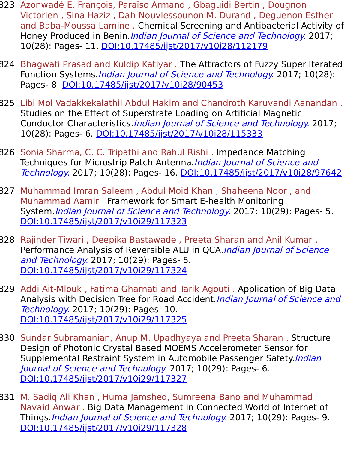- 823. Azonwadé E. François, Paraïso Armand , Gbaguidi Bertin , Dougnon Victorien , Sina Haziz , Dah-Nouvlessounon M. Durand , Deguenon Esther and Baba-Moussa Lamine . Chemical Screening and Antibacterial Activity of Honey Produced in Benin. Indian Journal of Science and Technology. 2017; 10(28): Pages- 11. [DOI:10.17485/ijst/2017/v10i28/112179](https://indjst.org/articles/chemical-screening-and-antibacterial-activity-of-honey-produced-in-benin)
- 824. Bhagwati Prasad and Kuldip Katiyar . The Attractors of Fuzzy Super Iterated Function Systems.*Indian Journal of Science and Technology*. 2017; 10(28): Pages- 8. [DOI:10.17485/ijst/2017/v10i28/90453](https://indjst.org/articles/the-attractors-of-fuzzy-super-iterated-function-systems)
- 825. Libi Mol Vadakkekalathil Abdul Hakim and Chandroth Karuvandi Aanandan . Studies on the Effect of Superstrate Loading on Artificial Magnetic Conductor Characteristics. Indian Journal of Science and Technology. 2017; 10(28): Pages- 6. [DOI:10.17485/ijst/2017/v10i28/115333](https://indjst.org/articles/studies-on-the-effect-of-superstrate-loading-on-artificial-magnetic-conductor-characteristics)
- 826. Sonia Sharma, C. C. Tripathi and Rahul Rishi . Impedance Matching Techniques for Microstrip Patch Antenna. Indian Journal of Science and Technology. 2017; 10(28): Pages- 16. [DOI:10.17485/ijst/2017/v10i28/97642](https://indjst.org/articles/impedance-matching-techniques-for-microstrip-patch-antenna)
- 827. Muhammad Imran Saleem , Abdul Moid Khan , Shaheena Noor , and Muhammad Aamir . Framework for Smart E-health Monitoring System. Indian Journal of Science and Technology. 2017; 10(29): Pages- 5. [DOI:10.17485/ijst/2017/v10i29/117323](https://indjst.org/articles/framework-for-smart-e-health-monitoring-system)
- 828. Rajinder Tiwari , Deepika Bastawade , Preeta Sharan and Anil Kumar . Performance Analysis of Reversible ALU in QCA.*Indian Journal of Science* and Technology. 2017; 10(29): Pages- 5. [DOI:10.17485/ijst/2017/v10i29/117324](https://indjst.org/articles/performance-analysis-of-reversible-alu-in-qca)
- 829. Addi Ait-Mlouk , Fatima Gharnati and Tarik Agouti . Application of Big Data Analysis with Decision Tree for Road Accident. Indian Journal of Science and Technology. 2017; 10(29): Pages- 10. [DOI:10.17485/ijst/2017/v10i29/117325](https://indjst.org/articles/application-of-big-data-analysis-with-decision-tree-for-road-accident)
- 830. Sundar Subramanian, Anup M. Upadhyaya and Preeta Sharan . Structure Design of Photonic Crystal Based MOEMS Accelerometer Sensor for Supplemental Restraint System in Automobile Passenger Safety. Indian Journal of Science and Technology. 2017; 10(29): Pages- 6. [DOI:10.17485/ijst/2017/v10i29/117327](https://indjst.org/articles/structure-design-of-photonic-crystal-based-moems-accelerometer-sensor-for-supplemental-restraint-system-in-automobile-passenger-safety)
- 831. M. Sadiq Ali Khan , Huma Jamshed, Sumreena Bano and Muhammad Navaid Anwar . Big Data Management in Connected World of Internet of Things.Indian Journal of Science and Technology. 2017; 10(29): Pages- 9. [DOI:10.17485/ijst/2017/v10i29/117328](https://indjst.org/articles/big-data-management-in-connected-world-of-internet-of-things)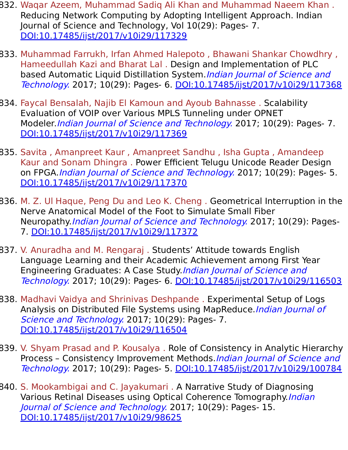- 832. Waqar Azeem, Muhammad Sadiq Ali Khan and Muhammad Naeem Khan . Reducing Network Computing by Adopting Intelligent Approach. Indian Journal of Science and Technology, Vol 10(29): Pages- 7. [DOI:10.17485/ijst/2017/v10i29/117329](https://indjst.org/articles/reducing-network-computing-by-adopting-intelligent-approach)
- 833. Muhammad Farrukh, Irfan Ahmed Halepoto , Bhawani Shankar Chowdhry , Hameedullah Kazi and Bharat Lal . Design and Implementation of PLC based Automatic Liquid Distillation System. *Indian Journal of Science and* Technology. 2017; 10(29): Pages- 6. [DOI:10.17485/ijst/2017/v10i29/117368](https://indjst.org/articles/design-and-implementation-of-plc-based-automatic-liquid-distillation-system)
- 834. Faycal Bensalah, Najib El Kamoun and Ayoub Bahnasse . Scalability Evaluation of VOIP over Various MPLS Tunneling under OPNET Modeler. *Indian Journal of Science and Technology*. 2017; 10(29): Pages- 7. [DOI:10.17485/ijst/2017/v10i29/117369](https://indjst.org/articles/scalability-evaluation-of-voip-over-various-mpls-tunneling-under-opnet-modeler)
- 835. Savita , Amanpreet Kaur , Amanpreet Sandhu , Isha Gupta , Amandeep Kaur and Sonam Dhingra . Power Efficient Telugu Unicode Reader Design on FPGA. *Indian Journal of Science and Technology*. 2017; 10(29): Pages- 5. [DOI:10.17485/ijst/2017/v10i29/117370](https://indjst.org/articles/power-efficient-telugu-unicode-reader-design-on-fpga)
- 836. M. Z. Ul Haque, Peng Du and Leo K. Cheng . Geometrical Interruption in the Nerve Anatomical Model of the Foot to Simulate Small Fiber Neuropathy. *Indian Journal of Science and Technology*. 2017; 10(29): Pages-7. [DOI:10.17485/ijst/2017/v10i29/117372](https://indjst.org/articles/geometrical-interruption-in-the-nerve-anatomical-model-of-the-foot-to-simulate-small-fiber-neuropathy)
- 837. V. Anuradha and M. Rengaraj . Students' Attitude towards English Language Learning and their Academic Achievement among First Year Engineering Graduates: A Case Study. Indian Journal of Science and Technology. 2017; 10(29): Pages- 6. [DOI:10.17485/ijst/2017/v10i29/116503](https://indjst.org/articles/students-attitude-towards-english-language-learning-and-their-academic-achievement-among-first-year-engineering-graduates-a-case-study)
- 838. Madhavi Vaidya and Shrinivas Deshpande . Experimental Setup of Logs Analysis on Distributed File Systems using MapReduce.Indian Journal of Science and Technology. 2017; 10(29): Pages- 7. [DOI:10.17485/ijst/2017/v10i29/116504](https://indjst.org/articles/experimental-setup-of-logs-analysis-on-distributed-file-systems-using-mapreduce)
- 839. V. Shyam Prasad and P. Kousalya . Role of Consistency in Analytic Hierarchy Process – Consistency Improvement Methods.Indian Journal of Science and Technology. 2017; 10(29): Pages- 5. [DOI:10.17485/ijst/2017/v10i29/100784](https://indjst.org/articles/role-of-consistency-in-analytic-hierarchy-process-consistency-improvement-methods)
- 840. S. Mookambigai and C. Jayakumari . A Narrative Study of Diagnosing Various Retinal Diseases using Optical Coherence Tomography.*Indian* Journal of Science and Technology. 2017; 10(29): Pages- 15. [DOI:10.17485/ijst/2017/v10i29/98625](https://indjst.org/articles/a-narrative-study-of-diagnosing-various-retinal-diseases-using-optical-coherence-tomography)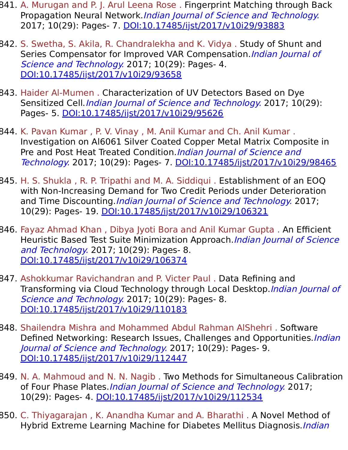- 841. A. Murugan and P. J. Arul Leena Rose . Fingerprint Matching through Back Propagation Neural Network.Indian Journal of Science and Technology. 2017; 10(29): Pages- 7. [DOI:10.17485/ijst/2017/v10i29/93883](https://indjst.org/articles/fingerprint-matching-through-back-propagation-neural-network)
- 842. S. Swetha, S. Akila, R. Chandralekha and K. Vidya . Study of Shunt and Series Compensator for Improved VAR Compensation. Indian Journal of Science and Technology. 2017; 10(29): Pages- 4. [DOI:10.17485/ijst/2017/v10i29/93658](https://indjst.org/articles/study-of-shunt-and-series-compensator-for-improved-var-compensation)
- 843. Haider Al-Mumen . Characterization of UV Detectors Based on Dye Sensitized Cell.*Indian Journal of Science and Technology*. 2017; 10(29): Pages- 5. [DOI:10.17485/ijst/2017/v10i29/95626](https://indjst.org/articles/characterization-of-uv-detectors-based-on-dye-sensitized-cell)
- 844. K. Pavan Kumar , P. V. Vinay , M. Anil Kumar and Ch. Anil Kumar . Investigation on Al6061 Silver Coated Copper Metal Matrix Composite in Pre and Post Heat Treated Condition. Indian Journal of Science and Technology. 2017; 10(29): Pages- 7. [DOI:10.17485/ijst/2017/v10i29/98465](https://indjst.org/articles/investigation-on-al6061-silver-coated-copper-metal-matrix-composite-in-pre-and-post-heat-treated-condition)
- 845. H. S. Shukla , R. P. Tripathi and M. A. Siddiqui . Establishment of an EOQ with Non-Increasing Demand for Two Credit Periods under Deterioration and Time Discounting. *Indian Journal of Science and Technology*. 2017; 10(29): Pages- 19. [DOI:10.17485/ijst/2017/v10i29/106321](https://indjst.org/articles/establishment-of-an-eoq-with-non-increasing-demand-for-two-credit-periods-under-deterioration-and-time-discounting)
- 846. Fayaz Ahmad Khan , Dibya Jyoti Bora and Anil Kumar Gupta . An Efficient Heuristic Based Test Suite Minimization Approach. Indian Journal of Science and Technology. 2017; 10(29): Pages- 8. [DOI:10.17485/ijst/2017/v10i29/106374](https://indjst.org/articles/an-efficient-heuristic-based-test-suite-minimization-approach)
- 847. Ashokkumar Ravichandran and P. Victer Paul . Data Refining and Transforming via Cloud Technology through Local Desktop. Indian Journal of Science and Technology. 2017; 10(29): Pages- 8. [DOI:10.17485/ijst/2017/v10i29/110183](https://indjst.org/articles/data-refining-and-transforming-via-cloud-technology-through-local-desktop)
- 848. Shailendra Mishra and Mohammed Abdul Rahman AlShehri . Software Defined Networking: Research Issues, Challenges and Opportunities. Indian Journal of Science and Technology. 2017; 10(29): Pages- 9. [DOI:10.17485/ijst/2017/v10i29/112447](https://indjst.org/articles/software-defined-networking-research-issues-challenges-and-opportunities)
- 849. N. A. Mahmoud and N. N. Nagib . Two Methods for Simultaneous Calibration of Four Phase Plates.*Indian Journal of Science and Technology*. 2017; 10(29): Pages- 4. [DOI:10.17485/ijst/2017/v10i29/112534](https://indjst.org/articles/two-methods-for-simultaneous-calibration-of-four-phase-plates)
- 850. C. Thiyagarajan , K. Anandha Kumar and A. Bharathi . A Novel Method of Hybrid Extreme Learning Machine for Diabetes Mellitus Diagnosis. *Indian*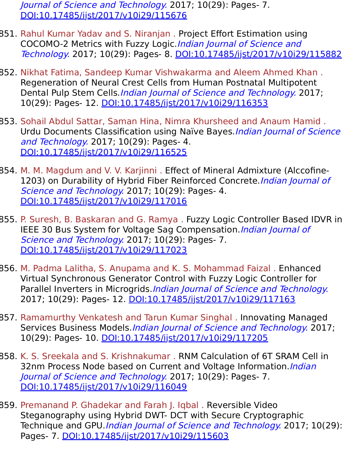Journal of Science and Technology. 2017; 10(29): Pages- 7. [DOI:10.17485/ijst/2017/v10i29/115676](https://indjst.org/articles/a-novel-method-of-hybrid-extreme-learning-machine-for-diabetes-mellitus-diagnosis)

- 851. Rahul Kumar Yadav and S. Niranjan . Project Effort Estimation using COCOMO-2 Metrics with Fuzzy Logic.Indian Journal of Science and Technology. 2017; 10(29): Pages- 8. [DOI:10.17485/ijst/2017/v10i29/115882](https://indjst.org/articles/project-effort-estimation-using-cocomo-2-metrics-with-fuzzy-logic)
- 852. Nikhat Fatima, Sandeep Kumar Vishwakarma and Aleem Ahmed Khan . Regeneration of Neural Crest Cells from Human Postnatal Multipotent Dental Pulp Stem Cells.*Indian Journal of Science and Technology*. 2017; 10(29): Pages- 12. [DOI:10.17485/ijst/2017/v10i29/116353](https://indjst.org/articles/regeneration-of-neural-crest-cells-from-human-postnatal-multipotent-dental-pulp-stem-cells)
- 853. Sohail Abdul Sattar, Saman Hina, Nimra Khursheed and Anaum Hamid . Urdu Documents Classification using Naïve Bayes. Indian Journal of Science and Technology. 2017; 10(29): Pages- 4. [DOI:10.17485/ijst/2017/v10i29/116525](https://indjst.org/articles/urdu-documents-classification-using-nave-bayes)
- 854. M. M. Magdum and V. V. Karjinni . Effect of Mineral Admixture (Alccofine-1203) on Durability of Hybrid Fiber Reinforced Concrete. *Indian Journal of* Science and Technology. 2017; 10(29): Pages- 4. [DOI:10.17485/ijst/2017/v10i29/117016](https://indjst.org/articles/effect-of-mineral-admixture-alccofine-1203-on-durability-of-hybrid-fiber-reinforced-concrete)
- 855. P. Suresh, B. Baskaran and G. Ramya . Fuzzy Logic Controller Based IDVR in IEEE 30 Bus System for Voltage Sag Compensation. Indian Journal of Science and Technology. 2017; 10(29): Pages- 7. [DOI:10.17485/ijst/2017/v10i29/117023](https://indjst.org/articles/fuzzy-logic-controller-based-idvr-in-ieee-30-bus-system-for-voltage-sag-compensation)
- 856. M. Padma Lalitha, S. Anupama and K. S. Mohammad Faizal . Enhanced Virtual Synchronous Generator Control with Fuzzy Logic Controller for Parallel Inverters in Microgrids. Indian Journal of Science and Technology. 2017; 10(29): Pages- 12. [DOI:10.17485/ijst/2017/v10i29/117163](https://indjst.org/articles/enhanced-virtual-synchronous-generator-control-with-fuzzy-logic-controller-for-parallel-inverters-in-microgrids)
- 857. Ramamurthy Venkatesh and Tarun Kumar Singhal . Innovating Managed Services Business Models.Indian Journal of Science and Technology. 2017; 10(29): Pages- 10. [DOI:10.17485/ijst/2017/v10i29/117205](https://indjst.org/articles/innovating-managed-services-business-models)
- 858. K. S. Sreekala and S. Krishnakumar . RNM Calculation of 6T SRAM Cell in 32nm Process Node based on Current and Voltage Information. Indian Journal of Science and Technology. 2017; 10(29): Pages- 7. [DOI:10.17485/ijst/2017/v10i29/116049](https://indjst.org/articles/rnm-calculation-of-6t-sram-cell-in-32nm-process-node-based-on-current-and-voltage-information)
- 859. Premanand P. Ghadekar and Farah J. Iqbal . Reversible Video Steganography using Hybrid DWT- DCT with Secure Cryptographic Technique and GPU.*Indian Journal of Science and Technology*. 2017; 10(29): Pages- 7. [DOI:10.17485/ijst/2017/v10i29/115603](https://indjst.org/articles/reversible-video-steganography-using-hybrid-dwt-dct-with-secure-cryptographic-technique-and-gpu)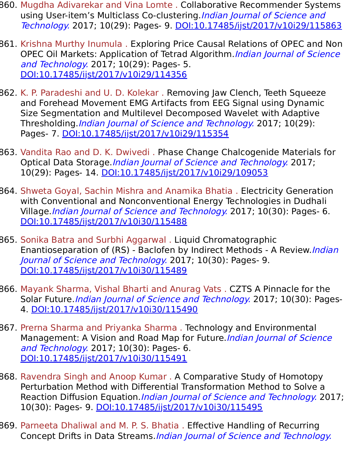- 860. Mugdha Adivarekar and Vina Lomte . Collaborative Recommender Systems using User-item's Multiclass Co-clustering.*Indian Journal of Science and* Technology. 2017; 10(29): Pages- 9. [DOI:10.17485/ijst/2017/v10i29/115863](https://indjst.org/articles/collaborative-recommender-systems-using-user-items-multiclass-co-clustering)
- 861. Krishna Murthy Inumula . Exploring Price Causal Relations of OPEC and Non OPEC Oil Markets: Application of Tetrad Algorithm. Indian Journal of Science and Technology. 2017; 10(29): Pages- 5. [DOI:10.17485/ijst/2017/v10i29/114356](https://indjst.org/articles/exploring-price-causal-relations-of-opec-and-non-opec-oil-markets-application-of-tetrad-algorithm)
- 862. K. P. Paradeshi and U. D. Kolekar . Removing Jaw Clench, Teeth Squeeze and Forehead Movement EMG Artifacts from EEG Signal using Dynamic Size Segmentation and Multilevel Decomposed Wavelet with Adaptive Thresholding. Indian Journal of Science and Technology. 2017; 10(29): Pages- 7. [DOI:10.17485/ijst/2017/v10i29/115354](https://indjst.org/articles/removing-jaw-clench-teeth-squeeze-and-forehead-movement-emg-artifacts-from-eeg-signal-using-dynamic-size-segmentation-and-multilevel-decomposed-wavelet-with-adaptive-thresholding)
- 863. Vandita Rao and D. K. Dwivedi . Phase Change Chalcogenide Materials for Optical Data Storage.*Indian Journal of Science and Technology*. 2017; 10(29): Pages- 14. [DOI:10.17485/ijst/2017/v10i29/109053](https://indjst.org/articles/phase-change-chalcogenide-materials-for-optical-data-storage)
- 864. Shweta Goyal, Sachin Mishra and Anamika Bhatia . Electricity Generation with Conventional and Nonconventional Energy Technologies in Dudhali Village. Indian Journal of Science and Technology. 2017; 10(30): Pages- 6. [DOI:10.17485/ijst/2017/v10i30/115488](https://indjst.org/articles/electricity-generation-with-conventional-and-nonconventional-energy-technologies-in-dudhali-village)
- 865. Sonika Batra and Surbhi Aggarwal . Liquid Chromatographic Enantioseparation of (RS) - Baclofen by Indirect Methods - A Review.*Indian* Journal of Science and Technology. 2017; 10(30): Pages- 9. [DOI:10.17485/ijst/2017/v10i30/115489](https://indjst.org/articles/liquid-chromatographic-enantioseparation-of-rs-baclofen-by-indirect-methods-a-review)
- 866. Mayank Sharma, Vishal Bharti and Anurag Vats . CZTS A Pinnacle for the Solar Future. Indian Journal of Science and Technology. 2017; 10(30): Pages-4. [DOI:10.17485/ijst/2017/v10i30/115490](https://indjst.org/articles/czts-a-pinnacle-for-the-solar-future)
- 867. Prerna Sharma and Priyanka Sharma . Technology and Environmental Management: A Vision and Road Map for Future. *Indian Journal of Science* and Technology. 2017; 10(30): Pages- 6. [DOI:10.17485/ijst/2017/v10i30/115491](https://indjst.org/articles/technology-and-environmental-management-a-vision-and-road-map-for-future)
- 868. Ravendra Singh and Anoop Kumar . A Comparative Study of Homotopy Perturbation Method with Differential Transformation Method to Solve a Reaction Diffusion Equation.*Indian Journal of Science and Technology*. 2017; 10(30): Pages- 9. [DOI:10.17485/ijst/2017/v10i30/115495](https://indjst.org/articles/a-comparative-study-of-homotopy-perturbation-method-with-differential-transformation-method-to-solve-a-reaction-diffusion-equation)
- 869. Parneeta Dhaliwal and M. P. S. Bhatia . Effective Handling of Recurring Concept Drifts in Data Streams.Indian Journal of Science and Technology.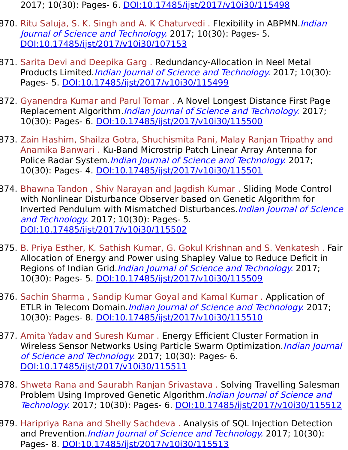2017; 10(30): Pages- 6. [DOI:10.17485/ijst/2017/v10i30/115498](https://indjst.org/articles/effective-handling-of-recurring-concept-drifts-in-data-streams)

- 870. Ritu Saluja, S. K. Singh and A. K Chaturvedi. Flexibility in ABPMN.*Indian* Journal of Science and Technology. 2017; 10(30): Pages- 5. [DOI:10.17485/ijst/2017/v10i30/107153](https://indjst.org/articles/flexibility-in-abpmn)
- 871. Sarita Devi and Deepika Garg . Redundancy-Allocation in Neel Metal Products Limited.*Indian Journal of Science and Technology*. 2017; 10(30): Pages- 5. [DOI:10.17485/ijst/2017/v10i30/115499](https://indjst.org/articles/redundancy-allocation-in-neel-metal-products-limited)
- 872. Gyanendra Kumar and Parul Tomar . A Novel Longest Distance First Page Replacement Algorithm. Indian Journal of Science and Technology. 2017; 10(30): Pages- 6. [DOI:10.17485/ijst/2017/v10i30/115500](https://indjst.org/articles/a-novel-longest-distance-first-page-replacement-algorithm)
- 873. Zain Hashim, Shailza Gotra, Shuchismita Pani, Malay Ranjan Tripathy and Anamika Banwari . Ku-Band Microstrip Patch Linear Array Antenna for Police Radar System.*Indian Journal of Science and Technology*. 2017; 10(30): Pages- 4. [DOI:10.17485/ijst/2017/v10i30/115501](https://indjst.org/articles/ku-band-microstrip-patch-linear-array-antenna-for-police-radar-system)
- 874. Bhawna Tandon , Shiv Narayan and Jagdish Kumar . Sliding Mode Control with Nonlinear Disturbance Observer based on Genetic Algorithm for Inverted Pendulum with Mismatched Disturbances. *Indian Journal of Science* and Technology. 2017; 10(30): Pages- 5. [DOI:10.17485/ijst/2017/v10i30/115502](https://indjst.org/articles/sliding-mode-control-with-nonlinear-disturbance-observer-based-on-genetic-algorithm-for-inverted-pendulum-with-mismatched-disturbances)
- 875. B. Priya Esther, K. Sathish Kumar, G. Gokul Krishnan and S. Venkatesh . Fair Allocation of Energy and Power using Shapley Value to Reduce Deficit in Regions of Indian Grid.*Indian Journal of Science and Technology*. 2017; 10(30): Pages- 5. [DOI:10.17485/ijst/2017/v10i30/115509](https://indjst.org/articles/fair-allocation-of-energy-and-power-using-shapley-value-to-reduce-deficit-in-regions-of-indian-grid)
- 876. Sachin Sharma , Sandip Kumar Goyal and Kamal Kumar . Application of ETLR in Telecom Domain.*Indian Journal of Science and Technology.* 2017; 10(30): Pages- 8. [DOI:10.17485/ijst/2017/v10i30/115510](https://indjst.org/articles/application-of-etlr-in-telecom-domain)
- 877. Amita Yadav and Suresh Kumar . Energy Efficient Cluster Formation in Wireless Sensor Networks Using Particle Swarm Optimization. Indian Journal of Science and Technology. 2017; 10(30): Pages- 6. [DOI:10.17485/ijst/2017/v10i30/115511](https://indjst.org/articles/energy-efficient-cluster-formation-in-wireless-sensor-networks-using-particle-swarm-optimization)
- 878. Shweta Rana and Saurabh Ranjan Srivastava . Solving Travelling Salesman Problem Using Improved Genetic Algorithm. Indian Journal of Science and Technology. 2017; 10(30): Pages- 6. [DOI:10.17485/ijst/2017/v10i30/115512](https://indjst.org/articles/solving-travelling-salesman-problem-using-improved-genetic-algorithm)
- 879. Haripriya Rana and Shelly Sachdeva . Analysis of SQL Injection Detection and Prevention. *Indian Journal of Science and Technology*. 2017; 10(30): Pages- 8. [DOI:10.17485/ijst/2017/v10i30/115513](https://indjst.org/articles/analysis-of-sql-injection-detection-and-prevention)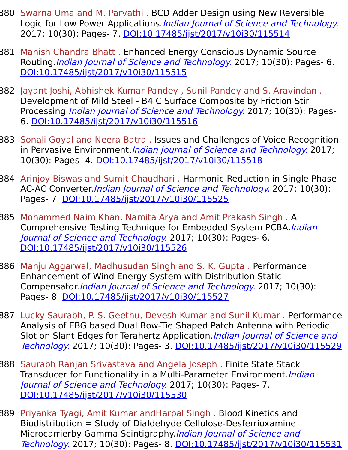- 880. Swarna Uma and M. Parvathi . BCD Adder Design using New Reversible Logic for Low Power Applications. Indian Journal of Science and Technology. 2017; 10(30): Pages- 7. [DOI:10.17485/ijst/2017/v10i30/115514](https://indjst.org/articles/bcd-adder-design-using-new-reversible-logic-for-low-power-applications)
- 881. Manish Chandra Bhatt . Enhanced Energy Conscious Dynamic Source Routing.*Indian Journal of Science and Technology*. 2017; 10(30): Pages- 6. [DOI:10.17485/ijst/2017/v10i30/115515](https://indjst.org/articles/enhanced-energy-conscious-dynamic-source-routing)
- 882. Jayant Joshi, Abhishek Kumar Pandey , Sunil Pandey and S. Aravindan . Development of Mild Steel - B4 C Surface Composite by Friction Stir Processing.*Indian Journal of Science and Technology*. 2017; 10(30): Pages-6. [DOI:10.17485/ijst/2017/v10i30/115516](https://indjst.org/articles/development-of-mild-steel-b4-c-surface-composite-by-friction-stir-processing)
- 883. Sonali Goyal and Neera Batra . Issues and Challenges of Voice Recognition in Pervasive Environment.*Indian Journal of Science and Technology*. 2017; 10(30): Pages- 4. [DOI:10.17485/ijst/2017/v10i30/115518](https://indjst.org/articles/issues-and-challenges-of-voice-recognition-in-pervasive-environment)
- 884. Arinjoy Biswas and Sumit Chaudhari . Harmonic Reduction in Single Phase AC-AC Converter. *Indian Journal of Science and Technology*. 2017; 10(30): Pages- 7. [DOI:10.17485/ijst/2017/v10i30/115525](https://indjst.org/articles/harmonic-reduction-in-single-phase-ac-ac-converter)
- 885. Mohammed Naim Khan, Namita Arya and Amit Prakash Singh . A Comprehensive Testing Technique for Embedded System PCBA.*Indian* Journal of Science and Technology. 2017; 10(30): Pages- 6. [DOI:10.17485/ijst/2017/v10i30/115526](https://indjst.org/articles/a-comprehensive-testing-technique-for-embedded-system-pcba)
- 886. Manju Aggarwal, Madhusudan Singh and S. K. Gupta . Performance Enhancement of Wind Energy System with Distribution Static Compensator.Indian Journal of Science and Technology. 2017; 10(30): Pages- 8. [DOI:10.17485/ijst/2017/v10i30/115527](https://indjst.org/articles/performance-enhancement-of-wind-energy-system-with-distribution-static-compensator)
- 887. Lucky Saurabh, P. S. Geethu, Devesh Kumar and Sunil Kumar . Performance Analysis of EBG based Dual Bow-Tie Shaped Patch Antenna with Periodic Slot on Slant Edges for Terahertz Application. Indian Journal of Science and Technology. 2017; 10(30): Pages- 3. [DOI:10.17485/ijst/2017/v10i30/115529](https://indjst.org/articles/performance-analysis-of-ebg-based-dual-bow-tie-shaped-patch-antenna-with-periodic-slot-on-slant-edges-for-terahertz-application)
- 888. Saurabh Ranjan Srivastava and Angela Joseph. Finite State Stack Transducer for Functionality in a Multi-Parameter Environment.*Indian* Journal of Science and Technology. 2017; 10(30): Pages- 7. [DOI:10.17485/ijst/2017/v10i30/115530](https://indjst.org/articles/finite-state-stack-transducer-for-functionality-in-a-multi-parameter-environment)
- 889. Priyanka Tyagi, Amit Kumar andHarpal Singh . Blood Kinetics and Biodistribution = Study of Dialdehyde Cellulose-Desferrioxamine Microcarrierby Gamma Scintigraphy. Indian Journal of Science and Technology. 2017; 10(30): Pages- 8. [DOI:10.17485/ijst/2017/v10i30/115531](https://indjst.org/articles/blood-kinetics-and-biodistribution-study-of-dialdehyde-cellulose-desferrioxamine-microcarrierby-gamma-scintigraphy)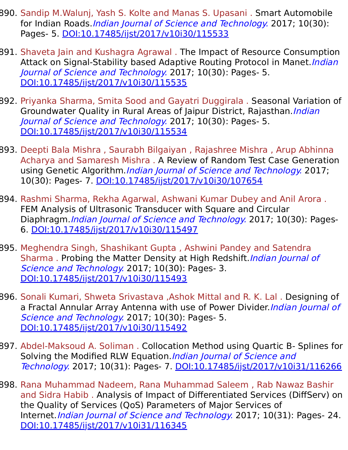- 890. Sandip M.Walunj, Yash S. Kolte and Manas S. Upasani . Smart Automobile for Indian Roads. Indian Journal of Science and Technology. 2017; 10(30): Pages- 5. [DOI:10.17485/ijst/2017/v10i30/115533](https://indjst.org/articles/smart-automobile-for-indian-roads)
- 891. Shaveta Jain and Kushagra Agrawal . The Impact of Resource Consumption Attack on Signal-Stability based Adaptive Routing Protocol in Manet. *Indian* Journal of Science and Technology. 2017; 10(30): Pages- 5. [DOI:10.17485/ijst/2017/v10i30/115535](https://indjst.org/articles/the-impact-of-resource-consumption-attack-on-signal-stability-based-adaptive-routing-protocol-in-manet)
- 892. Priyanka Sharma, Smita Sood and Gayatri Duggirala . Seasonal Variation of Groundwater Quality in Rural Areas of Jaipur District, Rajasthan. *Indian* Journal of Science and Technology. 2017; 10(30): Pages- 5. [DOI:10.17485/ijst/2017/v10i30/115534](https://indjst.org/articles/seasonal-variation-of-groundwater-quality-in-rural-areas-of-jaipur-district-rajasthan)
- 893. Deepti Bala Mishra , Saurabh Bilgaiyan , Rajashree Mishra , Arup Abhinna Acharya and Samaresh Mishra . A Review of Random Test Case Generation using Genetic Algorithm. Indian Journal of Science and Technology. 2017; 10(30): Pages- 7. [DOI:10.17485/ijst/2017/v10i30/107654](https://indjst.org/articles/a-review-of-random-test-case-generation-using-genetic-algorithm)
- 894. Rashmi Sharma, Rekha Agarwal, Ashwani Kumar Dubey and Anil Arora . FEM Analysis of Ultrasonic Transducer with Square and Circular Diaphragm. Indian Journal of Science and Technology. 2017; 10(30): Pages-6. [DOI:10.17485/ijst/2017/v10i30/115497](https://indjst.org/articles/fem-analysis-of-ultrasonic-transducer-with-square-and-circular-diaphragm)
- 895. Meghendra Singh, Shashikant Gupta , Ashwini Pandey and Satendra Sharma. Probing the Matter Density at High Redshift. *Indian Journal of* Science and Technology. 2017; 10(30): Pages- 3. [DOI:10.17485/ijst/2017/v10i30/115493](https://indjst.org/articles/probing-the-matter-density-at-high-redshift)
- 896. Sonali Kumari, Shweta Srivastava ,Ashok Mittal and R. K. Lal . Designing of a Fractal Annular Array Antenna with use of Power Divider. Indian Journal of Science and Technology. 2017; 10(30): Pages- 5. [DOI:10.17485/ijst/2017/v10i30/115492](https://indjst.org/articles/-designing-of-a-fractal-annular-array-antenna-with-use-of-power-divider)
- 897. Abdel-Maksoud A. Soliman . Collocation Method using Quartic B- Splines for Solving the Modified RLW Equation. Indian Journal of Science and Technology. 2017; 10(31): Pages- 7. [DOI:10.17485/ijst/2017/v10i31/116266](https://indjst.org/articles/collocation-method-using-quartic-b-splines-for-solving-the-modified-rlw-equation)
- 898. Rana Muhammad Nadeem, Rana Muhammad Saleem , Rab Nawaz Bashir and Sidra Habib . Analysis of Impact of Differentiated Services (DiffServ) on the Quality of Services (QoS) Parameters of Major Services of Internet. *Indian Journal of Science and Technology.* 2017; 10(31): Pages- 24. [DOI:10.17485/ijst/2017/v10i31/116345](https://indjst.org/articles/analysis-of-impact-of-differentiated-services-diffserv-on-the-quality-of-services-qos-parameters-of-major-services-of-internet)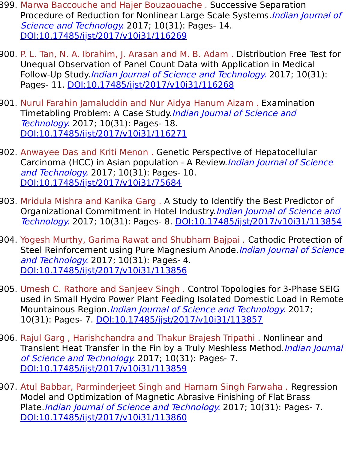- 899. Marwa Baccouche and Hajer Bouzaouache . Successive Separation Procedure of Reduction for Nonlinear Large Scale Systems.*Indian Journal of* Science and Technology. 2017; 10(31): Pages- 14. [DOI:10.17485/ijst/2017/v10i31/116269](https://indjst.org/articles/successive-separation-procedure-of-reduction-for-nonlinear-large-scale-systems)
- 900. P. L. Tan, N. A. Ibrahim, J. Arasan and M. B. Adam . Distribution Free Test for Unequal Observation of Panel Count Data with Application in Medical Follow-Up Study.Indian Journal of Science and Technology. 2017; 10(31): Pages- 11. [DOI:10.17485/ijst/2017/v10i31/116268](https://indjst.org/articles/distribution-free-test-for-unequal-observation-of-panel-count-data-with-application-in-medical-follow-up-study)
- 901. Nurul Farahin Jamaluddin and Nur Aidya Hanum Aizam . Examination Timetabling Problem: A Case Study.*Indian Journal of Science and* Technology. 2017; 10(31): Pages- 18. [DOI:10.17485/ijst/2017/v10i31/116271](https://indjst.org/articles/examination-timetabling-problem-a-case-study)
- 902. Anwayee Das and Kriti Menon . Genetic Perspective of Hepatocellular Carcinoma (HCC) in Asian population - A Review.Indian Journal of Science and Technology. 2017; 10(31): Pages- 10. [DOI:10.17485/ijst/2017/v10i31/75684](https://indjst.org/articles/genetic-perspective-of-hepatocellular-carcinoma-hcc-in-asian-population-a-review)
- 903. Mridula Mishra and Kanika Garg . A Study to Identify the Best Predictor of Organizational Commitment in Hotel Industry Indian Journal of Science and Technology. 2017; 10(31): Pages- 8. [DOI:10.17485/ijst/2017/v10i31/113854](https://indjst.org/articles/a-study-to-identify-the-best-predictor-of-organizational-commitment-in-hotel-industry)
- 904. Yogesh Murthy, Garima Rawat and Shubham Bajpai . Cathodic Protection of Steel Reinforcement using Pure Magnesium Anode. Indian Journal of Science and Technology. 2017; 10(31): Pages- 4. [DOI:10.17485/ijst/2017/v10i31/113856](https://indjst.org/articles/cathodic-protection-of-steel-reinforcement-using-pure-magnesium-anode)
- 905. Umesh C. Rathore and Sanjeev Singh . Control Topologies for 3-Phase SEIG used in Small Hydro Power Plant Feeding Isolated Domestic Load in Remote Mountainous Region.*Indian Journal of Science and Technology*. 2017; 10(31): Pages- 7. [DOI:10.17485/ijst/2017/v10i31/113857](https://indjst.org/articles/control-topologies-for-3-phase-seig-used-in-small-hydro-power-plant-feeding-isolated-domestic-load-in-remote-mountainous-region)
- 906. Rajul Garg , Harishchandra and Thakur Brajesh Tripathi . Nonlinear and Transient Heat Transfer in the Fin by a Truly Meshless Method. Indian Journal of Science and Technology. 2017; 10(31): Pages- 7. [DOI:10.17485/ijst/2017/v10i31/113859](https://indjst.org/articles/nonlinear-and-transient-heat-transfer-in-the-fin-by-a-truly-meshless-method)
- 907. Atul Babbar, Parminderjeet Singh and Harnam Singh Farwaha . Regression Model and Optimization of Magnetic Abrasive Finishing of Flat Brass Plate. Indian Journal of Science and Technology. 2017; 10(31): Pages- 7. [DOI:10.17485/ijst/2017/v10i31/113860](https://indjst.org/articles/regression-model-and-optimization-of-magnetic-abrasive-finishing-of-flat-brass-plate)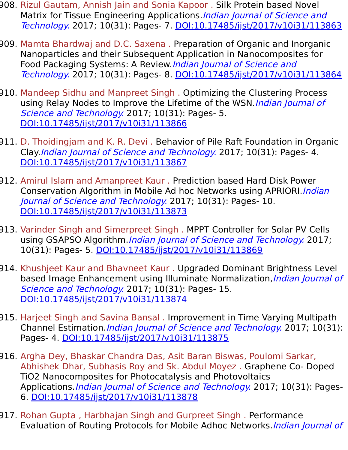- 908. Rizul Gautam, Annish Jain and Sonia Kapoor . Silk Protein based Novel Matrix for Tissue Engineering Applications. *Indian Journal of Science and* Technology. 2017; 10(31): Pages- 7. [DOI:10.17485/ijst/2017/v10i31/113863](https://indjst.org/articles/silk-protein-based-novel-matrix-for-tissue-engineering-applications)
- 909. Mamta Bhardwaj and D.C. Saxena . Preparation of Organic and Inorganic Nanoparticles and their Subsequent Application in Nanocomposites for Food Packaging Systems: A Review. Indian Journal of Science and Technology. 2017; 10(31): Pages- 8. [DOI:10.17485/ijst/2017/v10i31/113864](https://indjst.org/articles/preparation-of-organic-and-inorganic-nanoparticles-and-their-subsequent-application-in-nanocomposites-for-food-packaging-systems-a-review)
- 910. Mandeep Sidhu and Manpreet Singh . Optimizing the Clustering Process using Relay Nodes to Improve the Lifetime of the WSN. Indian Journal of Science and Technology. 2017; 10(31): Pages- 5. [DOI:10.17485/ijst/2017/v10i31/113866](https://indjst.org/articles/optimizing-the-clustering-process-using-relay-nodes-to-improve-the-lifetime-of-the-wsn)
- 911. D. Thoidingjam and K. R. Devi . Behavior of Pile Raft Foundation in Organic Clay.Indian Journal of Science and Technology. 2017; 10(31): Pages- 4. [DOI:10.17485/ijst/2017/v10i31/113867](https://indjst.org/articles/behavior-of-pile-raft-foundation-in-organic-clay)
- 912. Amirul Islam and Amanpreet Kaur . Prediction based Hard Disk Power Conservation Algorithm in Mobile Ad hoc Networks using APRIORI. Indian Journal of Science and Technology. 2017; 10(31): Pages- 10. [DOI:10.17485/ijst/2017/v10i31/113873](https://indjst.org/articles/prediction-based-hard-disk-power-conservation-algorithm-in-mobile-ad-hoc-networks-using-apriori)
- 913. Varinder Singh and Simerpreet Singh . MPPT Controller for Solar PV Cells using GSAPSO Algorithm. *Indian Journal of Science and Technology*. 2017; 10(31): Pages- 5. [DOI:10.17485/ijst/2017/v10i31/113869](https://indjst.org/articles/-solar-cell-gsa-mppt-pso-po)
- 914. Khushjeet Kaur and Bhavneet Kaur . Upgraded Dominant Brightness Level based Image Enhancement using Illuminate Normalization, Indian Journal of Science and Technology. 2017; 10(31): Pages- 15. [DOI:10.17485/ijst/2017/v10i31/113874](https://indjst.org/articles/-upgraded-dominant-brightness-level-based-image-enhancement-using-illuminate-normalization)
- 915. Harjeet Singh and Savina Bansal . Improvement in Time Varying Multipath Channel Estimation.*Indian Journal of Science and Technology*. 2017; 10(31): Pages- 4. [DOI:10.17485/ijst/2017/v10i31/113875](https://indjst.org/articles/improvement-in-time-varying-multipath-channel-estimation)
- 916. Argha Dey, Bhaskar Chandra Das, Asit Baran Biswas, Poulomi Sarkar, Abhishek Dhar, Subhasis Roy and Sk. Abdul Moyez . Graphene Co- Doped TiO2 Nanocomposites for Photocatalysis and Photovoltaics Applications. *Indian Journal of Science and Technology*. 2017; 10(31): Pages-6. [DOI:10.17485/ijst/2017/v10i31/113878](https://indjst.org/articles/graphene-co-doped-tio2-nanocomposites-for-photocatalysis-and-photovoltaics-applications)
- 917. Rohan Gupta , Harbhajan Singh and Gurpreet Singh . Performance Evaluation of Routing Protocols for Mobile Adhoc Networks. *Indian Journal of*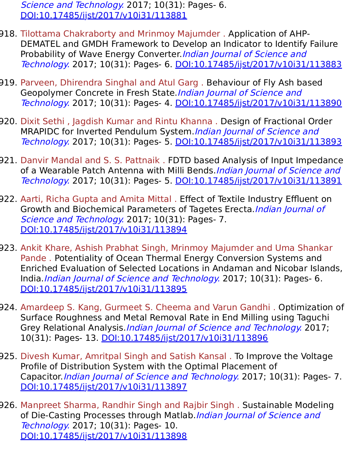Science and Technology. 2017; 10(31): Pages- 6. [DOI:10.17485/ijst/2017/v10i31/113881](https://indjst.org/articles/performance-evaluation-of-routing-protocols-for-mobile-adhoc-networks)

- 918. Tilottama Chakraborty and Mrinmoy Majumder . Application of AHP-DEMATEL and GMDH Framework to Develop an Indicator to Identify Failure Probability of Wave Energy Converter. Indian Journal of Science and Technology. 2017; 10(31): Pages- 6. [DOI:10.17485/ijst/2017/v10i31/113883](https://indjst.org/articles/application-of-ahp-dematel-and-gmdh-framework-to-develop-an-indicator-to-identify-failure-probability-of-wave-energy-converter)
- 919. Parveen, Dhirendra Singhal and Atul Garg . Behaviour of Fly Ash based Geopolymer Concrete in Fresh State. Indian Journal of Science and Technology. 2017; 10(31): Pages- 4. [DOI:10.17485/ijst/2017/v10i31/113890](https://indjst.org/articles/behaviour-of-fly-ash-based-geopolymer-concrete-in-fresh-state)
- 920. Dixit Sethi , Jagdish Kumar and Rintu Khanna . Design of Fractional Order MRAPIDC for Inverted Pendulum System. Indian Journal of Science and Technology. 2017; 10(31): Pages- 5. [DOI:10.17485/ijst/2017/v10i31/113893](https://indjst.org/articles/design-of-fractional-order-mrapidc-for-inverted-pendulum-system)
- 921. Danvir Mandal and S. S. Pattnaik . FDTD based Analysis of Input Impedance of a Wearable Patch Antenna with Milli Bends. Indian Journal of Science and Technology. 2017; 10(31): Pages- 5. [DOI:10.17485/ijst/2017/v10i31/113891](https://indjst.org/articles/fdtd-based-analysis-of-input-impedance-of-a-wearable-patch-antenna-with-milli-bends)
- 922. Aarti, Richa Gupta and Amita Mittal . Effect of Textile Industry Effluent on Growth and Biochemical Parameters of Tagetes Erecta.Indian Journal of Science and Technology. 2017; 10(31): Pages- 7. [DOI:10.17485/ijst/2017/v10i31/113894](https://indjst.org/articles/effect-of-textile-industry-effluent-on-growth-and-biochemical-parameters-of-tagetes-erecta)
- 923. Ankit Khare, Ashish Prabhat Singh, Mrinmoy Majumder and Uma Shankar Pande . Potentiality of Ocean Thermal Energy Conversion Systems and Enriched Evaluation of Selected Locations in Andaman and Nicobar Islands, India.Indian Journal of Science and Technology. 2017; 10(31): Pages- 6. [DOI:10.17485/ijst/2017/v10i31/113895](https://indjst.org/articles/potentiality-of-ocean-thermal-energy-conversion-systems-and-enriched-evaluation-of-selected-locations-in-andaman-and-nicobar-islands-india)
- 924. Amardeep S. Kang, Gurmeet S. Cheema and Varun Gandhi . Optimization of Surface Roughness and Metal Removal Rate in End Milling using Taguchi Grey Relational Analysis.*Indian Journal of Science and Technology*. 2017; 10(31): Pages- 13. [DOI:10.17485/ijst/2017/v10i31/113896](https://indjst.org/articles/optimization-of-surface-roughness-and-metal-removal-rate-in-end-milling-using-taguchi-grey-relational-analysis)
- 925. Divesh Kumar, Amritpal Singh and Satish Kansal . To Improve the Voltage Profile of Distribution System with the Optimal Placement of Capacitor. Indian Journal of Science and Technology. 2017; 10(31): Pages- 7. [DOI:10.17485/ijst/2017/v10i31/113897](https://indjst.org/articles/to-improve-the-voltage-profile-of-distribution-system-with-the-optimal-placement-of-capacitor)
- 926. Manpreet Sharma, Randhir Singh and Rajbir Singh . Sustainable Modeling of Die-Casting Processes through Matlab. *Indian Journal of Science and* Technology. 2017; 10(31): Pages- 10. [DOI:10.17485/ijst/2017/v10i31/113898](https://indjst.org/articles/sustainable-modeling-of-die-casting-processes-through-matlab)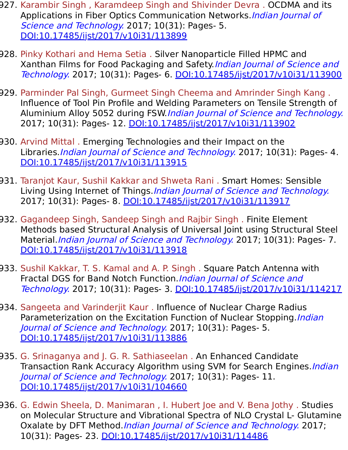- 927. Karambir Singh , Karamdeep Singh and Shivinder Devra . OCDMA and its Applications in Fiber Optics Communication Networks.*Indian Journal of* Science and Technology. 2017; 10(31): Pages- 5. [DOI:10.17485/ijst/2017/v10i31/113899](https://indjst.org/articles/ocdma-and-its-applications-in-fiber-optics-communication-networks)
- 928. Pinky Kothari and Hema Setia . Silver Nanoparticle Filled HPMC and Xanthan Films for Food Packaging and Safety. Indian Journal of Science and Technology. 2017; 10(31): Pages- 6. [DOI:10.17485/ijst/2017/v10i31/113900](https://indjst.org/articles/silver-nanoparticle-filled-hpmc-and-xanthan-films-for-food-packaging-and-safety)
- 929. Parminder Pal Singh, Gurmeet Singh Cheema and Amrinder Singh Kang . Influence of Tool Pin Profile and Welding Parameters on Tensile Strength of Aluminium Alloy 5052 during FSW.Indian Journal of Science and Technology. 2017; 10(31): Pages- 12. [DOI:10.17485/ijst/2017/v10i31/113902](https://indjst.org/articles/influence-of-tool-pin-profile-and-welding-parameters-on-tensile-strength-of-aluminium-alloy-5052-during-fsw)
- 930. Arvind Mittal . Emerging Technologies and their Impact on the Libraries. *Indian Journal of Science and Technology*. 2017; 10(31): Pages- 4. [DOI:10.17485/ijst/2017/v10i31/113915](https://indjst.org/articles/emerging-technologies-and-their-impact-on-the-libraries)
- 931. Taranjot Kaur, Sushil Kakkar and Shweta Rani . Smart Homes: Sensible Living Using Internet of Things.*Indian Journal of Science and Technology.* 2017; 10(31): Pages- 8. [DOI:10.17485/ijst/2017/v10i31/113917](https://indjst.org/articles/smart-homes-sensible-living-using-internet-of-things)
- 932. Gagandeep Singh, Sandeep Singh and Rajbir Singh . Finite Element Methods based Structural Analysis of Universal Joint using Structural Steel Material. *Indian Journal of Science and Technology.* 2017; 10(31): Pages- 7. [DOI:10.17485/ijst/2017/v10i31/113918](https://indjst.org/articles/finite-element-methods-based-structural-analysis-of-universal-joint-using-structural-steel-material)
- 933. Sushil Kakkar, T. S. Kamal and A. P. Singh . Square Patch Antenna with Fractal DGS for Band Notch Function. Indian Journal of Science and Technology. 2017; 10(31): Pages- 3. [DOI:10.17485/ijst/2017/v10i31/114217](https://indjst.org/articles/square-patch-antenna-with-fractal-dgs-for-band-notch-function)
- 934. Sangeeta and Varinderjit Kaur . Influence of Nuclear Charge Radius Parameterization on the Excitation Function of Nuclear Stopping. Indian Journal of Science and Technology. 2017; 10(31): Pages- 5. [DOI:10.17485/ijst/2017/v10i31/113886](https://indjst.org/articles/influence-of-nuclear-charge-radius-parameterization-on-the-excitation-function-of-nuclear-stopping)
- 935. G. Srinaganya and J. G. R. Sathiaseelan . An Enhanced Candidate Transaction Rank Accuracy Algorithm using SVM for Search Engines. *Indian* Journal of Science and Technology. 2017; 10(31): Pages- 11. [DOI:10.17485/ijst/2017/v10i31/104660](https://indjst.org/articles/an-enhanced-candidate-transaction-rank-accuracy-algorithm-using-svm-for-search-engines)
- 936. G. Edwin Sheela, D. Manimaran , I. Hubert Joe and V. Bena Jothy . Studies on Molecular Structure and Vibrational Spectra of NLO Crystal L- Glutamine Oxalate by DFT Method. Indian Journal of Science and Technology. 2017; 10(31): Pages- 23. [DOI:10.17485/ijst/2017/v10i31/114486](https://indjst.org/articles/studies-on-molecular-structure-and-vibrational-spectra-of-nlo-crystal-l-glutamine-oxalate-by-dft-method)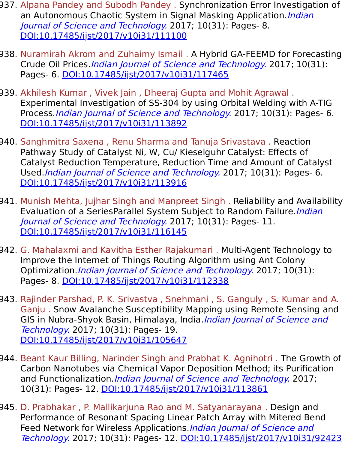- 937. Alpana Pandey and Subodh Pandey . Synchronization Error Investigation of an Autonomous Chaotic System in Signal Masking Application. *Indian* Journal of Science and Technology. 2017; 10(31): Pages- 8. [DOI:10.17485/ijst/2017/v10i31/111100](https://indjst.org/articles/synchronization-error-investigation-of-an-autonomous-chaotic-system-in-signal-masking-application)
- 938. Nuramirah Akrom and Zuhaimy Ismail . A Hybrid GA-FEEMD for Forecasting Crude Oil Prices.Indian Journal of Science and Technology. 2017; 10(31): Pages- 6. [DOI:10.17485/ijst/2017/v10i31/117465](https://indjst.org/articles/a-hybrid-ga-feemd-for-forecasting-crude-oil-prices)
- 939. Akhilesh Kumar , Vivek Jain , Dheeraj Gupta and Mohit Agrawal . Experimental Investigation of SS-304 by using Orbital Welding with A-TIG Process. *Indian Journal of Science and Technology*. 2017; 10(31): Pages- 6. [DOI:10.17485/ijst/2017/v10i31/113892](https://indjst.org/articles/experimental-investigation-of-ss-304-by-using-orbital-welding-with-a-tig-process)
- 940. Sanghmitra Saxena , Renu Sharma and Tanuja Srivastava . Reaction Pathway Study of Catalyst Ni, W, Cu/ Kieselguhr Catalyst: Effects of Catalyst Reduction Temperature, Reduction Time and Amount of Catalyst Used.Indian Journal of Science and Technology. 2017; 10(31): Pages- 6. [DOI:10.17485/ijst/2017/v10i31/113916](https://indjst.org/articles/reaction-pathway-study-of-catalyst-ni-w-cu-kieselguhr-catalyst-effects-of-catalyst-reduction-temperature-reduction-time-and-amount-of-catalyst-used)
- 941. Munish Mehta, Jujhar Singh and Manpreet Singh . Reliability and Availability Evaluation of a SeriesParallel System Subject to Random Failure. *Indian* Journal of Science and Technology. 2017; 10(31): Pages- 11. [DOI:10.17485/ijst/2017/v10i31/116145](https://indjst.org/articles/reliability-and-availability-evaluation-of-a-seriesparallel-system-subject-to-random-failure)
- 942. G. Mahalaxmi and Kavitha Esther Rajakumari . Multi-Agent Technology to Improve the Internet of Things Routing Algorithm using Ant Colony Optimization. Indian Journal of Science and Technology. 2017; 10(31): Pages- 8. [DOI:10.17485/ijst/2017/v10i31/112338](https://indjst.org/articles/multi-agent-technology-to-improve-the-internet-of-things-routing-algorithm-using-ant-colony-optimization)
- 943. Rajinder Parshad, P. K. Srivastva , Snehmani , S. Ganguly , S. Kumar and A. Ganju . Snow Avalanche Susceptibility Mapping using Remote Sensing and GIS in Nubra-Shyok Basin, Himalaya, India. *Indian Journal of Science and* Technology. 2017; 10(31): Pages- 19. [DOI:10.17485/ijst/2017/v10i31/105647](https://indjst.org/articles/snow-avalanche-susceptibility-mapping-using-remote-sensing-and-gis-in-nubra-shyok-basin-himalaya-india)
- 944. Beant Kaur Billing, Narinder Singh and Prabhat K. Agnihotri . The Growth of Carbon Nanotubes via Chemical Vapor Deposition Method; its Purification and Functionalization. Indian Journal of Science and Technology. 2017; 10(31): Pages- 12. [DOI:10.17485/ijst/2017/v10i31/113861](https://indjst.org/articles/the-growth-of-carbon-nanotubes-via-chemical-vapor-deposition-method-its-purification-and-functionalization)
- 945. D. Prabhakar , P. Mallikarjuna Rao and M. Satyanarayana . Design and Performance of Resonant Spacing Linear Patch Array with Mitered Bend Feed Network for Wireless Applications. Indian Journal of Science and Technology. 2017; 10(31): Pages- 12. [DOI:10.17485/ijst/2017/v10i31/92423](https://indjst.org/articles/design-and-performance-of-resonant-spacing-linear-patch-array-with-mitered-bend-feed-network-for-wireless-applications)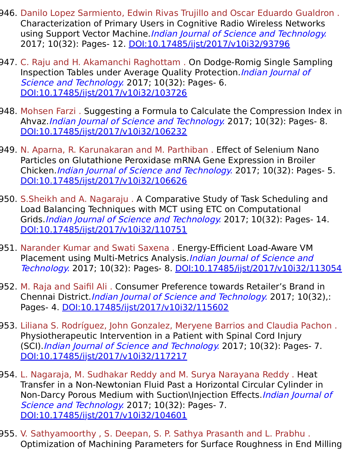- 946. Danilo Lopez Sarmiento, Edwin Rivas Trujillo and Oscar Eduardo Gualdron . Characterization of Primary Users in Cognitive Radio Wireless Networks using Support Vector Machine. Indian Journal of Science and Technology. 2017; 10(32): Pages- 12. [DOI:10.17485/ijst/2017/v10i32/93796](https://indjst.org/articles/characterization-of-primary-users-in-cognitive-radio-wireless-networks-using-support-vector-machine)
- 947. C. Raju and H. Akamanchi Raghottam . On Dodge-Romig Single Sampling Inspection Tables under Average Quality Protection. Indian Journal of Science and Technology. 2017; 10(32): Pages- 6. [DOI:10.17485/ijst/2017/v10i32/103726](https://indjst.org/articles/on-dodge-romig-single-sampling-inspection-tables-under-average-quality-protection)
- 948. Mohsen Farzi . Suggesting a Formula to Calculate the Compression Index in Ahvaz.Indian Journal of Science and Technology. 2017; 10(32): Pages- 8. [DOI:10.17485/ijst/2017/v10i32/106232](https://indjst.org/articles/suggesting-a-formula-to-calculate-the-compression-index-in-ahvaz)
- 949. N. Aparna, R. Karunakaran and M. Parthiban . Effect of Selenium Nano Particles on Glutathione Peroxidase mRNA Gene Expression in Broiler Chicken.Indian Journal of Science and Technology. 2017; 10(32): Pages- 5. [DOI:10.17485/ijst/2017/v10i32/106626](https://indjst.org/articles/effect-of-selenium-nano-particles-on-glutathione-peroxidase-mrna-gene-expression-in-broiler-chicken)
- 950. S.Sheikh and A. Nagaraju . A Comparative Study of Task Scheduling and Load Balancing Techniques with MCT using ETC on Computational Grids. *Indian Journal of Science and Technology*. 2017; 10(32): Pages- 14. [DOI:10.17485/ijst/2017/v10i32/110751](https://indjst.org/articles/a-comparative-study-of-task-scheduling-and-load-balancing-techniques-with-mct-using-etc-on-computational-grids)
- 951. Narander Kumar and Swati Saxena . Energy-Efficient Load-Aware VM Placement using Multi-Metrics Analysis. Indian Journal of Science and Technology. 2017; 10(32): Pages- 8. [DOI:10.17485/ijst/2017/v10i32/113054](https://indjst.org/articles/energy-efficient-load-aware-vm-placement-using-multi-metrics-analysis)
- 952. M. Raja and Saifil Ali . Consumer Preference towards Retailer's Brand in Chennai District.Indian Journal of Science and Technology. 2017; 10(32),: Pages- 4. [DOI:10.17485/ijst/2017/v10i32/115602](https://indjst.org/articles/consumer-preference-towards-retailers-brand-in-chennai-district)
- 953. Liliana S. Rodríguez, John Gonzalez, Meryene Barrios and Claudia Pachon . Physiotherapeutic Intervention in a Patient with Spinal Cord Injury (SCI).Indian Journal of Science and Technology. 2017; 10(32): Pages- 7. [DOI:10.17485/ijst/2017/v10i32/117217](https://indjst.org/articles/physiotherapeutic-intervention-in-a-patient-with-spinal-cord-injury-sci)
- 954. L. Nagaraja, M. Sudhakar Reddy and M. Surya Narayana Reddy . Heat Transfer in a Non-Newtonian Fluid Past a Horizontal Circular Cylinder in Non-Darcy Porous Medium with Suction\Injection Effects. Indian Journal of Science and Technology. 2017; 10(32): Pages- 7. [DOI:10.17485/ijst/2017/v10i32/104601](https://indjst.org/articles/heat-transfer-in-a-non-newtonian-fluid-past-a-horizontal-circular-cylinder-in-non-darcy-porous-medium-with-suctioninjection-effects)
- 955. V. Sathyamoorthy , S. Deepan, S. P. Sathya Prasanth and L. Prabhu . Optimization of Machining Parameters for Surface Roughness in End Milling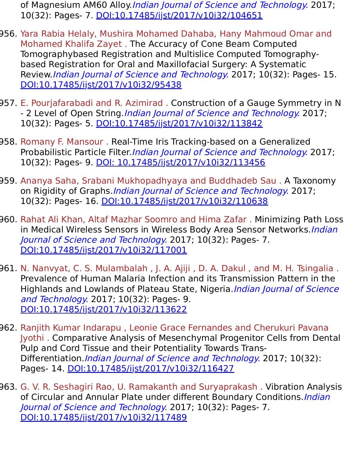of Magnesium AM60 Alloy. Indian Journal of Science and Technology. 2017; 10(32): Pages- 7. [DOI:10.17485/ijst/2017/v10i32/104651](https://indjst.org/articles/optimization-of-machining-parameters-for-surface-roughness-in-end-milling-of-magnesium-am60-alloy)

- 956. Yara Rabia Helaly, Mushira Mohamed Dahaba, Hany Mahmoud Omar and Mohamed Khalifa Zayet . The Accuracy of Cone Beam Computed Tomographybased Registration and Multislice Computed Tomographybased Registration for Oral and Maxillofacial Surgery: A Systematic Review.Indian Journal of Science and Technology. 2017; 10(32): Pages- 15. [DOI:10.17485/ijst/2017/v10i32/95438](https://indjst.org/articles/the-accuracy-of-cone-beam-computed-tomographybased-registration-and-multislice-computed-tomography-based-registration-for-oral-and-maxillofacial-surgery-a-systematic-review)
- 957. E. Pourjafarabadi and R. Azimirad . Construction of a Gauge Symmetry in N - 2 Level of Open String. *Indian Journal of Science and Technology*. 2017; 10(32): Pages- 5. [DOI:10.17485/ijst/2017/v10i32/113842](https://indjst.org/articles/construction-of-a-gauge-symmetry-in-n-2-level-of-open-string)
- 958. Romany F. Mansour . Real-Time Iris Tracking-based on a Generalized Probabilistic Particle Filter. Indian Journal of Science and Technology. 2017; 10(32): Pages- 9. [DOI: 10.17485/ijst/2017/v10i32/113456](https://indjst.org/articles/real-time-iris-tracking-based-on-a-generalized-probabilistic-particle-filter)
- 959. Ananya Saha, Srabani Mukhopadhyaya and Buddhadeb Sau . A Taxonomy on Rigidity of Graphs. *Indian Journal of Science and Technology*. 2017; 10(32): Pages- 16. [DOI:10.17485/ijst/2017/v10i32/110638](https://indjst.org/articles/a-taxonomy-on-rigidity-of-graphs)
- 960. Rahat Ali Khan, Altaf Mazhar Soomro and Hima Zafar . Minimizing Path Loss in Medical Wireless Sensors in Wireless Body Area Sensor Networks. Indian Journal of Science and Technology. 2017; 10(32): Pages- 7. [DOI:10.17485/ijst/2017/v10i32/117001](https://indjst.org/articles/minimizing-path-loss-in-medical-wireless-sensors-in-wireless-body-area-sensor-networks)
- 961. N. Nanvyat, C. S. Mulambalah , J. A. Ajiji , D. A. Dakul , and M. H. Tsingalia . Prevalence of Human Malaria Infection and its Transmission Pattern in the Highlands and Lowlands of Plateau State, Nigeria. Indian Journal of Science and Technology. 2017; 10(32): Pages- 9. [DOI:10.17485/ijst/2017/v10i32/113622](https://indjst.org/articles/prevalence-of-human-malaria-infection-and-its-transmission-pattern-in-the-highlands-and-lowlands-of-plateau-state-nigeria)
- 962. Ranjith Kumar Indarapu , Leonie Grace Fernandes and Cherukuri Pavana Jyothi . Comparative Analysis of Mesenchymal Progenitor Cells from Dental Pulp and Cord Tissue and their Potentiality Towards Trans-Differentiation. *Indian Journal of Science and Technology*. 2017; 10(32): Pages- 14. [DOI:10.17485/ijst/2017/v10i32/116427](https://indjst.org/articles/comparative-analysis-of-mesenchymal-progenitor-cells-from-dental-pulp-and-cord-tissue-and-their-potentiality-towards-trans-differentiation)
- 963. G. V. R. Seshagiri Rao, U. Ramakanth and Suryaprakash . Vibration Analysis of Circular and Annular Plate under different Boundary Conditions. Indian Journal of Science and Technology. 2017; 10(32): Pages- 7. [DOI:10.17485/ijst/2017/v10i32/117489](https://indjst.org/articles/vibration-analysis-of-circular-and-annular-plate-under-different-boundary-conditions)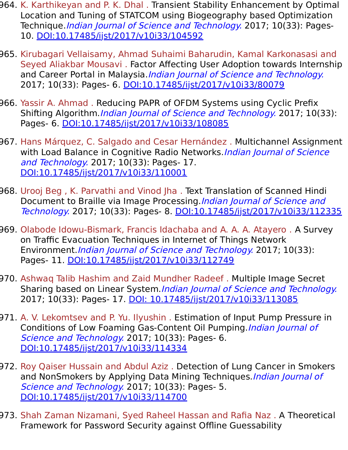- 964. K. Karthikeyan and P. K. Dhal . Transient Stability Enhancement by Optimal Location and Tuning of STATCOM using Biogeography based Optimization Technique.*Indian Journal of Science and Technology*. 2017; 10(33): Pages-10. [DOI:10.17485/ijst/2017/v10i33/104592](https://indjst.org/articles/transient-stability-enhancement-by-optimal-location-and-tuning-of-statcom-using-biogeography-based-optimization-technique)
- 965. Kirubagari Vellaisamy, Ahmad Suhaimi Baharudin, Kamal Karkonasasi and Seyed Aliakbar Mousavi . Factor Affecting User Adoption towards Internship and Career Portal in Malaysia.*Indian Journal of Science and Technology.* 2017; 10(33): Pages- 6. [DOI:10.17485/ijst/2017/v10i33/80079](https://indjst.org/articles/factor-affecting-user-adoption-towards-internship-and-career-portal-in-malaysia)
- 966. Yassir A. Ahmad . Reducing PAPR of OFDM Systems using Cyclic Prefix Shifting Algorithm. *Indian Journal of Science and Technology*. 2017; 10(33): Pages- 6. [DOI:10.17485/ijst/2017/v10i33/108085](https://indjst.org/articles/reducing-papr-of-ofdm-systems-using-cyclic-prefix-shifting-algorithm)
- 967. Hans Márquez, C. Salgado and Cesar Hernández . Multichannel Assignment with Load Balance in Cognitive Radio Networks. Indian Journal of Science and Technology. 2017; 10(33): Pages- 17. [DOI:10.17485/ijst/2017/v10i33/110001](https://indjst.org/articles/multichannel-assignment-with-load-balance-in-cognitive-radio-networks)
- 968. Urooj Beg , K. Parvathi and Vinod Jha . Text Translation of Scanned Hindi Document to Braille via Image Processing.*Indian Journal of Science and* Technology. 2017; 10(33): Pages- 8. [DOI:10.17485/ijst/2017/v10i33/112335](https://indjst.org/articles/text-translation-of-scanned-hindi-document-to-braille-via-image-processing)
- 969. Olabode Idowu-Bismark, Francis Idachaba and A. A. A. Atayero . A Survey on Traffic Evacuation Techniques in Internet of Things Network Environment. *Indian Journal of Science and Technology*. 2017; 10(33): Pages- 11. [DOI:10.17485/ijst/2017/v10i33/112749](https://indjst.org/articles/a-survey-on-traffic-evacuation-techniques-in-internet-of-things-network-environment)
- 970. Ashwaq Talib Hashim and Zaid Mundher Radeef . Multiple Image Secret Sharing based on Linear System. Indian Journal of Science and Technology. 2017; 10(33): Pages- 17. [DOI: 10.17485/ijst/2017/v10i33/113085](https://indjst.org/articles/multiple-image-secret-sharing-based-on-linear-system)
- 971. A. V. Lekomtsev and P. Yu. Ilyushin . Estimation of Input Pump Pressure in Conditions of Low Foaming Gas-Content Oil Pumping.*Indian Journal of* Science and Technology. 2017; 10(33): Pages- 6. [DOI:10.17485/ijst/2017/v10i33/114334](https://indjst.org/articles/estimation-of-input-pump-pressure-in-conditions-of-low-foaming-gas-content-oil-pumping)
- 972. Roy Qaiser Hussain and Abdul Aziz . Detection of Lung Cancer in Smokers and NonSmokers by Applying Data Mining Techniques. Indian Journal of Science and Technology. 2017; 10(33): Pages- 5. [DOI:10.17485/ijst/2017/v10i33/114700](https://indjst.org/articles/detection-of-lung-cancer-in-smokers-and-nonsmokers-by-applying-data-mining-techniques)
- 973. Shah Zaman Nizamani, Syed Raheel Hassan and Rafia Naz . A Theoretical Framework for Password Security against Offline Guessability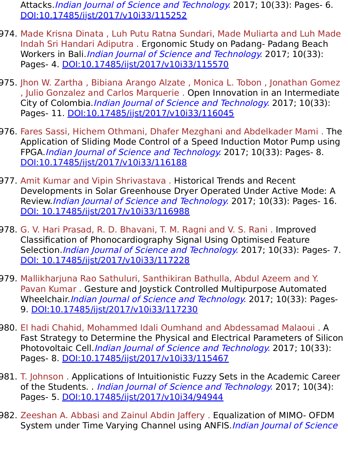Attacks. Indian Journal of Science and Technology. 2017; 10(33): Pages- 6. [DOI:10.17485/ijst/2017/v10i33/115252](https://indjst.org/articles/a-theoretical-framework-for-password-security-against-offline-guessability-attacks)

- 974. Made Krisna Dinata , Luh Putu Ratna Sundari, Made Muliarta and Luh Made Indah Sri Handari Adiputra . Ergonomic Study on Padang- Padang Beach Workers in Bali.*Indian Journal of Science and Technology*. 2017; 10(33): Pages- 4. [DOI:10.17485/ijst/2017/v10i33/115570](https://indjst.org/articles/ergonomic-study-on-padang-padang-beach-workers-in-bali)
- 975. Jhon W. Zartha , Bibiana Arango Alzate , Monica L. Tobon , Jonathan Gomez , Julio Gonzalez and Carlos Marquerie . Open Innovation in an Intermediate City of Colombia. Indian Journal of Science and Technology. 2017; 10(33): Pages- 11. [DOI:10.17485/ijst/2017/v10i33/116045](https://indjst.org/articles/open-innovation-in-an-intermediate-city-of-colombia)
- 976. Fares Sassi, Hichem Othmani, Dhafer Mezghani and Abdelkader Mami . The Application of Sliding Mode Control of a Speed Induction Motor Pump using FPGA.Indian Journal of Science and Technology. 2017; 10(33): Pages- 8. [DOI:10.17485/ijst/2017/v10i33/116188](https://indjst.org/articles/the-application-of-sliding-mode-control-of-a-speed-induction-motor-pump-using-fpga)
- 977. Amit Kumar and Vipin Shrivastava . Historical Trends and Recent Developments in Solar Greenhouse Dryer Operated Under Active Mode: A Review.Indian Journal of Science and Technology. 2017; 10(33): Pages- 16. [DOI: 10.17485/ijst/2017/v10i33/116988](https://indjst.org/articles/historical-trends-and-recent-developments-in-solar-greenhouse-dryer-operated-under-active-mode-a-review)
- 978. G. V. Hari Prasad, R. D. Bhavani, T. M. Ragni and V. S. Rani . Improved Classification of Phonocardiography Signal Using Optimised Feature Selection. Indian Journal of Science and Technology. 2017; 10(33): Pages- 7. [DOI: 10.17485/ijst/2017/v10i33/117228](https://indjst.org/articles/improved-classification-of-phonocardiography-signal-using-optimised-feature-selection)
- 979. Mallikharjuna Rao Sathuluri, Santhikiran Bathulla, Abdul Azeem and Y. Pavan Kumar . Gesture and Joystick Controlled Multipurpose Automated Wheelchair. Indian Journal of Science and Technology. 2017; 10(33): Pages-9. [DOI:10.17485/ijst/2017/v10i33/117230](https://indjst.org/articles/gesture-and-joystick-controlled-multipurpose-automated-wheelchair)
- 980. El hadi Chahid, Mohammed Idali Oumhand and Abdessamad Malaoui . A Fast Strategy to Determine the Physical and Electrical Parameters of Silicon Photovoltaic Cell. Indian Journal of Science and Technology. 2017; 10(33): Pages- 8. [DOI:10.17485/ijst/2017/v10i33/115467](https://indjst.org/articles/a-fast-strategy-to-determine-the-physical-and-electrical-parameters-of-silicon-photovoltaic-cell)
- 981. T. Johnson . Applications of Intuitionistic Fuzzy Sets in the Academic Career of the Students. *Indian Journal of Science and Technology*. 2017; 10(34): Pages- 5. [DOI:10.17485/ijst/2017/v10i34/94944](https://indjst.org/articles/applications-of-intuitionistic-fuzzy-sets-in-the-academic-career-of-the-students)
- 982. Zeeshan A. Abbasi and Zainul Abdin Jaffery . Equalization of MIMO- OFDM System under Time Varying Channel using ANFIS. Indian Journal of Science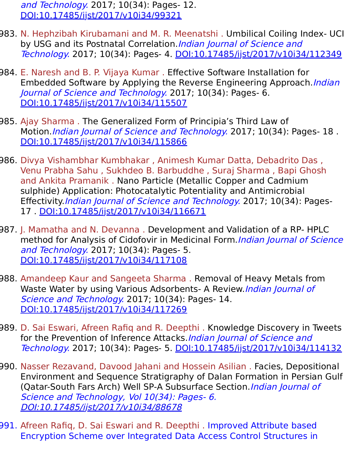and Technology. 2017; 10(34): Pages- 12. [DOI:10.17485/ijst/2017/v10i34/99321](https://indjst.org/articles/equalization-of-mimo-ofdm-system-under-time-varying-channel-using-anfis)

- 983. N. Hephzibah Kirubamani and M. R. Meenatshi . Umbilical Coiling Index- UCI by USG and its Postnatal Correlation. Indian Journal of Science and Technology. 2017; 10(34): Pages- 4. [DOI:10.17485/ijst/2017/v10i34/112349](https://indjst.org/articles/umbilical-coiling-index-uci-by-usg-and-its-postnatal-correlation)
- 984. E. Naresh and B. P. Vijaya Kumar . Effective Software Installation for Embedded Software by Applying the Reverse Engineering Approach.*Indian* Journal of Science and Technology. 2017; 10(34): Pages- 6. [DOI:10.17485/ijst/2017/v10i34/115507](https://indjst.org/articles/effective-software-installation-for-embedded-software-by-applying-the-reverse-engineering-approach)
- 985. Ajay Sharma . The Generalized Form of Principia's Third Law of Motion. *Indian Journal of Science and Technology*. 2017; 10(34): Pages- 18. [DOI:10.17485/ijst/2017/v10i34/115866](https://indjst.org/articles/the-generalized-form-of-principias-third-law-of-motion)
- 986. Divya Vishambhar Kumbhakar , Animesh Kumar Datta, Debadrito Das , Venu Prabha Sahu , Sukhdeo B. Barbuddhe , Suraj Sharma , Bapi Ghosh and Ankita Pramanik . Nano Particle (Metallic Copper and Cadmium sulphide) Application: Photocatalytic Potentiality and Antimicrobial Effectivity.*Indian Journal of Science and Technology*. 2017; 10(34): Pages-17 . [DOI:10.17485/ijst/2017/v10i34/116671](https://indjst.org/articles/nano-particle-metallic-copper-and-cadmium-sulphide-application-photocatalytic-potentiality-and-antimicrobial-effectivity)
- 987. J. Mamatha and N. Devanna . Development and Validation of a RP- HPLC method for Analysis of Cidofovir in Medicinal Form. Indian Journal of Science and Technology. 2017; 10(34): Pages- 5. [DOI:10.17485/ijst/2017/v10i34/117108](https://indjst.org/articles/development-and-validation-of-a-rp-hplc-method-for-analysis-of-cidofovir-in-medicinal-form)
- 988. Amandeep Kaur and Sangeeta Sharma . Removal of Heavy Metals from Waste Water by using Various Adsorbents- A Review. Indian Journal of Science and Technology. 2017; 10(34): Pages- 14. [DOI:10.17485/ijst/2017/v10i34/117269](https://indjst.org/articles/removal-of-heavy-metals-from-waste-water-by-using-various-adsorbents-a-review)
- 989. D. Sai Eswari, Afreen Rafiq and R. Deepthi . Knowledge Discovery in Tweets for the Prevention of Inference Attacks. Indian Journal of Science and Technology. 2017; 10(34): Pages- 5. [DOI:10.17485/ijst/2017/v10i34/114132](https://indjst.org/articles/knowledge-discovery-in-tweets-for-the-prevention-of-inference-attacks)
- 990. Nasser Rezavand, Davood Jahani and Hossein Asilian . Facies, Depositional Environment and Sequence Stratigraphy of Dalan Formation in Persian Gulf (Qatar-South Fars Arch) Well SP-A Subsurface Section. Indian Journal of Science and Technology, Vol 10(34): Pages- 6. [DOI:10.17485/ijst/2017/v10i34/88678](https://indjst.org/articles/facies-depositional-environment-and-sequence-stratigraphy-of-dalan-formation-in-persian-gulf-qatar-south-fars-arch-well-sp-a-subsurface-section)
- 991. Afreen Rafiq, D. Sai Eswari and R. Deepthi . Improved Attribute based Encryption Scheme over Integrated Data Access Control Structures in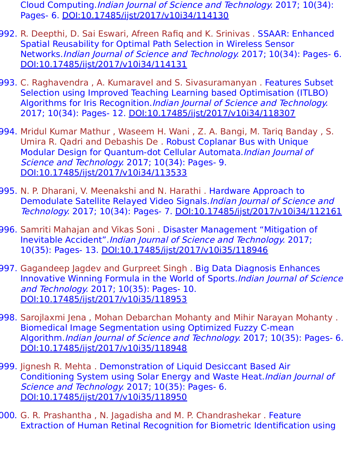Cloud Computing.Indian Journal of Science and Technology. 2017; 10(34): Pages- 6. [DOI:10.17485/ijst/2017/v10i34/114130](https://indjst.org/articles/improved-attribute-based-encryption-scheme-over-integrated-data-access-control-structures-in-cloud-computing)

- 992. R. Deepthi, D. Sai Eswari, Afreen Rafiq and K. Srinivas . SSAAR: Enhanced Spatial Reusability for Optimal Path Selection in Wireless Sensor Networks.Indian Journal of Science and Technology. 2017; 10(34): Pages- 6. [DOI:10.17485/ijst/2017/v10i34/114131](https://indjst.org/articles/ssaar-enhanced-spatial-reusability-for-optimal-path-selection-in-wireless-sensor-networks)
- 993. C. Raghavendra , A. Kumaravel and S. Sivasuramanyan . Features Subset Selection using Improved Teaching Learning based Optimisation (ITLBO) Algorithms for Iris Recognition.Indian Journal of Science and Technology. 2017; 10(34): Pages- 12. [DOI:10.17485/ijst/2017/v10i34/118307](https://indjst.org/articles/features-subset-selection-using-improved-teaching-learning-based-optimisation-itlbo-algorithms-for-iris-recognition)
- 994. Mridul Kumar Mathur , Waseem H. Wani , Z. A. Bangi, M. Tariq Banday , S. Umira R. Qadri and Debashis De . Robust Coplanar Bus with Unique Modular Design for Quantum-dot Cellular Automata.Indian Journal of Science and Technology. 2017; 10(34): Pages- 9. [DOI:10.17485/ijst/2017/v10i34/113533](https://indjst.org/articles/robust-coplanar-bus-with-unique-modular-design-for-quantum-dot-cellular-automata)
- 995. N. P. Dharani, V. Meenakshi and N. Harathi . Hardware Approach to Demodulate Satellite Relayed Video Signals.Indian Journal of Science and Technology. 2017; 10(34): Pages- 7. [DOI:10.17485/ijst/2017/v10i34/112161](https://indjst.org/articles/hardware-approach-to-demodulate-satellite-relayed-video-signals)
- 996. Samriti Mahajan and Vikas Soni . Disaster Management "Mitigation of Inevitable Accident".Indian Journal of Science and Technology. 2017; 10(35): Pages- 13. [DOI:10.17485/ijst/2017/v10i35/118946](https://indjst.org/articles/disaster-management-mitigation-of-inevitable-accident)
- 997. Gagandeep Jagdev and Gurpreet Singh . Big Data Diagnosis Enhances Innovative Winning Formula in the World of Sports.*Indian Journal of Science* and Technology. 2017; 10(35): Pages- 10. [DOI:10.17485/ijst/2017/v10i35/118953](https://indjst.org/articles/big-data-diagnosis-enhances-innovative-winning-formula-in-the-world-of-sports)
- 998. Sarojlaxmi Jena , Mohan Debarchan Mohanty and Mihir Narayan Mohanty . Biomedical Image Segmentation using Optimized Fuzzy C-mean Algorithm.Indian Journal of Science and Technology. 2017; 10(35): Pages- 6. [DOI:10.17485/ijst/2017/v10i35/118948](https://indjst.org/articles/biomedical-image-segmentation-using-optimized-fuzzy-c-mean-algorithm)
- 999. Jignesh R. Mehta . Demonstration of Liquid Desiccant Based Air Conditioning System using Solar Energy and Waste Heat.Indian Journal of Science and Technology. 2017; 10(35): Pages- 6. [DOI:10.17485/ijst/2017/v10i35/118950](https://indjst.org/articles/demonstration-of-liquid-desiccant-based-air-conditioning-system-using-solar-energy-and-waste-heat)
- 000. G. R. Prashantha , N. Jagadisha and M. P. Chandrashekar . Feature Extraction of Human Retinal Recognition for Biometric Identification using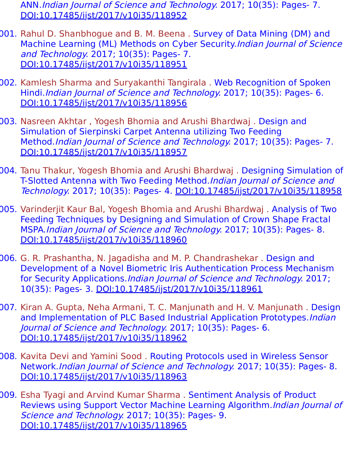ANN.Indian Journal of Science and Technology. 2017; 10(35): Pages- 7. [DOI:10.17485/ijst/2017/v10i35/118952](https://indjst.org/articles/feature-extraction-of-human-retinal-recognition-for-biometric-identification-using-ann)

- 001. Rahul D. Shanbhogue and B. M. Beena . Survey of Data Mining (DM) and Machine Learning (ML) Methods on Cyber Security.Indian Journal of Science and Technology. 2017; 10(35): Pages- 7. [DOI:10.17485/ijst/2017/v10i35/118951](https://indjst.org/articles/survey-of-data-mining-dm-and-machine-learning-ml-methods-on-cyber-security)
- 002. Kamlesh Sharma and Suryakanthi Tangirala . Web Recognition of Spoken Hindi.Indian Journal of Science and Technology. 2017; 10(35): Pages- 6. [DOI:10.17485/ijst/2017/v10i35/118956](https://indjst.org/articles/web-recognition-of-spoken-hindi)
- 003. Nasreen Akhtar , Yogesh Bhomia and Arushi Bhardwaj . Design and Simulation of Sierpinski Carpet Antenna utilizing Two Feeding Method.Indian Journal of Science and Technology. 2017; 10(35): Pages- 7. [DOI:10.17485/ijst/2017/v10i35/118957](https://indjst.org/articles/design-and-simulation-of-sierpinski-carpet-antenna-utilizing-two-feeding-method)
- 004. Tanu Thakur, Yogesh Bhomia and Arushi Bhardwaj . Designing Simulation of T-Slotted Antenna with Two Feeding Method.Indian Journal of Science and Technology. 2017; 10(35): Pages- 4. [DOI:10.17485/ijst/2017/v10i35/118958](https://indjst.org/articles/designing-simulation-of-t-slotted-antenna-with-two-feeding-method)
- 005. Varinderjit Kaur Bal, Yogesh Bhomia and Arushi Bhardwaj . Analysis of Two Feeding Techniques by Designing and Simulation of Crown Shape Fractal MSPA.Indian Journal of Science and Technology. 2017; 10(35): Pages- 8. [DOI:10.17485/ijst/2017/v10i35/118960](https://indjst.org/articles/analysis-of-two-feeding-techniques-by-designing-and-simulation-of-crown-shape-fractal-mspa)
- 006. G. R. Prashantha, N. Jagadisha and M. P. Chandrashekar . Design and Development of a Novel Biometric Iris Authentication Process Mechanism for Security Applications.Indian Journal of Science and Technology. 2017; 10(35): Pages- 3. [DOI:10.17485/ijst/2017/v10i35/118961](https://indjst.org/articles/design-and-development-of-a-novel-biometric-iris-authentication-process-mechanism-for-security-applications)
- 007. Kiran A. Gupta, Neha Armani, T. C. Manjunath and H. V. Manjunath . Design and Implementation of PLC Based Industrial Application Prototypes. Indian Journal of Science and Technology. 2017; 10(35): Pages- 6. [DOI:10.17485/ijst/2017/v10i35/118962](https://indjst.org/articles/design-and-implementation-of-plc-based-industrial-application-prototypes)
- 008. Kavita Devi and Yamini Sood . Routing Protocols used in Wireless Sensor Network.Indian Journal of Science and Technology. 2017; 10(35): Pages- 8. [DOI:10.17485/ijst/2017/v10i35/118963](https://indjst.org/articles/routing-protocols-used-in-wireless-sensor-network)
- 009. Esha Tyagi and Arvind Kumar Sharma . Sentiment Analysis of Product Reviews using Support Vector Machine Learning Algorithm.*Indian Journal of* Science and Technology. 2017; 10(35): Pages- 9. [DOI:10.17485/ijst/2017/v10i35/118965](https://indjst.org/articles/sentiment-analysis-of-product-reviews-using-support-vector-machine-learning-algorithm)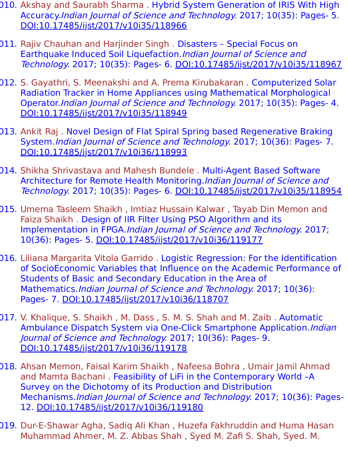- 010. Akshay and Saurabh Sharma . Hybrid System Generation of IRIS With High Accuracy.Indian Journal of Science and Technology. 2017; 10(35): Pages- 5. [DOI:10.17485/ijst/2017/v10i35/118966](https://indjst.org/articles/hybrid-system-generation-of-iris-with-high-accuracy)
- 011. Rajiv Chauhan and Harjinder Singh . Disasters Special Focus on Earthquake Induced Soil Liquefaction. Indian Journal of Science and Technology. 2017; 10(35): Pages- 6. [DOI:10.17485/ijst/2017/v10i35/118967](https://indjst.org/articles/disasters-special-focus-on-earthquake-induced-soil-liquefaction)
- 012. S. Gayathri, S. Meenakshi and A. Prema Kirubakaran . Computerized Solar Radiation Tracker in Home Appliances using Mathematical Morphological Operator.Indian Journal of Science and Technology. 2017; 10(35): Pages- 4. [DOI:10.17485/ijst/2017/v10i35/118949](https://indjst.org/articles/computerized-solar-radiation-tracker-in-home-appliances-using-mathematical-morphological-operator)
- 013. Ankit Raj . Novel Design of Flat Spiral Spring based Regenerative Braking System.Indian Journal of Science and Technology. 2017; 10(36): Pages- 7. [DOI:10.17485/ijst/2017/v10i36/118993](https://indjst.org/articles/novel-design-of-flat-spiral-spring-based-regenerative-braking-system)
- 014. Shikha Shrivastava and Mahesh Bundele . Multi-Agent Based Software Architecture for Remote Health Monitoring.*Indian Journal of Science and* Technology. 2017; 10(35): Pages- 6. [DOI:10.17485/ijst/2017/v10i35/118954](https://indjst.org/articles/multi-agent-based-software-architecture-for-remote-health-monitoring)
- 015. Umema Tasleem Shaikh , Imtiaz Hussain Kalwar , Tayab Din Memon and Faiza Shaikh . Design of IIR Filter Using PSO Algorithm and its Implementation in FPGA.Indian Journal of Science and Technology. 2017; 10(36): Pages- 5. [DOI:10.17485/ijst/2017/v10i36/119177](https://indjst.org/articles/design-of-iir-filter-using-pso-algorithm-and-its-implementation-in-fpga)
- 016. Liliana Margarita Vitola Garrido . Logistic Regression: For the Identification of SocioEconomic Variables that Influence on the Academic Performance of Students of Basic and Secondary Education in the Area of Mathematics.Indian Journal of Science and Technology. 2017; 10(36): Pages- 7. [DOI:10.17485/ijst/2017/v10i36/118707](https://indjst.org/articles/logistic-regression-for-the-identification-of-socioeconomic-variables-that-influence-on-the-academic-performance-of-students-of-basic-and-secondary-education-in-the-area-of-mathematics)
- 017. V. Khalique, S. Shaikh , M. Dass , S. M. S. Shah and M. Zaib . Automatic Ambulance Dispatch System via One-Click Smartphone Application. *Indian* Journal of Science and Technology. 2017; 10(36): Pages- 9. [DOI:10.17485/ijst/2017/v10i36/119178](https://indjst.org/articles/automatic-ambulance-dispatch-system-via-one-click-smartphone-application)
- 018. Ahsan Memon, Faisal Karim Shaikh , Nafeesa Bohra , Umair Jamil Ahmad and Mamta Bachani . Feasibility of LiFi in the Contemporary World –A Survey on the Dichotomy of its Production and Distribution Mechanisms.Indian Journal of Science and Technology. 2017; 10(36): Pages-12. [DOI:10.17485/ijst/2017/v10i36/119180](https://indjst.org/articles/feasibility-of-lifi-in-the-contemporary-world-a-survey-on-the-dichotomy-of-its-production-and-distribution-mechanisms)
- 019. Dur-E-Shawar Agha, Sadiq Ali Khan , Huzefa Fakhruddin and Huma Hasan Muhammad Ahmer, M. Z. Abbas Shah , Syed M. Zafi S. Shah, Syed. M.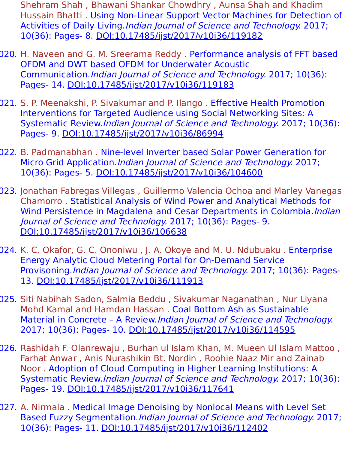- Shehram Shah , Bhawani Shankar Chowdhry , Aunsa Shah and Khadim Hussain Bhatti . Using Non-Linear Support Vector Machines for Detection of Activities of Daily Living.*Indian Journal of Science and Technology*. 2017; 10(36): Pages- 8. [DOI:10.17485/ijst/2017/v10i36/119182](https://indjst.org/articles/using-non-linear-support-vector-machines-for-detection-of-activities-of-daily-living)
- 020. H. Naveen and G. M. Sreerama Reddy . Performance analysis of FFT based OFDM and DWT based OFDM for Underwater Acoustic Communication.Indian Journal of Science and Technology. 2017; 10(36): Pages- 14. [DOI:10.17485/ijst/2017/v10i36/119183](https://indjst.org/articles/performance-analysis-of-fft-based-ofdm-and-dwt-based-ofdm-for-underwater-acoustic-communication)
- 021. S. P. Meenakshi, P. Sivakumar and P. Ilango . Effective Health Promotion Interventions for Targeted Audience using Social Networking Sites: A Systematic Review.Indian Journal of Science and Technology. 2017; 10(36): Pages- 9. [DOI:10.17485/ijst/2017/v10i36/86994](https://indjst.org/articles/effective-health-promotion-interventions-for-targeted-audience-using-social-networking-sites-a-systematic-review)
- 022. B. Padmanabhan . Nine-level Inverter based Solar Power Generation for Micro Grid Application. Indian Journal of Science and Technology. 2017; 10(36): Pages- 5. [DOI:10.17485/ijst/2017/v10i36/104600](https://indjst.org/articles/nine-level-inverter-based-solar-power-generation-for-micro-grid-application)
- 023. Jonathan Fabregas Villegas , Guillermo Valencia Ochoa and Marley Vanegas Chamorro . Statistical Analysis of Wind Power and Analytical Methods for Wind Persistence in Magdalena and Cesar Departments in Colombia. Indian Journal of Science and Technology. 2017; 10(36): Pages- 9. [DOI:10.17485/ijst/2017/v10i36/106638](https://indjst.org/articles/statistical-analysis-of-wind-power-and-analytical-methods-for-wind-persistence-in-magdalena-and-cesar-departments-in-colombia)
- 024. K. C. Okafor, G. C. Ononiwu, J. A. Okoye and M. U. Ndubuaku. Enterprise Energy Analytic Cloud Metering Portal for On-Demand Service Provisoning.Indian Journal of Science and Technology. 2017; 10(36): Pages-13. [DOI:10.17485/ijst/2017/v10i36/111913](https://indjst.org/articles/enterprise-energy-analytic-cloud-metering-portal-for-on-demand-service-provisoning)
- 025. Siti Nabihah Sadon, Salmia Beddu , Sivakumar Naganathan , Nur Liyana Mohd Kamal and Hamdan Hassan . Coal Bottom Ash as Sustainable Material in Concrete – A Review.Indian Journal of Science and Technology. 2017; 10(36): Pages- 10. [DOI:10.17485/ijst/2017/v10i36/114595](https://indjst.org/articles/coal-bottom-ash-as-sustainable-material-in-concrete-a-review)
- 026. Rashidah F. Olanrewaju , Burhan ul Islam Khan, M. Mueen Ul Islam Mattoo , Farhat Anwar , Anis Nurashikin Bt. Nordin , Roohie Naaz Mir and Zainab Noor . Adoption of Cloud Computing in Higher Learning Institutions: A Systematic Review.Indian Journal of Science and Technology. 2017; 10(36): Pages- 19. [DOI:10.17485/ijst/2017/v10i36/117641](https://indjst.org/articles/adoption-of-cloud-computing-in-higher-learning-institutions-a-systematic-review)
- 027. A. Nirmala . Medical Image Denoising by Nonlocal Means with Level Set Based Fuzzy Segmentation.Indian Journal of Science and Technology. 2017; 10(36): Pages- 11. [DOI:10.17485/ijst/2017/v10i36/112402](https://indjst.org/articles/medical-image-denoising-by-nonlocal-means-with-level-set-based-fuzzy-segmentation)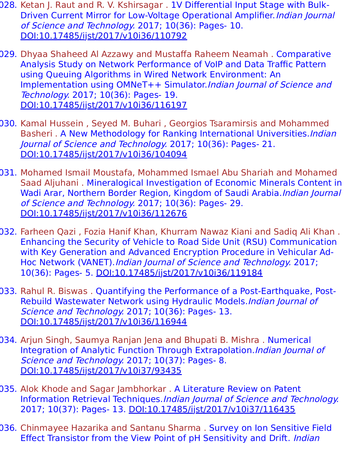- 028. Ketan J. Raut and R. V. Kshirsagar . 1V Differential Input Stage with Bulk-Driven Current Mirror for Low-Voltage Operational Amplifier. *Indian Journal* of Science and Technology. 2017; 10(36): Pages- 10. [DOI:10.17485/ijst/2017/v10i36/110792](https://indjst.org/articles/1v-differential-input-stage-with-bulk-driven-current-mirror-for-low-voltage-operational-amplifier)
- 029. Dhyaa Shaheed Al Azzawy and Mustaffa Raheem Neamah . Comparative Analysis Study on Network Performance of VoIP and Data Traffic Pattern using Queuing Algorithms in Wired Network Environment: An Implementation using OMNeT++ Simulator.Indian Journal of Science and Technology. 2017; 10(36): Pages- 19. [DOI:10.17485/ijst/2017/v10i36/116197](https://indjst.org/articles/comparative-analysis-study-on-network-performance-of-voip-and-data-traffic-pattern-using-queuing-algorithms-in-wired-network-environment-an-implementation-using-omnet-simulator)
- 030. Kamal Hussein , Seyed M. Buhari , Georgios Tsaramirsis and Mohammed Basheri . A New Methodology for Ranking International Universities. Indian Journal of Science and Technology. 2017; 10(36): Pages- 21. [DOI:10.17485/ijst/2017/v10i36/104094](https://indjst.org/articles/a-new-methodology-for-ranking-international-universities)
- 031. Mohamed Ismail Moustafa, Mohammed Ismael Abu Shariah and Mohamed Saad Aljuhani . Mineralogical Investigation of Economic Minerals Content in Wadi Arar, Northern Border Region, Kingdom of Saudi Arabia. Indian Journal of Science and Technology. 2017; 10(36): Pages- 29. [DOI:10.17485/ijst/2017/v10i36/112676](https://indjst.org/articles/mineralogical-investigation-of-economic-minerals-content-in-wadi-arar-northern-border-region-kingdom-of-saudi-arabia)
- 032. Farheen Qazi , Fozia Hanif Khan, Khurram Nawaz Kiani and Sadiq Ali Khan . Enhancing the Security of Vehicle to Road Side Unit (RSU) Communication with Key Generation and Advanced Encryption Procedure in Vehicular Ad-Hoc Network (VANET).Indian Journal of Science and Technology. 2017; 10(36): Pages- 5. [DOI:10.17485/ijst/2017/v10i36/119184](https://indjst.org/articles/enhancing-the-security-of-vehicle-to-road-side-unit-rsu-communication-with-key-generation-and-advanced-encryption-procedure-in-vehicular-ad-hoc-network-vanet)
- 033. Rahul R. Biswas . Quantifying the Performance of a Post-Earthquake, Post-Rebuild Wastewater Network using Hydraulic Models. Indian Journal of Science and Technology. 2017; 10(36): Pages- 13. [DOI:10.17485/ijst/2017/v10i36/116944](https://indjst.org/articles/quantifying-the-performance-of-a-post-earthquake-post-rebuild-wastewater-network-using-hydraulic-models)
- 034. Arjun Singh, Saumya Ranjan Jena and Bhupati B. Mishra . Numerical Integration of Analytic Function Through Extrapolation.Indian Journal of Science and Technology. 2017; 10(37): Pages- 8. [DOI:10.17485/ijst/2017/v10i37/93435](https://indjst.org/articles/numerical-integration-of-analytic-function-through-extrapolation)
- 035. Alok Khode and Sagar Jambhorkar . A Literature Review on Patent Information Retrieval Techniques.Indian Journal of Science and Technology. 2017; 10(37): Pages- 13. [DOI:10.17485/ijst/2017/v10i37/116435](https://indjst.org/articles/a-literature-review-on-patent-information-retrieval-techniques)
- 036. Chinmayee Hazarika and Santanu Sharma . Survey on Ion Sensitive Field Effect Transistor from the View Point of pH Sensitivity and Drift. Indian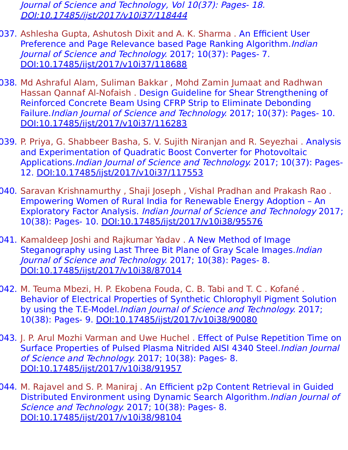Journal of Science and Technology, Vol 10(37): Pages- 18. [DOI:10.17485/ijst/2017/v10i37/118444](https://indjst.org/articles/survey-on-ion-sensitive-field-effect-transistor-from-the-view-point-of-ph-sensitivity-and-drift)

- 037. Ashlesha Gupta, Ashutosh Dixit and A. K. Sharma . An Efficient User Preference and Page Relevance based Page Ranking Algorithm. Indian Journal of Science and Technology. 2017; 10(37): Pages- 7. [DOI:10.17485/ijst/2017/v10i37/118688](https://indjst.org/articles/an-efficient-user-preference-and-page-relevance-based-page-ranking-algorithm)
- 038. Md Ashraful Alam, Suliman Bakkar , Mohd Zamin Jumaat and Radhwan Hassan Qannaf Al-Nofaish . Design Guideline for Shear Strengthening of Reinforced Concrete Beam Using CFRP Strip to Eliminate Debonding Failure. Indian Journal of Science and Technology. 2017; 10(37): Pages- 10. [DOI:10.17485/ijst/2017/v10i37/116283](https://indjst.org/articles/design-guideline-for-shear-strengthening-of-reinforced-concrete-beam-using-cfrp-strip-to-eliminate-debonding-failure)
- 039. P. Priya, G. Shabbeer Basha, S. V. Sujith Niranjan and R. Seyezhai . Analysis and Experimentation of Quadratic Boost Converter for Photovoltaic Applications.Indian Journal of Science and Technology. 2017; 10(37): Pages-12. [DOI:10.17485/ijst/2017/v10i37/117553](https://indjst.org/articles/analysis-and-experimentation-of-quadratic-boost-converter-for-photovoltaic-applications)
- 040. Saravan Krishnamurthy , Shaji Joseph , Vishal Pradhan and Prakash Rao . Empowering Women of Rural India for Renewable Energy Adoption – An Exploratory Factor Analysis. Indian Journal of Science and Technology 2017; 10(38): Pages- 10. [DOI:10.17485/ijst/2017/v10i38/95576](https://indjst.org/articles/empowering-women-of-rural-india-for-renewable-energy-adoption-an-exploratory-factor-analysis)
- 041. Kamaldeep Joshi and Rajkumar Yadav . A New Method of Image Steganography using Last Three Bit Plane of Gray Scale Images. Indian Journal of Science and Technology. 2017; 10(38): Pages- 8. [DOI:10.17485/ijst/2017/v10i38/87014](https://indjst.org/articles/a-new-method-of-image-steganography-using-last-three-bit-plane-of-gray-scale-images)
- 042. M. Teuma Mbezi, H. P. Ekobena Fouda, C. B. Tabi and T. C . Kofané . Behavior of Electrical Properties of Synthetic Chlorophyll Pigment Solution by using the T.E-Model.Indian Journal of Science and Technology. 2017; 10(38): Pages- 9. [DOI:10.17485/ijst/2017/v10i38/90080](https://indjst.org/articles/behavior-of-electrical-properties-of-synthetic-chlorophyll-pigment-solution-by-using-the-te-model)
- 043. J. P. Arul Mozhi Varman and Uwe Huchel . Effect of Pulse Repetition Time on Surface Properties of Pulsed Plasma Nitrided AISI 4340 Steel. Indian Journal of Science and Technology. 2017; 10(38): Pages- 8. [DOI:10.17485/ijst/2017/v10i38/91957](https://indjst.org/articles/effect-of-pulse-repetition-time-on-surface-properties-of-pulsed-plasma-nitrided-aisi-4340-steel)
- 044. M. Rajavel and S. P. Maniraj . An Efficient p2p Content Retrieval in Guided Distributed Environment using Dynamic Search Algorithm. Indian Journal of Science and Technology. 2017; 10(38): Pages- 8. [DOI:10.17485/ijst/2017/v10i38/98104](https://indjst.org/articles/an-efficient-p2p-content-retrieval-in-guided-distributed-environment-using-dynamic-search-algorithm)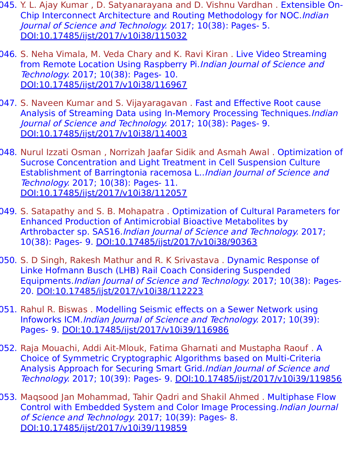- 045. Y. L. Ajay Kumar , D. Satyanarayana and D. Vishnu Vardhan . Extensible On-Chip Interconnect Architecture and Routing Methodology for NOC.Indian Journal of Science and Technology. 2017; 10(38): Pages- 5. [DOI:10.17485/ijst/2017/v10i38/115032](https://indjst.org/articles/extensible-on-chip-interconnect-architecture-and-routing-methodology-for-noc)
- 046. S. Neha Vimala, M. Veda Chary and K. Ravi Kiran . Live Video Streaming from Remote Location Using Raspberry Pi. Indian Journal of Science and Technology. 2017; 10(38): Pages- 10. [DOI:10.17485/ijst/2017/v10i38/116967](https://indjst.org/articles/live-video-streaming-from-remote-location-using-raspberry-pi)
- 047. S. Naveen Kumar and S. Vijayaragavan . Fast and Effective Root cause Analysis of Streaming Data using In-Memory Processing Techniques.Indian Journal of Science and Technology. 2017; 10(38): Pages- 9. [DOI:10.17485/ijst/2017/v10i38/114003](https://indjst.org/articles/fast-and-effective-root-cause-analysis-of-streaming-data-using-in-memory-processing-techniques)
- 048. Nurul Izzati Osman, Norrizah Jaafar Sidik and Asmah Awal. Optimization of Sucrose Concentration and Light Treatment in Cell Suspension Culture Establishment of Barringtonia racemosa L..Indian Journal of Science and Technology. 2017; 10(38): Pages- 11. [DOI:10.17485/ijst/2017/v10i38/112057](https://indjst.org/articles/optimization-of-sucrose-concentration-and-light-treatment-in-cell-suspension-culture-establishment-of-barringtonia-racemosa-l)
- 049. S. Satapathy and S. B. Mohapatra . Optimization of Cultural Parameters for Enhanced Production of Antimicrobial Bioactive Metabolites by Arthrobacter sp. SAS16.Indian Journal of Science and Technology. 2017; 10(38): Pages- 9. [DOI:10.17485/ijst/2017/v10i38/90363](https://indjst.org/articles/optimization-of-cultural-parameters-for-enhanced-production-of-antimicrobial-bioactive-metabolites-by-arthrobacter-sp-sas16)
- 050. S. D Singh, Rakesh Mathur and R. K Srivastava . Dynamic Response of Linke Hofmann Busch (LHB) Rail Coach Considering Suspended Equipments.Indian Journal of Science and Technology. 2017; 10(38): Pages-20. [DOI:10.17485/ijst/2017/v10i38/112223](https://indjst.org/articles/dynamic-response-of-linke-hofmann-busch-lhb-rail-coach-considering-suspended-equipments)
- 051. Rahul R. Biswas . Modelling Seismic effects on a Sewer Network using Infoworks ICM.Indian Journal of Science and Technology. 2017; 10(39): Pages- 9. [DOI:10.17485/ijst/2017/v10i39/116986](https://indjst.org/articles/modelling-seismic-effects-on-a-sewer-network-using-infoworks-icm)
- 052. Raja Mouachi, Addi Ait-Mlouk, Fatima Gharnati and Mustapha Raouf . A Choice of Symmetric Cryptographic Algorithms based on Multi-Criteria Analysis Approach for Securing Smart Grid.Indian Journal of Science and Technology. 2017; 10(39): Pages- 9. [DOI:10.17485/ijst/2017/v10i39/119856](https://indjst.org/articles/a-choice-of-symmetric-cryptographic-algorithms-based-on-multi-criteria-analysis-approach-for-securing-smart-grid)
- 053. Maqsood Jan Mohammad, Tahir Qadri and Shakil Ahmed . Multiphase Flow Control with Embedded System and Color Image Processing.Indian Journal of Science and Technology. 2017; 10(39): Pages- 8. [DOI:10.17485/ijst/2017/v10i39/119859](https://indjst.org/articles/multiphase-flow-control-with-embedded-system-and-color-image-processing)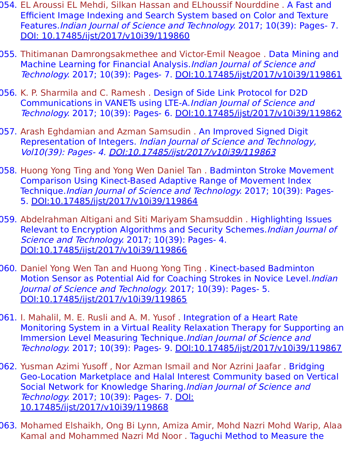- 054. EL Aroussi EL Mehdi, Silkan Hassan and ELhoussif Nourddine . A Fast and Efficient Image Indexing and Search System based on Color and Texture Features.Indian Journal of Science and Technology. 2017; 10(39): Pages- 7. [DOI: 10.17485/ijst/2017/v10i39/119860](https://indjst.org/articles/a-fast-and-efficient-image-indexing-and-search-system-based-on-color-and-texture-features)
- 055. Thitimanan Damrongsakmethee and Victor-Emil Neagoe . Data Mining and Machine Learning for Financial Analysis.Indian Journal of Science and Technology. 2017; 10(39): Pages- 7. [DOI:10.17485/ijst/2017/v10i39/119861](https://indjst.org/articles/data-mining-and-machine-learning-for-financial-analysis)
- 056. K. P. Sharmila and C. Ramesh . Design of Side Link Protocol for D2D Communications in VANETs using LTE-A.Indian Journal of Science and Technology. 2017; 10(39): Pages- 6. [DOI:10.17485/ijst/2017/v10i39/119862](https://indjst.org/articles/design-of-side-link-protocol-for-d2d-communications-in-vanets-using-lte-a)
- 057. Arash Eghdamian and Azman Samsudin . An Improved Signed Digit Representation of Integers. Indian Journal of Science and Technology, Vol10(39): Pages- 4. [DOI:10.17485/ijst/2017/v10i39/119863](https://indjst.org/articles/an-improved-signed-digit-representation-of-integers)
- 058. Huong Yong Ting and Yong Wen Daniel Tan . Badminton Stroke Movement Comparison Using Kinect-Based Adaptive Range of Movement Index Technique.Indian Journal of Science and Technology. 2017; 10(39): Pages-5. [DOI:10.17485/ijst/2017/v10i39/119864](https://indjst.org/articles/badminton-stroke-movement-comparison-using-kinect-based-adaptive-range-of-movement-index-technique)
- 059. Abdelrahman Altigani and Siti Mariyam Shamsuddin . Highlighting Issues Relevant to Encryption Algorithms and Security Schemes. Indian Journal of Science and Technology. 2017; 10(39): Pages- 4. [DOI:10.17485/ijst/2017/v10i39/119866](https://indjst.org/articles/highlighting-issues-relevant-to-encryption-algorithms-and-security-schemes)
- 060. Daniel Yong Wen Tan and Huong Yong Ting . Kinect-based Badminton Motion Sensor as Potential Aid for Coaching Strokes in Novice Level. Indian Journal of Science and Technology. 2017; 10(39): Pages- 5. [DOI:10.17485/ijst/2017/v10i39/119865](https://indjst.org/articles/kinect-based-badminton-motion-sensor-as-potential-aid-for-coaching-strokes-in-novice-level)
- 061. I. Mahalil, M. E. Rusli and A. M. Yusof . Integration of a Heart Rate Monitoring System in a Virtual Reality Relaxation Therapy for Supporting an Immersion Level Measuring Technique.Indian Journal of Science and Technology. 2017; 10(39): Pages- 9. [DOI:10.17485/ijst/2017/v10i39/119867](https://indjst.org/articles/integration-of-a-heart-rate-monitoring-system-in-a-virtual-reality-relaxation-therapy-for-supporting-an-immersion-level-measuring-technique)
- 062. Yusman Azimi Yusoff , Nor Azman Ismail and Nor Azrini Jaafar . Bridging Geo-Location Marketplace and Halal Interest Community based on Vertical Social Network for Knowledge Sharing.Indian Journal of Science and Technology. 2017; 10(39): Pages- 7. DOI: [10.17485/ijst/2017/v10i39/119868](https://indjst.org/articles/bridging-geo-location-marketplace-and-halal-interest-community-based-on-vertical-social-network-for-knowledge-sharing)
- 063. Mohamed Elshaikh, Ong Bi Lynn, Amiza Amir, Mohd Nazri Mohd Warip, Alaa Kamal and Mohammed Nazri Md Noor . Taguchi Method to Measure the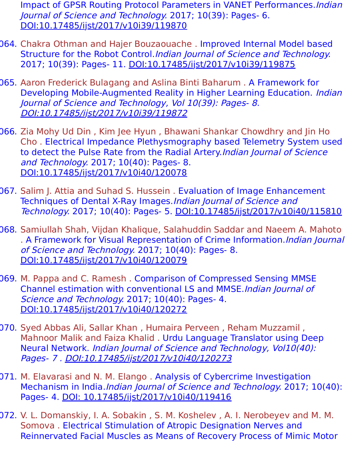- Impact of GPSR Routing Protocol Parameters in VANET Performances. Indian Journal of Science and Technology. 2017; 10(39): Pages- 6. [DOI:10.17485/ijst/2017/v10i39/119870](https://indjst.org/articles/taguchi-method-to-measure-the-impact-of-gpsr-routing-protocol-parameters-in-vanet-performances)
- 064. Chakra Othman and Hajer Bouzaouache . Improved Internal Model based Structure for the Robot Control.Indian Journal of Science and Technology. 2017; 10(39): Pages- 11. [DOI:10.17485/ijst/2017/v10i39/119875](https://indjst.org/articles/improved-internal-model-based-structure-for-the-robot-control)
- 065. Aaron Frederick Bulagang and Aslina Binti Baharum . A Framework for Developing Mobile-Augmented Reality in Higher Learning Education. Indian Journal of Science and Technology, Vol 10(39): Pages- 8. [DOI:10.17485/ijst/2017/v10i39/119872](https://indjst.org/articles/a-framework-for-developing-mobile-augmented-reality-in-higher-learning-education)
- 066. Zia Mohy Ud Din , Kim Jee Hyun , Bhawani Shankar Chowdhry and Jin Ho Cho . Electrical Impedance Plethysmography based Telemetry System used to detect the Pulse Rate from the Radial Artery. Indian Journal of Science and Technology. 2017; 10(40): Pages- 8. [DOI:10.17485/ijst/2017/v10i40/120078](https://indjst.org/articles/electrical-impedance-plethysmography-based-telemetry-system-used-to-detect-the-pulse-rate-from-the-radial-artery)
- 067. Salim J. Attia and Suhad S. Hussein . Evaluation of Image Enhancement Techniques of Dental X-Ray Images.Indian Journal of Science and Technology. 2017; 10(40): Pages- 5. [DOI:10.17485/ijst/2017/v10i40/115810](https://indjst.org/articles/evaluation-of-image-enhancement-techniques-of-dental-x-ray-images)
- 068. Samiullah Shah, Vijdan Khalique, Salahuddin Saddar and Naeem A. Mahoto . A Framework for Visual Representation of Crime Information. Indian Journal of Science and Technology. 2017; 10(40): Pages- 8. [DOI:10.17485/ijst/2017/v10i40/120079](https://indjst.org/articles/a-framework-for-visual-representation-of-crime-information)
- 069. M. Pappa and C. Ramesh . Comparison of Compressed Sensing MMSE Channel estimation with conventional LS and MMSE.Indian Journal of Science and Technology. 2017; 10(40): Pages- 4. [DOI:10.17485/ijst/2017/v10i40/120272](https://indjst.org/articles/comparison-of-compressed-sensing-mmse-channel-estimation-with-conventional-ls-and-mmse)
- 070. Syed Abbas Ali, Sallar Khan , Humaira Perveen , Reham Muzzamil , Mahnoor Malik and Faiza Khalid . Urdu Language Translator using Deep Neural Network. Indian Journal of Science and Technology, Vol10(40): Pages- 7 . [DOI:10.17485/ijst/2017/v10i40/120273](https://indjst.org/articles/urdu-language-translator-using-deep-neural-network)
- 071. M. Elavarasi and N. M. Elango . Analysis of Cybercrime Investigation Mechanism in India.*Indian Journal of Science and Technology.* 2017; 10(40): Pages- 4. [DOI: 10.17485/ijst/2017/v10i40/119416](https://indjst.org/articles/analysis-of-cybercrime-investigation-mechanism-in-india)
- 072. V. L. Domanskiy, I. A. Sobakin , S. M. Koshelev , A. I. Nerobeyev and M. M. Somova . Electrical Stimulation of Atropic Designation Nerves and Reinnervated Facial Muscles as Means of Recovery Process of Mimic Motor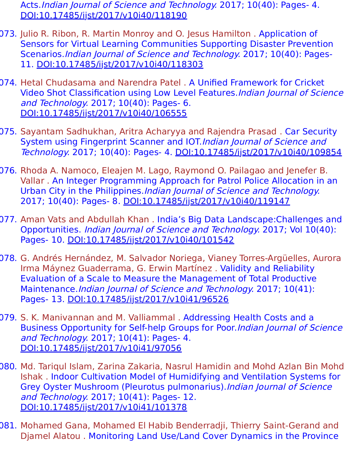Acts.Indian Journal of Science and Technology. 2017; 10(40): Pages- 4. [DOI:10.17485/ijst/2017/v10i40/118190](https://indjst.org/articles/electrical-stimulation-of-atropic-designation-nerves-and-reinnervated-facial-muscles-as-means-of-recovery-process-of-mimic-motor-acts)

- 073. Julio R. Ribon, R. Martin Monroy and O. Jesus Hamilton . Application of Sensors for Virtual Learning Communities Supporting Disaster Prevention Scenarios.Indian Journal of Science and Technology. 2017; 10(40): Pages-11. [DOI:10.17485/ijst/2017/v10i40/118303](https://indjst.org/articles/application-of-sensors-for-virtual-learning-communities-supporting-disaster-prevention-scenarios)
- 074. Hetal Chudasama and Narendra Patel . A Unified Framework for Cricket Video Shot Classification using Low Level Features.Indian Journal of Science and Technology. 2017; 10(40): Pages- 6. [DOI:10.17485/ijst/2017/v10i40/106555](https://indjst.org/articles/a-unified-framework-for-cricket-video-shot-classification-using-low-level-features)
- 075. Sayantam Sadhukhan, Aritra Acharyya and Rajendra Prasad . Car Security System using Fingerprint Scanner and IOT.Indian Journal of Science and Technology. 2017; 10(40): Pages- 4. [DOI:10.17485/ijst/2017/v10i40/109854](https://indjst.org/articles/car-security-system-using-fingerprint-scanner-and-iot)
- 076. Rhoda A. Namoco, Eleajen M. Lago, Raymond O. Pailagao and Jenefer B. Vallar . An Integer Programming Approach for Patrol Police Allocation in an Urban City in the Philippines.Indian Journal of Science and Technology. 2017; 10(40): Pages- 8. [DOI:10.17485/ijst/2017/v10i40/119147](https://indjst.org/articles/an-integer-programming-approach-for-patrol-police-allocation-in-an-urban-city-in-the-philippines)
- 077. Aman Vats and Abdullah Khan . India's Big Data Landscape:Challenges and Opportunities. Indian Journal of Science and Technology. 2017; Vol 10(40): Pages- 10. [DOI:10.17485/ijst/2017/v10i40/101542](https://indjst.org/articles/indias-big-data-landscape-challenges-and-opportunities)
- 078. G. Andrés Hernández, M. Salvador Noriega, Vianey Torres-Argüelles, Aurora Irma Máynez Guaderrama, G. Erwin Martínez . Validity and Reliability Evaluation of a Scale to Measure the Management of Total Productive Maintenance.Indian Journal of Science and Technology. 2017; 10(41): Pages- 13. [DOI:10.17485/ijst/2017/v10i41/96526](https://indjst.org/articles/validity-and-reliability-evaluation-of-a-scale-to-measure-the-management-of-total-productive-maintenance)
- 079. S. K. Manivannan and M. Valliammal . Addressing Health Costs and a Business Opportunity for Self-help Groups for Poor.Indian Journal of Science and Technology. 2017; 10(41): Pages- 4. [DOI:10.17485/ijst/2017/v10i41/97056](https://indjst.org/articles/addressing-health-costs-and-a-business-opportunity-for-self-help-groups-for-poor)
- 080. Md. Tariqul Islam, Zarina Zakaria, Nasrul Hamidin and Mohd Azlan Bin Mohd Ishak . Indoor Cultivation Model of Humidifying and Ventilation Systems for Grey Oyster Mushroom (Pleurotus pulmonarius).Indian Journal of Science and Technology. 2017; 10(41): Pages- 12. [DOI:10.17485/ijst/2017/v10i41/101378](https://indjst.org/articles/indoor-cultivation-model-of-humidifying-and-ventilation-systems-for-grey-oyster-mushroom-pleurotus-pulmonarius)
- 081. Mohamed Gana, Mohamed El Habib Benderradji, Thierry Saint-Gerand and Djamel Alatou . Monitoring Land Use/Land Cover Dynamics in the Province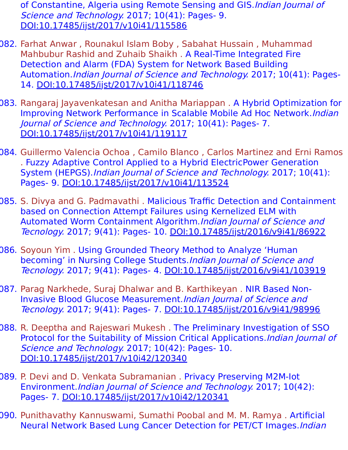of Constantine, Algeria using Remote Sensing and GIS.Indian Journal of Science and Technology. 2017; 10(41): Pages- 9. [DOI:10.17485/ijst/2017/v10i41/115586](https://indjst.org/articles/monitoring-land-useland-cover-dynamics-in-the-province-of-constantine-algeria-using-remote-sensing-and-gis)

- 082. Farhat Anwar , Rounakul Islam Boby , Sabahat Hussain , Muhammad Mahbubur Rashid and Zuhaib Shaikh . A Real-Time Integrated Fire Detection and Alarm (FDA) System for Network Based Building Automation.Indian Journal of Science and Technology. 2017; 10(41): Pages-14. [DOI:10.17485/ijst/2017/v10i41/118746](https://indjst.org/articles/a-real-time-integrated-fire-detection-and-alarm-fda-system-for-network-based-building-automation)
- 083. Rangaraj Jayavenkatesan and Anitha Mariappan . A Hybrid Optimization for Improving Network Performance in Scalable Mobile Ad Hoc Network.Indian Journal of Science and Technology. 2017; 10(41): Pages- 7. [DOI:10.17485/ijst/2017/v10i41/119117](https://indjst.org/articles/a-hybrid-optimization-for-improving-network-performance-in-scalable-mobile-ad-hoc-network)
- 084. Guillermo Valencia Ochoa , Camilo Blanco , Carlos Martinez and Erni Ramos . Fuzzy Adaptive Control Applied to a Hybrid ElectricPower Generation System (HEPGS).Indian Journal of Science and Technology. 2017; 10(41): Pages- 9. [DOI:10.17485/ijst/2017/v10i41/113524](https://indjst.org/articles/fuzzy-adaptive-control-applied-to-a-hybrid-electricpower-generation-system-hepgs)
- 085. S. Divya and G. Padmavathi . Malicious Traffic Detection and Containment based on Connection Attempt Failures using Kernelized ELM with Automated Worm Containment Algorithm.*Indian Journal of Science and* Tecnology. 2017; 9(41): Pages- 10. [DOI:10.17485/ijst/2016/v9i41/86922](https://indjst.org/articles/malicious-traffic-detection-and-containment-based-on-connection-attempt-failures-using-kernelized-elm-with-automated-worm-containment-algorithm)
- 086. Soyoun Yim . Using Grounded Theory Method to Analyze 'Human becoming' in Nursing College Students. Indian Journal of Science and Tecnology. 2017; 9(41): Pages- 4. [DOI:10.17485/ijst/2016/v9i41/103919](https://indjst.org/articles/using-grounded-theory-method-to-analyze-human-becoming-in-nursing-college-students)
- 087. Parag Narkhede, Suraj Dhalwar and B. Karthikeyan . NIR Based Non-Invasive Blood Glucose Measurement.Indian Journal of Science and Tecnology. 2017; 9(41): Pages- 7. [DOI:10.17485/ijst/2016/v9i41/98996](https://indjst.org/articles/nir-based-non-invasive-blood-glucose-measurement)
- 088. R. Deeptha and Rajeswari Mukesh . The Preliminary Investigation of SSO Protocol for the Suitability of Mission Critical Applications. Indian Journal of Science and Technology. 2017; 10(42): Pages- 10. [DOI:10.17485/ijst/2017/v10i42/120340](https://indjst.org/articles/the-preliminary-investigation-of-sso-protocol-for-the-suitability-of-mission-critical-applications)
- 089. P. Devi and D. Venkata Subramanian . Privacy Preserving M2M-Iot Environment.Indian Journal of Science and Technology. 2017; 10(42): Pages- 7. [DOI:10.17485/ijst/2017/v10i42/120341](https://indjst.org/articles/privacy-preserving-m2m-iot-environment)
- 090. Punithavathy Kannuswami, Sumathi Poobal and M. M. Ramya . Artificial Neural Network Based Lung Cancer Detection for PET/CT Images.Indian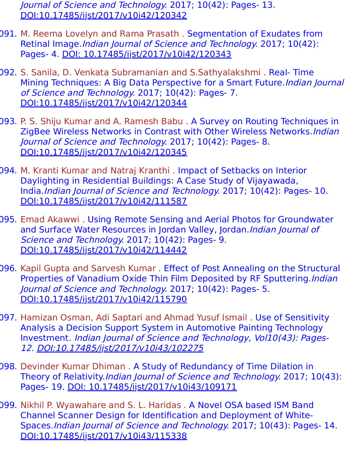Journal of Science and Technology. 2017; 10(42): Pages- 13. [DOI:10.17485/ijst/2017/v10i42/120342](https://indjst.org/articles/artificial-neural-network-based-lung-cancer-detection-for-petct-images)

- 091. M. Reema Lovelyn and Rama Prasath . Segmentation of Exudates from Retinal Image.Indian Journal of Science and Technology. 2017; 10(42): Pages- 4. [DOI: 10.17485/ijst/2017/v10i42/120343](https://indjst.org/articles/segmentation-of-exudates-from-retinal-image)
- 092. S. Sanila, D. Venkata Subramanian and S.Sathyalakshmi . Real- Time Mining Techniques: A Big Data Perspective for a Smart Future.*Indian Journal* of Science and Technology. 2017; 10(42): Pages- 7. [DOI:10.17485/ijst/2017/v10i42/120344](https://indjst.org/articles/real-time-mining-techniques-a-big-data-perspective-for-a-smart-future)
- 093. P. S. Shiju Kumar and A. Ramesh Babu . A Survey on Routing Techniques in ZigBee Wireless Networks in Contrast with Other Wireless Networks.Indian Journal of Science and Technology. 2017; 10(42): Pages- 8. [DOI:10.17485/ijst/2017/v10i42/120345](https://indjst.org/articles/a-survey-on-routing-techniques-in-zigbee-wireless-networks-in-contrast-with-other-wireless-networks)
- 094. M. Kranti Kumar and Natraj Kranthi . Impact of Setbacks on Interior Daylighting in Residential Buildings: A Case Study of Vijayawada, India.Indian Journal of Science and Technology. 2017; 10(42): Pages- 10. [DOI:10.17485/ijst/2017/v10i42/111587](https://indjst.org/articles/impact-of-setbacks-on-interior-daylighting-in-residential-buildings-a-case-study-of-vijayawada-india)
- 095. Emad Akawwi . Using Remote Sensing and Aerial Photos for Groundwater and Surface Water Resources in Jordan Valley, Jordan. Indian Journal of Science and Technology. 2017; 10(42): Pages- 9. [DOI:10.17485/ijst/2017/v10i42/114442](https://indjst.org/articles/using-remote-sensing-and-aerial-photos-for-groundwater-and-surface-water-resources-in-jordan-valley-jordan)
- 096. Kapil Gupta and Sarvesh Kumar . Effect of Post Annealing on the Structural Properties of Vanadium Oxide Thin Film Deposited by RF Sputtering.*Indian* Journal of Science and Technology. 2017; 10(42): Pages- 5. [DOI:10.17485/ijst/2017/v10i42/115790](https://indjst.org/articles/effect-of-post-annealing-on-the-structural-properties-of-vanadium-oxide-thin-film-deposited-by-rf-sputtering)
- 097. Hamizan Osman, Adi Saptari and Ahmad Yusuf Ismail . Use of Sensitivity Analysis a Decision Support System in Automotive Painting Technology Investment. Indian Journal of Science and Technology, Vol10(43): Pages-12. [DOI:10.17485/ijst/2017/v10i43/102275](https://indjst.org/articles/use-of-sensitivity-analysis-a-decision-support-system-in-automotive-painting-technology-investment)
- 098. Devinder Kumar Dhiman . A Study of Redundancy of Time Dilation in Theory of Relativity.Indian Journal of Science and Technology. 2017; 10(43): Pages- 19. [DOI: 10.17485/ijst/2017/v10i43/109171](https://indjst.org/articles/a-study-of-redundancy-of-time-dilation-in-theory-of-relativity)
- 099. Nikhil P. Wyawahare and S. L. Haridas . A Novel OSA based ISM Band Channel Scanner Design for Identification and Deployment of White-Spaces.Indian Journal of Science and Technology. 2017; 10(43): Pages- 14. [DOI:10.17485/ijst/2017/v10i43/115338](https://indjst.org/articles/a-novel-osa-based-ism-band-channel-scanner-design-for-identification-and-deployment-of-white-spaces)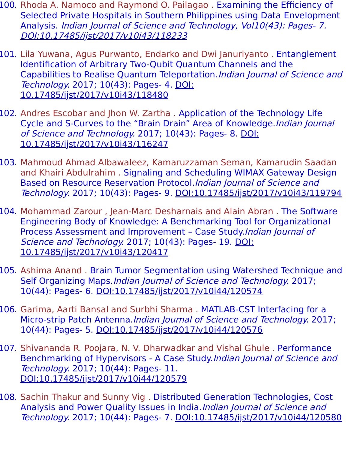- 100. Rhoda A. Namoco and Raymond O. Pailagao . Examining the Efficiency of Selected Private Hospitals in Southern Philippines using Data Envelopment Analysis. Indian Journal of Science and Technology, Vol10(43): Pages- 7. [DOI:10.17485/ijst/2017/v10i43/118233](https://indjst.org/articles/examining-the-efficiency-of-selected-private-hospitals-in-southern-philippines-using-data-envelopment-analysis)
- 101. Lila Yuwana, Agus Purwanto, Endarko and Dwi Januriyanto . Entanglement Identification of Arbitrary Two-Qubit Quantum Channels and the Capabilities to Realise Quantum Teleportation.Indian Journal of Science and Technology. 2017; 10(43): Pages- 4. DOI: [10.17485/ijst/2017/v10i43/118480](https://indjst.org/articles/entanglement-identification-of-arbitrary-two-qubit-quantum-channels-and-the-capabilities-to-realise-quantum-teleportation)
- 102. Andres Escobar and Jhon W. Zartha . Application of the Technology Life Cycle and S-Curves to the "Brain Drain" Area of Knowledge.Indian Journal of Science and Technology. 2017; 10(43): Pages- 8. DOI: [10.17485/ijst/2017/v10i43/116247](https://indjst.org/articles/application-of-the-technology-life-cycle-and-s-curves-to-the-brain-drain-area-of-knowledge)
- 103. Mahmoud Ahmad Albawaleez, Kamaruzzaman Seman, Kamarudin Saadan and Khairi Abdulrahim . Signaling and Scheduling WIMAX Gateway Design Based on Resource Reservation Protocol.Indian Journal of Science and Technology. 2017; 10(43): Pages- 9. [DOI:10.17485/ijst/2017/v10i43/119794](https://indjst.org/articles/signaling-and-scheduling-wimax-gateway-design-based-on-resource-reservation-protocol)
- 104. Mohammad Zarour, Jean-Marc Desharnais and Alain Abran. The Software Engineering Body of Knowledge: A Benchmarking Tool for Organizational Process Assessment and Improvement – Case Study.Indian Journal of Science and Technology. 2017; 10(43): Pages- 19. DOI: [10.17485/ijst/2017/v10i43/120417](https://indjst.org/articles/the-software-engineering-body-of-knowledge-a-benchmarking-tool-for-organizational-process-assessment-and-improvement-case-study)
- 105. Ashima Anand . Brain Tumor Segmentation using Watershed Technique and Self Organizing Maps. *Indian Journal of Science and Technology*. 2017; 10(44): Pages- 6. [DOI:10.17485/ijst/2017/v10i44/120574](https://indjst.org/articles/brain-tumor-segmentation-using-watershed-technique-and-self-organizing-maps)
- 106. Garima, Aarti Bansal and Surbhi Sharma . MATLAB-CST Interfacing for a Micro-strip Patch Antenna.*Indian Journal of Science and Technology*. 2017; 10(44): Pages- 5. [DOI:10.17485/ijst/2017/v10i44/120576](https://indjst.org/articles/matlab-cst-interfacing-for-a-micro-strip-patch-antenna)
- 107. Shivananda R. Poojara, N. V. Dharwadkar and Vishal Ghule . Performance Benchmarking of Hypervisors - A Case Study.Indian Journal of Science and Technology. 2017; 10(44): Pages- 11. [DOI:10.17485/ijst/2017/v10i44/120579](https://indjst.org/articles/performance-benchmarking-of-hypervisors-a-case-study)
- 108. Sachin Thakur and Sunny Vig . Distributed Generation Technologies, Cost Analysis and Power Quality Issues in India.Indian Journal of Science and Technology. 2017; 10(44): Pages- 7. [DOI:10.17485/ijst/2017/v10i44/120580](https://indjst.org/articles/distributed-generation-technologies-cost-analysis-and-power-quality-issues-in-india)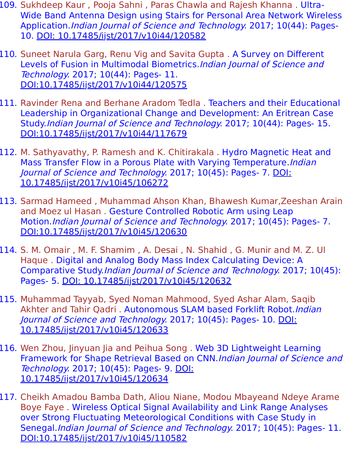- 109. Sukhdeep Kaur , Pooja Sahni , Paras Chawla and Rajesh Khanna . Ultra-Wide Band Antenna Design using Stairs for Personal Area Network Wireless Application.Indian Journal of Science and Technology. 2017; 10(44): Pages-10. [DOI: 10.17485/ijst/2017/v10i44/120582](https://indjst.org/articles/ultra-wide-band-antenna-design-using-stairs-for-personal-area-network-wireless-application)
- 110. Suneet Narula Garg, Renu Vig and Savita Gupta . A Survey on Different Levels of Fusion in Multimodal Biometrics. Indian Journal of Science and Technology. 2017; 10(44): Pages- 11. [DOI:10.17485/ijst/2017/v10i44/120575](https://indjst.org/articles/a-survey-on-different-levels-of-fusion-in-multimodal-biometrics)
- 111. Ravinder Rena and Berhane Aradom Tedla . Teachers and their Educational Leadership in Organizational Change and Development: An Eritrean Case Study.Indian Journal of Science and Technology. 2017; 10(44): Pages- 15. [DOI:10.17485/ijst/2017/v10i44/117679](https://indjst.org/articles/teachers-and-their-educational-leadership-in-organizational-change-and-development-an-eritrean-case-study)
- 112. M. Sathyavathy, P. Ramesh and K. Chitirakala . Hydro Magnetic Heat and Mass Transfer Flow in a Porous Plate with Varying Temperature.Indian Journal of Science and Technology. 2017; 10(45): Pages- 7. DOI: [10.17485/ijst/2017/v10i45/106272](https://indjst.org/articles/hydro-magnetic-heat-and-mass-transfer-flow-in-a-porous-plate-with-varying-temperature)
- 113. Sarmad Hameed , Muhammad Ahson Khan, Bhawesh Kumar,Zeeshan Arain and Moez ul Hasan . Gesture Controlled Robotic Arm using Leap Motion.Indian Journal of Science and Technology. 2017; 10(45): Pages- 7. [DOI:10.17485/ijst/2017/v10i45/120630](https://indjst.org/articles/gesture-controlled-robotic-arm-using-leap-motion)
- 114. S. M. Omair , M. F. Shamim , A. Desai , N. Shahid , G. Munir and M. Z. Ul Haque . Digital and Analog Body Mass Index Calculating Device: A Comparative Study.Indian Journal of Science and Technology. 2017; 10(45): Pages- 5. [DOI: 10.17485/ijst/2017/v10i45/120632](https://indjst.org/articles/digital-and-analog-body-mass-index-calculating-device-a-comparative-study)
- 115. Muhammad Tayyab, Syed Noman Mahmood, Syed Ashar Alam, Saqib Akhter and Tahir Oadri . Autonomous SLAM based Forklift Robot.*Indian* Journal of Science and Technology. 2017; 10(45): Pages- 10. DOI: [10.17485/ijst/2017/v10i45/120633](https://indjst.org/articles/autonomous-slam-based-forklift-robot)
- 116. Wen Zhou, Jinyuan Jia and Peihua Song . Web 3D Lightweight Learning Framework for Shape Retrieval Based on CNN.Indian Journal of Science and Technology. 2017; 10(45): Pages- 9. DOI: [10.17485/ijst/2017/v10i45/120634](https://indjst.org/articles/web-3d-lightweight-learning-framework-for-shape-retrieval-based-on-cnn)
- 117. Cheikh Amadou Bamba Dath, Aliou Niane, Modou Mbayeand Ndeye Arame Boye Faye . Wireless Optical Signal Availability and Link Range Analyses over Strong Fluctuating Meteorological Conditions with Case Study in Senegal.Indian Journal of Science and Technology. 2017; 10(45): Pages- 11. [DOI:10.17485/ijst/2017/v10i45/110582](https://indjst.org/articles/wireless-optical-signal-availability-and-link-range-analyses-over-strong-fluctuating-meteorological-conditions-with-case-study-in-senegal)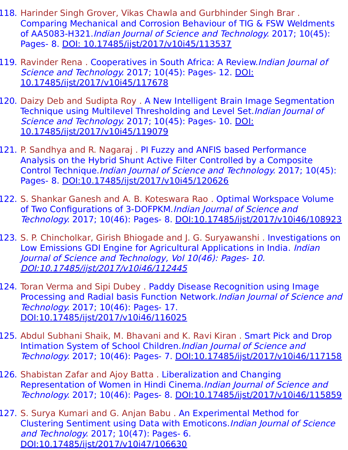- 118. Harinder Singh Grover, Vikas Chawla and Gurbhinder Singh Brar . Comparing Mechanical and Corrosion Behaviour of TIG & FSW Weldments of AA5083-H321.Indian Journal of Science and Technology. 2017; 10(45): Pages- 8. [DOI: 10.17485/ijst/2017/v10i45/113537](https://indjst.org/articles/comparing-mechanical-and-corrosion-behaviour-of-tig-fsw-weldments-of-aa5083-h321)
- 119. Ravinder Rena. Cooperatives in South Africa: A Review. Indian Journal of Science and Technology. 2017; 10(45): Pages- 12. DOI: [10.17485/ijst/2017/v10i45/117678](https://indjst.org/articles/cooperatives-in-south-africa-a-review)
- 120. Daizy Deb and Sudipta Roy . A New Intelligent Brain Image Segmentation Technique using Multilevel Thresholding and Level Set. Indian Journal of Science and Technology. 2017; 10(45): Pages- 10. DOI: [10.17485/ijst/2017/v10i45/119079](https://indjst.org/articles/a-new-intelligent-brain-image-segmentation-technique-using-multilevel-thresholding-and-level-set)
- 121. P. Sandhya and R. Nagaraj . PI Fuzzy and ANFIS based Performance Analysis on the Hybrid Shunt Active Filter Controlled by a Composite Control Technique.Indian Journal of Science and Technology. 2017; 10(45): Pages- 8. [DOI:10.17485/ijst/2017/v10i45/120626](https://indjst.org/articles/pi-fuzzy-and-anfis-based-performance-analysis-on-the-hybrid-shunt-active-filter-controlled-by-a-composite-control-technique)
- 122. S. Shankar Ganesh and A. B. Koteswara Rao . Optimal Workspace Volume of Two Configurations of 3-DOFPKM.Indian Journal of Science and Technology. 2017; 10(46): Pages- 8. [DOI:10.17485/ijst/2017/v10i46/108923](https://indjst.org/articles/optimal-workspace-volume-of-two-configurations-of-3-dofpkm)
- 123. S. P. Chincholkar, Girish Bhiogade and J. G. Suryawanshi . Investigations on Low Emissions GDI Engine for Agricultural Applications in India. *Indian* Journal of Science and Technology, Vol 10(46): Pages- 10. [DOI:10.17485/ijst/2017/v10i46/112445](https://indjst.org/articles/investigations-on-low-emissions-gdi-engine-for-agricultural-applications-in-india)
- 124. Toran Verma and Sipi Dubey . Paddy Disease Recognition using Image Processing and Radial basis Function Network.Indian Journal of Science and Technology. 2017; 10(46): Pages- 17. [DOI:10.17485/ijst/2017/v10i46/116025](https://indjst.org/articles/paddy-disease-recognition-using-image-processing-and-radial-basis-function-network)
- 125. Abdul Subhani Shaik, M. Bhavani and K. Ravi Kiran . Smart Pick and Drop Intimation System of School Children.Indian Journal of Science and Technology. 2017; 10(46): Pages- 7. [DOI:10.17485/ijst/2017/v10i46/117158](https://indjst.org/articles/smart-pick-and-drop-intimation-system-of-school-children)
- 126. Shabistan Zafar and Ajoy Batta . Liberalization and Changing Representation of Women in Hindi Cinema.Indian Journal of Science and Technology. 2017; 10(46): Pages- 8. [DOI:10.17485/ijst/2017/v10i46/115859](https://indjst.org/articles/liberalization-and-changing-representation-of-women-in-hindi-cinema)
- 127. S. Surya Kumari and G. Anjan Babu . An Experimental Method for Clustering Sentiment using Data with Emoticons.Indian Journal of Science and Technology. 2017; 10(47): Pages- 6. [DOI:10.17485/ijst/2017/v10i47/106630](https://indjst.org/articles/an-experimental-method-for-clustering-sentiment-using-data-with-emoticons)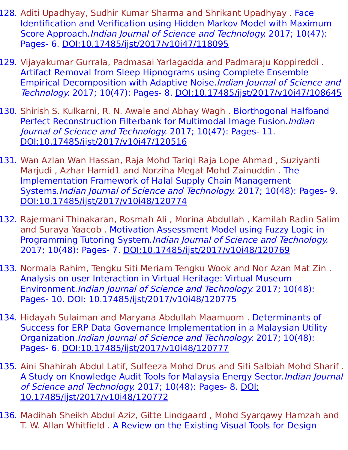- 128. Aditi Upadhyay, Sudhir Kumar Sharma and Shrikant Upadhyay . Face Identification and Verification using Hidden Markov Model with Maximum Score Approach.Indian Journal of Science and Technology. 2017; 10(47): Pages- 6. [DOI:10.17485/ijst/2017/v10i47/118095](https://indjst.org/articles/face-identification-and-verification-using-hidden-markov-model-with-maximum-score-approach)
- 129. Vijayakumar Gurrala, Padmasai Yarlagadda and Padmaraju Koppireddi . Artifact Removal from Sleep Hipnograms using Complete Ensemble Empirical Decomposition with Adaptive Noise.Indian Journal of Science and Technology. 2017; 10(47): Pages- 8. [DOI:10.17485/ijst/2017/v10i47/108645](https://indjst.org/articles/artifact-removal-from-sleep-hipnograms-using-complete-ensemble-empirical-decomposition-with-adaptive-noise)
- 130. Shirish S. Kulkarni, R. N. Awale and Abhay Wagh . Biorthogonal Halfband Perfect Reconstruction Filterbank for Multimodal Image Fusion.Indian Journal of Science and Technology. 2017; 10(47): Pages- 11. [DOI:10.17485/ijst/2017/v10i47/120516](https://indjst.org/articles/biorthogonal-halfband-perfect-reconstruction-filterbank-for-multimodal-image-fusion)
- 131. Wan Azlan Wan Hassan, Raja Mohd Tariqi Raja Lope Ahmad , Suziyanti Marjudi , Azhar Hamid1 and Norziha Megat Mohd Zainuddin . The Implementation Framework of Halal Supply Chain Management Systems.Indian Journal of Science and Technology. 2017; 10(48): Pages- 9. [DOI:10.17485/ijst/2017/v10i48/120774](https://indjst.org/articles/the-implementation-framework-of-halal-supply-chain-management-systems)
- 132. Rajermani Thinakaran, Rosmah Ali , Morina Abdullah , Kamilah Radin Salim and Suraya Yaacob . Motivation Assessment Model using Fuzzy Logic in Programming Tutoring System.Indian Journal of Science and Technology. 2017; 10(48): Pages- 7. [DOI:10.17485/ijst/2017/v10i48/120769](https://indjst.org/articles/motivation-assessment-model-using-fuzzy-logic-in-programming-tutoring-system)
- 133. Normala Rahim, Tengku Siti Meriam Tengku Wook and Nor Azan Mat Zin . Analysis on user Interaction in Virtual Heritage: Virtual Museum Environment.Indian Journal of Science and Technology. 2017; 10(48): Pages- 10. [DOI: 10.17485/ijst/2017/v10i48/120775](https://indjst.org/articles/analysis-on-user-interaction-in-virtual-heritage-virtual-museum-environment1587925750)
- 134. Hidayah Sulaiman and Maryana Abdullah Maamuom . Determinants of Success for ERP Data Governance Implementation in a Malaysian Utility Organization.Indian Journal of Science and Technology. 2017; 10(48): Pages- 6. [DOI:10.17485/ijst/2017/v10i48/120777](https://indjst.org/articles/determinants-of-success-for-erp-data-governance-implementation-in-a-malaysian-utility-organization)
- 135. Aini Shahirah Abdul Latif, Sulfeeza Mohd Drus and Siti Salbiah Mohd Sharif . A Study on Knowledge Audit Tools for Malaysia Energy Sector.Indian Journal of Science and Technology. 2017; 10(48): Pages- 8. DOI: [10.17485/ijst/2017/v10i48/120772](https://indjst.org/articles/a-study-on-knowledge-audit-tools-for-malaysia-energy-sector)
- 136. Madihah Sheikh Abdul Aziz, Gitte Lindgaard , Mohd Syarqawy Hamzah and T. W. Allan Whitfield . A Review on the Existing Visual Tools for Design